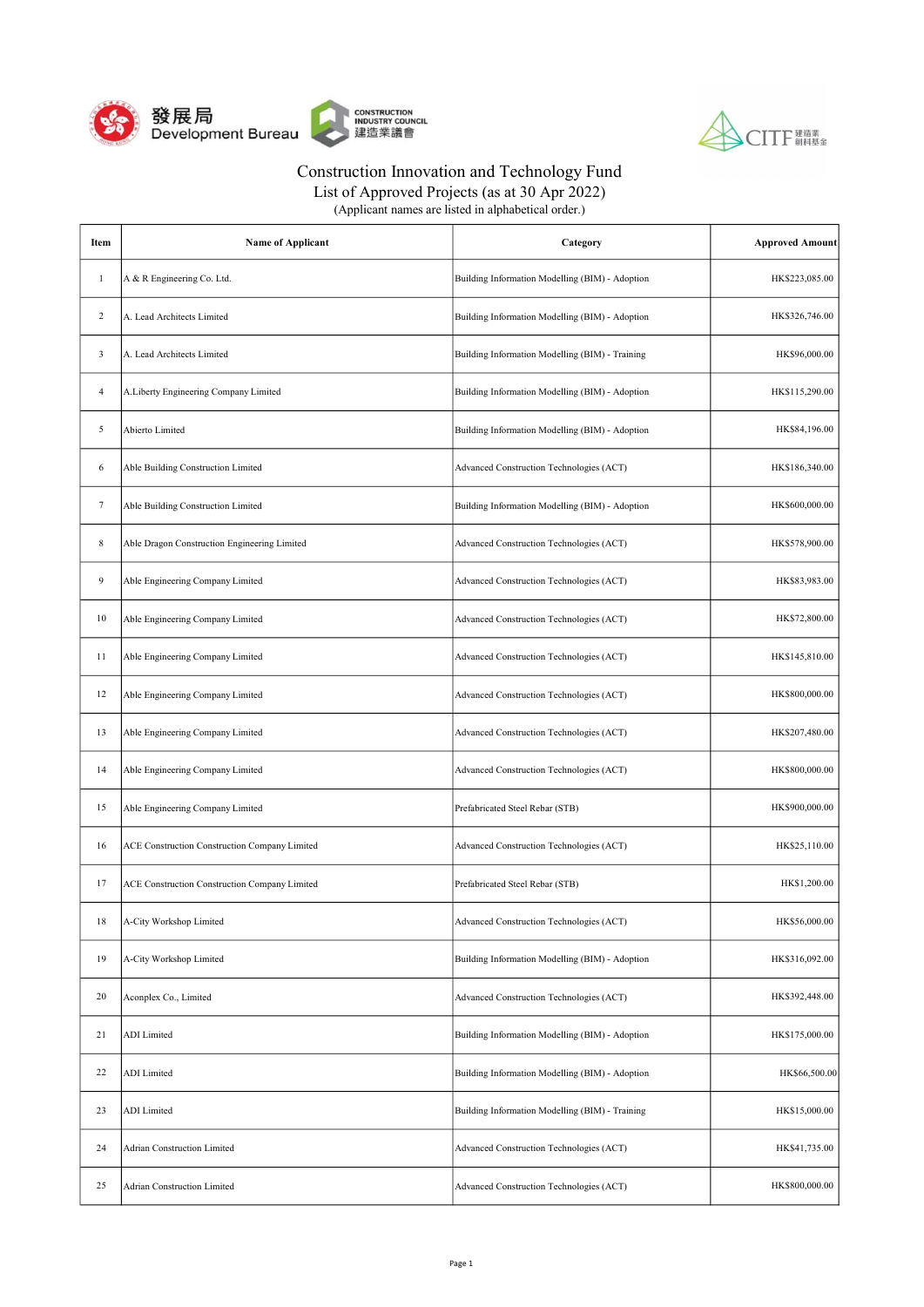



List of Approved Projects (as at 30 Apr 2022)

| Item           | <b>Name of Applicant</b>                      | Category                                        | <b>Approved Amount</b> |
|----------------|-----------------------------------------------|-------------------------------------------------|------------------------|
| 1              | A & R Engineering Co. Ltd.                    | Building Information Modelling (BIM) - Adoption | HK\$223,085.00         |
| 2              | A. Lead Architects Limited                    | Building Information Modelling (BIM) - Adoption | HK\$326,746.00         |
| 3              | A. Lead Architects Limited                    | Building Information Modelling (BIM) - Training | HK\$96,000.00          |
| $\overline{4}$ | A.Liberty Engineering Company Limited         | Building Information Modelling (BIM) - Adoption | HK\$115,290.00         |
| 5              | Abierto Limited                               | Building Information Modelling (BIM) - Adoption | HK\$84,196.00          |
| 6              | Able Building Construction Limited            | Advanced Construction Technologies (ACT)        | HK\$186,340.00         |
| 7              | Able Building Construction Limited            | Building Information Modelling (BIM) - Adoption | HK\$600,000.00         |
| 8              | Able Dragon Construction Engineering Limited  | Advanced Construction Technologies (ACT)        | HK\$578,900.00         |
| 9              | Able Engineering Company Limited              | Advanced Construction Technologies (ACT)        | HK\$83,983.00          |
| 10             | Able Engineering Company Limited              | Advanced Construction Technologies (ACT)        | HK\$72,800.00          |
| 11             | Able Engineering Company Limited              | Advanced Construction Technologies (ACT)        | HK\$145,810.00         |
| 12             | Able Engineering Company Limited              | Advanced Construction Technologies (ACT)        | HK\$800,000.00         |
| 13             | Able Engineering Company Limited              | Advanced Construction Technologies (ACT)        | HK\$207,480.00         |
| 14             | Able Engineering Company Limited              | Advanced Construction Technologies (ACT)        | HK\$800,000.00         |
| 15             | Able Engineering Company Limited              | Prefabricated Steel Rebar (STB)                 | HK\$900,000.00         |
| 16             | ACE Construction Construction Company Limited | Advanced Construction Technologies (ACT)        | HK\$25,110.00          |
| 17             | ACE Construction Construction Company Limited | Prefabricated Steel Rebar (STB)                 | HK\$1,200.00           |
| 18             | A-City Workshop Limited                       | Advanced Construction Technologies (ACT)        | HK\$56,000.00          |
| 19             | A-City Workshop Limited                       | Building Information Modelling (BIM) - Adoption | HK\$316,092.00         |
| 20             | Aconplex Co., Limited                         | Advanced Construction Technologies (ACT)        | HK\$392,448.00         |
| 21             | <b>ADI</b> Limited                            | Building Information Modelling (BIM) - Adoption | HK\$175,000.00         |
| 22             | <b>ADI</b> Limited                            | Building Information Modelling (BIM) - Adoption | HK\$66,500.00          |
| 23             | <b>ADI</b> Limited                            | Building Information Modelling (BIM) - Training | HK\$15,000.00          |
| 24             | Adrian Construction Limited                   | Advanced Construction Technologies (ACT)        | HK\$41,735.00          |
| 25             | Adrian Construction Limited                   | Advanced Construction Technologies (ACT)        | HK\$800,000.00         |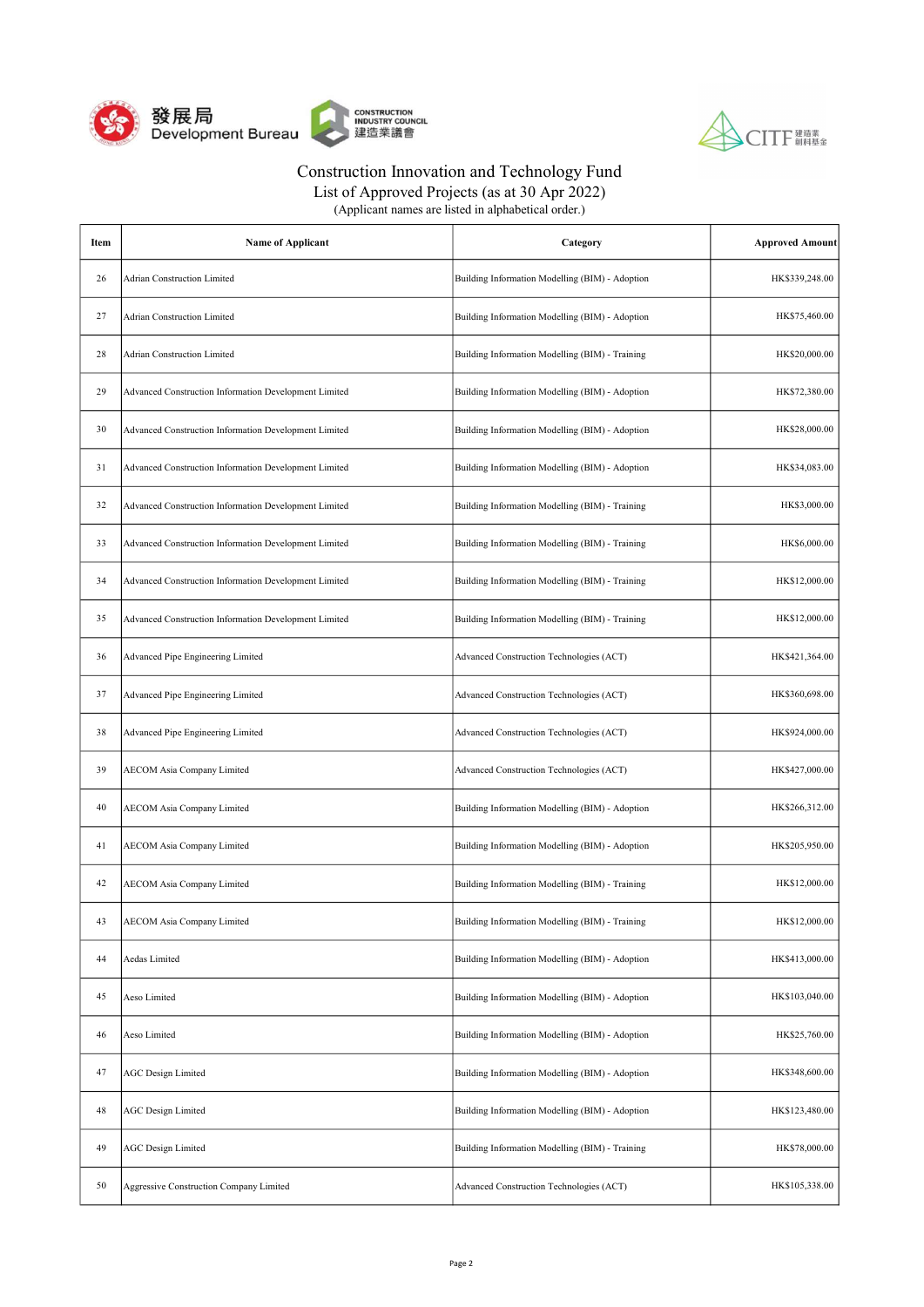



List of Approved Projects (as at 30 Apr 2022)

| Item | <b>Name of Applicant</b>                              | Category                                        | <b>Approved Amount</b> |
|------|-------------------------------------------------------|-------------------------------------------------|------------------------|
| 26   | <b>Adrian Construction Limited</b>                    | Building Information Modelling (BIM) - Adoption | HK\$339,248.00         |
| 27   | <b>Adrian Construction Limited</b>                    | Building Information Modelling (BIM) - Adoption | HK\$75,460.00          |
| 28   | <b>Adrian Construction Limited</b>                    | Building Information Modelling (BIM) - Training | HK\$20,000.00          |
| 29   | Advanced Construction Information Development Limited | Building Information Modelling (BIM) - Adoption | HK\$72,380.00          |
| 30   | Advanced Construction Information Development Limited | Building Information Modelling (BIM) - Adoption | HK\$28,000.00          |
| 31   | Advanced Construction Information Development Limited | Building Information Modelling (BIM) - Adoption | HK\$34,083.00          |
| 32   | Advanced Construction Information Development Limited | Building Information Modelling (BIM) - Training | HK\$3,000.00           |
| 33   | Advanced Construction Information Development Limited | Building Information Modelling (BIM) - Training | HK\$6,000.00           |
| 34   | Advanced Construction Information Development Limited | Building Information Modelling (BIM) - Training | HK\$12,000.00          |
| 35   | Advanced Construction Information Development Limited | Building Information Modelling (BIM) - Training | HK\$12,000.00          |
| 36   | Advanced Pipe Engineering Limited                     | Advanced Construction Technologies (ACT)        | HK\$421,364.00         |
| 37   | Advanced Pipe Engineering Limited                     | Advanced Construction Technologies (ACT)        | HK\$360,698.00         |
| 38   | Advanced Pipe Engineering Limited                     | Advanced Construction Technologies (ACT)        | HK\$924,000.00         |
| 39   | <b>AECOM Asia Company Limited</b>                     | Advanced Construction Technologies (ACT)        | HK\$427,000.00         |
| 40   | <b>AECOM Asia Company Limited</b>                     | Building Information Modelling (BIM) - Adoption | HK\$266,312.00         |
| 41   | <b>AECOM Asia Company Limited</b>                     | Building Information Modelling (BIM) - Adoption | HK\$205,950.00         |
| 42   | <b>AECOM Asia Company Limited</b>                     | Building Information Modelling (BIM) - Training | HK\$12,000.00          |
| 43   | <b>AECOM Asia Company Limited</b>                     | Building Information Modelling (BIM) - Training | HK\$12,000.00          |
| 44   | Aedas Limited                                         | Building Information Modelling (BIM) - Adoption | HK\$413,000.00         |
| 45   | Aeso Limited                                          | Building Information Modelling (BIM) - Adoption | HK\$103,040.00         |
| 46   | Aeso Limited                                          | Building Information Modelling (BIM) - Adoption | HK\$25,760.00          |
| 47   | <b>AGC</b> Design Limited                             | Building Information Modelling (BIM) - Adoption | HK\$348,600.00         |
| 48   | <b>AGC Design Limited</b>                             | Building Information Modelling (BIM) - Adoption | HK\$123,480.00         |
| 49   | <b>AGC Design Limited</b>                             | Building Information Modelling (BIM) - Training | HK\$78,000.00          |
| 50   | Aggressive Construction Company Limited               | Advanced Construction Technologies (ACT)        | HK\$105,338.00         |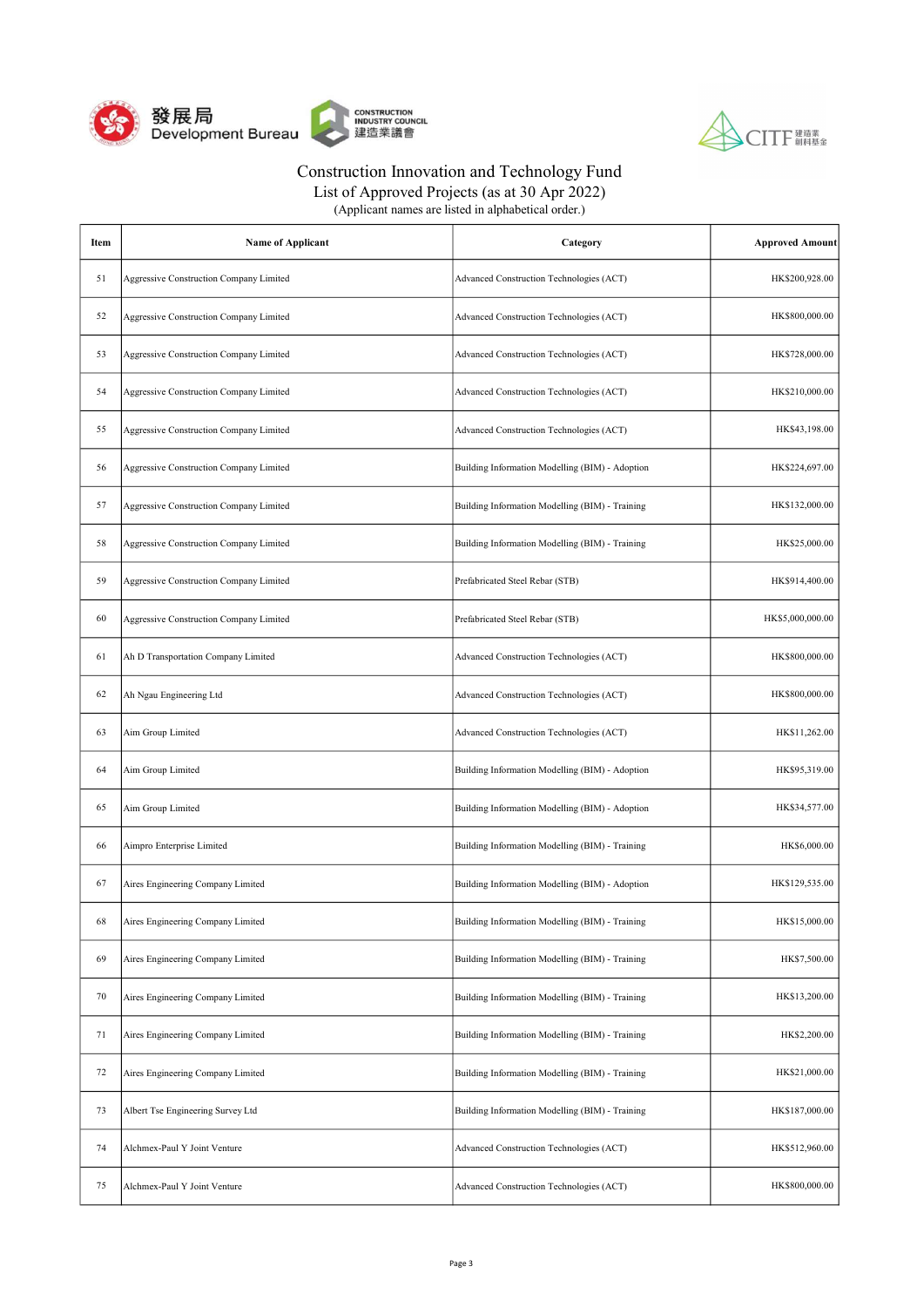



| Item | <b>Name of Applicant</b>                | Category                                        | <b>Approved Amount</b> |
|------|-----------------------------------------|-------------------------------------------------|------------------------|
| 51   | Aggressive Construction Company Limited | Advanced Construction Technologies (ACT)        | HK\$200,928.00         |
| 52   | Aggressive Construction Company Limited | Advanced Construction Technologies (ACT)        | HK\$800,000.00         |
| 53   | Aggressive Construction Company Limited | Advanced Construction Technologies (ACT)        | HK\$728,000.00         |
| 54   | Aggressive Construction Company Limited | Advanced Construction Technologies (ACT)        | HK\$210,000.00         |
| 55   | Aggressive Construction Company Limited | Advanced Construction Technologies (ACT)        | HK\$43,198.00          |
| 56   | Aggressive Construction Company Limited | Building Information Modelling (BIM) - Adoption | HK\$224,697.00         |
| 57   | Aggressive Construction Company Limited | Building Information Modelling (BIM) - Training | HK\$132,000.00         |
| 58   | Aggressive Construction Company Limited | Building Information Modelling (BIM) - Training | HK\$25,000.00          |
| 59   | Aggressive Construction Company Limited | Prefabricated Steel Rebar (STB)                 | HK\$914,400.00         |
| 60   | Aggressive Construction Company Limited | Prefabricated Steel Rebar (STB)                 | HK\$5,000,000.00       |
| 61   | Ah D Transportation Company Limited     | Advanced Construction Technologies (ACT)        | HK\$800,000.00         |
| 62   | Ah Ngau Engineering Ltd                 | Advanced Construction Technologies (ACT)        | HK\$800,000.00         |
| 63   | Aim Group Limited                       | Advanced Construction Technologies (ACT)        | HK\$11,262.00          |
| 64   | Aim Group Limited                       | Building Information Modelling (BIM) - Adoption | HK\$95,319.00          |
| 65   | Aim Group Limited                       | Building Information Modelling (BIM) - Adoption | HK\$34,577.00          |
| 66   | Aimpro Enterprise Limited               | Building Information Modelling (BIM) - Training | HK\$6,000.00           |
| 67   | Aires Engineering Company Limited       | Building Information Modelling (BIM) - Adoption | HK\$129,535.00         |
| 68   | Aires Engineering Company Limited       | Building Information Modelling (BIM) - Training | HK\$15,000.00          |
| 69   | Aires Engineering Company Limited       | Building Information Modelling (BIM) - Training | HK\$7,500.00           |
| 70   | Aires Engineering Company Limited       | Building Information Modelling (BIM) - Training | HK\$13,200.00          |
| 71   | Aires Engineering Company Limited       | Building Information Modelling (BIM) - Training | HK\$2,200.00           |
| 72   | Aires Engineering Company Limited       | Building Information Modelling (BIM) - Training | HK\$21,000.00          |
| 73   | Albert Tse Engineering Survey Ltd       | Building Information Modelling (BIM) - Training | HK\$187,000.00         |
| 74   | Alchmex-Paul Y Joint Venture            | Advanced Construction Technologies (ACT)        | HK\$512,960.00         |
| 75   | Alchmex-Paul Y Joint Venture            | Advanced Construction Technologies (ACT)        | HK\$800,000.00         |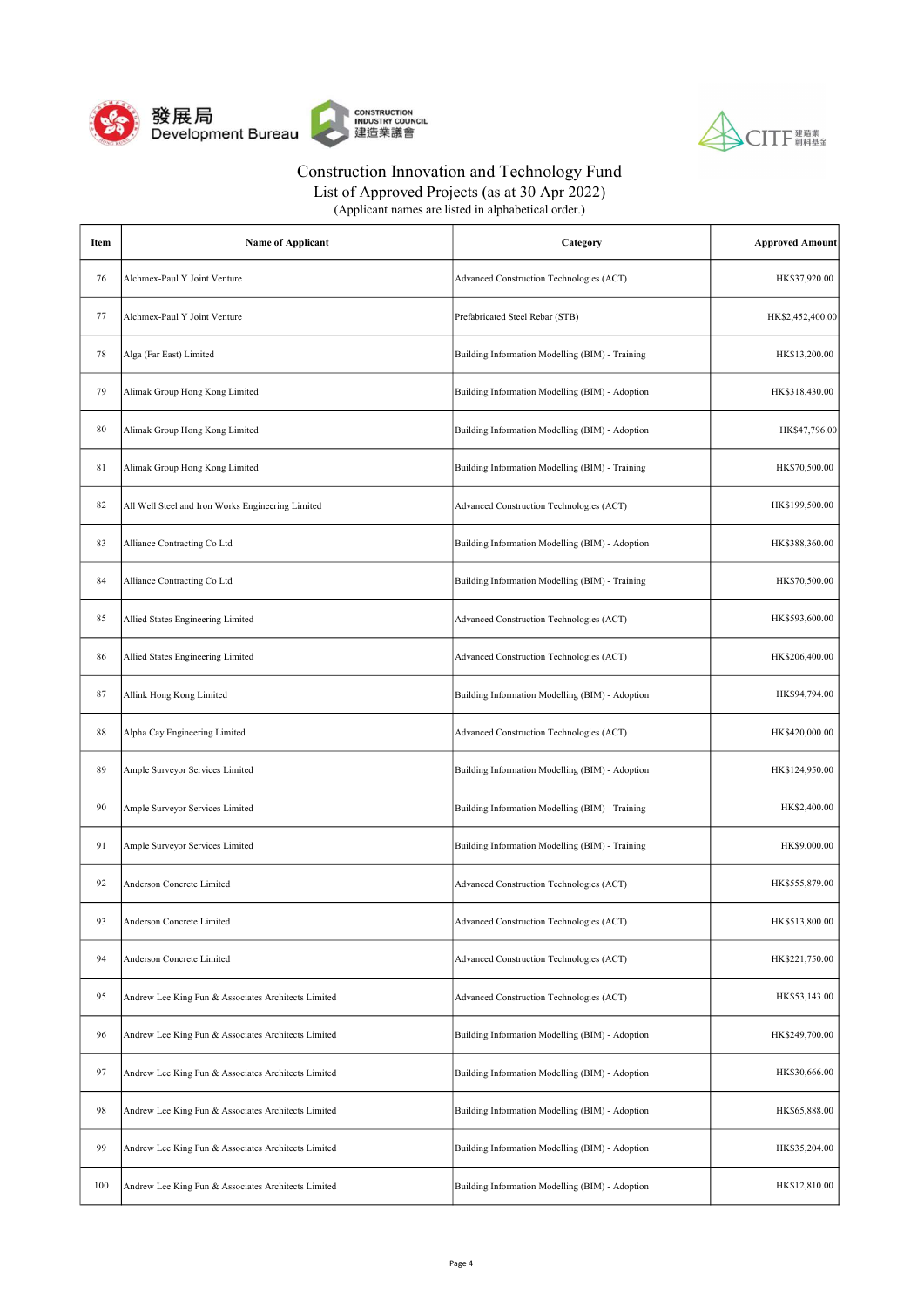



List of Approved Projects (as at 30 Apr 2022)

| Item | <b>Name of Applicant</b>                            | Category                                        | <b>Approved Amount</b> |
|------|-----------------------------------------------------|-------------------------------------------------|------------------------|
| 76   | Alchmex-Paul Y Joint Venture                        | Advanced Construction Technologies (ACT)        | HK\$37,920.00          |
| 77   | Alchmex-Paul Y Joint Venture                        | Prefabricated Steel Rebar (STB)                 | HK\$2,452,400.00       |
| 78   | Alga (Far East) Limited                             | Building Information Modelling (BIM) - Training | HK\$13,200.00          |
| 79   | Alimak Group Hong Kong Limited                      | Building Information Modelling (BIM) - Adoption | HK\$318,430.00         |
| 80   | Alimak Group Hong Kong Limited                      | Building Information Modelling (BIM) - Adoption | HK\$47,796.00          |
| 81   | Alimak Group Hong Kong Limited                      | Building Information Modelling (BIM) - Training | HK\$70,500.00          |
| 82   | All Well Steel and Iron Works Engineering Limited   | Advanced Construction Technologies (ACT)        | HK\$199,500.00         |
| 83   | Alliance Contracting Co Ltd                         | Building Information Modelling (BIM) - Adoption | HK\$388,360.00         |
| 84   | Alliance Contracting Co Ltd                         | Building Information Modelling (BIM) - Training | HK\$70,500.00          |
| 85   | Allied States Engineering Limited                   | Advanced Construction Technologies (ACT)        | HK\$593,600.00         |
| 86   | Allied States Engineering Limited                   | Advanced Construction Technologies (ACT)        | HK\$206,400.00         |
| 87   | Allink Hong Kong Limited                            | Building Information Modelling (BIM) - Adoption | HK\$94,794.00          |
| 88   | Alpha Cay Engineering Limited                       | Advanced Construction Technologies (ACT)        | HK\$420,000.00         |
| 89   | Ample Surveyor Services Limited                     | Building Information Modelling (BIM) - Adoption | HK\$124,950.00         |
| 90   | Ample Surveyor Services Limited                     | Building Information Modelling (BIM) - Training | HK\$2,400.00           |
| 91   | Ample Surveyor Services Limited                     | Building Information Modelling (BIM) - Training | HK\$9,000.00           |
| 92   | Anderson Concrete Limited                           | Advanced Construction Technologies (ACT)        | HK\$555,879.00         |
| 93   | Anderson Concrete Limited                           | Advanced Construction Technologies (ACT)        | HK\$513,800.00         |
| 94   | Anderson Concrete Limited                           | Advanced Construction Technologies (ACT)        | HK\$221,750.00         |
| 95   | Andrew Lee King Fun & Associates Architects Limited | Advanced Construction Technologies (ACT)        | HK\$53,143.00          |
| 96   | Andrew Lee King Fun & Associates Architects Limited | Building Information Modelling (BIM) - Adoption | HK\$249,700.00         |
| 97   | Andrew Lee King Fun & Associates Architects Limited | Building Information Modelling (BIM) - Adoption | HK\$30,666.00          |
| 98   | Andrew Lee King Fun & Associates Architects Limited | Building Information Modelling (BIM) - Adoption | HK\$65,888.00          |
| 99   | Andrew Lee King Fun & Associates Architects Limited | Building Information Modelling (BIM) - Adoption | HK\$35,204.00          |
| 100  | Andrew Lee King Fun & Associates Architects Limited | Building Information Modelling (BIM) - Adoption | HK\$12,810.00          |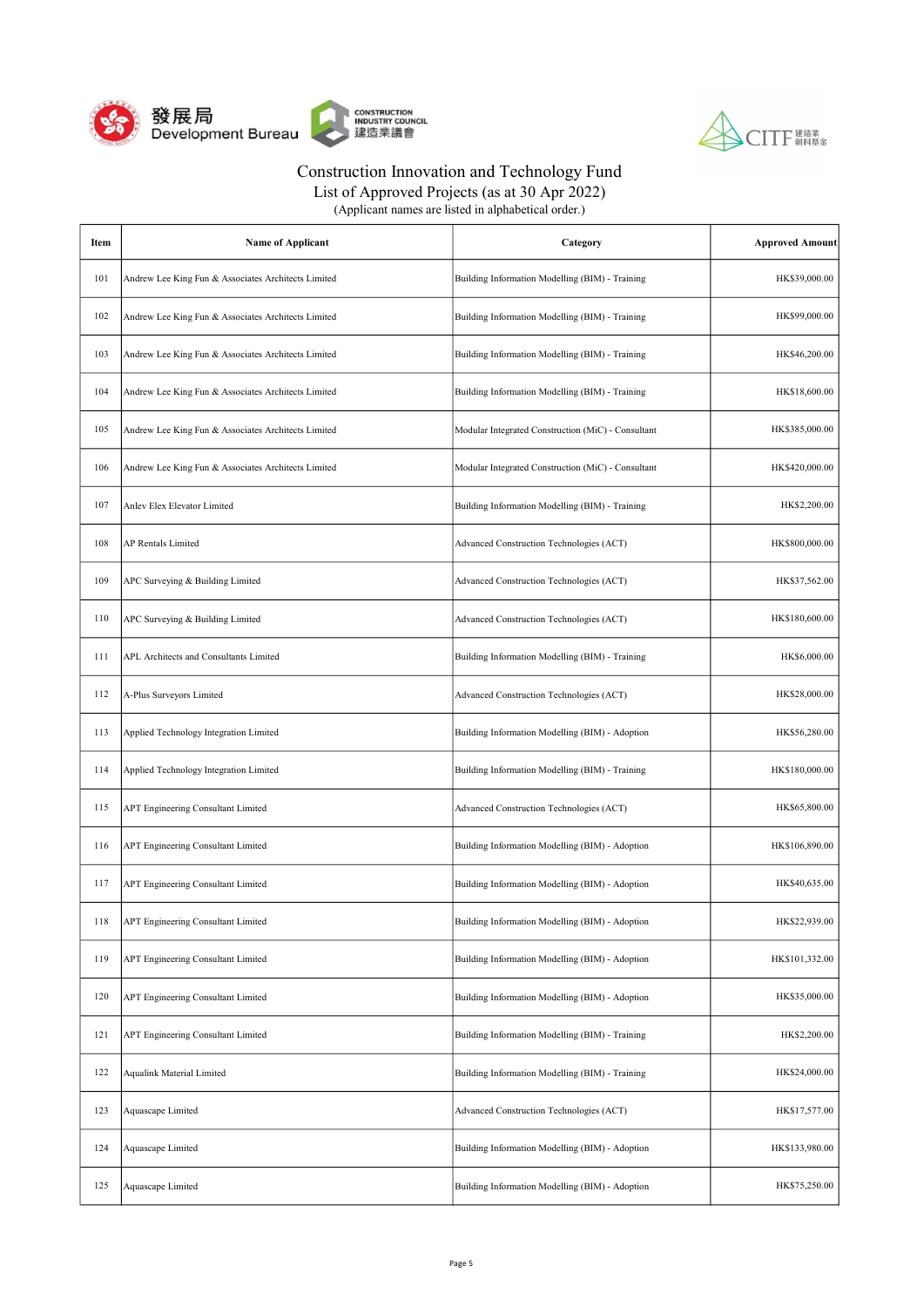



| (Applicant names are listed in alphabetical order.) |  |
|-----------------------------------------------------|--|
|-----------------------------------------------------|--|

| Item | <b>Name of Applicant</b>                            | Category                                           | <b>Approved Amount</b> |
|------|-----------------------------------------------------|----------------------------------------------------|------------------------|
| 101  | Andrew Lee King Fun & Associates Architects Limited | Building Information Modelling (BIM) - Training    | HK\$39,000.00          |
| 102  | Andrew Lee King Fun & Associates Architects Limited | Building Information Modelling (BIM) - Training    | HK\$99,000.00          |
| 103  | Andrew Lee King Fun & Associates Architects Limited | Building Information Modelling (BIM) - Training    | HK\$46,200.00          |
| 104  | Andrew Lee King Fun & Associates Architects Limited | Building Information Modelling (BIM) - Training    | HK\$18,600.00          |
| 105  | Andrew Lee King Fun & Associates Architects Limited | Modular Integrated Construction (MiC) - Consultant | HK\$385,000.00         |
| 106  | Andrew Lee King Fun & Associates Architects Limited | Modular Integrated Construction (MiC) - Consultant | HK\$420,000.00         |
| 107  | Anlev Elex Elevator Limited                         | Building Information Modelling (BIM) - Training    | HK\$2,200.00           |
| 108  | AP Rentals Limited                                  | Advanced Construction Technologies (ACT)           | HK\$800,000.00         |
| 109  | APC Surveying & Building Limited                    | Advanced Construction Technologies (ACT)           | HK\$37,562.00          |
| 110  | APC Surveying & Building Limited                    | Advanced Construction Technologies (ACT)           | HK\$180,600.00         |
| 111  | APL Architects and Consultants Limited              | Building Information Modelling (BIM) - Training    | HK\$6,000.00           |
| 112  | A-Plus Surveyors Limited                            | Advanced Construction Technologies (ACT)           | HK\$28,000.00          |
| 113  | Applied Technology Integration Limited              | Building Information Modelling (BIM) - Adoption    | HK\$56,280.00          |
| 114  | Applied Technology Integration Limited              | Building Information Modelling (BIM) - Training    | HK\$180,000.00         |
| 115  | <b>APT Engineering Consultant Limited</b>           | Advanced Construction Technologies (ACT)           | HK\$65,800.00          |
| 116  | APT Engineering Consultant Limited                  | Building Information Modelling (BIM) - Adoption    | HK\$106,890.00         |
| 117  | APT Engineering Consultant Limited                  | Building Information Modelling (BIM) - Adoption    | HK\$40,635.00          |
| 118  | APT Engineering Consultant Limited                  | Building Information Modelling (BIM) - Adoption    | HK\$22,939.00          |
| 119  | <b>APT Engineering Consultant Limited</b>           | Building Information Modelling (BIM) - Adoption    | HK\$101,332.00         |
| 120  | <b>APT Engineering Consultant Limited</b>           | Building Information Modelling (BIM) - Adoption    | HK\$35,000.00          |
| 121  | <b>APT Engineering Consultant Limited</b>           | Building Information Modelling (BIM) - Training    | HK\$2,200.00           |
| 122  | <b>Aqualink Material Limited</b>                    | Building Information Modelling (BIM) - Training    | HK\$24,000.00          |
| 123  | Aquascape Limited                                   | Advanced Construction Technologies (ACT)           | HK\$17,577.00          |
| 124  | Aquascape Limited                                   | Building Information Modelling (BIM) - Adoption    | HK\$133,980.00         |
| 125  | Aquascape Limited                                   | Building Information Modelling (BIM) - Adoption    | HK\$75,250.00          |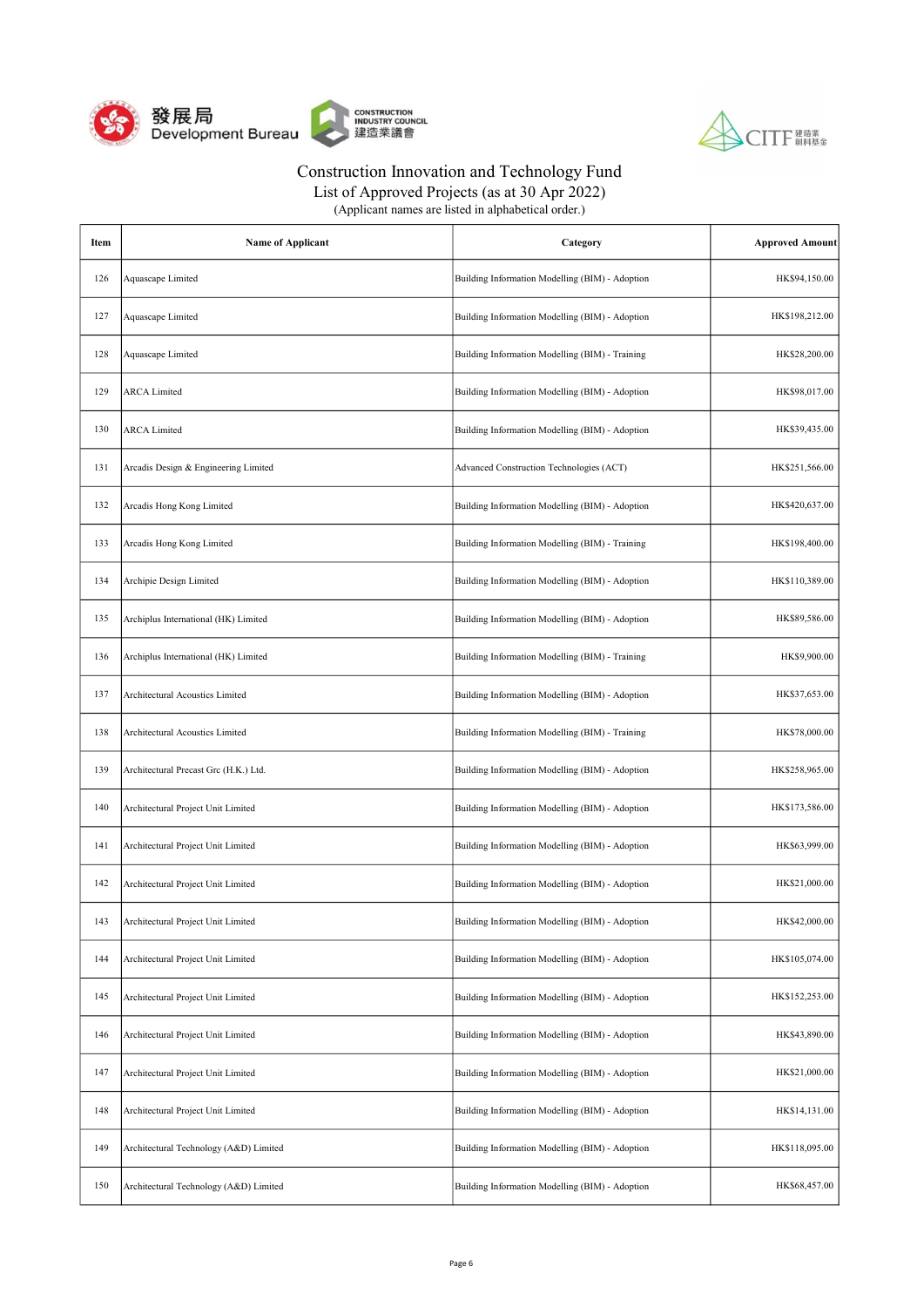



List of Approved Projects (as at 30 Apr 2022)

| Item | <b>Name of Applicant</b>               | Category                                        | <b>Approved Amount</b> |
|------|----------------------------------------|-------------------------------------------------|------------------------|
| 126  | Aquascape Limited                      | Building Information Modelling (BIM) - Adoption | HK\$94,150.00          |
| 127  | Aquascape Limited                      | Building Information Modelling (BIM) - Adoption | HK\$198,212.00         |
| 128  | Aquascape Limited                      | Building Information Modelling (BIM) - Training | HK\$28,200.00          |
| 129  | <b>ARCA</b> Limited                    | Building Information Modelling (BIM) - Adoption | HK\$98,017.00          |
| 130  | <b>ARCA</b> Limited                    | Building Information Modelling (BIM) - Adoption | HK\$39,435.00          |
| 131  | Arcadis Design & Engineering Limited   | Advanced Construction Technologies (ACT)        | HK\$251,566.00         |
| 132  | Arcadis Hong Kong Limited              | Building Information Modelling (BIM) - Adoption | HK\$420,637.00         |
| 133  | Arcadis Hong Kong Limited              | Building Information Modelling (BIM) - Training | HK\$198,400.00         |
| 134  | Archipie Design Limited                | Building Information Modelling (BIM) - Adoption | HK\$110,389.00         |
| 135  | Archiplus International (HK) Limited   | Building Information Modelling (BIM) - Adoption | HK\$89,586.00          |
| 136  | Archiplus International (HK) Limited   | Building Information Modelling (BIM) - Training | HK\$9,900.00           |
| 137  | Architectural Acoustics Limited        | Building Information Modelling (BIM) - Adoption | HK\$37,653.00          |
| 138  | Architectural Acoustics Limited        | Building Information Modelling (BIM) - Training | HK\$78,000.00          |
| 139  | Architectural Precast Grc (H.K.) Ltd.  | Building Information Modelling (BIM) - Adoption | HK\$258,965.00         |
| 140  | Architectural Project Unit Limited     | Building Information Modelling (BIM) - Adoption | HK\$173,586.00         |
| 141  | Architectural Project Unit Limited     | Building Information Modelling (BIM) - Adoption | HK\$63,999.00          |
| 142  | Architectural Project Unit Limited     | Building Information Modelling (BIM) - Adoption | HK\$21,000.00          |
| 143  | Architectural Project Unit Limited     | Building Information Modelling (BIM) - Adoption | HK\$42,000.00          |
| 144  | Architectural Project Unit Limited     | Building Information Modelling (BIM) - Adoption | HK\$105,074.00         |
| 145  | Architectural Project Unit Limited     | Building Information Modelling (BIM) - Adoption | HK\$152,253.00         |
| 146  | Architectural Project Unit Limited     | Building Information Modelling (BIM) - Adoption | HK\$43,890.00          |
| 147  | Architectural Project Unit Limited     | Building Information Modelling (BIM) - Adoption | HK\$21,000.00          |
| 148  | Architectural Project Unit Limited     | Building Information Modelling (BIM) - Adoption | HK\$14,131.00          |
| 149  | Architectural Technology (A&D) Limited | Building Information Modelling (BIM) - Adoption | HK\$118,095.00         |
| 150  | Architectural Technology (A&D) Limited | Building Information Modelling (BIM) - Adoption | HK\$68,457.00          |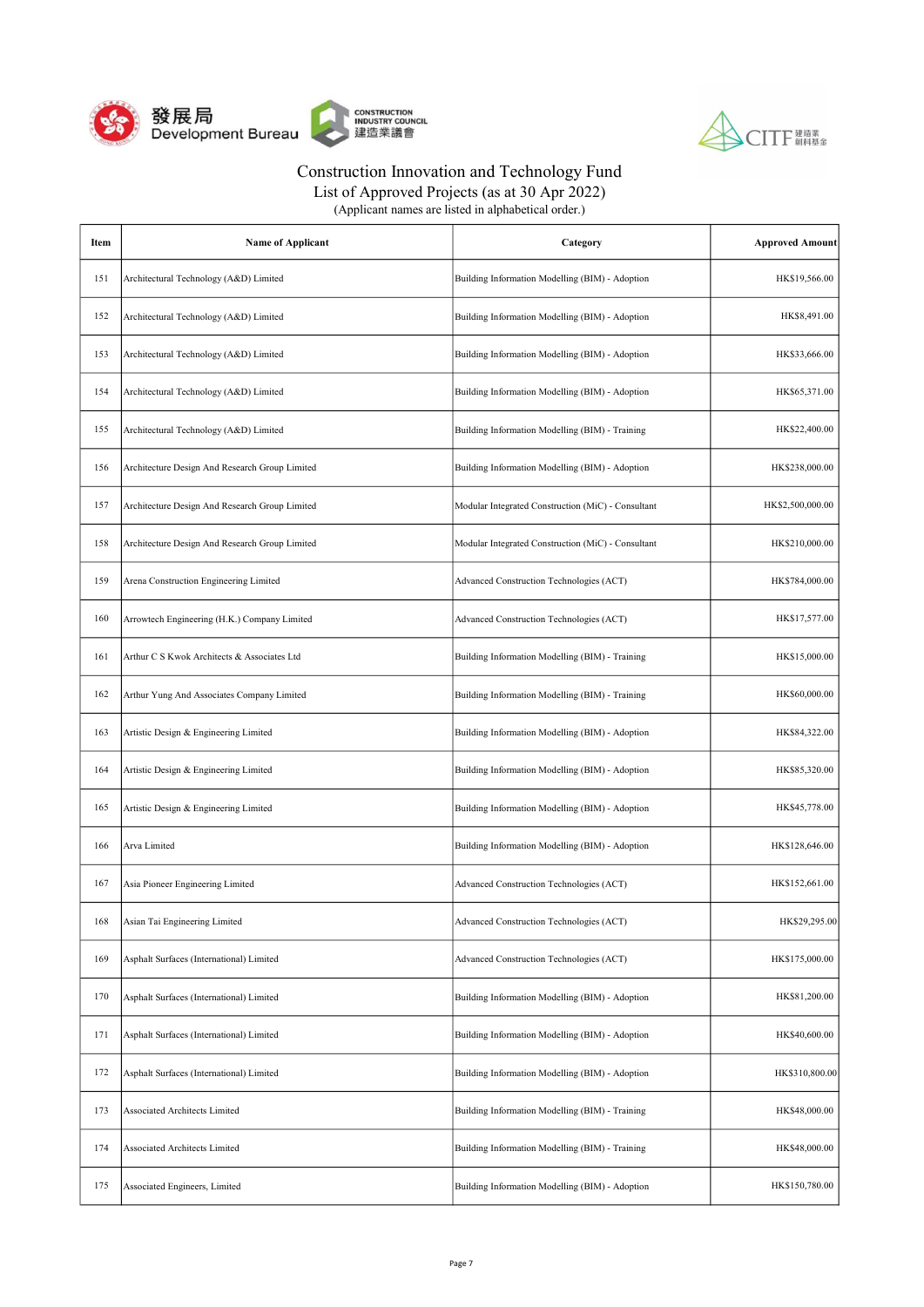



List of Approved Projects (as at 30 Apr 2022)

| Item | <b>Name of Applicant</b>                       | Category                                           | <b>Approved Amount</b> |
|------|------------------------------------------------|----------------------------------------------------|------------------------|
| 151  | Architectural Technology (A&D) Limited         | Building Information Modelling (BIM) - Adoption    | HK\$19,566.00          |
| 152  | Architectural Technology (A&D) Limited         | Building Information Modelling (BIM) - Adoption    | HK\$8,491.00           |
| 153  | Architectural Technology (A&D) Limited         | Building Information Modelling (BIM) - Adoption    | HK\$33,666.00          |
| 154  | Architectural Technology (A&D) Limited         | Building Information Modelling (BIM) - Adoption    | HK\$65,371.00          |
| 155  | Architectural Technology (A&D) Limited         | Building Information Modelling (BIM) - Training    | HK\$22,400.00          |
| 156  | Architecture Design And Research Group Limited | Building Information Modelling (BIM) - Adoption    | HK\$238,000.00         |
| 157  | Architecture Design And Research Group Limited | Modular Integrated Construction (MiC) - Consultant | HK\$2,500,000.00       |
| 158  | Architecture Design And Research Group Limited | Modular Integrated Construction (MiC) - Consultant | HK\$210,000.00         |
| 159  | Arena Construction Engineering Limited         | Advanced Construction Technologies (ACT)           | HK\$784,000.00         |
| 160  | Arrowtech Engineering (H.K.) Company Limited   | Advanced Construction Technologies (ACT)           | HK\$17,577.00          |
| 161  | Arthur C S Kwok Architects & Associates Ltd    | Building Information Modelling (BIM) - Training    | HK\$15,000.00          |
| 162  | Arthur Yung And Associates Company Limited     | Building Information Modelling (BIM) - Training    | HK\$60,000.00          |
| 163  | Artistic Design & Engineering Limited          | Building Information Modelling (BIM) - Adoption    | HK\$84,322.00          |
| 164  | Artistic Design & Engineering Limited          | Building Information Modelling (BIM) - Adoption    | HK\$85,320.00          |
| 165  | Artistic Design & Engineering Limited          | Building Information Modelling (BIM) - Adoption    | HK\$45,778.00          |
| 166  | Arva Limited                                   | Building Information Modelling (BIM) - Adoption    | HK\$128,646.00         |
| 167  | Asia Pioneer Engineering Limited               | Advanced Construction Technologies (ACT)           | HK\$152,661.00         |
| 168  | Asian Tai Engineering Limited                  | Advanced Construction Technologies (ACT)           | HK\$29,295.00          |
| 169  | Asphalt Surfaces (International) Limited       | Advanced Construction Technologies (ACT)           | HK\$175,000.00         |
| 170  | Asphalt Surfaces (International) Limited       | Building Information Modelling (BIM) - Adoption    | HK\$81,200.00          |
| 171  | Asphalt Surfaces (International) Limited       | Building Information Modelling (BIM) - Adoption    | HK\$40,600.00          |
| 172  | Asphalt Surfaces (International) Limited       | Building Information Modelling (BIM) - Adoption    | HK\$310,800.00         |
| 173  | Associated Architects Limited                  | Building Information Modelling (BIM) - Training    | HK\$48,000.00          |
| 174  | <b>Associated Architects Limited</b>           | Building Information Modelling (BIM) - Training    | HK\$48,000.00          |
| 175  | Associated Engineers, Limited                  | Building Information Modelling (BIM) - Adoption    | HK\$150,780.00         |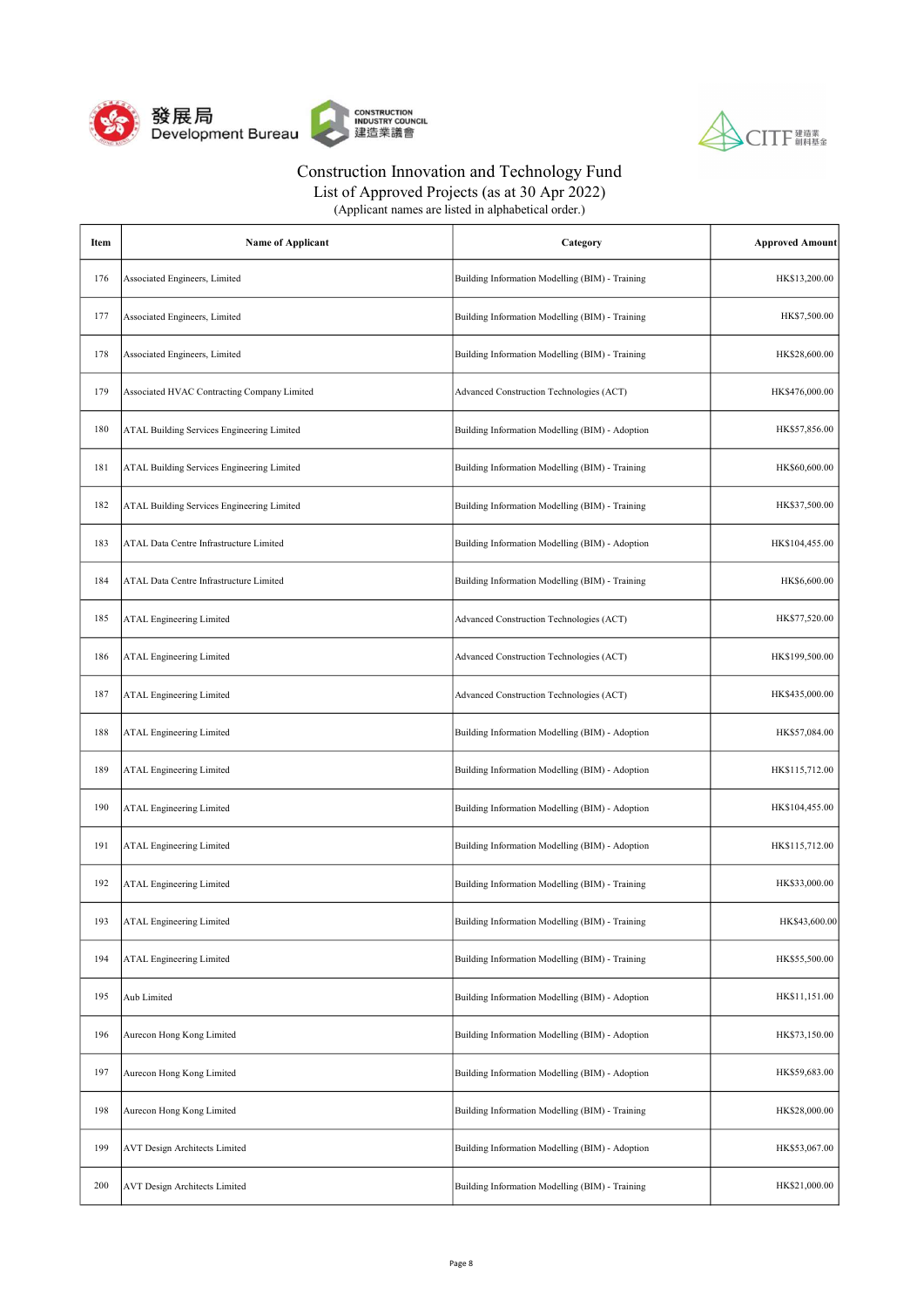



List of Approved Projects (as at 30 Apr 2022)

| Item | <b>Name of Applicant</b>                          | Category                                        | <b>Approved Amount</b> |
|------|---------------------------------------------------|-------------------------------------------------|------------------------|
| 176  | Associated Engineers, Limited                     | Building Information Modelling (BIM) - Training | HK\$13,200.00          |
| 177  | Associated Engineers, Limited                     | Building Information Modelling (BIM) - Training | HK\$7,500.00           |
| 178  | Associated Engineers, Limited                     | Building Information Modelling (BIM) - Training | HK\$28,600.00          |
| 179  | Associated HVAC Contracting Company Limited       | Advanced Construction Technologies (ACT)        | HK\$476,000.00         |
| 180  | ATAL Building Services Engineering Limited        | Building Information Modelling (BIM) - Adoption | HK\$57,856.00          |
| 181  | <b>ATAL Building Services Engineering Limited</b> | Building Information Modelling (BIM) - Training | HK\$60,600.00          |
| 182  | ATAL Building Services Engineering Limited        | Building Information Modelling (BIM) - Training | HK\$37,500.00          |
| 183  | ATAL Data Centre Infrastructure Limited           | Building Information Modelling (BIM) - Adoption | HK\$104,455.00         |
| 184  | ATAL Data Centre Infrastructure Limited           | Building Information Modelling (BIM) - Training | HK\$6,600.00           |
| 185  | <b>ATAL Engineering Limited</b>                   | Advanced Construction Technologies (ACT)        | HK\$77,520.00          |
| 186  | <b>ATAL Engineering Limited</b>                   | Advanced Construction Technologies (ACT)        | HK\$199,500.00         |
| 187  | <b>ATAL Engineering Limited</b>                   | Advanced Construction Technologies (ACT)        | HK\$435,000.00         |
| 188  | <b>ATAL Engineering Limited</b>                   | Building Information Modelling (BIM) - Adoption | HK\$57,084.00          |
| 189  | <b>ATAL Engineering Limited</b>                   | Building Information Modelling (BIM) - Adoption | HK\$115,712.00         |
| 190  | <b>ATAL Engineering Limited</b>                   | Building Information Modelling (BIM) - Adoption | HK\$104,455.00         |
| 191  | <b>ATAL Engineering Limited</b>                   | Building Information Modelling (BIM) - Adoption | HK\$115,712.00         |
| 192  | <b>ATAL Engineering Limited</b>                   | Building Information Modelling (BIM) - Training | HK\$33,000.00          |
| 193  | ATAL Engineering Limited                          | Building Information Modelling (BIM) - Training | HK\$43,600.00          |
| 194  | <b>ATAL Engineering Limited</b>                   | Building Information Modelling (BIM) - Training | HK\$55,500.00          |
| 195  | Aub Limited                                       | Building Information Modelling (BIM) - Adoption | HK\$11,151.00          |
| 196  | Aurecon Hong Kong Limited                         | Building Information Modelling (BIM) - Adoption | HK\$73,150.00          |
| 197  | Aurecon Hong Kong Limited                         | Building Information Modelling (BIM) - Adoption | HK\$59,683.00          |
| 198  | Aurecon Hong Kong Limited                         | Building Information Modelling (BIM) - Training | HK\$28,000.00          |
| 199  | <b>AVT Design Architects Limited</b>              | Building Information Modelling (BIM) - Adoption | HK\$53,067.00          |
| 200  | <b>AVT Design Architects Limited</b>              | Building Information Modelling (BIM) - Training | HK\$21,000.00          |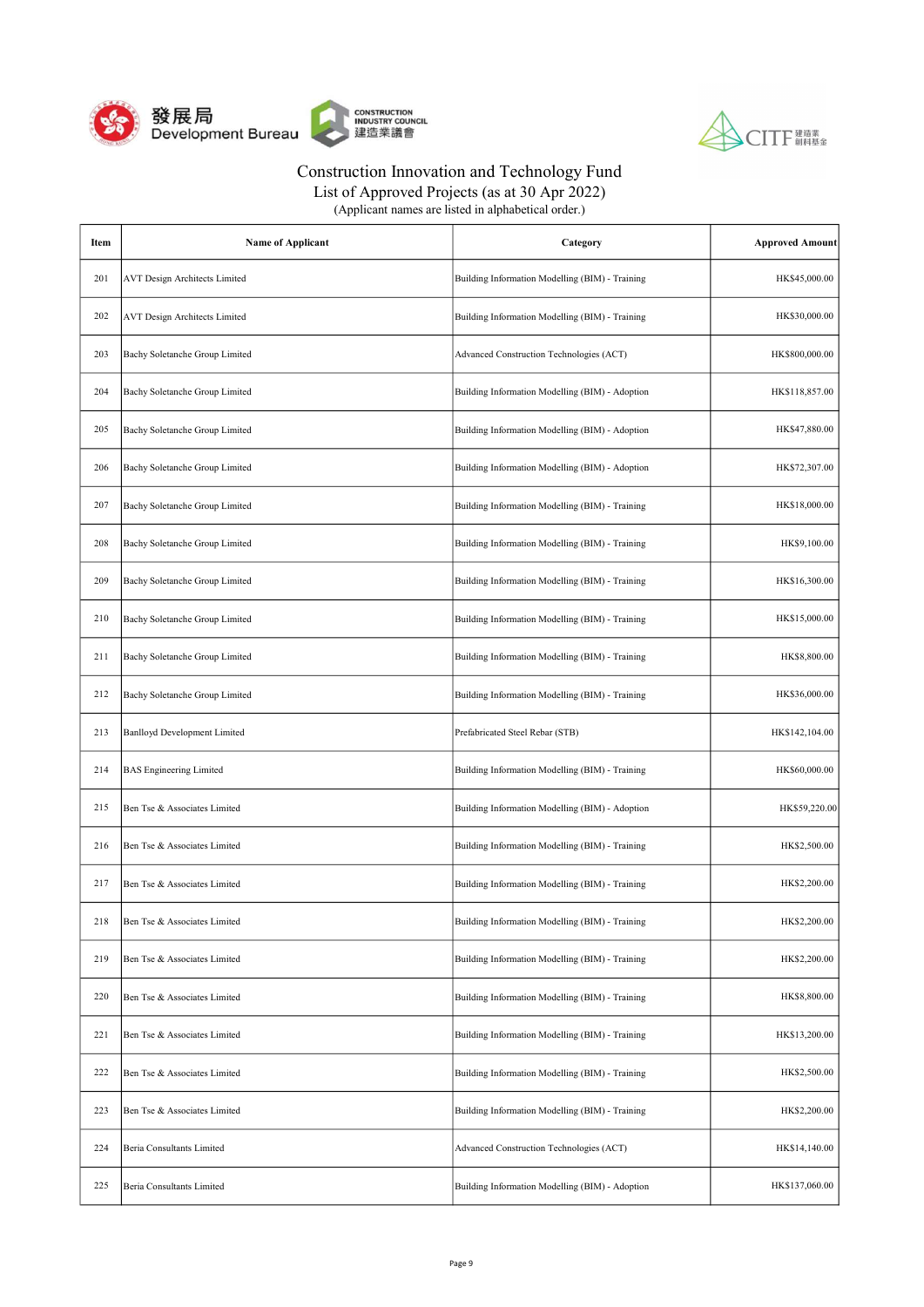



List of Approved Projects (as at 30 Apr 2022)

| Item | <b>Name of Applicant</b>             | Category                                        | <b>Approved Amount</b> |
|------|--------------------------------------|-------------------------------------------------|------------------------|
| 201  | <b>AVT Design Architects Limited</b> | Building Information Modelling (BIM) - Training | HK\$45,000.00          |
| 202  | <b>AVT Design Architects Limited</b> | Building Information Modelling (BIM) - Training | HK\$30,000.00          |
| 203  | Bachy Soletanche Group Limited       | Advanced Construction Technologies (ACT)        | HK\$800,000.00         |
| 204  | Bachy Soletanche Group Limited       | Building Information Modelling (BIM) - Adoption | HK\$118,857.00         |
| 205  | Bachy Soletanche Group Limited       | Building Information Modelling (BIM) - Adoption | HK\$47,880.00          |
| 206  | Bachy Soletanche Group Limited       | Building Information Modelling (BIM) - Adoption | HK\$72,307.00          |
| 207  | Bachy Soletanche Group Limited       | Building Information Modelling (BIM) - Training | HK\$18,000.00          |
| 208  | Bachy Soletanche Group Limited       | Building Information Modelling (BIM) - Training | HK\$9,100.00           |
| 209  | Bachy Soletanche Group Limited       | Building Information Modelling (BIM) - Training | HK\$16,300.00          |
| 210  | Bachy Soletanche Group Limited       | Building Information Modelling (BIM) - Training | HK\$15,000.00          |
| 211  | Bachy Soletanche Group Limited       | Building Information Modelling (BIM) - Training | HK\$8,800.00           |
| 212  | Bachy Soletanche Group Limited       | Building Information Modelling (BIM) - Training | HK\$36,000.00          |
| 213  | <b>Banlloyd Development Limited</b>  | Prefabricated Steel Rebar (STB)                 | HK\$142,104.00         |
| 214  | <b>BAS</b> Engineering Limited       | Building Information Modelling (BIM) - Training | HK\$60,000.00          |
| 215  | Ben Tse & Associates Limited         | Building Information Modelling (BIM) - Adoption | HK\$59,220.00          |
| 216  | Ben Tse & Associates Limited         | Building Information Modelling (BIM) - Training | HK\$2,500.00           |
| 217  | Ben Tse & Associates Limited         | Building Information Modelling (BIM) - Training | HK\$2,200.00           |
| 218  | Ben Tse & Associates Limited         | Building Information Modelling (BIM) - Training | HK\$2,200.00           |
| 219  | Ben Tse & Associates Limited         | Building Information Modelling (BIM) - Training | HK\$2,200.00           |
| 220  | Ben Tse & Associates Limited         | Building Information Modelling (BIM) - Training | HK\$8,800.00           |
| 221  | Ben Tse & Associates Limited         | Building Information Modelling (BIM) - Training | HK\$13,200.00          |
| 222  | Ben Tse & Associates Limited         | Building Information Modelling (BIM) - Training | HK\$2,500.00           |
| 223  | Ben Tse & Associates Limited         | Building Information Modelling (BIM) - Training | HK\$2,200.00           |
| 224  | Beria Consultants Limited            | Advanced Construction Technologies (ACT)        | HK\$14,140.00          |
| 225  | Beria Consultants Limited            | Building Information Modelling (BIM) - Adoption | HK\$137,060.00         |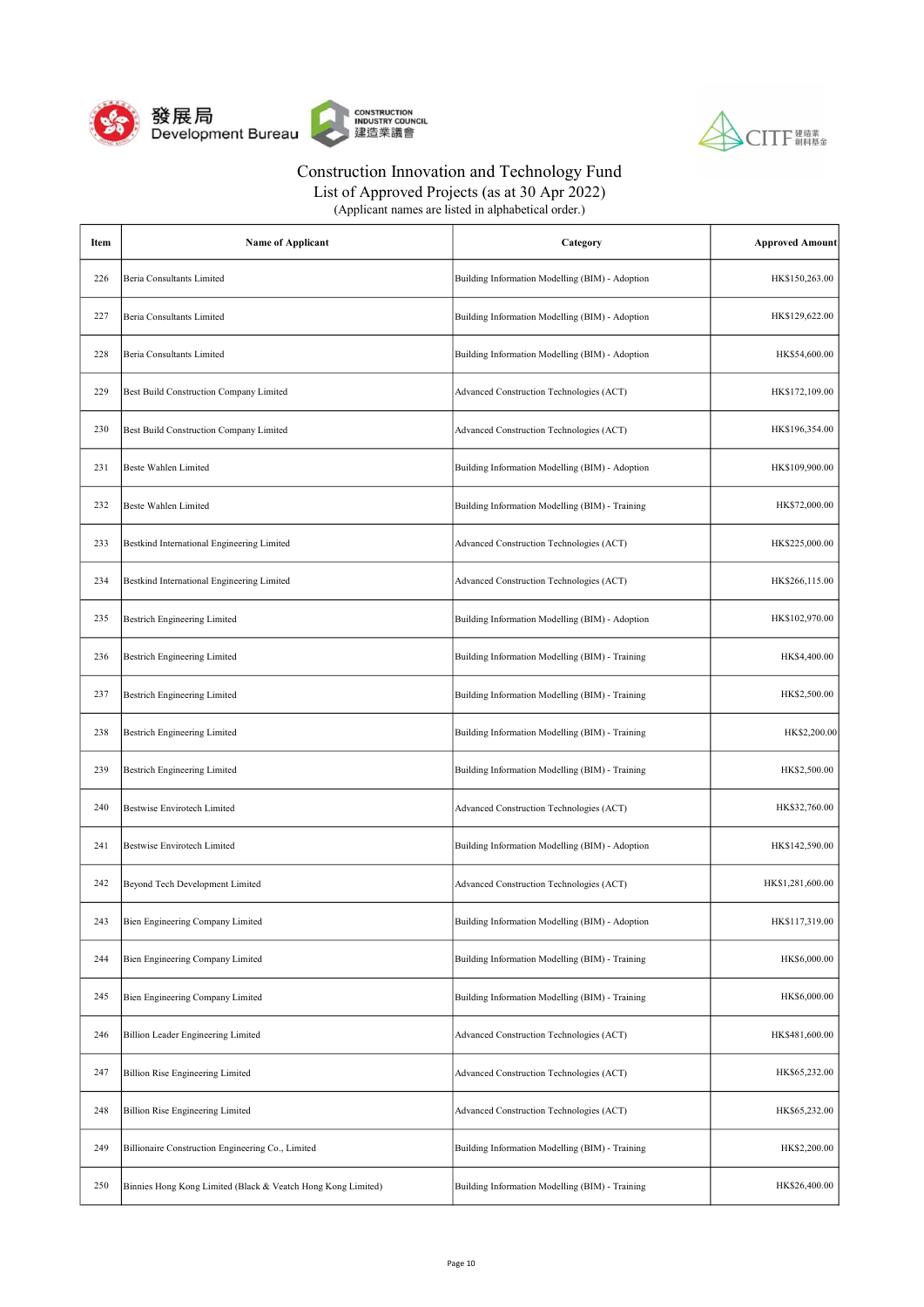



| Item | <b>Name of Applicant</b>                                     | Category                                        | <b>Approved Amount</b> |
|------|--------------------------------------------------------------|-------------------------------------------------|------------------------|
| 226  | Beria Consultants Limited                                    | Building Information Modelling (BIM) - Adoption | HK\$150,263.00         |
| 227  | Beria Consultants Limited                                    | Building Information Modelling (BIM) - Adoption | HK\$129,622.00         |
| 228  | Beria Consultants Limited                                    | Building Information Modelling (BIM) - Adoption | HK\$54,600.00          |
| 229  | Best Build Construction Company Limited                      | Advanced Construction Technologies (ACT)        | HK\$172,109.00         |
| 230  | Best Build Construction Company Limited                      | Advanced Construction Technologies (ACT)        | HK\$196,354.00         |
| 231  | Beste Wahlen Limited                                         | Building Information Modelling (BIM) - Adoption | HK\$109,900.00         |
| 232  | Beste Wahlen Limited                                         | Building Information Modelling (BIM) - Training | HK\$72,000.00          |
| 233  | Bestkind International Engineering Limited                   | Advanced Construction Technologies (ACT)        | HK\$225,000.00         |
| 234  | Bestkind International Engineering Limited                   | Advanced Construction Technologies (ACT)        | HK\$266,115.00         |
| 235  | Bestrich Engineering Limited                                 | Building Information Modelling (BIM) - Adoption | HK\$102,970.00         |
| 236  | <b>Bestrich Engineering Limited</b>                          | Building Information Modelling (BIM) - Training | HK\$4,400.00           |
| 237  | Bestrich Engineering Limited                                 | Building Information Modelling (BIM) - Training | HK\$2,500.00           |
| 238  | Bestrich Engineering Limited                                 | Building Information Modelling (BIM) - Training | HK\$2,200.00           |
| 239  | <b>Bestrich Engineering Limited</b>                          | Building Information Modelling (BIM) - Training | HK\$2,500.00           |
| 240  | <b>Bestwise Envirotech Limited</b>                           | Advanced Construction Technologies (ACT)        | HK\$32,760.00          |
| 241  | Bestwise Envirotech Limited                                  | Building Information Modelling (BIM) - Adoption | HK\$142,590.00         |
| 242  | Beyond Tech Development Limited                              | Advanced Construction Technologies (ACT)        | HK\$1,281,600.00       |
| 243  | Bien Engineering Company Limited                             | Building Information Modelling (BIM) - Adoption | HK\$117,319.00         |
| 244  | Bien Engineering Company Limited                             | Building Information Modelling (BIM) - Training | HK\$6,000.00           |
| 245  | Bien Engineering Company Limited                             | Building Information Modelling (BIM) - Training | HK\$6,000.00           |
| 246  | Billion Leader Engineering Limited                           | Advanced Construction Technologies (ACT)        | HK\$481,600.00         |
| 247  | <b>Billion Rise Engineering Limited</b>                      | Advanced Construction Technologies (ACT)        | HK\$65,232.00          |
| 248  | <b>Billion Rise Engineering Limited</b>                      | Advanced Construction Technologies (ACT)        | HK\$65,232.00          |
| 249  | Billionaire Construction Engineering Co., Limited            | Building Information Modelling (BIM) - Training | HK\$2,200.00           |
| 250  | Binnies Hong Kong Limited (Black & Veatch Hong Kong Limited) | Building Information Modelling (BIM) - Training | HK\$26,400.00          |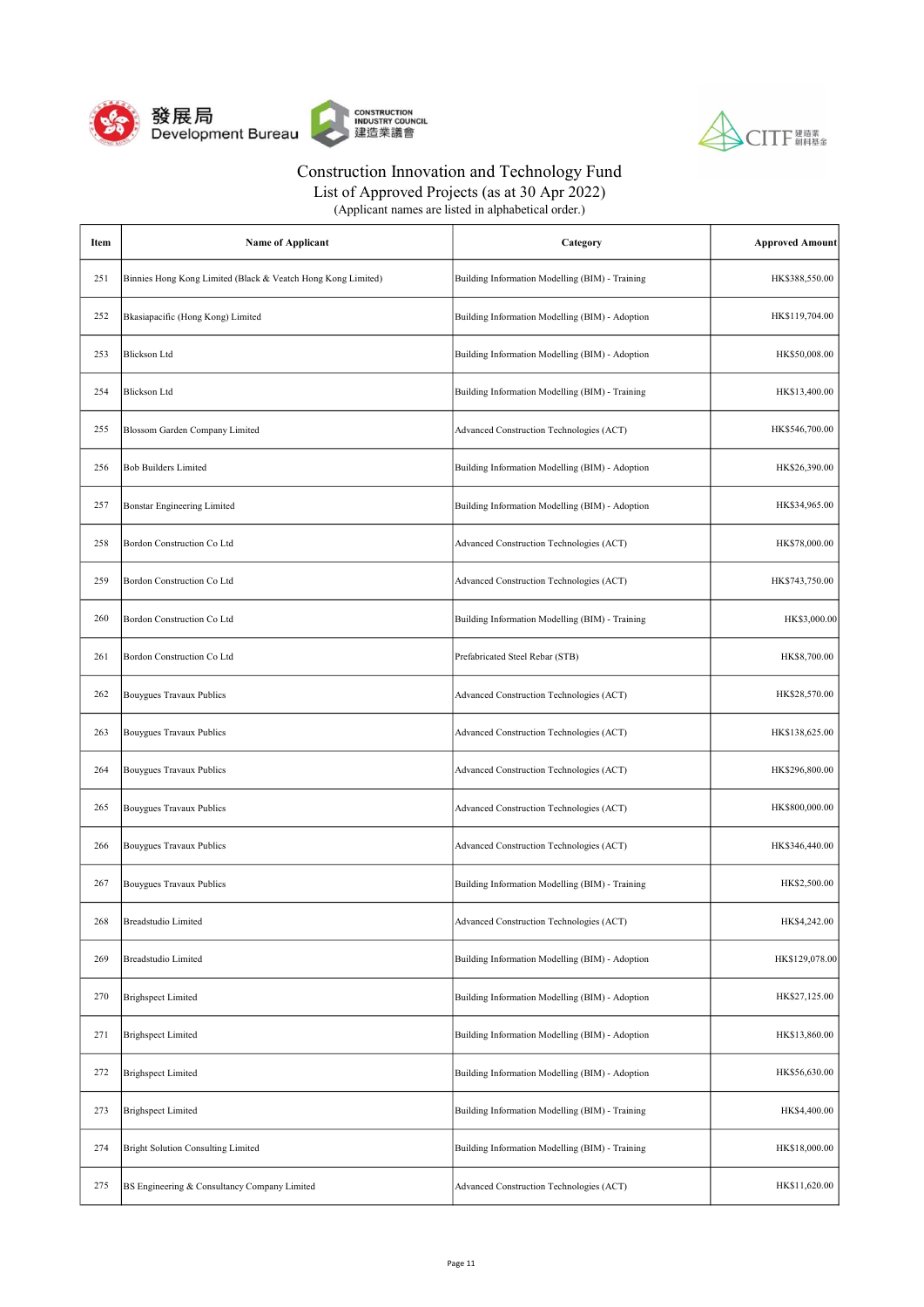



List of Approved Projects (as at 30 Apr 2022)

| Item | <b>Name of Applicant</b>                                     | Category                                        | <b>Approved Amount</b> |
|------|--------------------------------------------------------------|-------------------------------------------------|------------------------|
| 251  | Binnies Hong Kong Limited (Black & Veatch Hong Kong Limited) | Building Information Modelling (BIM) - Training | HK\$388,550.00         |
| 252  | Bkasiapacific (Hong Kong) Limited                            | Building Information Modelling (BIM) - Adoption | HK\$119,704.00         |
| 253  | <b>Blickson Ltd</b>                                          | Building Information Modelling (BIM) - Adoption | HK\$50,008.00          |
| 254  | <b>Blickson Ltd</b>                                          | Building Information Modelling (BIM) - Training | HK\$13,400.00          |
| 255  | Blossom Garden Company Limited                               | Advanced Construction Technologies (ACT)        | HK\$546,700.00         |
| 256  | <b>Bob Builders Limited</b>                                  | Building Information Modelling (BIM) - Adoption | HK\$26,390.00          |
| 257  | <b>Bonstar Engineering Limited</b>                           | Building Information Modelling (BIM) - Adoption | HK\$34,965.00          |
| 258  | Bordon Construction Co Ltd                                   | Advanced Construction Technologies (ACT)        | HK\$78,000.00          |
| 259  | Bordon Construction Co Ltd                                   | Advanced Construction Technologies (ACT)        | HK\$743,750.00         |
| 260  | Bordon Construction Co Ltd                                   | Building Information Modelling (BIM) - Training | HK\$3,000.00           |
| 261  | Bordon Construction Co Ltd                                   | Prefabricated Steel Rebar (STB)                 | HK\$8,700.00           |
| 262  | Bouygues Travaux Publics                                     | Advanced Construction Technologies (ACT)        | HK\$28,570.00          |
| 263  | Bouygues Travaux Publics                                     | Advanced Construction Technologies (ACT)        | HK\$138,625.00         |
| 264  | Bouygues Travaux Publics                                     | Advanced Construction Technologies (ACT)        | HK\$296,800.00         |
| 265  | Bouygues Travaux Publics                                     | Advanced Construction Technologies (ACT)        | HK\$800,000.00         |
| 266  | Bouygues Travaux Publics                                     | Advanced Construction Technologies (ACT)        | HK\$346,440.00         |
| 267  | Bouygues Travaux Publics                                     | Building Information Modelling (BIM) - Training | HK\$2,500.00           |
| 268  | Breadstudio Limited                                          | Advanced Construction Technologies (ACT)        | HK\$4,242.00           |
| 269  | Breadstudio Limited                                          | Building Information Modelling (BIM) - Adoption | HK\$129,078.00         |
| 270  | <b>Brighspect Limited</b>                                    | Building Information Modelling (BIM) - Adoption | HK\$27,125.00          |
| 271  | <b>Brighspect Limited</b>                                    | Building Information Modelling (BIM) - Adoption | HK\$13,860.00          |
| 272  | <b>Brighspect Limited</b>                                    | Building Information Modelling (BIM) - Adoption | HK\$56,630.00          |
| 273  | <b>Brighspect Limited</b>                                    | Building Information Modelling (BIM) - Training | HK\$4,400.00           |
| 274  | <b>Bright Solution Consulting Limited</b>                    | Building Information Modelling (BIM) - Training | HK\$18,000.00          |
| 275  | BS Engineering & Consultancy Company Limited                 | Advanced Construction Technologies (ACT)        | HK\$11,620.00          |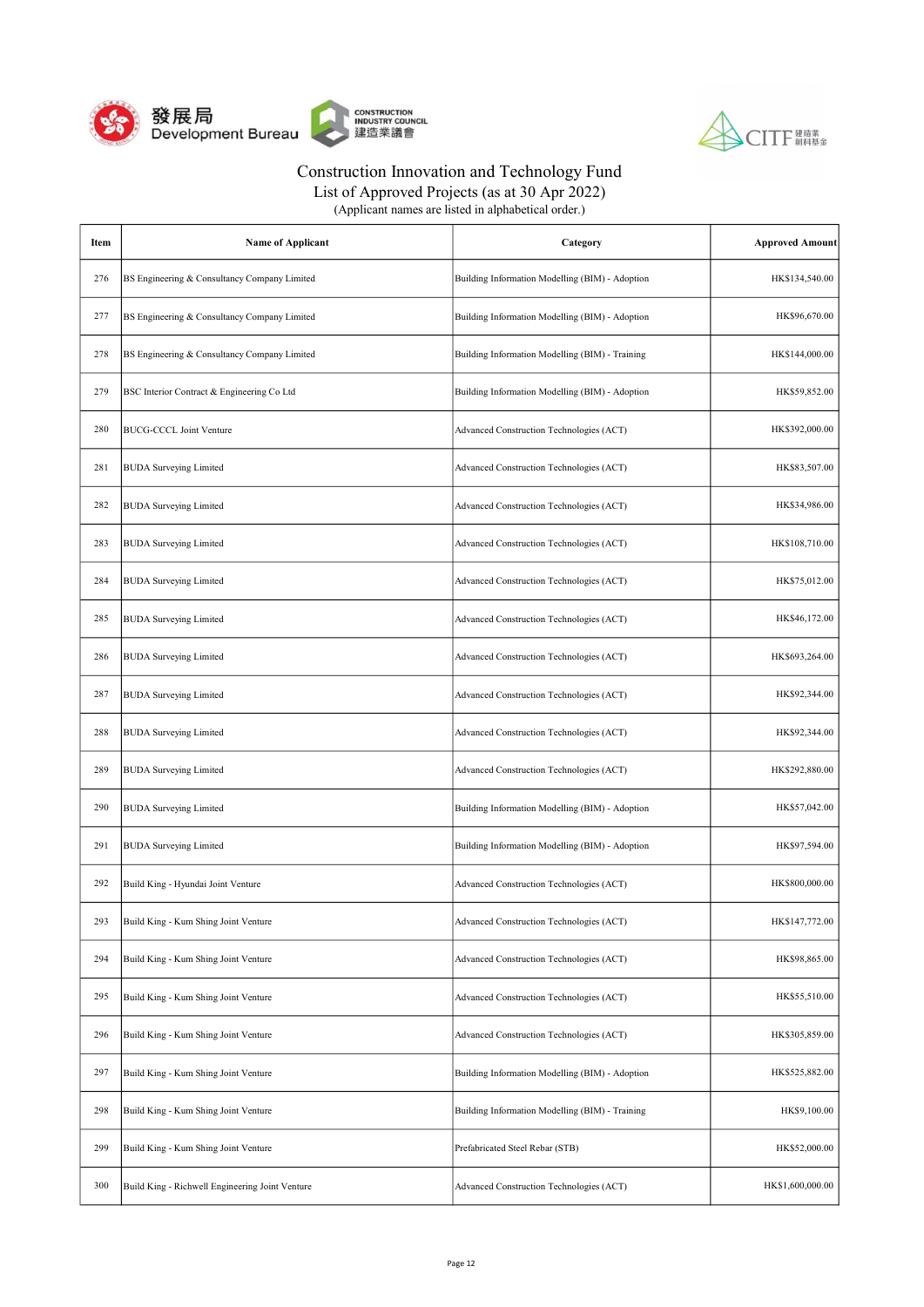



| (Applicant names are listed in alphabetical order.) |  |
|-----------------------------------------------------|--|
|-----------------------------------------------------|--|

| Item | <b>Name of Applicant</b>                        | Category                                        | <b>Approved Amount</b> |
|------|-------------------------------------------------|-------------------------------------------------|------------------------|
| 276  | BS Engineering & Consultancy Company Limited    | Building Information Modelling (BIM) - Adoption | HK\$134,540.00         |
| 277  | BS Engineering & Consultancy Company Limited    | Building Information Modelling (BIM) - Adoption | HK\$96,670.00          |
| 278  | BS Engineering & Consultancy Company Limited    | Building Information Modelling (BIM) - Training | HK\$144,000.00         |
| 279  | BSC Interior Contract & Engineering Co Ltd      | Building Information Modelling (BIM) - Adoption | HK\$59,852.00          |
| 280  | <b>BUCG-CCCL Joint Venture</b>                  | Advanced Construction Technologies (ACT)        | HK\$392,000.00         |
| 281  | <b>BUDA</b> Surveying Limited                   | Advanced Construction Technologies (ACT)        | HK\$83,507.00          |
| 282  | <b>BUDA</b> Surveying Limited                   | Advanced Construction Technologies (ACT)        | HK\$34,986.00          |
| 283  | <b>BUDA</b> Surveying Limited                   | Advanced Construction Technologies (ACT)        | HK\$108,710.00         |
| 284  | <b>BUDA</b> Surveying Limited                   | Advanced Construction Technologies (ACT)        | HK\$75,012.00          |
| 285  | <b>BUDA</b> Surveying Limited                   | Advanced Construction Technologies (ACT)        | HK\$46,172.00          |
| 286  | <b>BUDA</b> Surveying Limited                   | Advanced Construction Technologies (ACT)        | HK\$693,264.00         |
| 287  | <b>BUDA</b> Surveying Limited                   | Advanced Construction Technologies (ACT)        | HK\$92,344.00          |
| 288  | <b>BUDA</b> Surveying Limited                   | Advanced Construction Technologies (ACT)        | HK\$92,344.00          |
| 289  | <b>BUDA</b> Surveying Limited                   | Advanced Construction Technologies (ACT)        | HK\$292,880.00         |
| 290  | <b>BUDA</b> Surveying Limited                   | Building Information Modelling (BIM) - Adoption | HK\$57,042.00          |
| 291  | <b>BUDA</b> Surveying Limited                   | Building Information Modelling (BIM) - Adoption | HK\$97,594.00          |
| 292  | Build King - Hyundai Joint Venture              | Advanced Construction Technologies (ACT)        | HK\$800,000.00         |
| 293  | Build King - Kum Shing Joint Venture            | Advanced Construction Technologies (ACT)        | HK\$147,772.00         |
| 294  | Build King - Kum Shing Joint Venture            | Advanced Construction Technologies (ACT)        | HK\$98,865.00          |
| 295  | Build King - Kum Shing Joint Venture            | Advanced Construction Technologies (ACT)        | HK\$55,510.00          |
| 296  | Build King - Kum Shing Joint Venture            | Advanced Construction Technologies (ACT)        | HK\$305,859.00         |
| 297  | Build King - Kum Shing Joint Venture            | Building Information Modelling (BIM) - Adoption | HK\$525,882.00         |
| 298  | Build King - Kum Shing Joint Venture            | Building Information Modelling (BIM) - Training | HK\$9,100.00           |
| 299  | Build King - Kum Shing Joint Venture            | Prefabricated Steel Rebar (STB)                 | HK\$52,000.00          |
| 300  | Build King - Richwell Engineering Joint Venture | Advanced Construction Technologies (ACT)        | HK\$1,600,000.00       |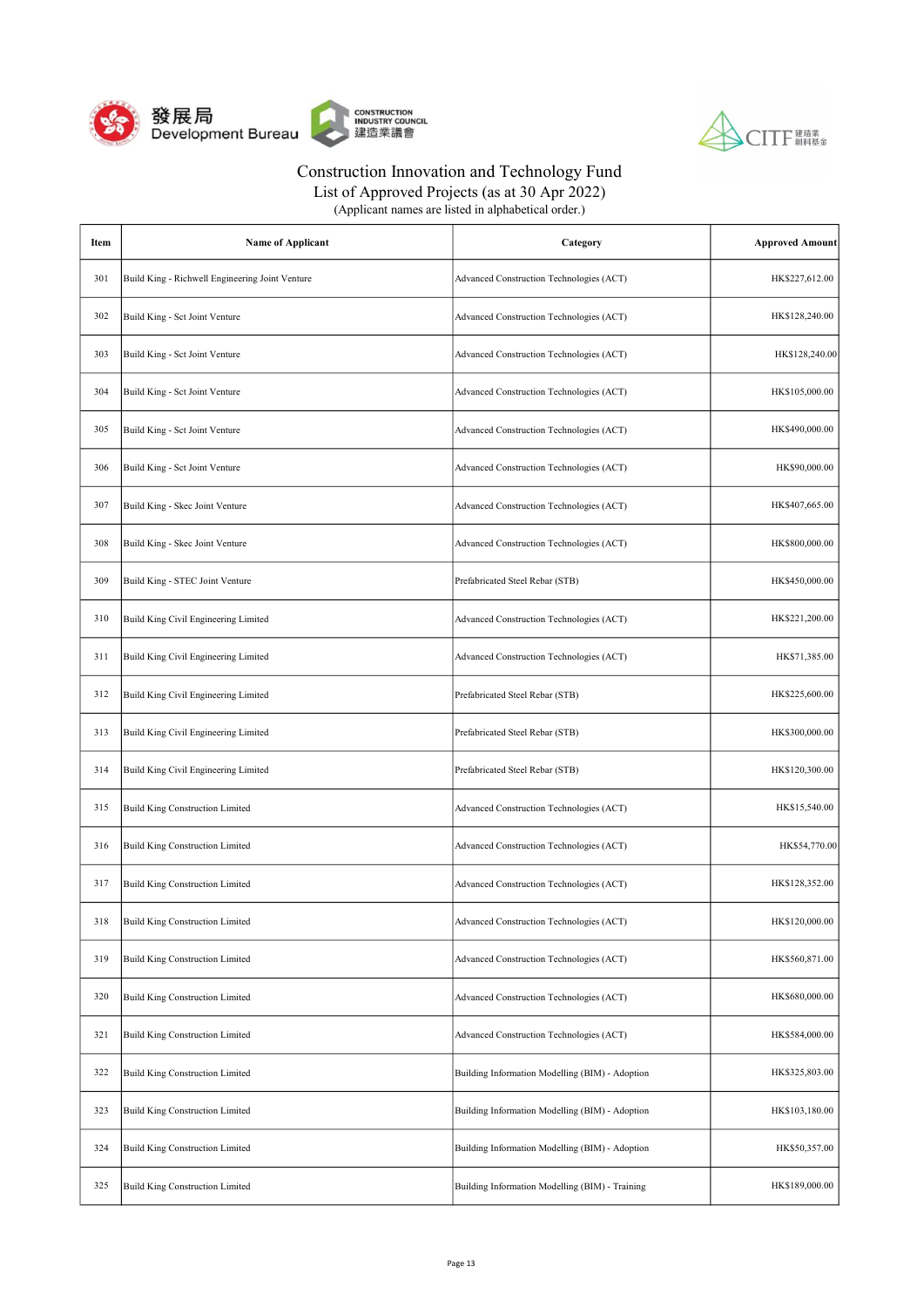



| (Applicant names are listed in alphabetical order.) |  |
|-----------------------------------------------------|--|
|-----------------------------------------------------|--|

| Item | <b>Name of Applicant</b>                        | Category                                        | <b>Approved Amount</b> |
|------|-------------------------------------------------|-------------------------------------------------|------------------------|
| 301  | Build King - Richwell Engineering Joint Venture | Advanced Construction Technologies (ACT)        | HK\$227,612.00         |
| 302  | Build King - Sct Joint Venture                  | Advanced Construction Technologies (ACT)        | HK\$128,240.00         |
| 303  | Build King - Sct Joint Venture                  | Advanced Construction Technologies (ACT)        | HK\$128,240.00         |
| 304  | Build King - Sct Joint Venture                  | Advanced Construction Technologies (ACT)        | HK\$105,000.00         |
| 305  | Build King - Sct Joint Venture                  | Advanced Construction Technologies (ACT)        | HK\$490,000.00         |
| 306  | Build King - Sct Joint Venture                  | Advanced Construction Technologies (ACT)        | HK\$90,000.00          |
| 307  | Build King - Skec Joint Venture                 | Advanced Construction Technologies (ACT)        | HK\$407,665.00         |
| 308  | Build King - Skec Joint Venture                 | Advanced Construction Technologies (ACT)        | HK\$800,000.00         |
| 309  | Build King - STEC Joint Venture                 | Prefabricated Steel Rebar (STB)                 | HK\$450,000.00         |
| 310  | Build King Civil Engineering Limited            | Advanced Construction Technologies (ACT)        | HK\$221,200.00         |
| 311  | Build King Civil Engineering Limited            | Advanced Construction Technologies (ACT)        | HK\$71,385.00          |
| 312  | Build King Civil Engineering Limited            | Prefabricated Steel Rebar (STB)                 | HK\$225,600.00         |
| 313  | Build King Civil Engineering Limited            | Prefabricated Steel Rebar (STB)                 | HK\$300,000.00         |
| 314  | Build King Civil Engineering Limited            | Prefabricated Steel Rebar (STB)                 | HK\$120,300.00         |
| 315  | <b>Build King Construction Limited</b>          | Advanced Construction Technologies (ACT)        | HK\$15,540.00          |
| 316  | <b>Build King Construction Limited</b>          | Advanced Construction Technologies (ACT)        | HK\$54,770.00          |
| 317  | <b>Build King Construction Limited</b>          | Advanced Construction Technologies (ACT)        | HK\$128,352.00         |
| 318  | <b>Build King Construction Limited</b>          | Advanced Construction Technologies (ACT)        | HK\$120,000.00         |
| 319  | <b>Build King Construction Limited</b>          | Advanced Construction Technologies (ACT)        | HK\$560,871.00         |
| 320  | <b>Build King Construction Limited</b>          | Advanced Construction Technologies (ACT)        | HK\$680,000.00         |
| 321  | <b>Build King Construction Limited</b>          | Advanced Construction Technologies (ACT)        | HK\$584,000.00         |
| 322  | <b>Build King Construction Limited</b>          | Building Information Modelling (BIM) - Adoption | HK\$325,803.00         |
| 323  | <b>Build King Construction Limited</b>          | Building Information Modelling (BIM) - Adoption | HK\$103,180.00         |
| 324  | <b>Build King Construction Limited</b>          | Building Information Modelling (BIM) - Adoption | HK\$50,357.00          |
| 325  | <b>Build King Construction Limited</b>          | Building Information Modelling (BIM) - Training | HK\$189,000.00         |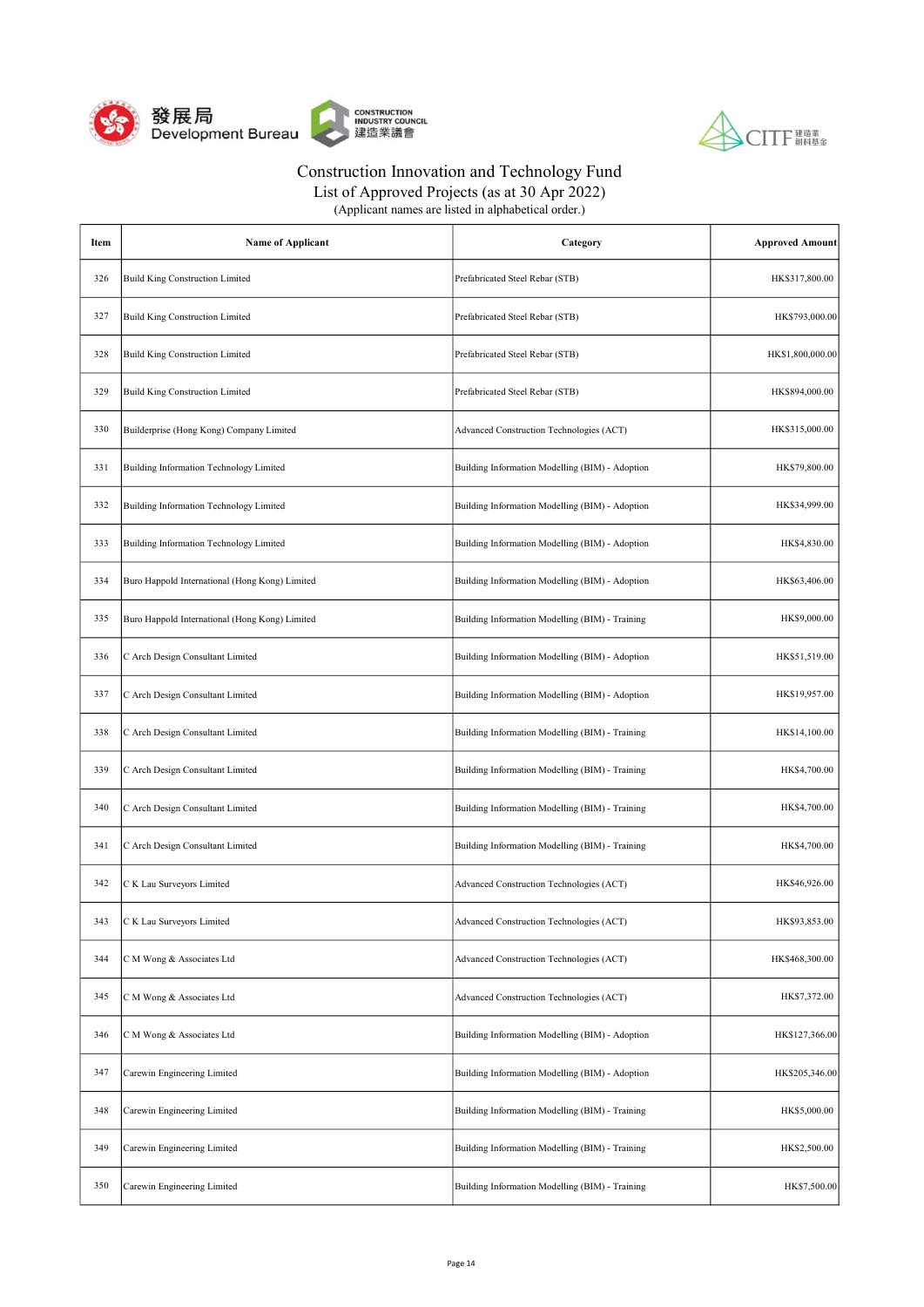



| Item | <b>Name of Applicant</b>                       | Category                                        | <b>Approved Amount</b> |
|------|------------------------------------------------|-------------------------------------------------|------------------------|
| 326  | <b>Build King Construction Limited</b>         | Prefabricated Steel Rebar (STB)                 | HK\$317,800.00         |
| 327  | <b>Build King Construction Limited</b>         | Prefabricated Steel Rebar (STB)                 | HK\$793,000.00         |
| 328  | <b>Build King Construction Limited</b>         | Prefabricated Steel Rebar (STB)                 | HK\$1,800,000.00       |
| 329  | <b>Build King Construction Limited</b>         | Prefabricated Steel Rebar (STB)                 | HK\$894,000.00         |
| 330  | Builderprise (Hong Kong) Company Limited       | Advanced Construction Technologies (ACT)        | HK\$315,000.00         |
| 331  | Building Information Technology Limited        | Building Information Modelling (BIM) - Adoption | HK\$79,800.00          |
| 332  | Building Information Technology Limited        | Building Information Modelling (BIM) - Adoption | HK\$34,999.00          |
| 333  | Building Information Technology Limited        | Building Information Modelling (BIM) - Adoption | HK\$4,830.00           |
| 334  | Buro Happold International (Hong Kong) Limited | Building Information Modelling (BIM) - Adoption | HK\$63,406.00          |
| 335  | Buro Happold International (Hong Kong) Limited | Building Information Modelling (BIM) - Training | HK\$9,000.00           |
| 336  | C Arch Design Consultant Limited               | Building Information Modelling (BIM) - Adoption | HK\$51,519.00          |
| 337  | C Arch Design Consultant Limited               | Building Information Modelling (BIM) - Adoption | HK\$19,957.00          |
| 338  | C Arch Design Consultant Limited               | Building Information Modelling (BIM) - Training | HK\$14,100.00          |
| 339  | C Arch Design Consultant Limited               | Building Information Modelling (BIM) - Training | HK\$4,700.00           |
| 340  | C Arch Design Consultant Limited               | Building Information Modelling (BIM) - Training | HK\$4,700.00           |
| 341  | C Arch Design Consultant Limited               | Building Information Modelling (BIM) - Training | HK\$4,700.00           |
| 342  | C K Lau Surveyors Limited                      | Advanced Construction Technologies (ACT)        | HK\$46,926.00          |
| 343  | C K Lau Surveyors Limited                      | Advanced Construction Technologies (ACT)        | HK\$93,853.00          |
| 344  | C M Wong & Associates Ltd                      | Advanced Construction Technologies (ACT)        | HK\$468,300.00         |
| 345  | C M Wong & Associates Ltd                      | Advanced Construction Technologies (ACT)        | HK\$7,372.00           |
| 346  | C M Wong & Associates Ltd                      | Building Information Modelling (BIM) - Adoption | HK\$127,366.00         |
| 347  | Carewin Engineering Limited                    | Building Information Modelling (BIM) - Adoption | HK\$205,346.00         |
| 348  | Carewin Engineering Limited                    | Building Information Modelling (BIM) - Training | HK\$5,000.00           |
| 349  | Carewin Engineering Limited                    | Building Information Modelling (BIM) - Training | HK\$2,500.00           |
| 350  | Carewin Engineering Limited                    | Building Information Modelling (BIM) - Training | HK\$7,500.00           |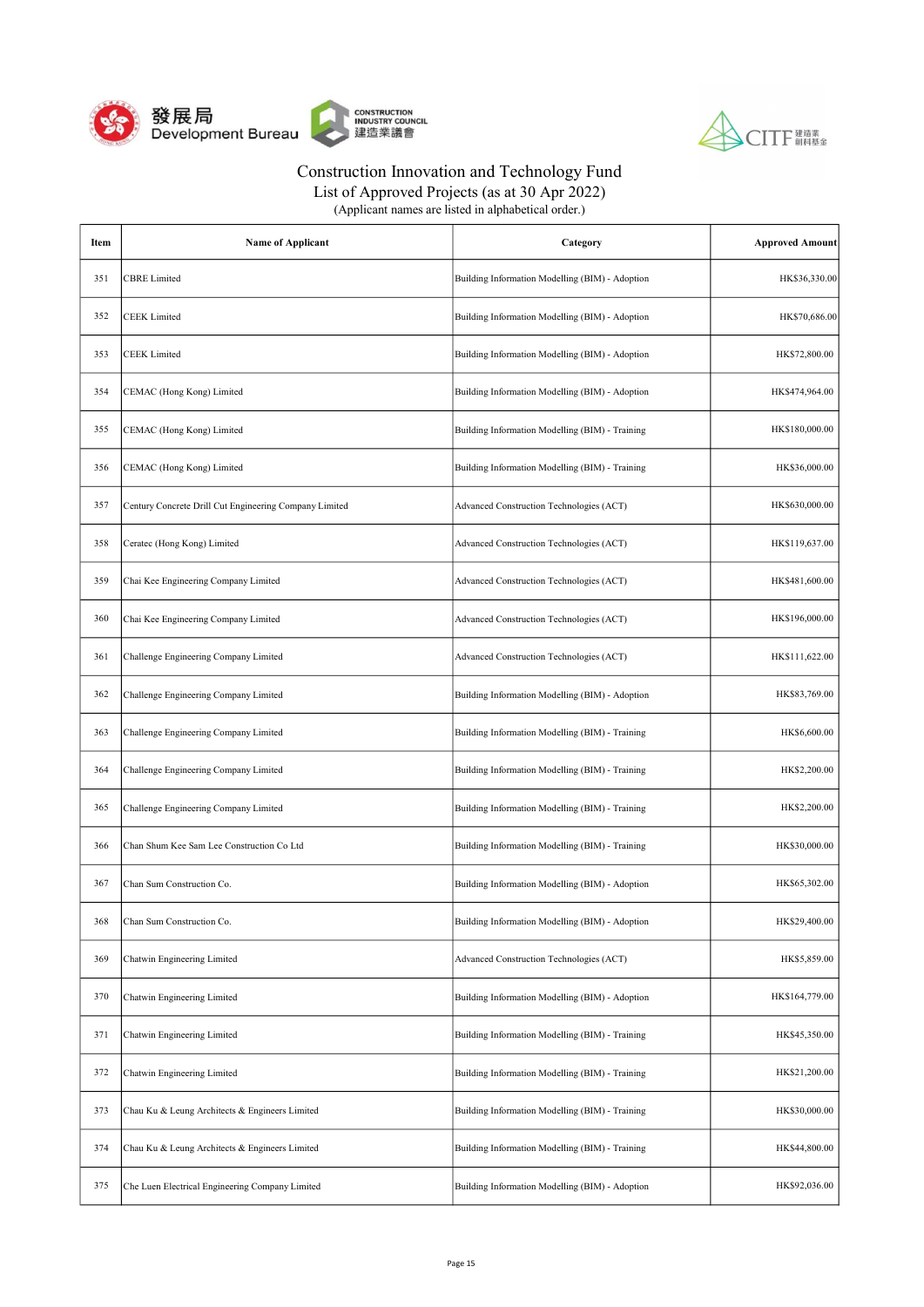



List of Approved Projects (as at 30 Apr 2022)

| Item | <b>Name of Applicant</b>                               | Category                                        | <b>Approved Amount</b> |
|------|--------------------------------------------------------|-------------------------------------------------|------------------------|
| 351  | <b>CBRE</b> Limited                                    | Building Information Modelling (BIM) - Adoption | HK\$36,330.00          |
| 352  | <b>CEEK</b> Limited                                    | Building Information Modelling (BIM) - Adoption | HK\$70,686.00          |
| 353  | <b>CEEK</b> Limited                                    | Building Information Modelling (BIM) - Adoption | HK\$72,800.00          |
| 354  | CEMAC (Hong Kong) Limited                              | Building Information Modelling (BIM) - Adoption | HK\$474,964.00         |
| 355  | CEMAC (Hong Kong) Limited                              | Building Information Modelling (BIM) - Training | HK\$180,000.00         |
| 356  | CEMAC (Hong Kong) Limited                              | Building Information Modelling (BIM) - Training | HK\$36,000.00          |
| 357  | Century Concrete Drill Cut Engineering Company Limited | Advanced Construction Technologies (ACT)        | HK\$630,000.00         |
| 358  | Ceratec (Hong Kong) Limited                            | Advanced Construction Technologies (ACT)        | HK\$119,637.00         |
| 359  | Chai Kee Engineering Company Limited                   | Advanced Construction Technologies (ACT)        | HK\$481,600.00         |
| 360  | Chai Kee Engineering Company Limited                   | Advanced Construction Technologies (ACT)        | HK\$196,000.00         |
| 361  | Challenge Engineering Company Limited                  | Advanced Construction Technologies (ACT)        | HK\$111,622.00         |
| 362  | Challenge Engineering Company Limited                  | Building Information Modelling (BIM) - Adoption | HK\$83,769.00          |
| 363  | Challenge Engineering Company Limited                  | Building Information Modelling (BIM) - Training | HK\$6,600.00           |
| 364  | Challenge Engineering Company Limited                  | Building Information Modelling (BIM) - Training | HK\$2,200.00           |
| 365  | Challenge Engineering Company Limited                  | Building Information Modelling (BIM) - Training | HK\$2,200.00           |
| 366  | Chan Shum Kee Sam Lee Construction Co Ltd              | Building Information Modelling (BIM) - Training | HK\$30,000.00          |
| 367  | Chan Sum Construction Co.                              | Building Information Modelling (BIM) - Adoption | HK\$65,302.00          |
| 368  | Chan Sum Construction Co.                              | Building Information Modelling (BIM) - Adoption | HK\$29,400.00          |
| 369  | Chatwin Engineering Limited                            | Advanced Construction Technologies (ACT)        | HK\$5,859.00           |
| 370  | Chatwin Engineering Limited                            | Building Information Modelling (BIM) - Adoption | HK\$164,779.00         |
| 371  | Chatwin Engineering Limited                            | Building Information Modelling (BIM) - Training | HK\$45,350.00          |
| 372  | Chatwin Engineering Limited                            | Building Information Modelling (BIM) - Training | HK\$21,200.00          |
| 373  | Chau Ku & Leung Architects & Engineers Limited         | Building Information Modelling (BIM) - Training | HK\$30,000.00          |
| 374  | Chau Ku & Leung Architects & Engineers Limited         | Building Information Modelling (BIM) - Training | HK\$44,800.00          |
| 375  | Che Luen Electrical Engineering Company Limited        | Building Information Modelling (BIM) - Adoption | HK\$92,036.00          |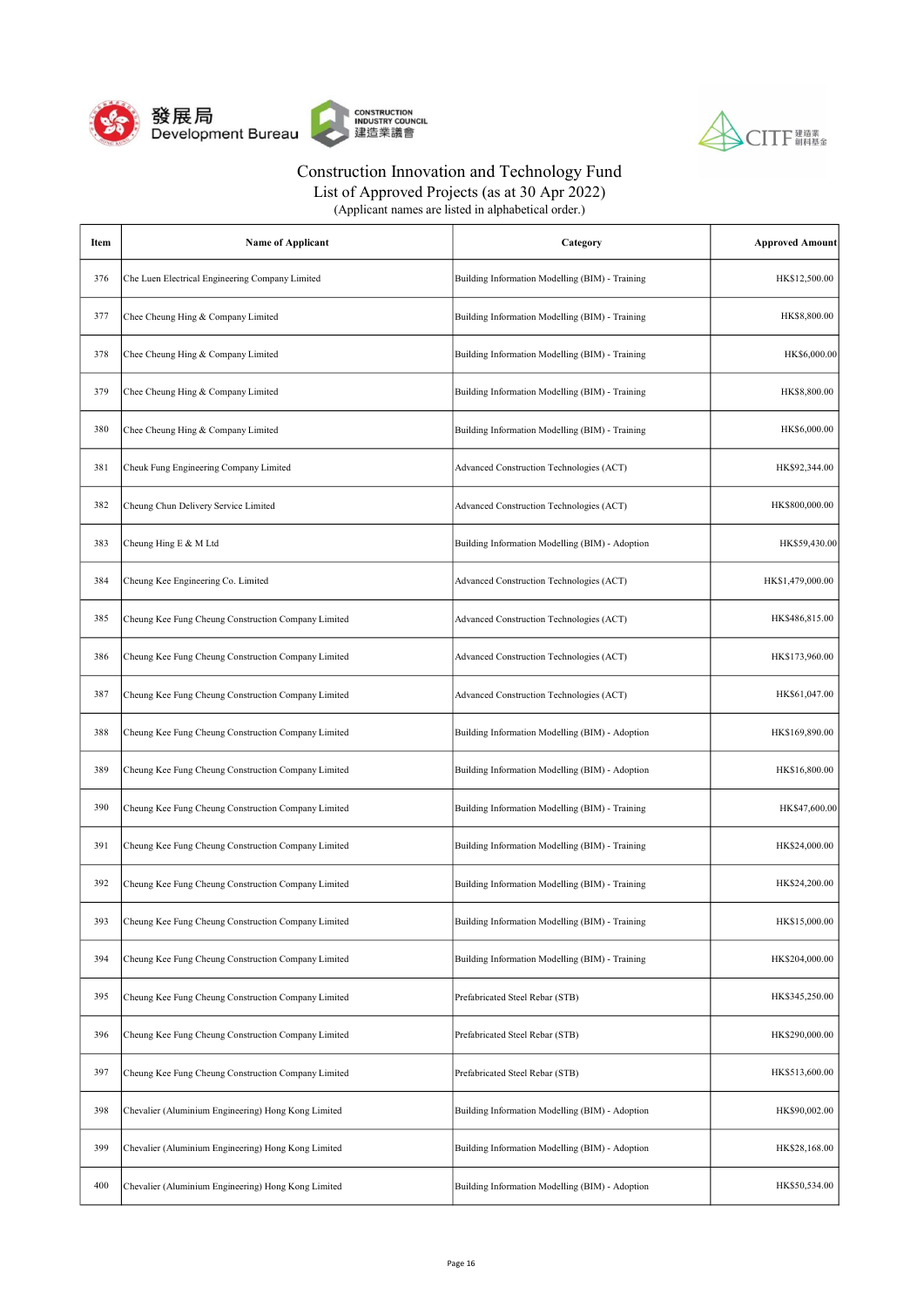



| Item | <b>Name of Applicant</b>                            | Category                                        | <b>Approved Amount</b> |
|------|-----------------------------------------------------|-------------------------------------------------|------------------------|
| 376  | Che Luen Electrical Engineering Company Limited     | Building Information Modelling (BIM) - Training | HK\$12,500.00          |
| 377  | Chee Cheung Hing & Company Limited                  | Building Information Modelling (BIM) - Training | HK\$8,800.00           |
| 378  | Chee Cheung Hing & Company Limited                  | Building Information Modelling (BIM) - Training | HK\$6,000.00           |
| 379  | Chee Cheung Hing & Company Limited                  | Building Information Modelling (BIM) - Training | HK\$8,800.00           |
| 380  | Chee Cheung Hing & Company Limited                  | Building Information Modelling (BIM) - Training | HK\$6,000.00           |
| 381  | Cheuk Fung Engineering Company Limited              | Advanced Construction Technologies (ACT)        | HK\$92,344.00          |
| 382  | Cheung Chun Delivery Service Limited                | Advanced Construction Technologies (ACT)        | HK\$800,000.00         |
| 383  | Cheung Hing E & M Ltd                               | Building Information Modelling (BIM) - Adoption | HK\$59,430.00          |
| 384  | Cheung Kee Engineering Co. Limited                  | Advanced Construction Technologies (ACT)        | HK\$1,479,000.00       |
| 385  | Cheung Kee Fung Cheung Construction Company Limited | Advanced Construction Technologies (ACT)        | HK\$486,815.00         |
| 386  | Cheung Kee Fung Cheung Construction Company Limited | Advanced Construction Technologies (ACT)        | HK\$173,960.00         |
| 387  | Cheung Kee Fung Cheung Construction Company Limited | Advanced Construction Technologies (ACT)        | HK\$61,047.00          |
| 388  | Cheung Kee Fung Cheung Construction Company Limited | Building Information Modelling (BIM) - Adoption | HK\$169,890.00         |
| 389  | Cheung Kee Fung Cheung Construction Company Limited | Building Information Modelling (BIM) - Adoption | HK\$16,800.00          |
| 390  | Cheung Kee Fung Cheung Construction Company Limited | Building Information Modelling (BIM) - Training | HK\$47,600.00          |
| 391  | Cheung Kee Fung Cheung Construction Company Limited | Building Information Modelling (BIM) - Training | HK\$24,000.00          |
| 392  | Cheung Kee Fung Cheung Construction Company Limited | Building Information Modelling (BIM) - Training | HK\$24,200.00          |
| 393  | Cheung Kee Fung Cheung Construction Company Limited | Building Information Modelling (BIM) - Training | HK\$15,000.00          |
| 394  | Cheung Kee Fung Cheung Construction Company Limited | Building Information Modelling (BIM) - Training | HK\$204,000.00         |
| 395  | Cheung Kee Fung Cheung Construction Company Limited | Prefabricated Steel Rebar (STB)                 | HK\$345,250.00         |
| 396  | Cheung Kee Fung Cheung Construction Company Limited | Prefabricated Steel Rebar (STB)                 | HK\$290,000.00         |
| 397  | Cheung Kee Fung Cheung Construction Company Limited | Prefabricated Steel Rebar (STB)                 | HK\$513,600.00         |
| 398  | Chevalier (Aluminium Engineering) Hong Kong Limited | Building Information Modelling (BIM) - Adoption | HK\$90,002.00          |
| 399  | Chevalier (Aluminium Engineering) Hong Kong Limited | Building Information Modelling (BIM) - Adoption | HK\$28,168.00          |
| 400  | Chevalier (Aluminium Engineering) Hong Kong Limited | Building Information Modelling (BIM) - Adoption | HK\$50,534.00          |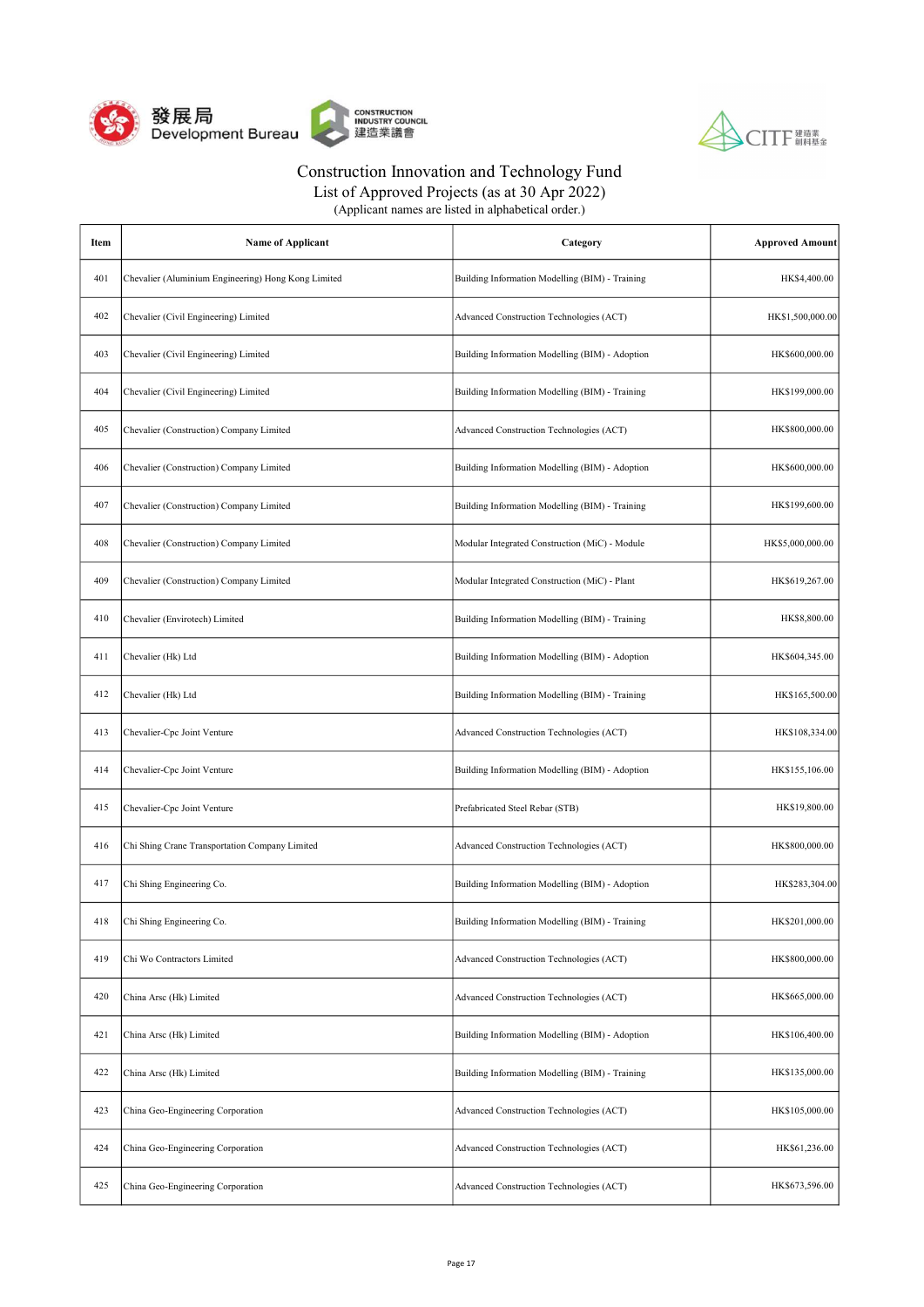



| Item | <b>Name of Applicant</b>                            | Category                                        | <b>Approved Amount</b> |
|------|-----------------------------------------------------|-------------------------------------------------|------------------------|
| 401  | Chevalier (Aluminium Engineering) Hong Kong Limited | Building Information Modelling (BIM) - Training | HK\$4,400.00           |
| 402  | Chevalier (Civil Engineering) Limited               | Advanced Construction Technologies (ACT)        | HK\$1,500,000.00       |
| 403  | Chevalier (Civil Engineering) Limited               | Building Information Modelling (BIM) - Adoption | HK\$600,000.00         |
| 404  | Chevalier (Civil Engineering) Limited               | Building Information Modelling (BIM) - Training | HK\$199,000.00         |
| 405  | Chevalier (Construction) Company Limited            | Advanced Construction Technologies (ACT)        | HK\$800,000.00         |
| 406  | Chevalier (Construction) Company Limited            | Building Information Modelling (BIM) - Adoption | HK\$600,000.00         |
| 407  | Chevalier (Construction) Company Limited            | Building Information Modelling (BIM) - Training | HK\$199,600.00         |
| 408  | Chevalier (Construction) Company Limited            | Modular Integrated Construction (MiC) - Module  | HK\$5,000,000.00       |
| 409  | Chevalier (Construction) Company Limited            | Modular Integrated Construction (MiC) - Plant   | HK\$619,267.00         |
| 410  | Chevalier (Envirotech) Limited                      | Building Information Modelling (BIM) - Training | HK\$8,800.00           |
| 411  | Chevalier (Hk) Ltd                                  | Building Information Modelling (BIM) - Adoption | HK\$604,345.00         |
| 412  | Chevalier (Hk) Ltd                                  | Building Information Modelling (BIM) - Training | HK\$165,500.00         |
| 413  | Chevalier-Cpc Joint Venture                         | Advanced Construction Technologies (ACT)        | HK\$108,334.00         |
| 414  | Chevalier-Cpc Joint Venture                         | Building Information Modelling (BIM) - Adoption | HK\$155,106.00         |
| 415  | Chevalier-Cpc Joint Venture                         | Prefabricated Steel Rebar (STB)                 | HK\$19,800.00          |
| 416  | Chi Shing Crane Transportation Company Limited      | Advanced Construction Technologies (ACT)        | HK\$800,000.00         |
| 417  | Chi Shing Engineering Co.                           | Building Information Modelling (BIM) - Adoption | HK\$283,304.00         |
| 418  | Chi Shing Engineering Co.                           | Building Information Modelling (BIM) - Training | HK\$201,000.00         |
| 419  | Chi Wo Contractors Limited                          | Advanced Construction Technologies (ACT)        | HK\$800,000.00         |
| 420  | China Arsc (Hk) Limited                             | Advanced Construction Technologies (ACT)        | HK\$665,000.00         |
| 421  | China Arsc (Hk) Limited                             | Building Information Modelling (BIM) - Adoption | HK\$106,400.00         |
| 422  | China Arsc (Hk) Limited                             | Building Information Modelling (BIM) - Training | HK\$135,000.00         |
| 423  | China Geo-Engineering Corporation                   | Advanced Construction Technologies (ACT)        | HK\$105,000.00         |
| 424  | China Geo-Engineering Corporation                   | Advanced Construction Technologies (ACT)        | HK\$61,236.00          |
| 425  | China Geo-Engineering Corporation                   | Advanced Construction Technologies (ACT)        | HK\$673,596.00         |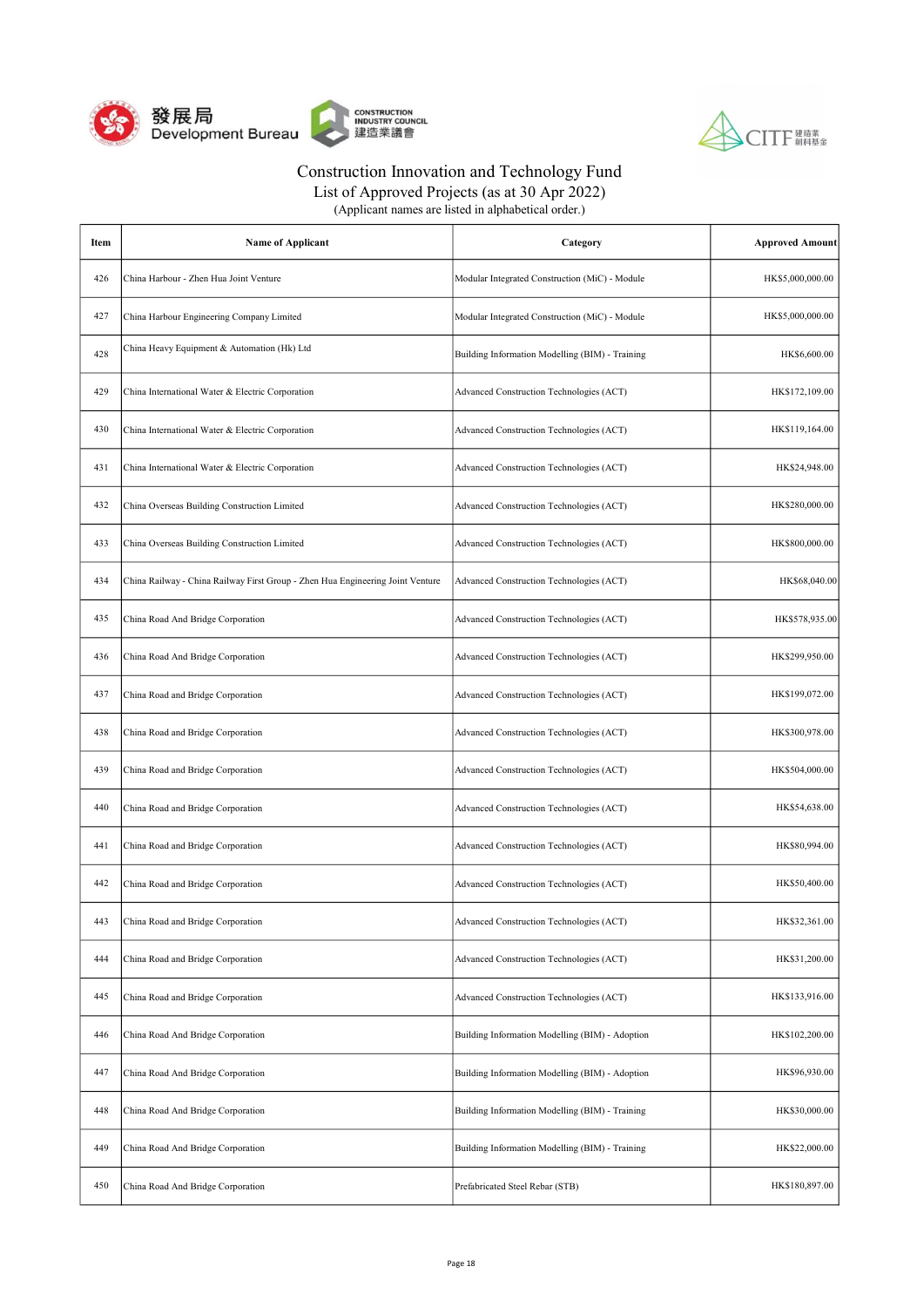



| Item | <b>Name of Applicant</b>                                                       | Category                                        | <b>Approved Amount</b> |
|------|--------------------------------------------------------------------------------|-------------------------------------------------|------------------------|
| 426  | China Harbour - Zhen Hua Joint Venture                                         | Modular Integrated Construction (MiC) - Module  | HK\$5,000,000.00       |
| 427  | China Harbour Engineering Company Limited                                      | Modular Integrated Construction (MiC) - Module  | HK\$5,000,000.00       |
| 428  | China Heavy Equipment & Automation (Hk) Ltd                                    | Building Information Modelling (BIM) - Training | HK\$6,600.00           |
| 429  | China International Water & Electric Corporation                               | Advanced Construction Technologies (ACT)        | HK\$172,109.00         |
| 430  | China International Water & Electric Corporation                               | Advanced Construction Technologies (ACT)        | HK\$119,164.00         |
| 431  | China International Water & Electric Corporation                               | Advanced Construction Technologies (ACT)        | HK\$24,948.00          |
| 432  | China Overseas Building Construction Limited                                   | Advanced Construction Technologies (ACT)        | HK\$280,000.00         |
| 433  | China Overseas Building Construction Limited                                   | Advanced Construction Technologies (ACT)        | HK\$800,000.00         |
| 434  | China Railway - China Railway First Group - Zhen Hua Engineering Joint Venture | Advanced Construction Technologies (ACT)        | HK\$68,040.00          |
| 435  | China Road And Bridge Corporation                                              | Advanced Construction Technologies (ACT)        | HK\$578,935.00         |
| 436  | China Road And Bridge Corporation                                              | Advanced Construction Technologies (ACT)        | HK\$299,950.00         |
| 437  | China Road and Bridge Corporation                                              | Advanced Construction Technologies (ACT)        | HK\$199,072.00         |
| 438  | China Road and Bridge Corporation                                              | Advanced Construction Technologies (ACT)        | HK\$300,978.00         |
| 439  | China Road and Bridge Corporation                                              | Advanced Construction Technologies (ACT)        | HK\$504,000.00         |
| 440  | China Road and Bridge Corporation                                              | Advanced Construction Technologies (ACT)        | HK\$54,638.00          |
| 441  | China Road and Bridge Corporation                                              | Advanced Construction Technologies (ACT)        | HK\$80,994.00          |
| 442  | China Road and Bridge Corporation                                              | Advanced Construction Technologies (ACT)        | HK\$50,400.00          |
| 443  | China Road and Bridge Corporation                                              | Advanced Construction Technologies (ACT)        | HK\$32,361.00          |
| 444  | China Road and Bridge Corporation                                              | Advanced Construction Technologies (ACT)        | HK\$31,200.00          |
| 445  | China Road and Bridge Corporation                                              | Advanced Construction Technologies (ACT)        | HK\$133,916.00         |
| 446  | China Road And Bridge Corporation                                              | Building Information Modelling (BIM) - Adoption | HK\$102,200.00         |
| 447  | China Road And Bridge Corporation                                              | Building Information Modelling (BIM) - Adoption | HK\$96,930.00          |
| 448  | China Road And Bridge Corporation                                              | Building Information Modelling (BIM) - Training | HK\$30,000.00          |
| 449  | China Road And Bridge Corporation                                              | Building Information Modelling (BIM) - Training | HK\$22,000.00          |
| 450  | China Road And Bridge Corporation                                              | Prefabricated Steel Rebar (STB)                 | HK\$180,897.00         |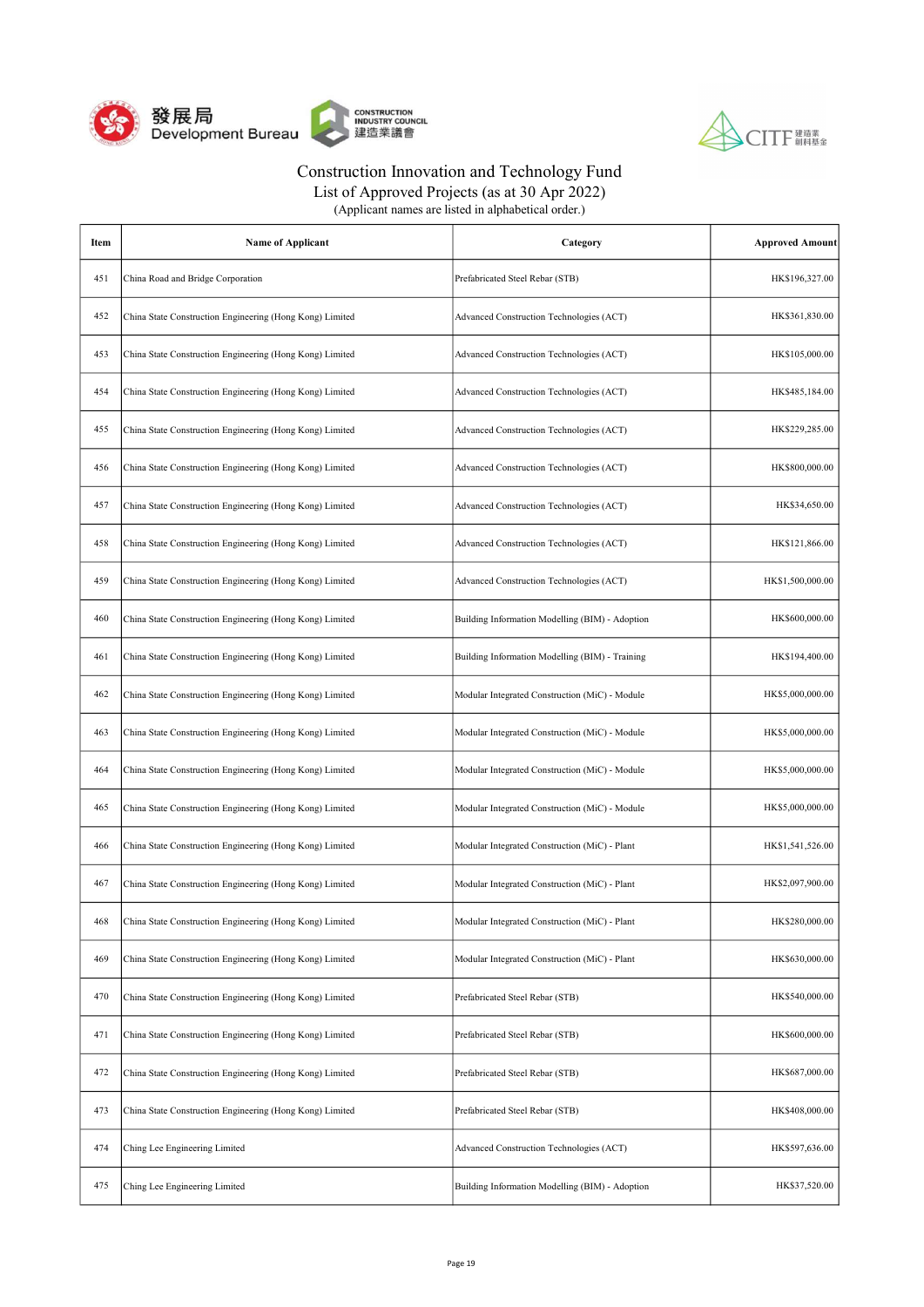



| Item | <b>Name of Applicant</b>                                 | Category                                        | <b>Approved Amount</b> |
|------|----------------------------------------------------------|-------------------------------------------------|------------------------|
| 451  | China Road and Bridge Corporation                        | Prefabricated Steel Rebar (STB)                 | HK\$196,327.00         |
| 452  | China State Construction Engineering (Hong Kong) Limited | Advanced Construction Technologies (ACT)        | HK\$361,830.00         |
| 453  | China State Construction Engineering (Hong Kong) Limited | Advanced Construction Technologies (ACT)        | HK\$105,000.00         |
| 454  | China State Construction Engineering (Hong Kong) Limited | Advanced Construction Technologies (ACT)        | HK\$485,184.00         |
| 455  | China State Construction Engineering (Hong Kong) Limited | Advanced Construction Technologies (ACT)        | HK\$229,285.00         |
| 456  | China State Construction Engineering (Hong Kong) Limited | Advanced Construction Technologies (ACT)        | HK\$800,000.00         |
| 457  | China State Construction Engineering (Hong Kong) Limited | Advanced Construction Technologies (ACT)        | HK\$34,650.00          |
| 458  | China State Construction Engineering (Hong Kong) Limited | Advanced Construction Technologies (ACT)        | HK\$121,866.00         |
| 459  | China State Construction Engineering (Hong Kong) Limited | Advanced Construction Technologies (ACT)        | HK\$1,500,000.00       |
| 460  | China State Construction Engineering (Hong Kong) Limited | Building Information Modelling (BIM) - Adoption | HK\$600,000.00         |
| 461  | China State Construction Engineering (Hong Kong) Limited | Building Information Modelling (BIM) - Training | HK\$194,400.00         |
| 462  | China State Construction Engineering (Hong Kong) Limited | Modular Integrated Construction (MiC) - Module  | HK\$5,000,000.00       |
| 463  | China State Construction Engineering (Hong Kong) Limited | Modular Integrated Construction (MiC) - Module  | HK\$5,000,000.00       |
| 464  | China State Construction Engineering (Hong Kong) Limited | Modular Integrated Construction (MiC) - Module  | HK\$5,000,000.00       |
| 465  | China State Construction Engineering (Hong Kong) Limited | Modular Integrated Construction (MiC) - Module  | HK\$5,000,000.00       |
| 466  | China State Construction Engineering (Hong Kong) Limited | Modular Integrated Construction (MiC) - Plant   | HK\$1,541,526.00       |
| 467  | China State Construction Engineering (Hong Kong) Limited | Modular Integrated Construction (MiC) - Plant   | HK\$2,097,900.00       |
| 468  | China State Construction Engineering (Hong Kong) Limited | Modular Integrated Construction (MiC) - Plant   | HK\$280,000.00         |
| 469  | China State Construction Engineering (Hong Kong) Limited | Modular Integrated Construction (MiC) - Plant   | HK\$630,000.00         |
| 470  | China State Construction Engineering (Hong Kong) Limited | Prefabricated Steel Rebar (STB)                 | HK\$540,000.00         |
| 471  | China State Construction Engineering (Hong Kong) Limited | Prefabricated Steel Rebar (STB)                 | HK\$600,000.00         |
| 472  | China State Construction Engineering (Hong Kong) Limited | Prefabricated Steel Rebar (STB)                 | HK\$687,000.00         |
| 473  | China State Construction Engineering (Hong Kong) Limited | Prefabricated Steel Rebar (STB)                 | HK\$408,000.00         |
| 474  | Ching Lee Engineering Limited                            | Advanced Construction Technologies (ACT)        | HK\$597,636.00         |
| 475  | Ching Lee Engineering Limited                            | Building Information Modelling (BIM) - Adoption | HK\$37,520.00          |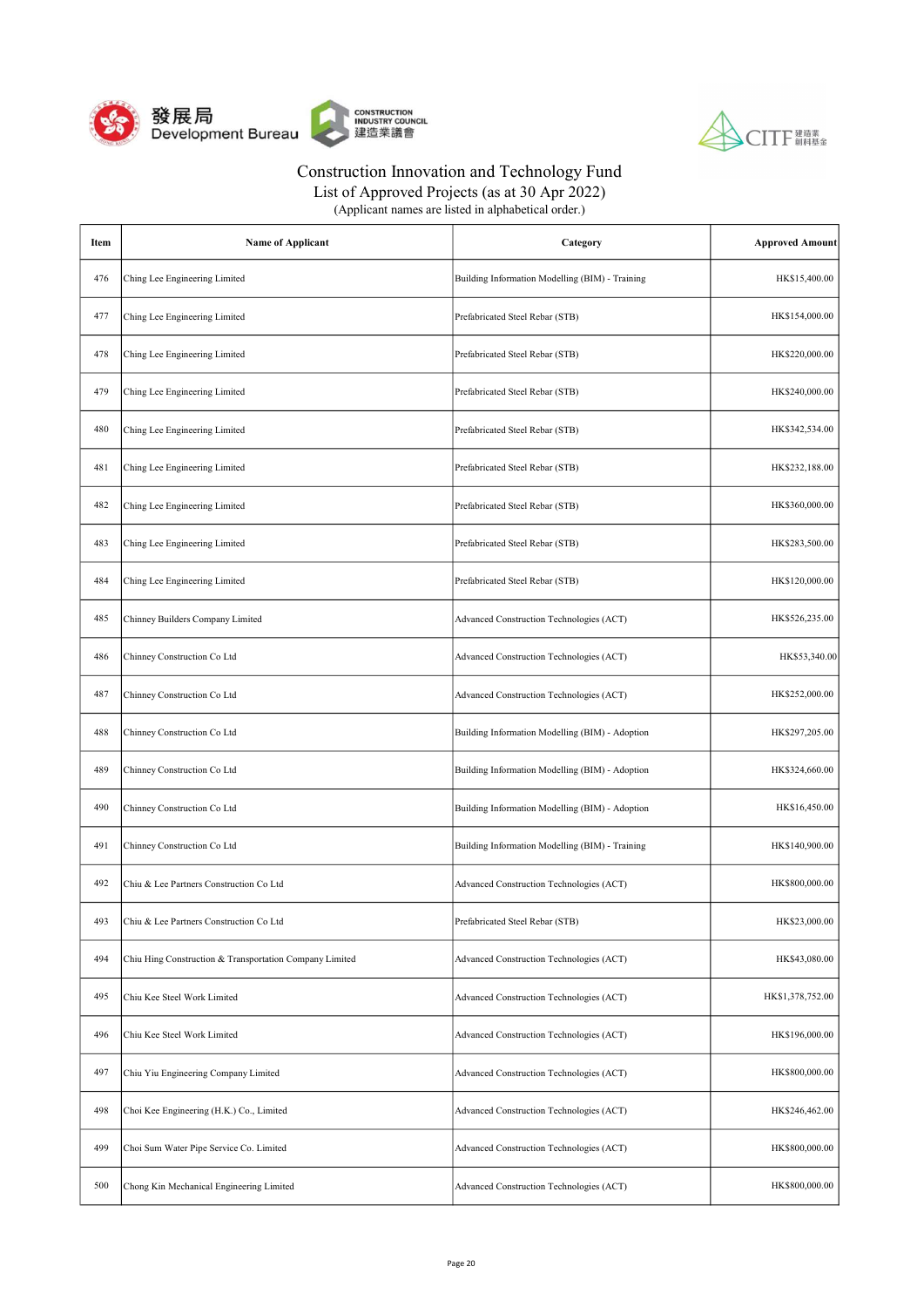



List of Approved Projects (as at 30 Apr 2022)

| Item | <b>Name of Applicant</b>                                | Category                                        | <b>Approved Amount</b> |
|------|---------------------------------------------------------|-------------------------------------------------|------------------------|
| 476  | Ching Lee Engineering Limited                           | Building Information Modelling (BIM) - Training | HK\$15,400.00          |
| 477  | Ching Lee Engineering Limited                           | Prefabricated Steel Rebar (STB)                 | HK\$154,000.00         |
| 478  | Ching Lee Engineering Limited                           | Prefabricated Steel Rebar (STB)                 | HK\$220,000.00         |
| 479  | Ching Lee Engineering Limited                           | Prefabricated Steel Rebar (STB)                 | HK\$240,000.00         |
| 480  | Ching Lee Engineering Limited                           | Prefabricated Steel Rebar (STB)                 | HK\$342,534.00         |
| 481  | Ching Lee Engineering Limited                           | Prefabricated Steel Rebar (STB)                 | HK\$232,188.00         |
| 482  | Ching Lee Engineering Limited                           | Prefabricated Steel Rebar (STB)                 | HK\$360,000.00         |
| 483  | Ching Lee Engineering Limited                           | Prefabricated Steel Rebar (STB)                 | HK\$283,500.00         |
| 484  | Ching Lee Engineering Limited                           | Prefabricated Steel Rebar (STB)                 | HK\$120,000.00         |
| 485  | Chinney Builders Company Limited                        | Advanced Construction Technologies (ACT)        | HK\$526,235.00         |
| 486  | Chinney Construction Co Ltd                             | Advanced Construction Technologies (ACT)        | HK\$53,340.00          |
| 487  | Chinney Construction Co Ltd                             | Advanced Construction Technologies (ACT)        | HK\$252,000.00         |
| 488  | Chinney Construction Co Ltd                             | Building Information Modelling (BIM) - Adoption | HK\$297,205.00         |
| 489  | Chinney Construction Co Ltd                             | Building Information Modelling (BIM) - Adoption | HK\$324,660.00         |
| 490  | Chinney Construction Co Ltd                             | Building Information Modelling (BIM) - Adoption | HK\$16,450.00          |
| 491  | Chinney Construction Co Ltd                             | Building Information Modelling (BIM) - Training | HK\$140,900.00         |
| 492  | Chiu & Lee Partners Construction Co Ltd                 | Advanced Construction Technologies (ACT)        | HK\$800,000.00         |
| 493  | Chiu & Lee Partners Construction Co Ltd                 | Prefabricated Steel Rebar (STB)                 | HK\$23,000.00          |
| 494  | Chiu Hing Construction & Transportation Company Limited | Advanced Construction Technologies (ACT)        | HK\$43,080.00          |
| 495  | Chiu Kee Steel Work Limited                             | Advanced Construction Technologies (ACT)        | HK\$1,378,752.00       |
| 496  | Chiu Kee Steel Work Limited                             | Advanced Construction Technologies (ACT)        | HK\$196,000.00         |
| 497  | Chiu Yiu Engineering Company Limited                    | Advanced Construction Technologies (ACT)        | HK\$800,000.00         |
| 498  | Choi Kee Engineering (H.K.) Co., Limited                | Advanced Construction Technologies (ACT)        | HK\$246,462.00         |
| 499  | Choi Sum Water Pipe Service Co. Limited                 | Advanced Construction Technologies (ACT)        | HK\$800,000.00         |
| 500  | Chong Kin Mechanical Engineering Limited                | Advanced Construction Technologies (ACT)        | HK\$800,000.00         |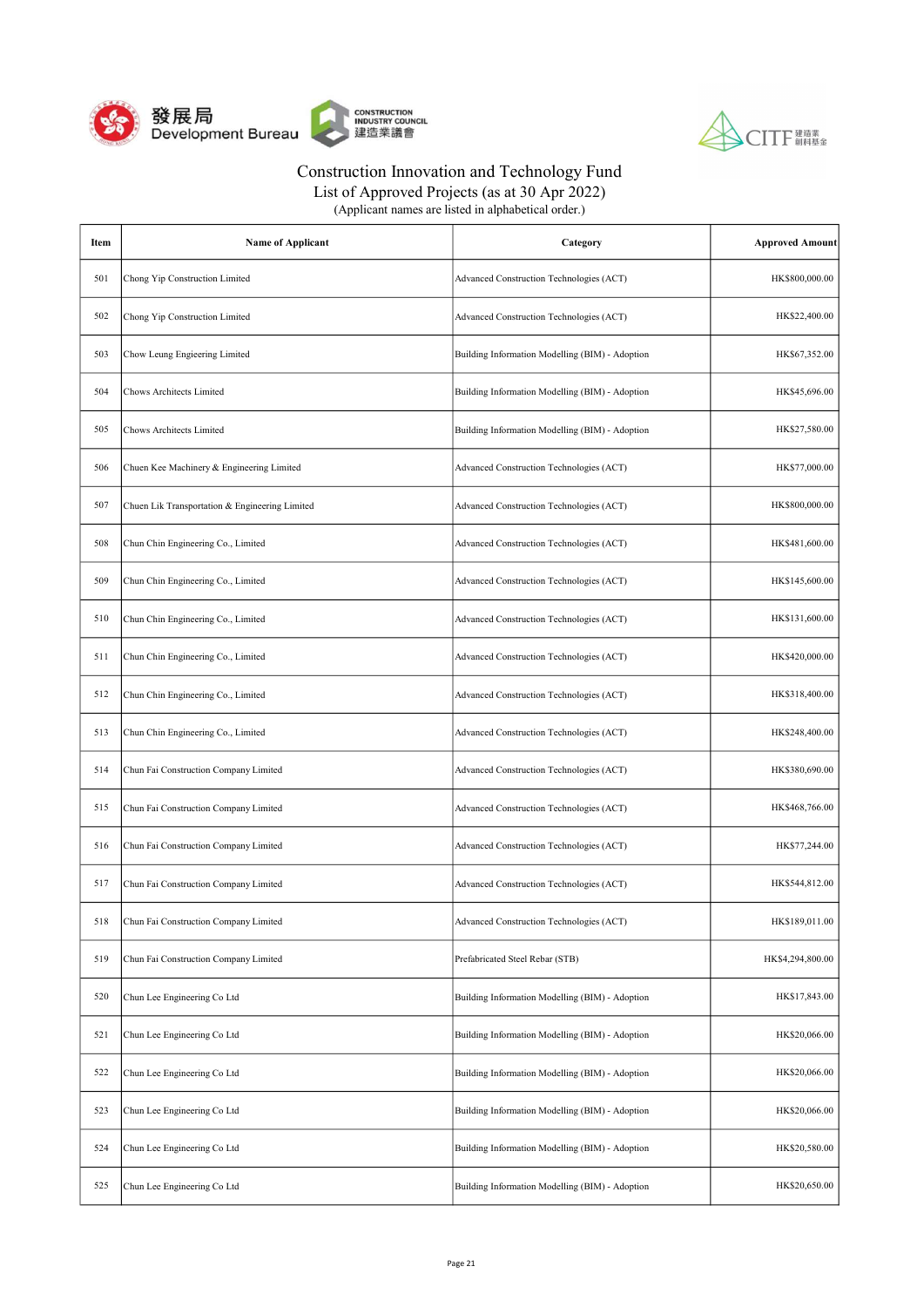



List of Approved Projects (as at 30 Apr 2022)

| Item | <b>Name of Applicant</b>                       | Category                                        | <b>Approved Amount</b> |
|------|------------------------------------------------|-------------------------------------------------|------------------------|
| 501  | Chong Yip Construction Limited                 | Advanced Construction Technologies (ACT)        | HK\$800,000.00         |
| 502  | Chong Yip Construction Limited                 | Advanced Construction Technologies (ACT)        | HK\$22,400.00          |
| 503  | Chow Leung Engieering Limited                  | Building Information Modelling (BIM) - Adoption | HK\$67,352.00          |
| 504  | <b>Chows Architects Limited</b>                | Building Information Modelling (BIM) - Adoption | HK\$45,696.00          |
| 505  | Chows Architects Limited                       | Building Information Modelling (BIM) - Adoption | HK\$27,580.00          |
| 506  | Chuen Kee Machinery & Engineering Limited      | Advanced Construction Technologies (ACT)        | HK\$77,000.00          |
| 507  | Chuen Lik Transportation & Engineering Limited | Advanced Construction Technologies (ACT)        | HK\$800,000.00         |
| 508  | Chun Chin Engineering Co., Limited             | Advanced Construction Technologies (ACT)        | HK\$481,600.00         |
| 509  | Chun Chin Engineering Co., Limited             | Advanced Construction Technologies (ACT)        | HK\$145,600.00         |
| 510  | Chun Chin Engineering Co., Limited             | Advanced Construction Technologies (ACT)        | HK\$131,600.00         |
| 511  | Chun Chin Engineering Co., Limited             | Advanced Construction Technologies (ACT)        | HK\$420,000.00         |
| 512  | Chun Chin Engineering Co., Limited             | Advanced Construction Technologies (ACT)        | HK\$318,400.00         |
| 513  | Chun Chin Engineering Co., Limited             | Advanced Construction Technologies (ACT)        | HK\$248,400.00         |
| 514  | Chun Fai Construction Company Limited          | Advanced Construction Technologies (ACT)        | HK\$380,690.00         |
| 515  | Chun Fai Construction Company Limited          | Advanced Construction Technologies (ACT)        | HK\$468,766.00         |
| 516  | Chun Fai Construction Company Limited          | Advanced Construction Technologies (ACT)        | HK\$77,244.00          |
| 517  | Chun Fai Construction Company Limited          | Advanced Construction Technologies (ACT)        | HK\$544,812.00         |
| 518  | Chun Fai Construction Company Limited          | Advanced Construction Technologies (ACT)        | HK\$189,011.00         |
| 519  | Chun Fai Construction Company Limited          | Prefabricated Steel Rebar (STB)                 | HK\$4,294,800.00       |
| 520  | Chun Lee Engineering Co Ltd                    | Building Information Modelling (BIM) - Adoption | HK\$17,843.00          |
| 521  | Chun Lee Engineering Co Ltd                    | Building Information Modelling (BIM) - Adoption | HK\$20,066.00          |
| 522  | Chun Lee Engineering Co Ltd                    | Building Information Modelling (BIM) - Adoption | HK\$20,066.00          |
| 523  | Chun Lee Engineering Co Ltd                    | Building Information Modelling (BIM) - Adoption | HK\$20,066.00          |
| 524  | Chun Lee Engineering Co Ltd                    | Building Information Modelling (BIM) - Adoption | HK\$20,580.00          |
| 525  | Chun Lee Engineering Co Ltd                    | Building Information Modelling (BIM) - Adoption | HK\$20,650.00          |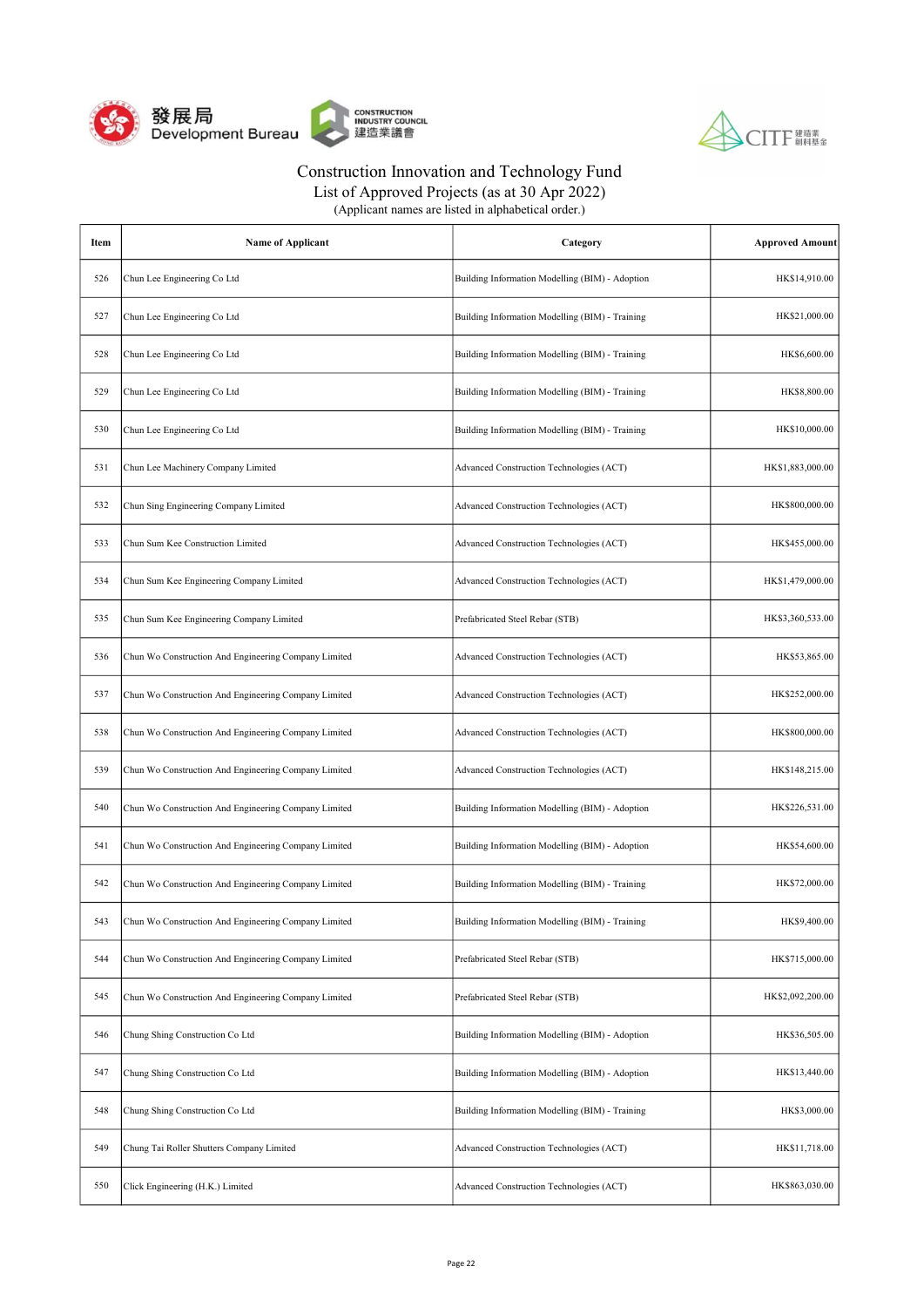



| (Applicant names are listed in alphabetical order.) |  |
|-----------------------------------------------------|--|
|-----------------------------------------------------|--|

| Item | <b>Name of Applicant</b>                             | Category                                        | <b>Approved Amount</b> |
|------|------------------------------------------------------|-------------------------------------------------|------------------------|
| 526  | Chun Lee Engineering Co Ltd                          | Building Information Modelling (BIM) - Adoption | HK\$14,910.00          |
| 527  | Chun Lee Engineering Co Ltd                          | Building Information Modelling (BIM) - Training | HK\$21,000.00          |
| 528  | Chun Lee Engineering Co Ltd                          | Building Information Modelling (BIM) - Training | HK\$6,600.00           |
| 529  | Chun Lee Engineering Co Ltd                          | Building Information Modelling (BIM) - Training | HK\$8,800.00           |
| 530  | Chun Lee Engineering Co Ltd                          | Building Information Modelling (BIM) - Training | HK\$10,000.00          |
| 531  | Chun Lee Machinery Company Limited                   | Advanced Construction Technologies (ACT)        | HK\$1,883,000.00       |
| 532  | Chun Sing Engineering Company Limited                | Advanced Construction Technologies (ACT)        | HK\$800,000.00         |
| 533  | Chun Sum Kee Construction Limited                    | Advanced Construction Technologies (ACT)        | HK\$455,000.00         |
| 534  | Chun Sum Kee Engineering Company Limited             | Advanced Construction Technologies (ACT)        | HK\$1,479,000.00       |
| 535  | Chun Sum Kee Engineering Company Limited             | Prefabricated Steel Rebar (STB)                 | HK\$3,360,533.00       |
| 536  | Chun Wo Construction And Engineering Company Limited | Advanced Construction Technologies (ACT)        | HK\$53,865.00          |
| 537  | Chun Wo Construction And Engineering Company Limited | Advanced Construction Technologies (ACT)        | HK\$252,000.00         |
| 538  | Chun Wo Construction And Engineering Company Limited | Advanced Construction Technologies (ACT)        | HK\$800,000.00         |
| 539  | Chun Wo Construction And Engineering Company Limited | Advanced Construction Technologies (ACT)        | HK\$148,215.00         |
| 540  | Chun Wo Construction And Engineering Company Limited | Building Information Modelling (BIM) - Adoption | HK\$226,531.00         |
| 541  | Chun Wo Construction And Engineering Company Limited | Building Information Modelling (BIM) - Adoption | HK\$54,600.00          |
| 542  | Chun Wo Construction And Engineering Company Limited | Building Information Modelling (BIM) - Training | HK\$72,000.00          |
| 543  | Chun Wo Construction And Engineering Company Limited | Building Information Modelling (BIM) - Training | HK\$9,400.00           |
| 544  | Chun Wo Construction And Engineering Company Limited | Prefabricated Steel Rebar (STB)                 | HK\$715,000.00         |
| 545  | Chun Wo Construction And Engineering Company Limited | Prefabricated Steel Rebar (STB)                 | HK\$2,092,200.00       |
| 546  | Chung Shing Construction Co Ltd                      | Building Information Modelling (BIM) - Adoption | HK\$36,505.00          |
| 547  | Chung Shing Construction Co Ltd                      | Building Information Modelling (BIM) - Adoption | HK\$13,440.00          |
| 548  | Chung Shing Construction Co Ltd                      | Building Information Modelling (BIM) - Training | HK\$3,000.00           |
| 549  | Chung Tai Roller Shutters Company Limited            | Advanced Construction Technologies (ACT)        | HK\$11,718.00          |
| 550  | Click Engineering (H.K.) Limited                     | Advanced Construction Technologies (ACT)        | HK\$863,030.00         |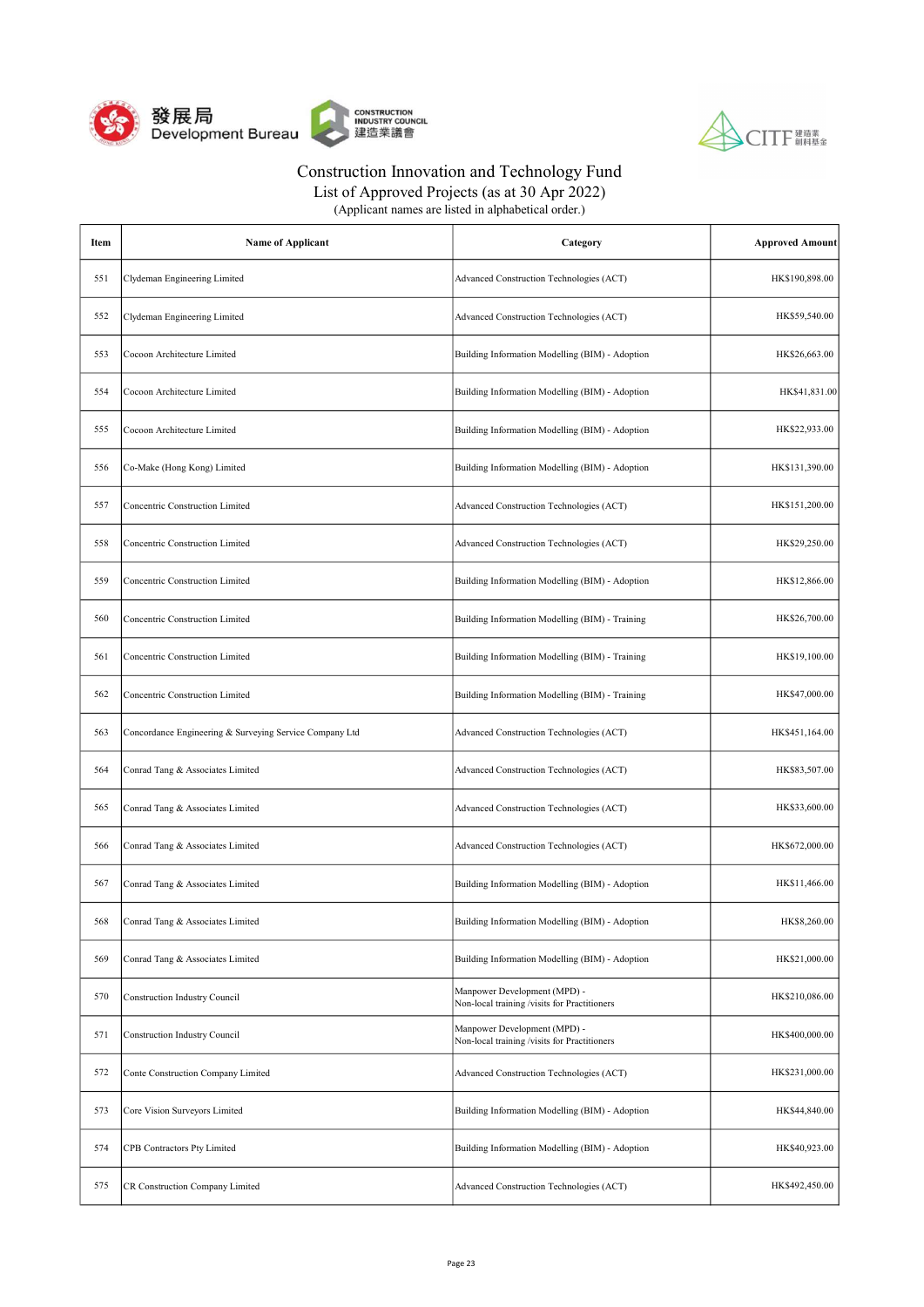



| (Applicant names are listed in alphabetical order.) |  |
|-----------------------------------------------------|--|
|-----------------------------------------------------|--|

| Item | Name of Applicant                                       | Category                                                                     | <b>Approved Amount</b> |
|------|---------------------------------------------------------|------------------------------------------------------------------------------|------------------------|
| 551  | Clydeman Engineering Limited                            | Advanced Construction Technologies (ACT)                                     | HK\$190,898.00         |
| 552  | Clydeman Engineering Limited                            | Advanced Construction Technologies (ACT)                                     | HK\$59,540.00          |
| 553  | Cocoon Architecture Limited                             | Building Information Modelling (BIM) - Adoption                              | HK\$26,663.00          |
| 554  | Cocoon Architecture Limited                             | Building Information Modelling (BIM) - Adoption                              | HK\$41,831.00          |
| 555  | Cocoon Architecture Limited                             | Building Information Modelling (BIM) - Adoption                              | HK\$22,933.00          |
| 556  | Co-Make (Hong Kong) Limited                             | Building Information Modelling (BIM) - Adoption                              | HK\$131,390.00         |
| 557  | <b>Concentric Construction Limited</b>                  | Advanced Construction Technologies (ACT)                                     | HK\$151,200.00         |
| 558  | Concentric Construction Limited                         | Advanced Construction Technologies (ACT)                                     | HK\$29,250.00          |
| 559  | Concentric Construction Limited                         | Building Information Modelling (BIM) - Adoption                              | HK\$12,866.00          |
| 560  | Concentric Construction Limited                         | Building Information Modelling (BIM) - Training                              | HK\$26,700.00          |
| 561  | Concentric Construction Limited                         | Building Information Modelling (BIM) - Training                              | HK\$19,100.00          |
| 562  | Concentric Construction Limited                         | Building Information Modelling (BIM) - Training                              | HK\$47,000.00          |
| 563  | Concordance Engineering & Surveying Service Company Ltd | Advanced Construction Technologies (ACT)                                     | HK\$451,164.00         |
| 564  | Conrad Tang & Associates Limited                        | Advanced Construction Technologies (ACT)                                     | HK\$83,507.00          |
| 565  | Conrad Tang & Associates Limited                        | Advanced Construction Technologies (ACT)                                     | HK\$33,600.00          |
| 566  | Conrad Tang & Associates Limited                        | Advanced Construction Technologies (ACT)                                     | HK\$672,000.00         |
| 567  | Conrad Tang & Associates Limited                        | Building Information Modelling (BIM) - Adoption                              | HK\$11,466.00          |
| 568  | Conrad Tang & Associates Limited                        | Building Information Modelling (BIM) - Adoption                              | HK\$8,260.00           |
| 569  | Conrad Tang & Associates Limited                        | Building Information Modelling (BIM) - Adoption                              | HK\$21,000.00          |
| 570  | Construction Industry Council                           | Manpower Development (MPD) -<br>Non-local training /visits for Practitioners | HK\$210,086.00         |
| 571  | <b>Construction Industry Council</b>                    | Manpower Development (MPD) -<br>Non-local training /visits for Practitioners | HK\$400,000.00         |
| 572  | Conte Construction Company Limited                      | Advanced Construction Technologies (ACT)                                     | HK\$231,000.00         |
| 573  | Core Vision Surveyors Limited                           | Building Information Modelling (BIM) - Adoption                              | HK\$44,840.00          |
| 574  | CPB Contractors Pty Limited                             | Building Information Modelling (BIM) - Adoption                              | HK\$40,923.00          |
| 575  | CR Construction Company Limited                         | Advanced Construction Technologies (ACT)                                     | HK\$492,450.00         |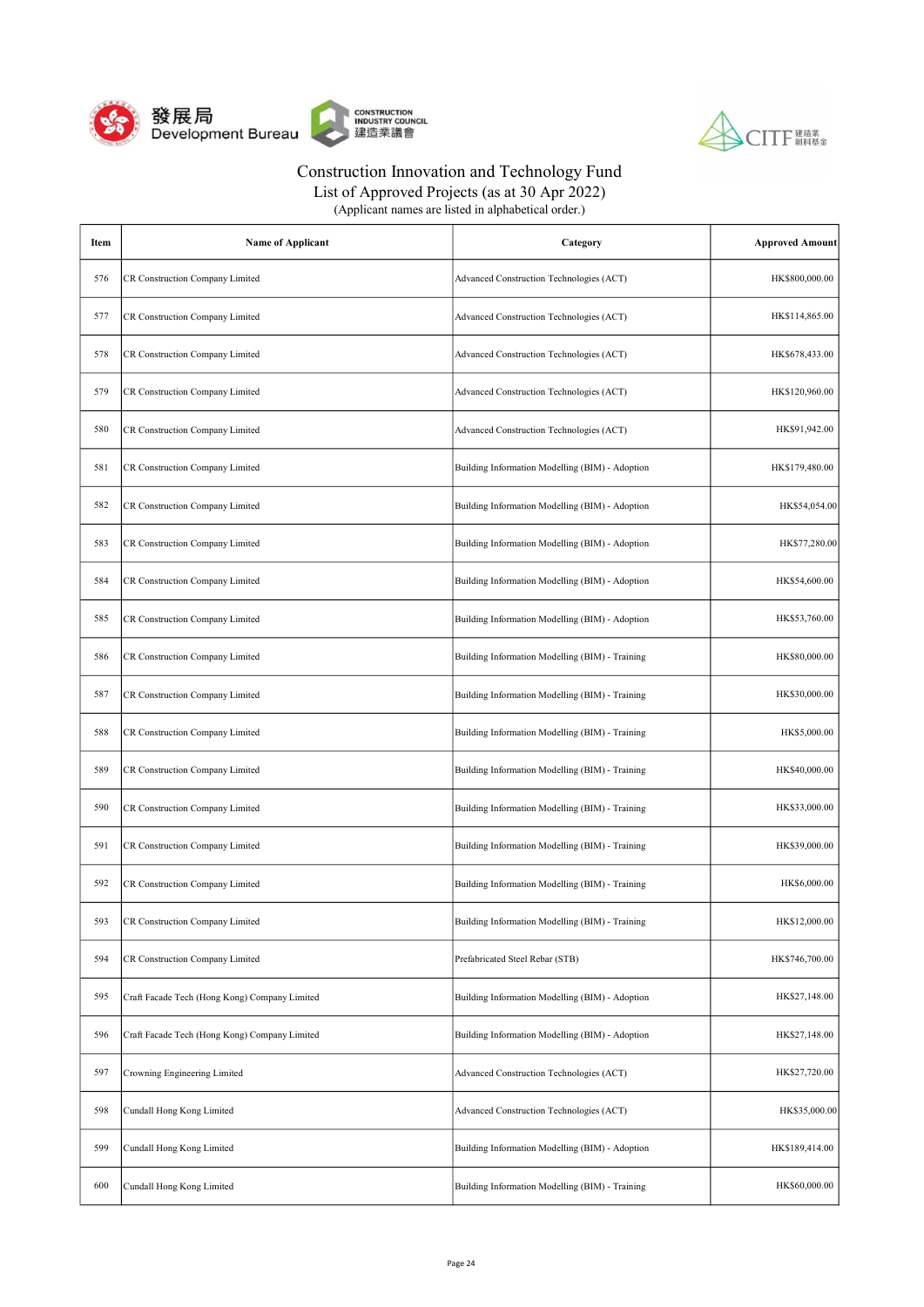



| (Applicant names are listed in alphabetical order.) |  |
|-----------------------------------------------------|--|
|-----------------------------------------------------|--|

| Item | Name of Applicant                             | Category                                        | <b>Approved Amount</b> |
|------|-----------------------------------------------|-------------------------------------------------|------------------------|
| 576  | CR Construction Company Limited               | Advanced Construction Technologies (ACT)        | HK\$800,000.00         |
| 577  | CR Construction Company Limited               | Advanced Construction Technologies (ACT)        | HK\$114,865.00         |
| 578  | CR Construction Company Limited               | Advanced Construction Technologies (ACT)        | HK\$678,433.00         |
| 579  | CR Construction Company Limited               | Advanced Construction Technologies (ACT)        | HK\$120,960.00         |
| 580  | CR Construction Company Limited               | Advanced Construction Technologies (ACT)        | HK\$91,942.00          |
| 581  | CR Construction Company Limited               | Building Information Modelling (BIM) - Adoption | HK\$179,480.00         |
| 582  | CR Construction Company Limited               | Building Information Modelling (BIM) - Adoption | HK\$54,054.00          |
| 583  | CR Construction Company Limited               | Building Information Modelling (BIM) - Adoption | HK\$77,280.00          |
| 584  | CR Construction Company Limited               | Building Information Modelling (BIM) - Adoption | HK\$54,600.00          |
| 585  | CR Construction Company Limited               | Building Information Modelling (BIM) - Adoption | HK\$53,760.00          |
| 586  | CR Construction Company Limited               | Building Information Modelling (BIM) - Training | HK\$80,000.00          |
| 587  | CR Construction Company Limited               | Building Information Modelling (BIM) - Training | HK\$30,000.00          |
| 588  | CR Construction Company Limited               | Building Information Modelling (BIM) - Training | HK\$5,000.00           |
| 589  | CR Construction Company Limited               | Building Information Modelling (BIM) - Training | HK\$40,000.00          |
| 590  | CR Construction Company Limited               | Building Information Modelling (BIM) - Training | HK\$33,000.00          |
| 591  | CR Construction Company Limited               | Building Information Modelling (BIM) - Training | HK\$39,000.00          |
| 592  | CR Construction Company Limited               | Building Information Modelling (BIM) - Training | HK\$6,000.00           |
| 593  | <b>CR Construction Company Limited</b>        | Building Information Modelling (BIM) - Training | HK\$12,000.00          |
| 594  | CR Construction Company Limited               | Prefabricated Steel Rebar (STB)                 | HK\$746,700.00         |
| 595  | Craft Facade Tech (Hong Kong) Company Limited | Building Information Modelling (BIM) - Adoption | HK\$27,148.00          |
| 596  | Craft Facade Tech (Hong Kong) Company Limited | Building Information Modelling (BIM) - Adoption | HK\$27,148.00          |
| 597  | Crowning Engineering Limited                  | Advanced Construction Technologies (ACT)        | HK\$27,720.00          |
| 598  | Cundall Hong Kong Limited                     | Advanced Construction Technologies (ACT)        | HK\$35,000.00          |
| 599  | Cundall Hong Kong Limited                     | Building Information Modelling (BIM) - Adoption | HK\$189,414.00         |
| 600  | Cundall Hong Kong Limited                     | Building Information Modelling (BIM) - Training | HK\$60,000.00          |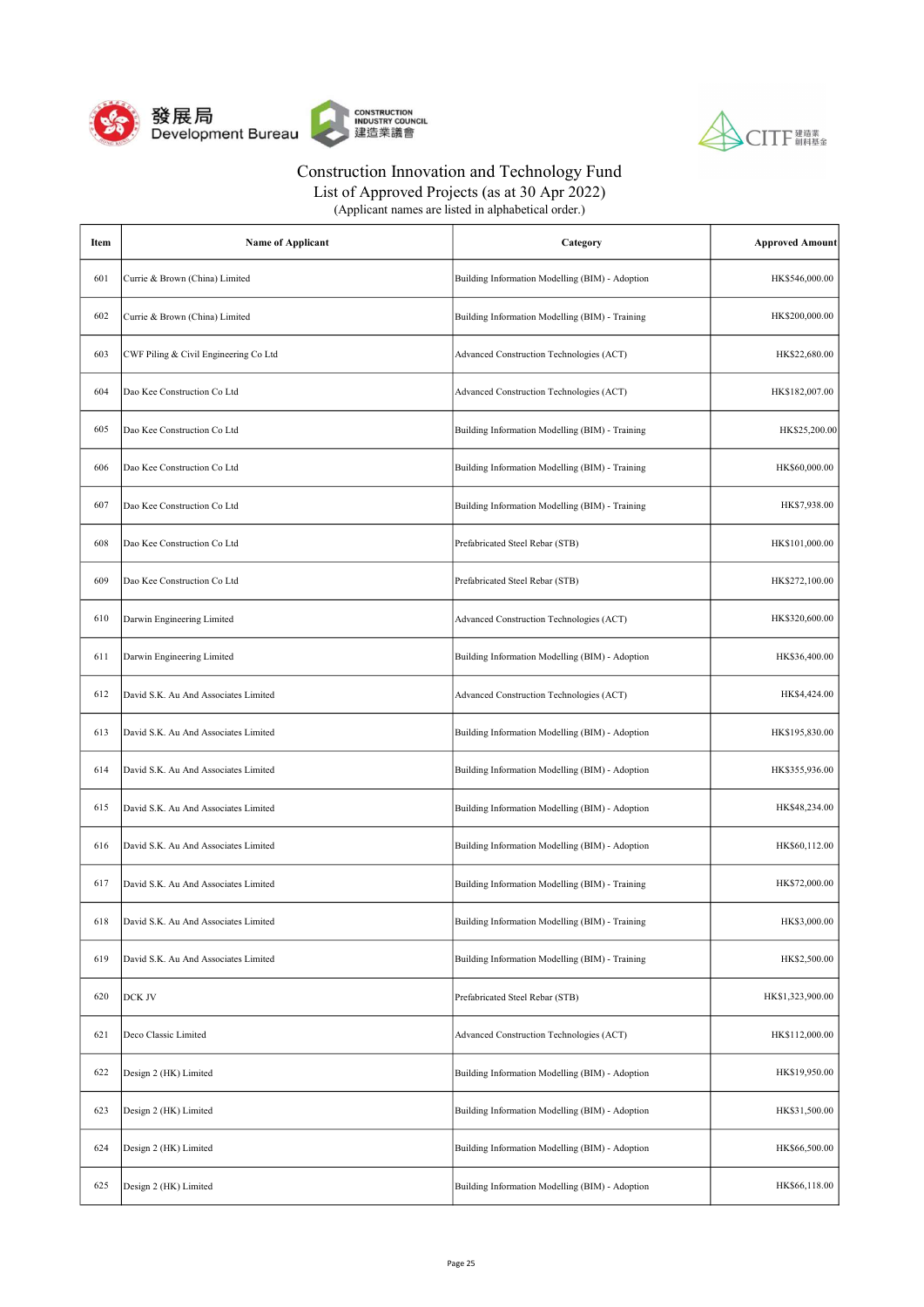



List of Approved Projects (as at 30 Apr 2022)

| Item | Name of Applicant                     | Category                                        | <b>Approved Amount</b> |
|------|---------------------------------------|-------------------------------------------------|------------------------|
| 601  | Currie & Brown (China) Limited        | Building Information Modelling (BIM) - Adoption | HK\$546,000.00         |
| 602  | Currie & Brown (China) Limited        | Building Information Modelling (BIM) - Training | HK\$200,000.00         |
| 603  | CWF Piling & Civil Engineering Co Ltd | Advanced Construction Technologies (ACT)        | HK\$22,680.00          |
| 604  | Dao Kee Construction Co Ltd           | Advanced Construction Technologies (ACT)        | HK\$182,007.00         |
| 605  | Dao Kee Construction Co Ltd           | Building Information Modelling (BIM) - Training | HK\$25,200.00          |
| 606  | Dao Kee Construction Co Ltd           | Building Information Modelling (BIM) - Training | HK\$60,000.00          |
| 607  | Dao Kee Construction Co Ltd           | Building Information Modelling (BIM) - Training | HK\$7,938.00           |
| 608  | Dao Kee Construction Co Ltd           | Prefabricated Steel Rebar (STB)                 | HK\$101,000.00         |
| 609  | Dao Kee Construction Co Ltd           | Prefabricated Steel Rebar (STB)                 | HK\$272,100.00         |
| 610  | Darwin Engineering Limited            | Advanced Construction Technologies (ACT)        | HK\$320,600.00         |
| 611  | Darwin Engineering Limited            | Building Information Modelling (BIM) - Adoption | HK\$36,400.00          |
| 612  | David S.K. Au And Associates Limited  | Advanced Construction Technologies (ACT)        | HK\$4,424.00           |
| 613  | David S.K. Au And Associates Limited  | Building Information Modelling (BIM) - Adoption | HK\$195,830.00         |
| 614  | David S.K. Au And Associates Limited  | Building Information Modelling (BIM) - Adoption | HK\$355,936.00         |
| 615  | David S.K. Au And Associates Limited  | Building Information Modelling (BIM) - Adoption | HK\$48,234.00          |
| 616  | David S.K. Au And Associates Limited  | Building Information Modelling (BIM) - Adoption | HK\$60,112.00          |
| 617  | David S.K. Au And Associates Limited  | Building Information Modelling (BIM) - Training | HK\$72,000.00          |
| 618  | David S.K. Au And Associates Limited  | Building Information Modelling (BIM) - Training | HK\$3,000.00           |
| 619  | David S.K. Au And Associates Limited  | Building Information Modelling (BIM) - Training | HK\$2,500.00           |
| 620  | DCK JV                                | Prefabricated Steel Rebar (STB)                 | HK\$1,323,900.00       |
| 621  | Deco Classic Limited                  | Advanced Construction Technologies (ACT)        | HK\$112,000.00         |
| 622  | Design 2 (HK) Limited                 | Building Information Modelling (BIM) - Adoption | HK\$19,950.00          |
| 623  | Design 2 (HK) Limited                 | Building Information Modelling (BIM) - Adoption | HK\$31,500.00          |
| 624  | Design 2 (HK) Limited                 | Building Information Modelling (BIM) - Adoption | HK\$66,500.00          |
| 625  | Design 2 (HK) Limited                 | Building Information Modelling (BIM) - Adoption | HK\$66,118.00          |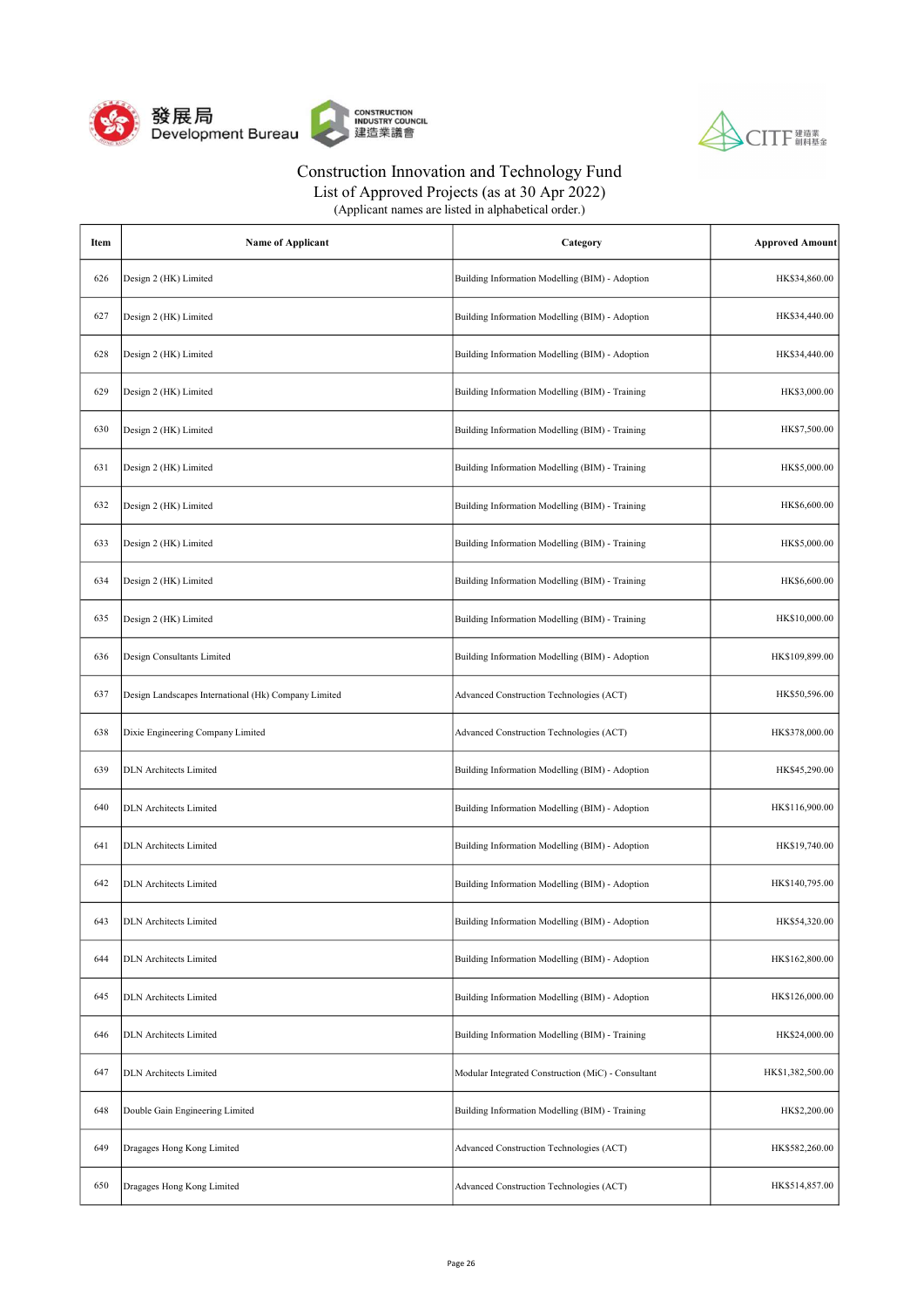



List of Approved Projects (as at 30 Apr 2022)

| Item | <b>Name of Applicant</b>                             | Category                                           | <b>Approved Amount</b> |
|------|------------------------------------------------------|----------------------------------------------------|------------------------|
| 626  | Design 2 (HK) Limited                                | Building Information Modelling (BIM) - Adoption    | HK\$34,860.00          |
| 627  | Design 2 (HK) Limited                                | Building Information Modelling (BIM) - Adoption    | HK\$34,440.00          |
| 628  | Design 2 (HK) Limited                                | Building Information Modelling (BIM) - Adoption    | HK\$34,440.00          |
| 629  | Design 2 (HK) Limited                                | Building Information Modelling (BIM) - Training    | HK\$3,000.00           |
| 630  | Design 2 (HK) Limited                                | Building Information Modelling (BIM) - Training    | HK\$7,500.00           |
| 631  | Design 2 (HK) Limited                                | Building Information Modelling (BIM) - Training    | HK\$5,000.00           |
| 632  | Design 2 (HK) Limited                                | Building Information Modelling (BIM) - Training    | HK\$6,600.00           |
| 633  | Design 2 (HK) Limited                                | Building Information Modelling (BIM) - Training    | HK\$5,000.00           |
| 634  | Design 2 (HK) Limited                                | Building Information Modelling (BIM) - Training    | HK\$6,600.00           |
| 635  | Design 2 (HK) Limited                                | Building Information Modelling (BIM) - Training    | HK\$10,000.00          |
| 636  | Design Consultants Limited                           | Building Information Modelling (BIM) - Adoption    | HK\$109,899.00         |
| 637  | Design Landscapes International (Hk) Company Limited | Advanced Construction Technologies (ACT)           | HK\$50,596.00          |
| 638  | Dixie Engineering Company Limited                    | Advanced Construction Technologies (ACT)           | HK\$378,000.00         |
| 639  | <b>DLN</b> Architects Limited                        | Building Information Modelling (BIM) - Adoption    | HK\$45,290.00          |
| 640  | <b>DLN</b> Architects Limited                        | Building Information Modelling (BIM) - Adoption    | HK\$116,900.00         |
| 641  | <b>DLN</b> Architects Limited                        | Building Information Modelling (BIM) - Adoption    | HK\$19,740.00          |
| 642  | <b>DLN</b> Architects Limited                        | Building Information Modelling (BIM) - Adoption    | HK\$140,795.00         |
| 643  | <b>DLN</b> Architects Limited                        | Building Information Modelling (BIM) - Adoption    | HK\$54,320.00          |
| 644  | <b>DLN</b> Architects Limited                        | Building Information Modelling (BIM) - Adoption    | HK\$162,800.00         |
| 645  | <b>DLN</b> Architects Limited                        | Building Information Modelling (BIM) - Adoption    | HK\$126,000.00         |
| 646  | <b>DLN</b> Architects Limited                        | Building Information Modelling (BIM) - Training    | HK\$24,000.00          |
| 647  | <b>DLN</b> Architects Limited                        | Modular Integrated Construction (MiC) - Consultant | HK\$1,382,500.00       |
| 648  | Double Gain Engineering Limited                      | Building Information Modelling (BIM) - Training    | HK\$2,200.00           |
| 649  | Dragages Hong Kong Limited                           | Advanced Construction Technologies (ACT)           | HK\$582,260.00         |
| 650  | Dragages Hong Kong Limited                           | Advanced Construction Technologies (ACT)           | HK\$514,857.00         |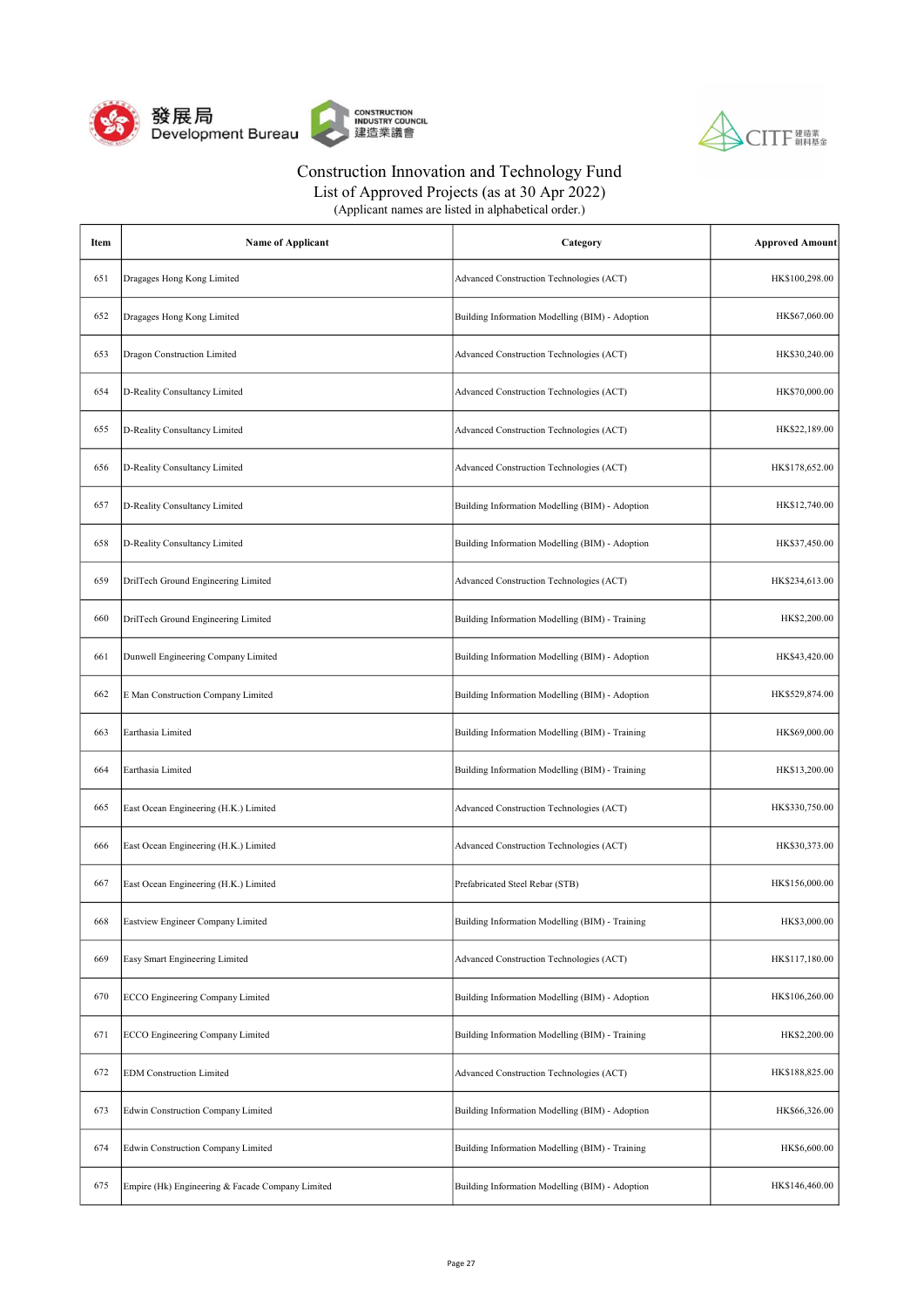



List of Approved Projects (as at 30 Apr 2022)

| Item | <b>Name of Applicant</b>                         | Category                                        | <b>Approved Amount</b> |
|------|--------------------------------------------------|-------------------------------------------------|------------------------|
| 651  | Dragages Hong Kong Limited                       | Advanced Construction Technologies (ACT)        | HK\$100,298.00         |
| 652  | Dragages Hong Kong Limited                       | Building Information Modelling (BIM) - Adoption | HK\$67,060.00          |
| 653  | Dragon Construction Limited                      | Advanced Construction Technologies (ACT)        | HK\$30,240.00          |
| 654  | D-Reality Consultancy Limited                    | Advanced Construction Technologies (ACT)        | HK\$70,000.00          |
| 655  | D-Reality Consultancy Limited                    | Advanced Construction Technologies (ACT)        | HK\$22,189.00          |
| 656  | D-Reality Consultancy Limited                    | Advanced Construction Technologies (ACT)        | HK\$178,652.00         |
| 657  | D-Reality Consultancy Limited                    | Building Information Modelling (BIM) - Adoption | HK\$12,740.00          |
| 658  | D-Reality Consultancy Limited                    | Building Information Modelling (BIM) - Adoption | HK\$37,450.00          |
| 659  | DrilTech Ground Engineering Limited              | Advanced Construction Technologies (ACT)        | HK\$234,613.00         |
| 660  | DrilTech Ground Engineering Limited              | Building Information Modelling (BIM) - Training | HK\$2,200.00           |
| 661  | Dunwell Engineering Company Limited              | Building Information Modelling (BIM) - Adoption | HK\$43,420.00          |
| 662  | E Man Construction Company Limited               | Building Information Modelling (BIM) - Adoption | HK\$529,874.00         |
| 663  | Earthasia Limited                                | Building Information Modelling (BIM) - Training | HK\$69,000.00          |
| 664  | Earthasia Limited                                | Building Information Modelling (BIM) - Training | HK\$13,200.00          |
| 665  | East Ocean Engineering (H.K.) Limited            | Advanced Construction Technologies (ACT)        | HK\$330,750.00         |
| 666  | East Ocean Engineering (H.K.) Limited            | Advanced Construction Technologies (ACT)        | HK\$30,373.00          |
| 667  | East Ocean Engineering (H.K.) Limited            | Prefabricated Steel Rebar (STB)                 | HK\$156,000.00         |
| 668  | <b>Eastview Engineer Company Limited</b>         | Building Information Modelling (BIM) - Training | HK\$3,000.00           |
| 669  | Easy Smart Engineering Limited                   | Advanced Construction Technologies (ACT)        | HK\$117,180.00         |
| 670  | ECCO Engineering Company Limited                 | Building Information Modelling (BIM) - Adoption | HK\$106,260.00         |
| 671  | <b>ECCO</b> Engineering Company Limited          | Building Information Modelling (BIM) - Training | HK\$2,200.00           |
| 672  | <b>EDM</b> Construction Limited                  | Advanced Construction Technologies (ACT)        | HK\$188,825.00         |
| 673  | Edwin Construction Company Limited               | Building Information Modelling (BIM) - Adoption | HK\$66,326.00          |
| 674  | Edwin Construction Company Limited               | Building Information Modelling (BIM) - Training | HK\$6,600.00           |
| 675  | Empire (Hk) Engineering & Facade Company Limited | Building Information Modelling (BIM) - Adoption | HK\$146,460.00         |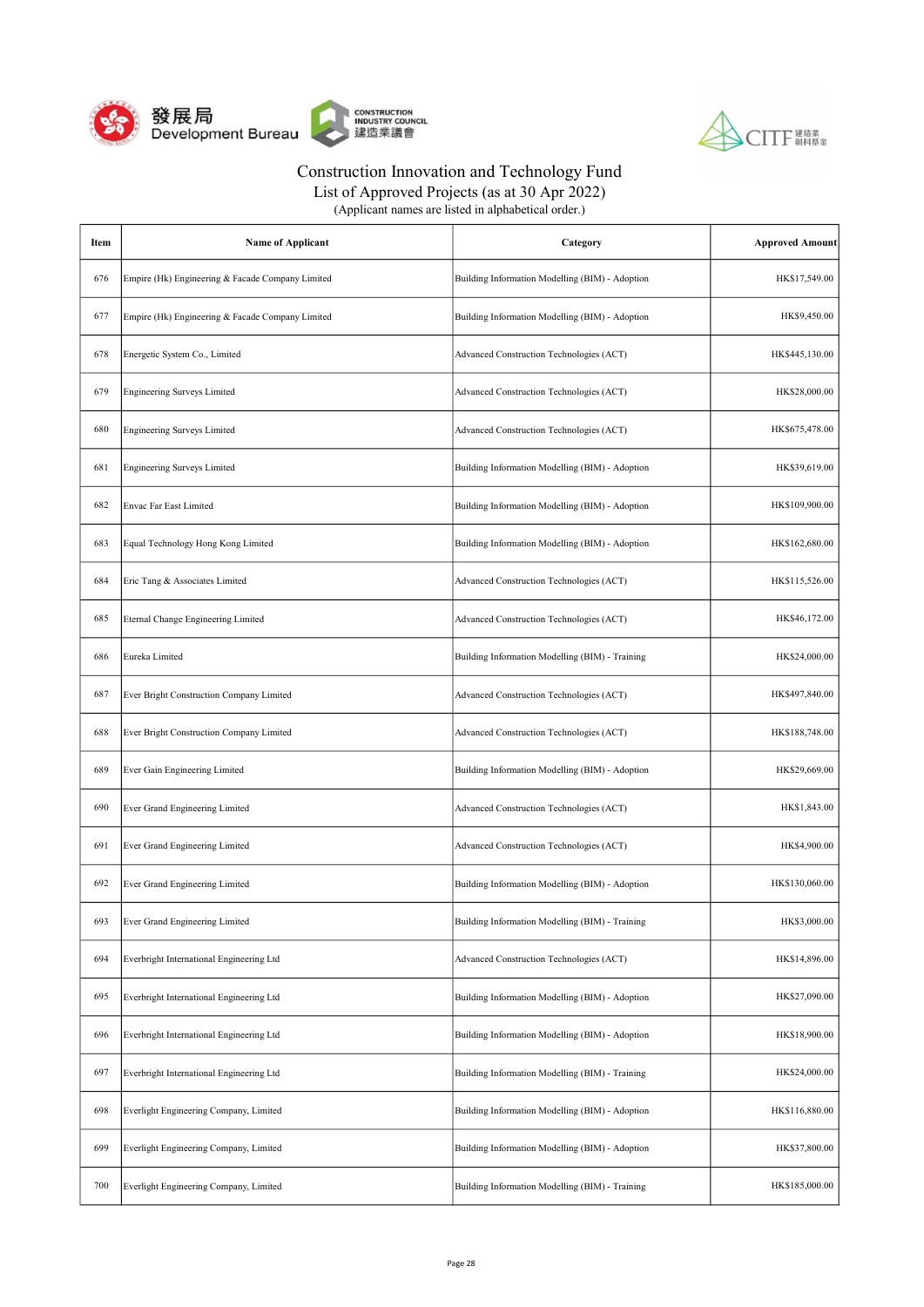



| Item | <b>Name of Applicant</b>                         | Category                                        | <b>Approved Amount</b> |
|------|--------------------------------------------------|-------------------------------------------------|------------------------|
| 676  | Empire (Hk) Engineering & Facade Company Limited | Building Information Modelling (BIM) - Adoption | HK\$17,549.00          |
| 677  | Empire (Hk) Engineering & Facade Company Limited | Building Information Modelling (BIM) - Adoption | HK\$9,450.00           |
| 678  | Energetic System Co., Limited                    | Advanced Construction Technologies (ACT)        | HK\$445,130.00         |
| 679  | <b>Engineering Surveys Limited</b>               | Advanced Construction Technologies (ACT)        | HK\$28,000.00          |
| 680  | <b>Engineering Surveys Limited</b>               | Advanced Construction Technologies (ACT)        | HK\$675,478.00         |
| 681  | <b>Engineering Surveys Limited</b>               | Building Information Modelling (BIM) - Adoption | HK\$39,619.00          |
| 682  | Envac Far East Limited                           | Building Information Modelling (BIM) - Adoption | HK\$109,900.00         |
| 683  | Equal Technology Hong Kong Limited               | Building Information Modelling (BIM) - Adoption | HK\$162,680.00         |
| 684  | Eric Tang & Associates Limited                   | Advanced Construction Technologies (ACT)        | HK\$115,526.00         |
| 685  | Eternal Change Engineering Limited               | Advanced Construction Technologies (ACT)        | HK\$46,172.00          |
| 686  | Eureka Limited                                   | Building Information Modelling (BIM) - Training | HK\$24,000.00          |
| 687  | Ever Bright Construction Company Limited         | Advanced Construction Technologies (ACT)        | HK\$497,840.00         |
| 688  | Ever Bright Construction Company Limited         | Advanced Construction Technologies (ACT)        | HK\$188,748.00         |
| 689  | Ever Gain Engineering Limited                    | Building Information Modelling (BIM) - Adoption | HK\$29,669.00          |
| 690  | Ever Grand Engineering Limited                   | Advanced Construction Technologies (ACT)        | HK\$1,843.00           |
| 691  | Ever Grand Engineering Limited                   | Advanced Construction Technologies (ACT)        | HK\$4,900.00           |
| 692  | Ever Grand Engineering Limited                   | Building Information Modelling (BIM) - Adoption | HK\$130,060.00         |
| 693  | Ever Grand Engineering Limited                   | Building Information Modelling (BIM) - Training | HK\$3,000.00           |
| 694  | Everbright International Engineering Ltd         | Advanced Construction Technologies (ACT)        | HK\$14,896.00          |
| 695  | Everbright International Engineering Ltd         | Building Information Modelling (BIM) - Adoption | HK\$27,090.00          |
| 696  | Everbright International Engineering Ltd         | Building Information Modelling (BIM) - Adoption | HK\$18,900.00          |
| 697  | Everbright International Engineering Ltd         | Building Information Modelling (BIM) - Training | HK\$24,000.00          |
| 698  | Everlight Engineering Company, Limited           | Building Information Modelling (BIM) - Adoption | HK\$116,880.00         |
| 699  | Everlight Engineering Company, Limited           | Building Information Modelling (BIM) - Adoption | HK\$37,800.00          |
| 700  | Everlight Engineering Company, Limited           | Building Information Modelling (BIM) - Training | HK\$185,000.00         |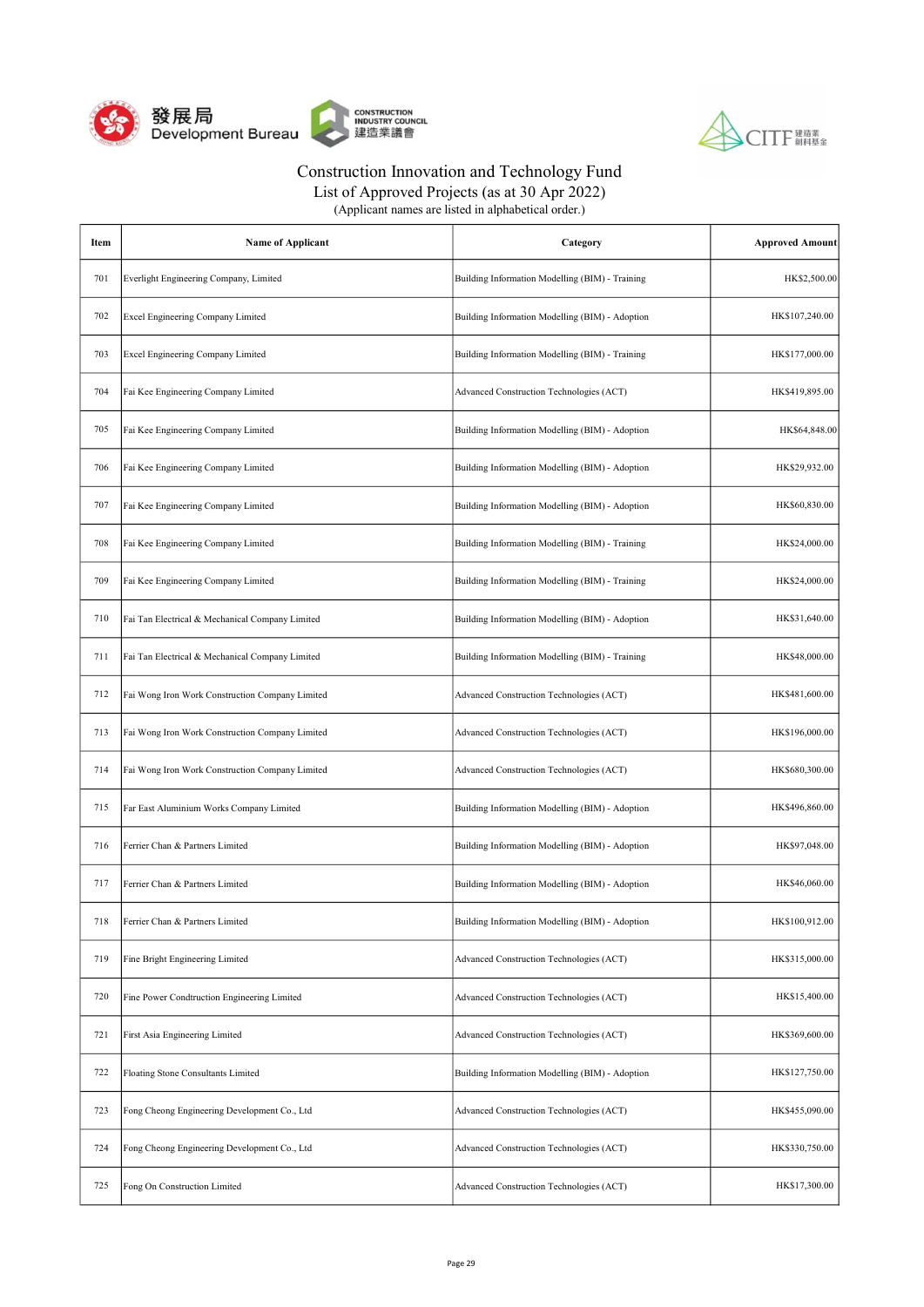



List of Approved Projects (as at 30 Apr 2022)

| Item | Name of Applicant                               | Category                                        | <b>Approved Amount</b> |
|------|-------------------------------------------------|-------------------------------------------------|------------------------|
| 701  | Everlight Engineering Company, Limited          | Building Information Modelling (BIM) - Training | HK\$2,500.00           |
| 702  | Excel Engineering Company Limited               | Building Information Modelling (BIM) - Adoption | HK\$107,240.00         |
| 703  | Excel Engineering Company Limited               | Building Information Modelling (BIM) - Training | HK\$177,000.00         |
| 704  | Fai Kee Engineering Company Limited             | Advanced Construction Technologies (ACT)        | HK\$419,895.00         |
| 705  | Fai Kee Engineering Company Limited             | Building Information Modelling (BIM) - Adoption | HK\$64,848.00          |
| 706  | Fai Kee Engineering Company Limited             | Building Information Modelling (BIM) - Adoption | HK\$29,932.00          |
| 707  | Fai Kee Engineering Company Limited             | Building Information Modelling (BIM) - Adoption | HK\$60,830.00          |
| 708  | Fai Kee Engineering Company Limited             | Building Information Modelling (BIM) - Training | HK\$24,000.00          |
| 709  | Fai Kee Engineering Company Limited             | Building Information Modelling (BIM) - Training | HK\$24,000.00          |
| 710  | Fai Tan Electrical & Mechanical Company Limited | Building Information Modelling (BIM) - Adoption | HK\$31,640.00          |
| 711  | Fai Tan Electrical & Mechanical Company Limited | Building Information Modelling (BIM) - Training | HK\$48,000.00          |
| 712  | Fai Wong Iron Work Construction Company Limited | Advanced Construction Technologies (ACT)        | HK\$481,600.00         |
| 713  | Fai Wong Iron Work Construction Company Limited | Advanced Construction Technologies (ACT)        | HK\$196,000.00         |
| 714  | Fai Wong Iron Work Construction Company Limited | Advanced Construction Technologies (ACT)        | HK\$680,300.00         |
| 715  | Far East Aluminium Works Company Limited        | Building Information Modelling (BIM) - Adoption | HK\$496,860.00         |
| 716  | Ferrier Chan & Partners Limited                 | Building Information Modelling (BIM) - Adoption | HK\$97,048.00          |
| 717  | Ferrier Chan & Partners Limited                 | Building Information Modelling (BIM) - Adoption | HK\$46,060.00          |
| 718  | Ferrier Chan & Partners Limited                 | Building Information Modelling (BIM) - Adoption | HK\$100,912.00         |
| 719  | Fine Bright Engineering Limited                 | Advanced Construction Technologies (ACT)        | HK\$315,000.00         |
| 720  | Fine Power Condtruction Engineering Limited     | Advanced Construction Technologies (ACT)        | HK\$15,400.00          |
| 721  | First Asia Engineering Limited                  | Advanced Construction Technologies (ACT)        | HK\$369,600.00         |
| 722  | Floating Stone Consultants Limited              | Building Information Modelling (BIM) - Adoption | HK\$127,750.00         |
| 723  | Fong Cheong Engineering Development Co., Ltd    | Advanced Construction Technologies (ACT)        | HK\$455,090.00         |
| 724  | Fong Cheong Engineering Development Co., Ltd    | Advanced Construction Technologies (ACT)        | HK\$330,750.00         |
| 725  | Fong On Construction Limited                    | Advanced Construction Technologies (ACT)        | HK\$17,300.00          |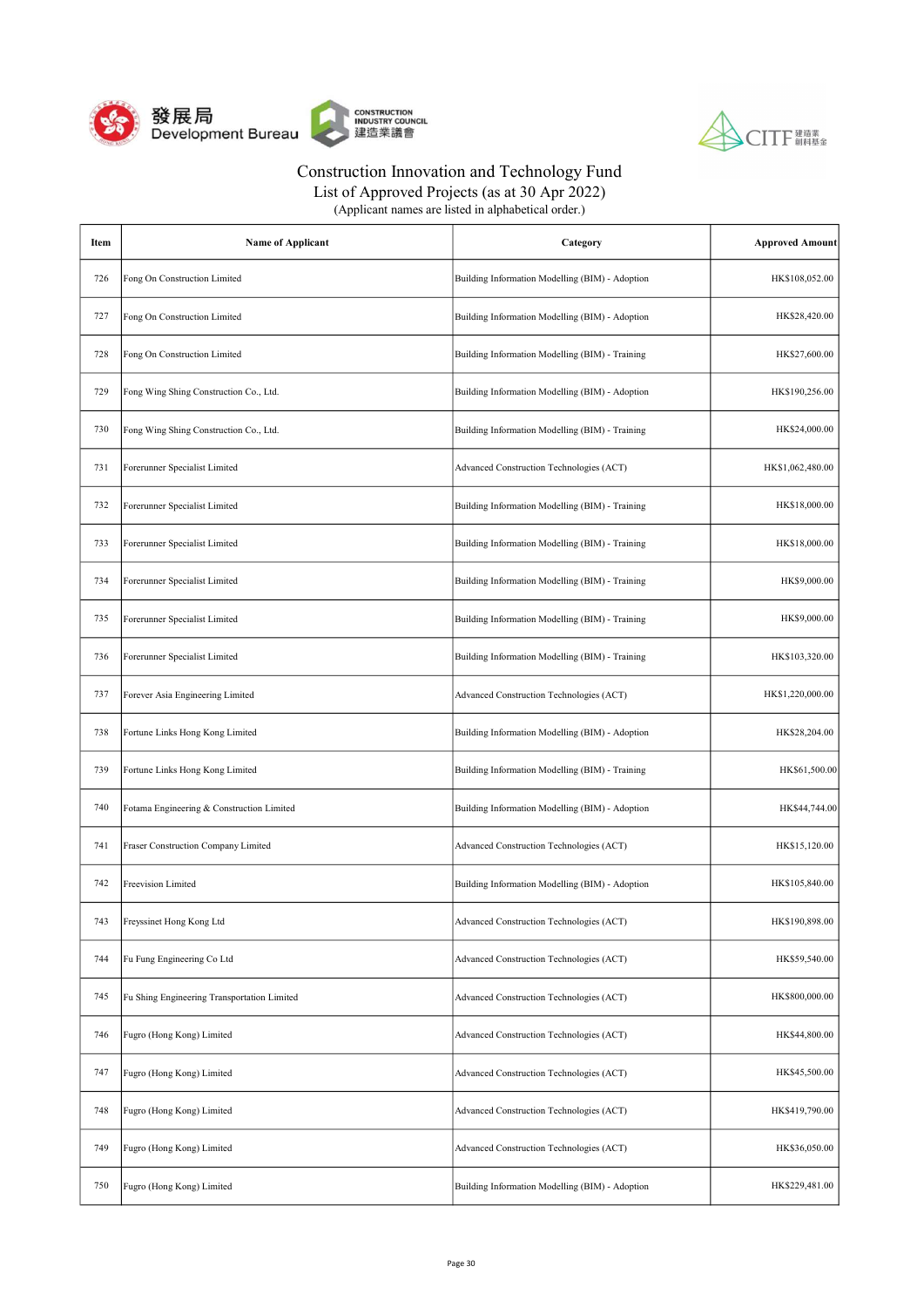



List of Approved Projects (as at 30 Apr 2022)

| Item | <b>Name of Applicant</b>                    | Category                                        | <b>Approved Amount</b> |
|------|---------------------------------------------|-------------------------------------------------|------------------------|
| 726  | Fong On Construction Limited                | Building Information Modelling (BIM) - Adoption | HK\$108,052.00         |
| 727  | Fong On Construction Limited                | Building Information Modelling (BIM) - Adoption | HK\$28,420.00          |
| 728  | Fong On Construction Limited                | Building Information Modelling (BIM) - Training | HK\$27,600.00          |
| 729  | Fong Wing Shing Construction Co., Ltd.      | Building Information Modelling (BIM) - Adoption | HK\$190,256.00         |
| 730  | Fong Wing Shing Construction Co., Ltd.      | Building Information Modelling (BIM) - Training | HK\$24,000.00          |
| 731  | Forerunner Specialist Limited               | Advanced Construction Technologies (ACT)        | HK\$1,062,480.00       |
| 732  | Forerunner Specialist Limited               | Building Information Modelling (BIM) - Training | HK\$18,000.00          |
| 733  | Forerunner Specialist Limited               | Building Information Modelling (BIM) - Training | HK\$18,000.00          |
| 734  | Forerunner Specialist Limited               | Building Information Modelling (BIM) - Training | HK\$9,000.00           |
| 735  | Forerunner Specialist Limited               | Building Information Modelling (BIM) - Training | HK\$9,000.00           |
| 736  | Forerunner Specialist Limited               | Building Information Modelling (BIM) - Training | HK\$103,320.00         |
| 737  | Forever Asia Engineering Limited            | Advanced Construction Technologies (ACT)        | HK\$1,220,000.00       |
| 738  | Fortune Links Hong Kong Limited             | Building Information Modelling (BIM) - Adoption | HK\$28,204.00          |
| 739  | Fortune Links Hong Kong Limited             | Building Information Modelling (BIM) - Training | HK\$61,500.00          |
| 740  | Fotama Engineering & Construction Limited   | Building Information Modelling (BIM) - Adoption | HK\$44,744.00          |
| 741  | Fraser Construction Company Limited         | Advanced Construction Technologies (ACT)        | HK\$15,120.00          |
| 742  | Freevision Limited                          | Building Information Modelling (BIM) - Adoption | HK\$105,840.00         |
| 743  | Freyssinet Hong Kong Ltd                    | Advanced Construction Technologies (ACT)        | HK\$190,898.00         |
| 744  | Fu Fung Engineering Co Ltd                  | Advanced Construction Technologies (ACT)        | HK\$59,540.00          |
| 745  | Fu Shing Engineering Transportation Limited | Advanced Construction Technologies (ACT)        | HK\$800,000.00         |
| 746  | Fugro (Hong Kong) Limited                   | Advanced Construction Technologies (ACT)        | HK\$44,800.00          |
| 747  | Fugro (Hong Kong) Limited                   | Advanced Construction Technologies (ACT)        | HK\$45,500.00          |
| 748  | Fugro (Hong Kong) Limited                   | Advanced Construction Technologies (ACT)        | HK\$419,790.00         |
| 749  | Fugro (Hong Kong) Limited                   | Advanced Construction Technologies (ACT)        | HK\$36,050.00          |
| 750  | Fugro (Hong Kong) Limited                   | Building Information Modelling (BIM) - Adoption | HK\$229,481.00         |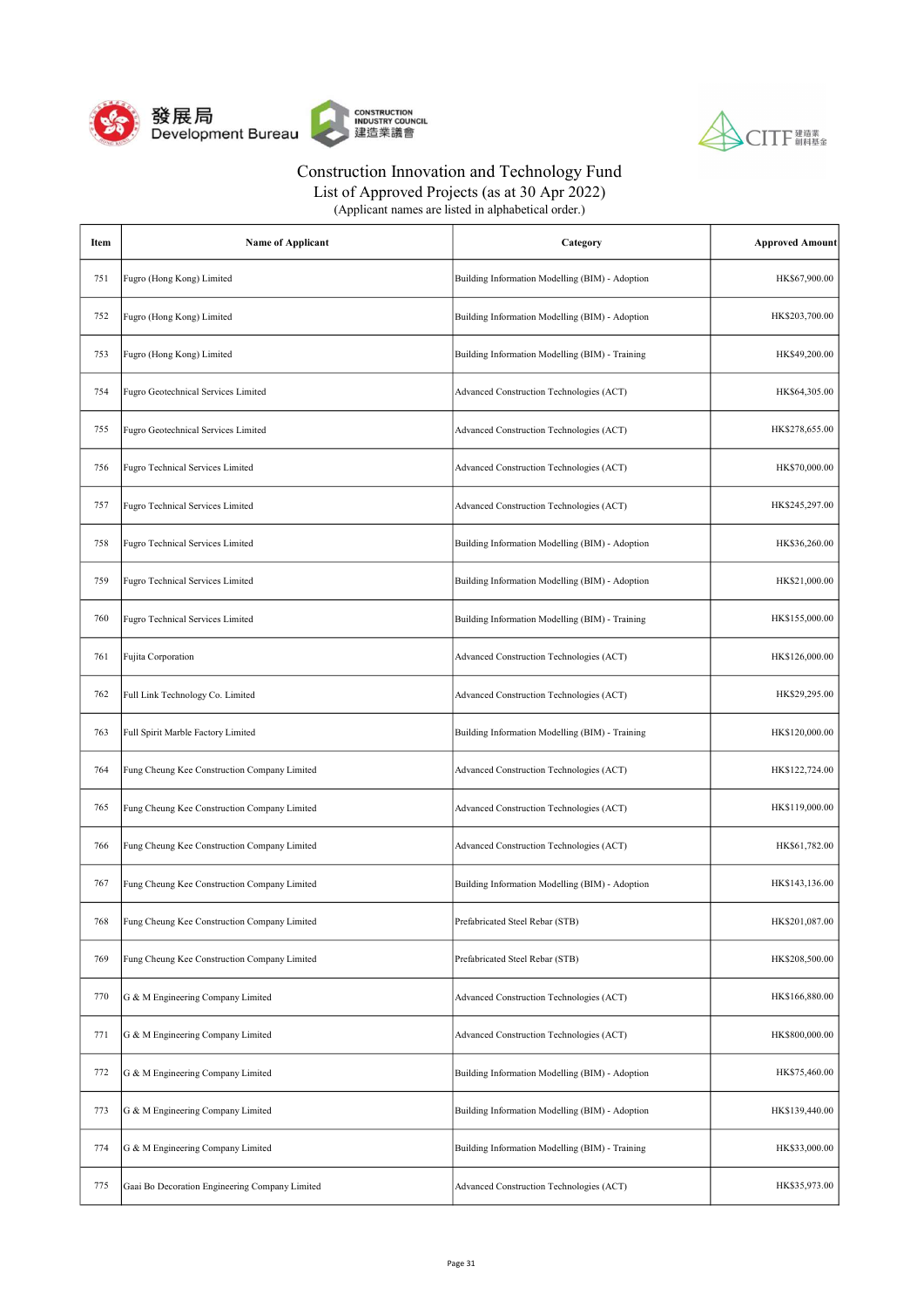



List of Approved Projects (as at 30 Apr 2022)

| Item | <b>Name of Applicant</b>                       | Category                                        | <b>Approved Amount</b> |
|------|------------------------------------------------|-------------------------------------------------|------------------------|
| 751  | Fugro (Hong Kong) Limited                      | Building Information Modelling (BIM) - Adoption | HK\$67,900.00          |
| 752  | Fugro (Hong Kong) Limited                      | Building Information Modelling (BIM) - Adoption | HK\$203,700.00         |
| 753  | Fugro (Hong Kong) Limited                      | Building Information Modelling (BIM) - Training | HK\$49,200.00          |
| 754  | Fugro Geotechnical Services Limited            | Advanced Construction Technologies (ACT)        | HK\$64,305.00          |
| 755  | Fugro Geotechnical Services Limited            | Advanced Construction Technologies (ACT)        | HK\$278,655.00         |
| 756  | Fugro Technical Services Limited               | Advanced Construction Technologies (ACT)        | HK\$70,000.00          |
| 757  | Fugro Technical Services Limited               | Advanced Construction Technologies (ACT)        | HK\$245,297.00         |
| 758  | Fugro Technical Services Limited               | Building Information Modelling (BIM) - Adoption | HK\$36,260.00          |
| 759  | Fugro Technical Services Limited               | Building Information Modelling (BIM) - Adoption | HK\$21,000.00          |
| 760  | Fugro Technical Services Limited               | Building Information Modelling (BIM) - Training | HK\$155,000.00         |
| 761  | Fujita Corporation                             | Advanced Construction Technologies (ACT)        | HK\$126,000.00         |
| 762  | Full Link Technology Co. Limited               | Advanced Construction Technologies (ACT)        | HK\$29,295.00          |
| 763  | Full Spirit Marble Factory Limited             | Building Information Modelling (BIM) - Training | HK\$120,000.00         |
| 764  | Fung Cheung Kee Construction Company Limited   | Advanced Construction Technologies (ACT)        | HK\$122,724.00         |
| 765  | Fung Cheung Kee Construction Company Limited   | Advanced Construction Technologies (ACT)        | HK\$119,000.00         |
| 766  | Fung Cheung Kee Construction Company Limited   | Advanced Construction Technologies (ACT)        | HK\$61,782.00          |
| 767  | Fung Cheung Kee Construction Company Limited   | Building Information Modelling (BIM) - Adoption | HK\$143,136.00         |
| 768  | Fung Cheung Kee Construction Company Limited   | Prefabricated Steel Rebar (STB)                 | HK\$201,087.00         |
| 769  | Fung Cheung Kee Construction Company Limited   | Prefabricated Steel Rebar (STB)                 | HK\$208,500.00         |
| 770  | G & M Engineering Company Limited              | Advanced Construction Technologies (ACT)        | HK\$166,880.00         |
| 771  | G & M Engineering Company Limited              | Advanced Construction Technologies (ACT)        | HK\$800,000.00         |
| 772  | G & M Engineering Company Limited              | Building Information Modelling (BIM) - Adoption | HK\$75,460.00          |
| 773  | G & M Engineering Company Limited              | Building Information Modelling (BIM) - Adoption | HK\$139,440.00         |
| 774  | G & M Engineering Company Limited              | Building Information Modelling (BIM) - Training | HK\$33,000.00          |
| 775  | Gaai Bo Decoration Engineering Company Limited | Advanced Construction Technologies (ACT)        | HK\$35,973.00          |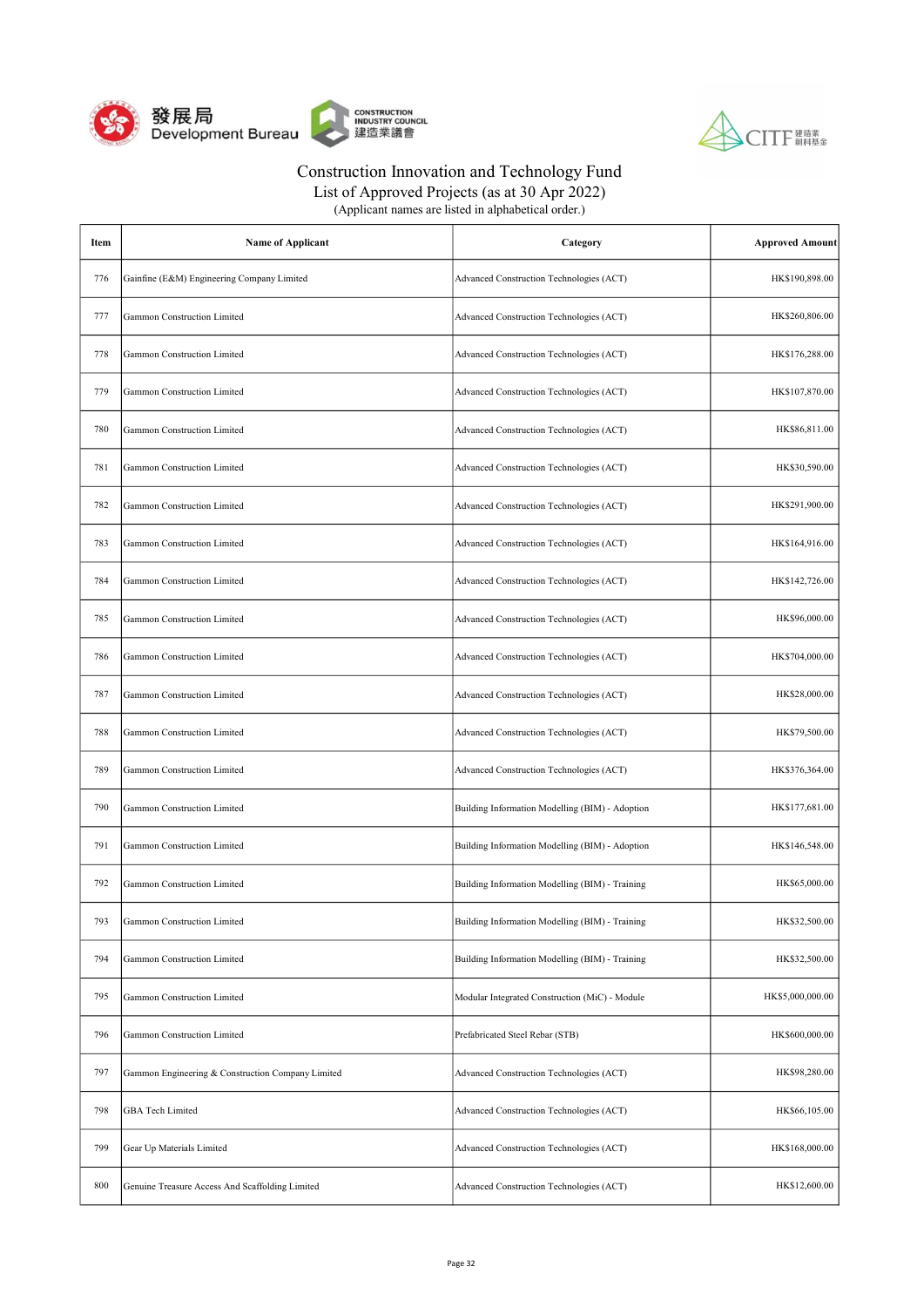



| (Applicant names are listed in alphabetical order.) |  |
|-----------------------------------------------------|--|
|-----------------------------------------------------|--|

| Item | <b>Name of Applicant</b>                          | Category                                        | <b>Approved Amount</b> |
|------|---------------------------------------------------|-------------------------------------------------|------------------------|
| 776  | Gainfine (E&M) Engineering Company Limited        | Advanced Construction Technologies (ACT)        | HK\$190,898.00         |
| 777  | Gammon Construction Limited                       | Advanced Construction Technologies (ACT)        | HK\$260,806.00         |
| 778  | Gammon Construction Limited                       | Advanced Construction Technologies (ACT)        | HK\$176,288.00         |
| 779  | <b>Gammon Construction Limited</b>                | Advanced Construction Technologies (ACT)        | HK\$107,870.00         |
| 780  | <b>Gammon Construction Limited</b>                | Advanced Construction Technologies (ACT)        | HK\$86,811.00          |
| 781  | <b>Gammon Construction Limited</b>                | Advanced Construction Technologies (ACT)        | HK\$30,590.00          |
| 782  | Gammon Construction Limited                       | Advanced Construction Technologies (ACT)        | HK\$291,900.00         |
| 783  | Gammon Construction Limited                       | Advanced Construction Technologies (ACT)        | HK\$164,916.00         |
| 784  | Gammon Construction Limited                       | Advanced Construction Technologies (ACT)        | HK\$142,726.00         |
| 785  | Gammon Construction Limited                       | Advanced Construction Technologies (ACT)        | HK\$96,000.00          |
| 786  | Gammon Construction Limited                       | Advanced Construction Technologies (ACT)        | HK\$704,000.00         |
| 787  | <b>Gammon Construction Limited</b>                | Advanced Construction Technologies (ACT)        | HK\$28,000.00          |
| 788  | <b>Gammon Construction Limited</b>                | Advanced Construction Technologies (ACT)        | HK\$79,500.00          |
| 789  | <b>Gammon Construction Limited</b>                | Advanced Construction Technologies (ACT)        | HK\$376,364.00         |
| 790  | Gammon Construction Limited                       | Building Information Modelling (BIM) - Adoption | HK\$177,681.00         |
| 791  | Gammon Construction Limited                       | Building Information Modelling (BIM) - Adoption | HK\$146,548.00         |
| 792  | Gammon Construction Limited                       | Building Information Modelling (BIM) - Training | HK\$65,000.00          |
| 793  | Gammon Construction Limited                       | Building Information Modelling (BIM) - Training | HK\$32,500.00          |
| 794  | Gammon Construction Limited                       | Building Information Modelling (BIM) - Training | HK\$32,500.00          |
| 795  | Gammon Construction Limited                       | Modular Integrated Construction (MiC) - Module  | HK\$5,000,000.00       |
| 796  | Gammon Construction Limited                       | Prefabricated Steel Rebar (STB)                 | HK\$600,000.00         |
| 797  | Gammon Engineering & Construction Company Limited | Advanced Construction Technologies (ACT)        | HK\$98,280.00          |
| 798  | GBA Tech Limited                                  | Advanced Construction Technologies (ACT)        | HK\$66,105.00          |
| 799  | Gear Up Materials Limited                         | Advanced Construction Technologies (ACT)        | HK\$168,000.00         |
| 800  | Genuine Treasure Access And Scaffolding Limited   | Advanced Construction Technologies (ACT)        | HK\$12,600.00          |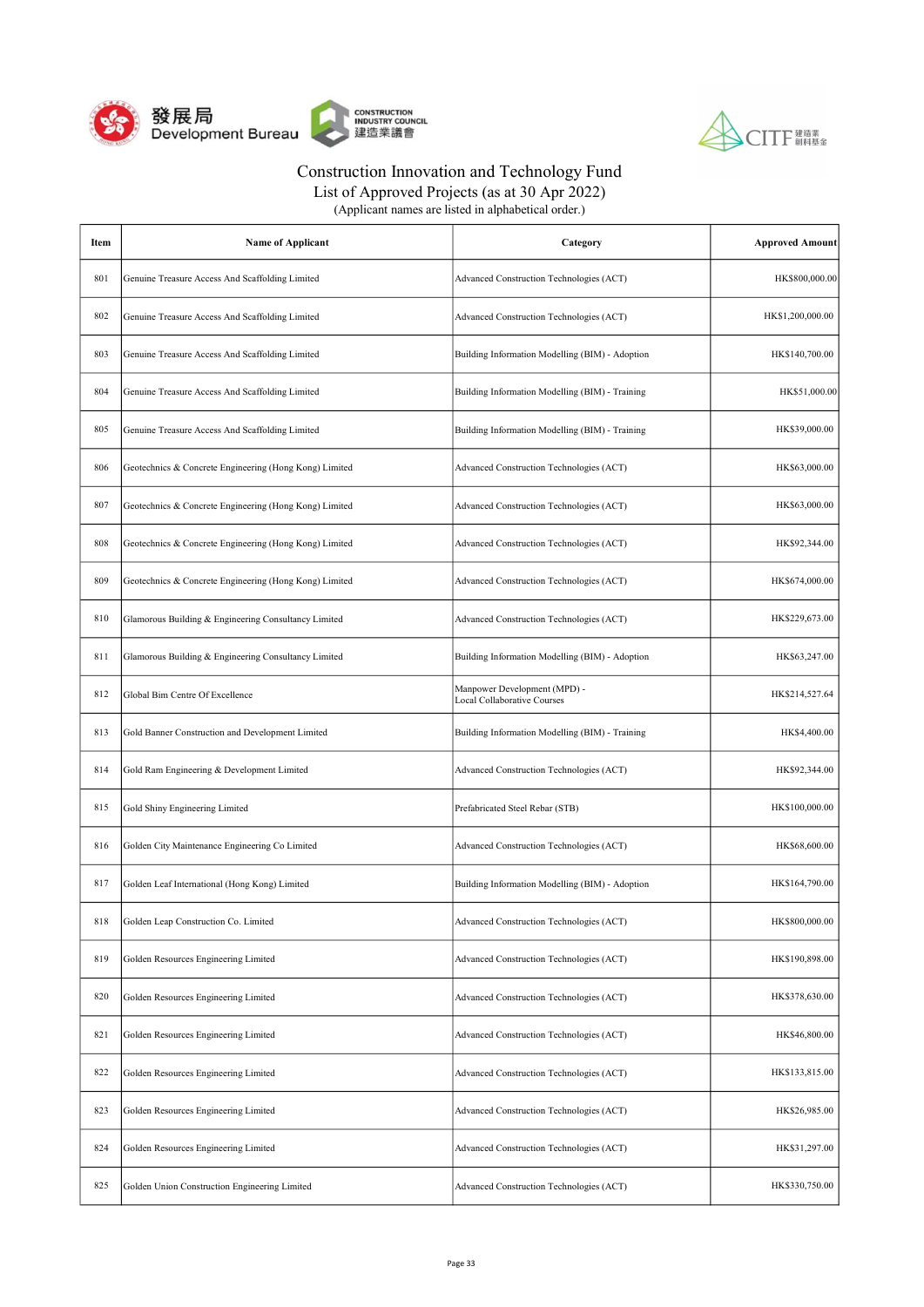



| Item | <b>Name of Applicant</b>                               | Category                                                           | <b>Approved Amount</b> |
|------|--------------------------------------------------------|--------------------------------------------------------------------|------------------------|
| 801  | Genuine Treasure Access And Scaffolding Limited        | Advanced Construction Technologies (ACT)                           | HK\$800,000.00         |
| 802  | Genuine Treasure Access And Scaffolding Limited        | Advanced Construction Technologies (ACT)                           | HK\$1,200,000.00       |
| 803  | Genuine Treasure Access And Scaffolding Limited        | Building Information Modelling (BIM) - Adoption                    | HK\$140,700.00         |
| 804  | Genuine Treasure Access And Scaffolding Limited        | Building Information Modelling (BIM) - Training                    | HK\$51,000.00          |
| 805  | Genuine Treasure Access And Scaffolding Limited        | Building Information Modelling (BIM) - Training                    | HK\$39,000.00          |
| 806  | Geotechnics & Concrete Engineering (Hong Kong) Limited | Advanced Construction Technologies (ACT)                           | HK\$63,000.00          |
| 807  | Geotechnics & Concrete Engineering (Hong Kong) Limited | Advanced Construction Technologies (ACT)                           | HK\$63,000.00          |
| 808  | Geotechnics & Concrete Engineering (Hong Kong) Limited | Advanced Construction Technologies (ACT)                           | HK\$92,344.00          |
| 809  | Geotechnics & Concrete Engineering (Hong Kong) Limited | Advanced Construction Technologies (ACT)                           | HK\$674,000.00         |
| 810  | Glamorous Building & Engineering Consultancy Limited   | Advanced Construction Technologies (ACT)                           | HK\$229,673.00         |
| 811  | Glamorous Building & Engineering Consultancy Limited   | Building Information Modelling (BIM) - Adoption                    | HK\$63,247.00          |
| 812  | Global Bim Centre Of Excellence                        | Manpower Development (MPD) -<br><b>Local Collaborative Courses</b> | HK\$214,527.64         |
| 813  | Gold Banner Construction and Development Limited       | Building Information Modelling (BIM) - Training                    | HK\$4,400.00           |
| 814  | Gold Ram Engineering & Development Limited             | Advanced Construction Technologies (ACT)                           | HK\$92,344.00          |
| 815  | Gold Shiny Engineering Limited                         | Prefabricated Steel Rebar (STB)                                    | HK\$100,000.00         |
| 816  | Golden City Maintenance Engineering Co Limited         | Advanced Construction Technologies (ACT)                           | HK\$68,600.00          |
| 817  | Golden Leaf International (Hong Kong) Limited          | Building Information Modelling (BIM) - Adoption                    | HK\$164,790.00         |
| 818  | Golden Leap Construction Co. Limited                   | Advanced Construction Technologies (ACT)                           | HK\$800,000.00         |
| 819  | Golden Resources Engineering Limited                   | Advanced Construction Technologies (ACT)                           | HK\$190,898.00         |
| 820  | Golden Resources Engineering Limited                   | Advanced Construction Technologies (ACT)                           | HK\$378,630.00         |
| 821  | Golden Resources Engineering Limited                   | Advanced Construction Technologies (ACT)                           | HK\$46,800.00          |
| 822  | Golden Resources Engineering Limited                   | Advanced Construction Technologies (ACT)                           | HK\$133,815.00         |
| 823  | Golden Resources Engineering Limited                   | Advanced Construction Technologies (ACT)                           | HK\$26,985.00          |
| 824  | Golden Resources Engineering Limited                   | Advanced Construction Technologies (ACT)                           | HK\$31,297.00          |
| 825  | Golden Union Construction Engineering Limited          | Advanced Construction Technologies (ACT)                           | HK\$330,750.00         |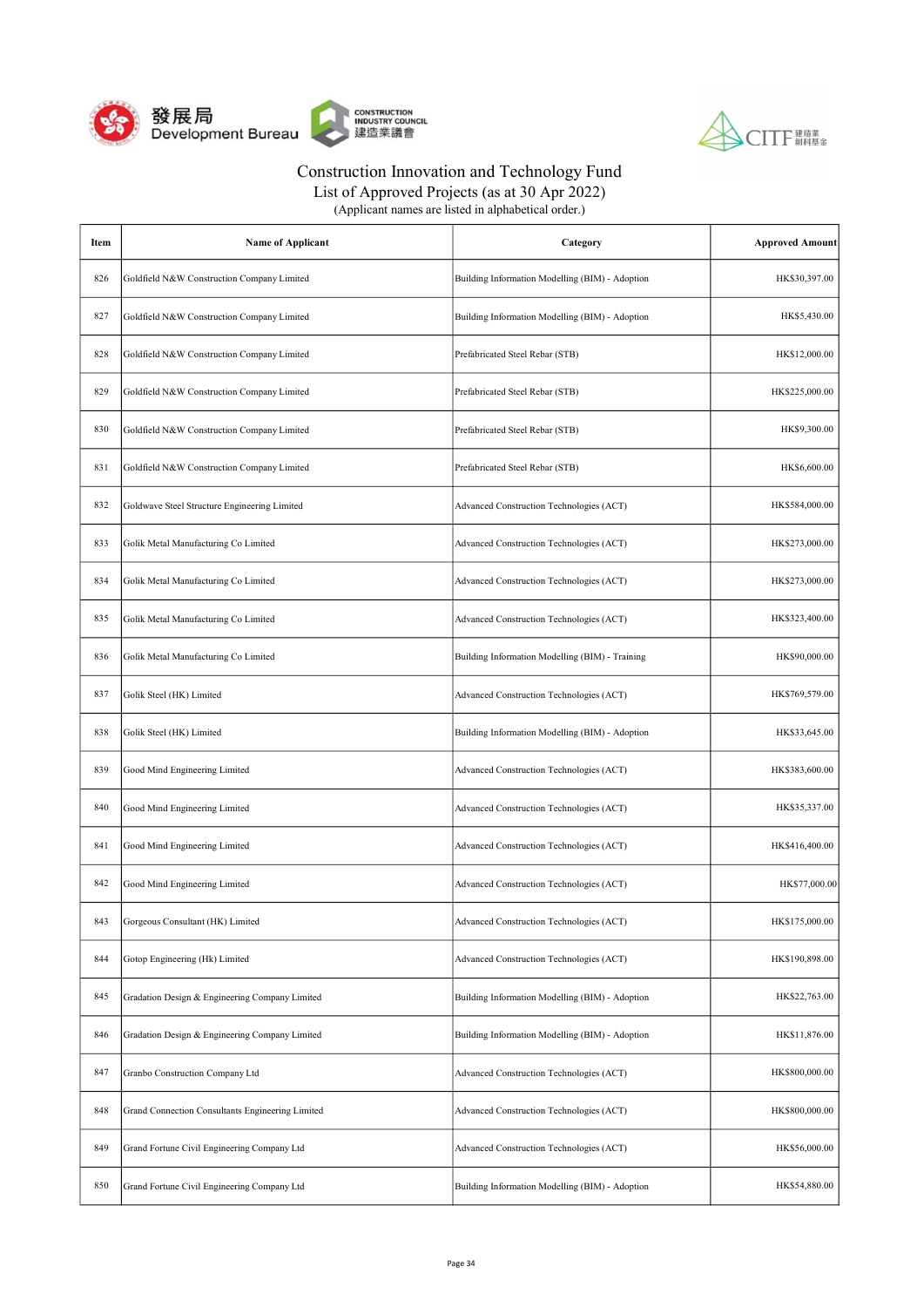



| (Applicant names are listed in alphabetical order.) |
|-----------------------------------------------------|
|-----------------------------------------------------|

| Item | <b>Name of Applicant</b>                         | Category                                        | <b>Approved Amount</b> |
|------|--------------------------------------------------|-------------------------------------------------|------------------------|
| 826  | Goldfield N&W Construction Company Limited       | Building Information Modelling (BIM) - Adoption | HK\$30,397.00          |
| 827  | Goldfield N&W Construction Company Limited       | Building Information Modelling (BIM) - Adoption | HK\$5,430.00           |
| 828  | Goldfield N&W Construction Company Limited       | Prefabricated Steel Rebar (STB)                 | HK\$12,000.00          |
| 829  | Goldfield N&W Construction Company Limited       | Prefabricated Steel Rebar (STB)                 | HK\$225,000.00         |
| 830  | Goldfield N&W Construction Company Limited       | Prefabricated Steel Rebar (STB)                 | HK\$9,300.00           |
| 831  | Goldfield N&W Construction Company Limited       | Prefabricated Steel Rebar (STB)                 | HK\$6,600.00           |
| 832  | Goldwave Steel Structure Engineering Limited     | Advanced Construction Technologies (ACT)        | HK\$584,000.00         |
| 833  | Golik Metal Manufacturing Co Limited             | Advanced Construction Technologies (ACT)        | HK\$273,000.00         |
| 834  | Golik Metal Manufacturing Co Limited             | Advanced Construction Technologies (ACT)        | HK\$273,000.00         |
| 835  | Golik Metal Manufacturing Co Limited             | Advanced Construction Technologies (ACT)        | HK\$323,400.00         |
| 836  | Golik Metal Manufacturing Co Limited             | Building Information Modelling (BIM) - Training | HK\$90,000.00          |
| 837  | Golik Steel (HK) Limited                         | Advanced Construction Technologies (ACT)        | HK\$769,579.00         |
| 838  | Golik Steel (HK) Limited                         | Building Information Modelling (BIM) - Adoption | HK\$33,645.00          |
| 839  | Good Mind Engineering Limited                    | Advanced Construction Technologies (ACT)        | HK\$383,600.00         |
| 840  | Good Mind Engineering Limited                    | Advanced Construction Technologies (ACT)        | HK\$35,337.00          |
| 841  | Good Mind Engineering Limited                    | Advanced Construction Technologies (ACT)        | HK\$416,400.00         |
| 842  | Good Mind Engineering Limited                    | Advanced Construction Technologies (ACT)        | HK\$77,000.00          |
| 843  | Gorgeous Consultant (HK) Limited                 | Advanced Construction Technologies (ACT)        | HK\$175,000.00         |
| 844  | Gotop Engineering (Hk) Limited                   | Advanced Construction Technologies (ACT)        | HK\$190,898.00         |
| 845  | Gradation Design & Engineering Company Limited   | Building Information Modelling (BIM) - Adoption | HK\$22,763.00          |
| 846  | Gradation Design & Engineering Company Limited   | Building Information Modelling (BIM) - Adoption | HK\$11,876.00          |
| 847  | Granbo Construction Company Ltd                  | Advanced Construction Technologies (ACT)        | HK\$800,000.00         |
| 848  | Grand Connection Consultants Engineering Limited | Advanced Construction Technologies (ACT)        | HK\$800,000.00         |
| 849  | Grand Fortune Civil Engineering Company Ltd      | Advanced Construction Technologies (ACT)        | HK\$56,000.00          |
| 850  | Grand Fortune Civil Engineering Company Ltd      | Building Information Modelling (BIM) - Adoption | HK\$54,880.00          |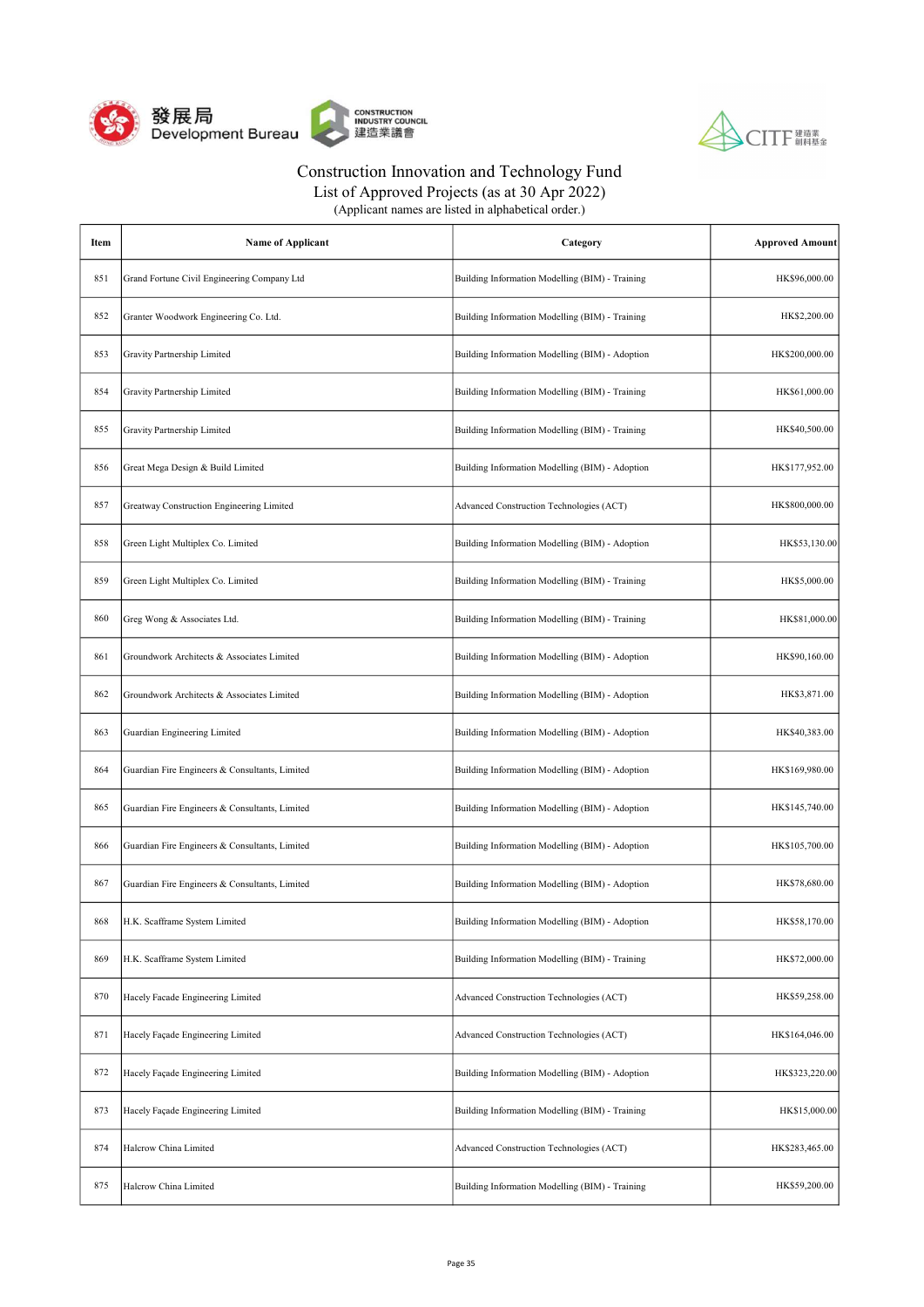



List of Approved Projects (as at 30 Apr 2022)

| Item | Name of Applicant                              | Category                                        | <b>Approved Amount</b> |
|------|------------------------------------------------|-------------------------------------------------|------------------------|
| 851  | Grand Fortune Civil Engineering Company Ltd    | Building Information Modelling (BIM) - Training | HK\$96,000.00          |
| 852  | Granter Woodwork Engineering Co. Ltd.          | Building Information Modelling (BIM) - Training | HK\$2,200.00           |
| 853  | Gravity Partnership Limited                    | Building Information Modelling (BIM) - Adoption | HK\$200,000.00         |
| 854  | Gravity Partnership Limited                    | Building Information Modelling (BIM) - Training | HK\$61,000.00          |
| 855  | Gravity Partnership Limited                    | Building Information Modelling (BIM) - Training | HK\$40,500.00          |
| 856  | Great Mega Design & Build Limited              | Building Information Modelling (BIM) - Adoption | HK\$177,952.00         |
| 857  | Greatway Construction Engineering Limited      | Advanced Construction Technologies (ACT)        | HK\$800,000.00         |
| 858  | Green Light Multiplex Co. Limited              | Building Information Modelling (BIM) - Adoption | HK\$53,130.00          |
| 859  | Green Light Multiplex Co. Limited              | Building Information Modelling (BIM) - Training | HK\$5,000.00           |
| 860  | Greg Wong & Associates Ltd.                    | Building Information Modelling (BIM) - Training | HK\$81,000.00          |
| 861  | Groundwork Architects & Associates Limited     | Building Information Modelling (BIM) - Adoption | HK\$90,160.00          |
| 862  | Groundwork Architects & Associates Limited     | Building Information Modelling (BIM) - Adoption | HK\$3,871.00           |
| 863  | Guardian Engineering Limited                   | Building Information Modelling (BIM) - Adoption | HK\$40,383.00          |
| 864  | Guardian Fire Engineers & Consultants, Limited | Building Information Modelling (BIM) - Adoption | HK\$169,980.00         |
| 865  | Guardian Fire Engineers & Consultants, Limited | Building Information Modelling (BIM) - Adoption | HK\$145,740.00         |
| 866  | Guardian Fire Engineers & Consultants, Limited | Building Information Modelling (BIM) - Adoption | HK\$105,700.00         |
| 867  | Guardian Fire Engineers & Consultants, Limited | Building Information Modelling (BIM) - Adoption | HK\$78,680.00          |
| 868  | H.K. Scafframe System Limited                  | Building Information Modelling (BIM) - Adoption | HK\$58,170.00          |
| 869  | H.K. Scafframe System Limited                  | Building Information Modelling (BIM) - Training | HK\$72,000.00          |
| 870  | Hacely Facade Engineering Limited              | Advanced Construction Technologies (ACT)        | HK\$59,258.00          |
| 871  | Hacely Façade Engineering Limited              | Advanced Construction Technologies (ACT)        | HK\$164,046.00         |
| 872  | Hacely Façade Engineering Limited              | Building Information Modelling (BIM) - Adoption | HK\$323,220.00         |
| 873  | Hacely Façade Engineering Limited              | Building Information Modelling (BIM) - Training | HK\$15,000.00          |
| 874  | Halcrow China Limited                          | Advanced Construction Technologies (ACT)        | HK\$283,465.00         |
| 875  | Halcrow China Limited                          | Building Information Modelling (BIM) - Training | HK\$59,200.00          |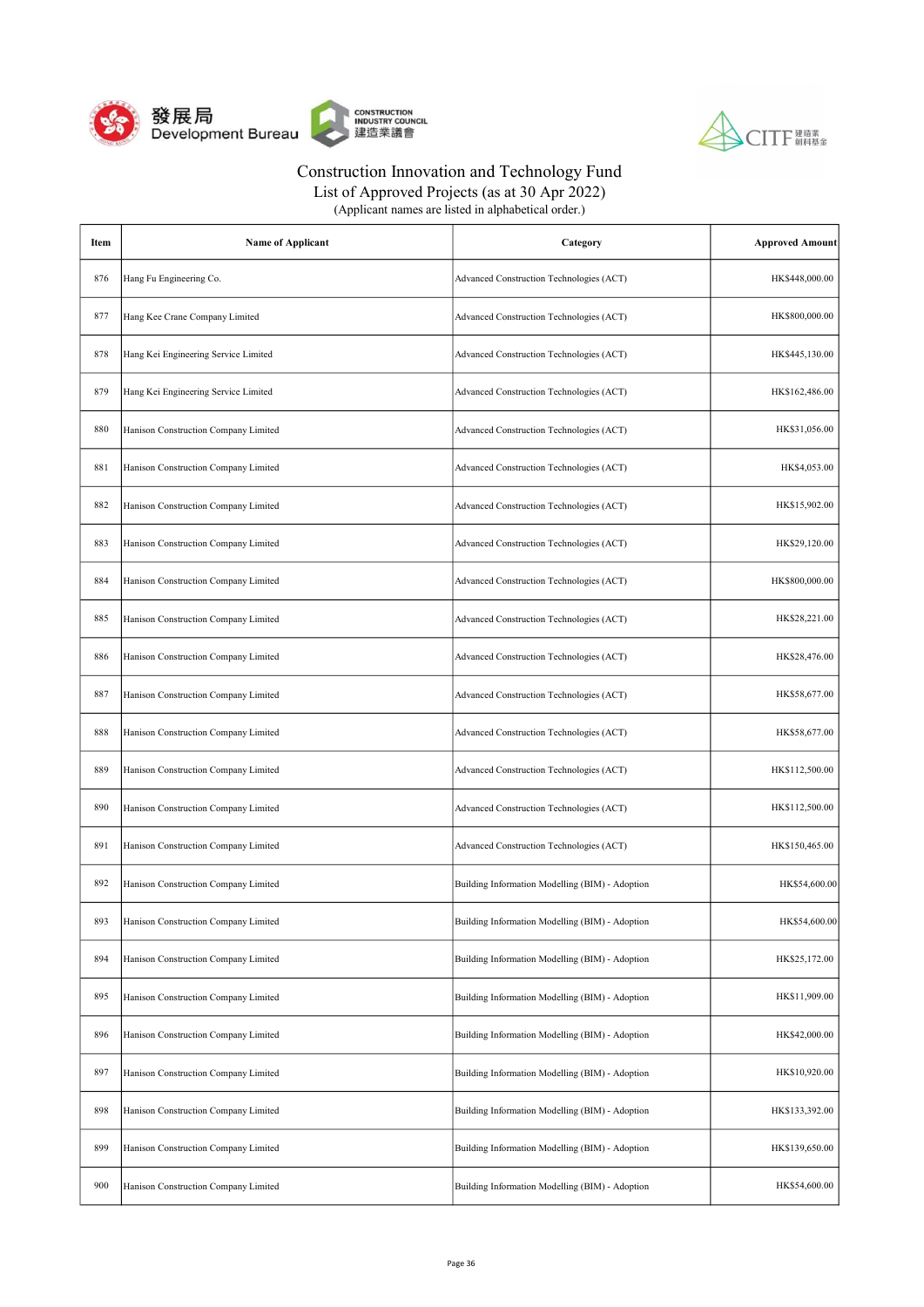



| (Applicant names are listed in alphabetical order.) |
|-----------------------------------------------------|
|-----------------------------------------------------|

| Item | <b>Name of Applicant</b>             | Category                                        | <b>Approved Amount</b> |
|------|--------------------------------------|-------------------------------------------------|------------------------|
| 876  | Hang Fu Engineering Co.              | Advanced Construction Technologies (ACT)        | HK\$448,000.00         |
| 877  | Hang Kee Crane Company Limited       | Advanced Construction Technologies (ACT)        | HK\$800,000.00         |
| 878  | Hang Kei Engineering Service Limited | Advanced Construction Technologies (ACT)        | HK\$445,130.00         |
| 879  | Hang Kei Engineering Service Limited | Advanced Construction Technologies (ACT)        | HK\$162,486.00         |
| 880  | Hanison Construction Company Limited | Advanced Construction Technologies (ACT)        | HK\$31,056.00          |
| 881  | Hanison Construction Company Limited | Advanced Construction Technologies (ACT)        | HK\$4,053.00           |
| 882  | Hanison Construction Company Limited | Advanced Construction Technologies (ACT)        | HK\$15,902.00          |
| 883  | Hanison Construction Company Limited | Advanced Construction Technologies (ACT)        | HK\$29,120.00          |
| 884  | Hanison Construction Company Limited | Advanced Construction Technologies (ACT)        | HK\$800,000.00         |
| 885  | Hanison Construction Company Limited | Advanced Construction Technologies (ACT)        | HK\$28,221.00          |
| 886  | Hanison Construction Company Limited | Advanced Construction Technologies (ACT)        | HK\$28,476.00          |
| 887  | Hanison Construction Company Limited | Advanced Construction Technologies (ACT)        | HK\$58,677.00          |
| 888  | Hanison Construction Company Limited | Advanced Construction Technologies (ACT)        | HK\$58,677.00          |
| 889  | Hanison Construction Company Limited | Advanced Construction Technologies (ACT)        | HK\$112,500.00         |
| 890  | Hanison Construction Company Limited | Advanced Construction Technologies (ACT)        | HK\$112,500.00         |
| 891  | Hanison Construction Company Limited | Advanced Construction Technologies (ACT)        | HK\$150,465.00         |
| 892  | Hanison Construction Company Limited | Building Information Modelling (BIM) - Adoption | HK\$54,600.00          |
| 893  | Hanison Construction Company Limited | Building Information Modelling (BIM) - Adoption | HK\$54,600.00          |
| 894  | Hanison Construction Company Limited | Building Information Modelling (BIM) - Adoption | HK\$25,172.00          |
| 895  | Hanison Construction Company Limited | Building Information Modelling (BIM) - Adoption | HK\$11,909.00          |
| 896  | Hanison Construction Company Limited | Building Information Modelling (BIM) - Adoption | HK\$42,000.00          |
| 897  | Hanison Construction Company Limited | Building Information Modelling (BIM) - Adoption | HK\$10,920.00          |
| 898  | Hanison Construction Company Limited | Building Information Modelling (BIM) - Adoption | HK\$133,392.00         |
| 899  | Hanison Construction Company Limited | Building Information Modelling (BIM) - Adoption | HK\$139,650.00         |
| 900  | Hanison Construction Company Limited | Building Information Modelling (BIM) - Adoption | HK\$54,600.00          |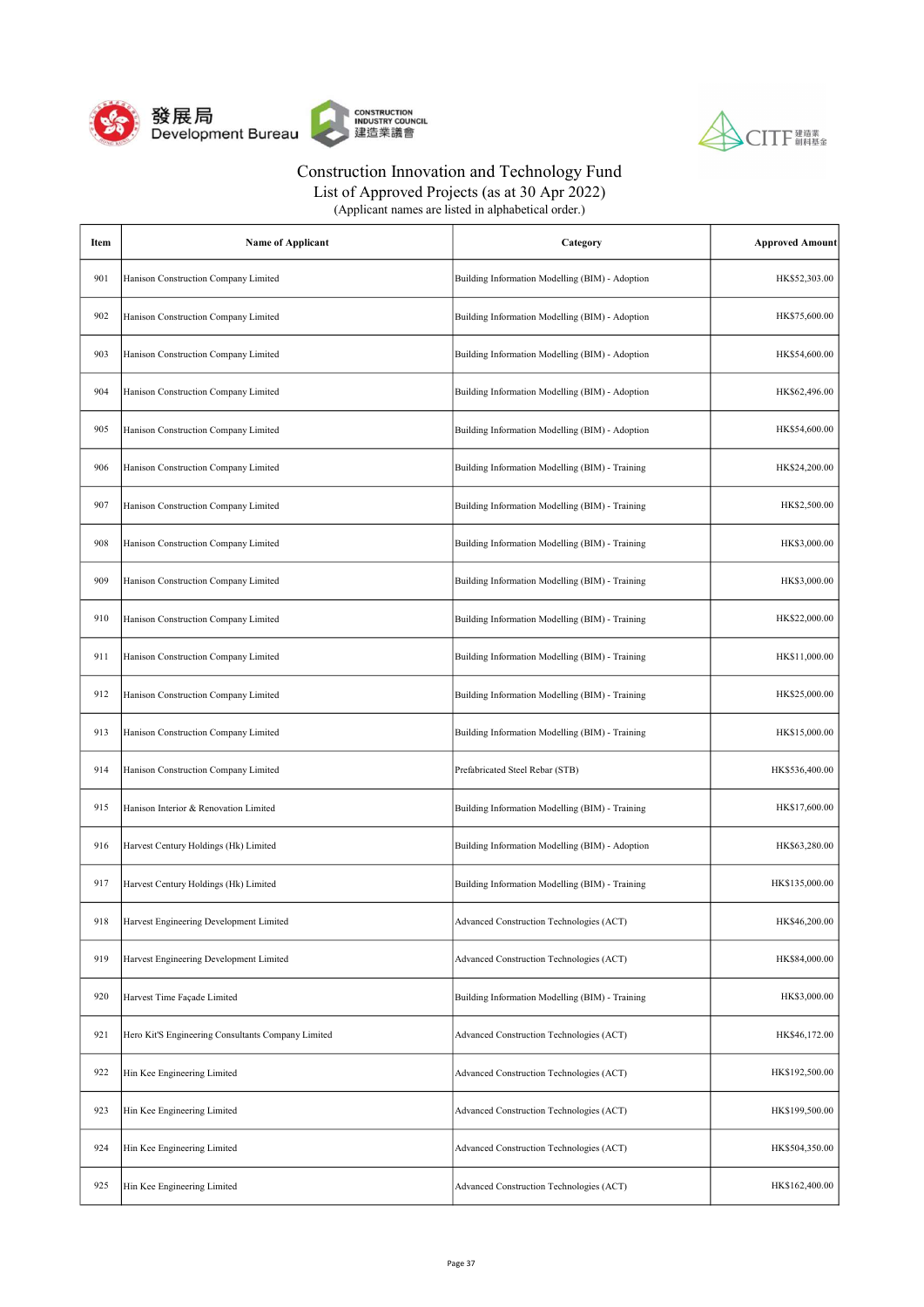



| (Applicant names are listed in alphabetical order.) |  |
|-----------------------------------------------------|--|
|-----------------------------------------------------|--|

| Item | <b>Name of Applicant</b>                           | Category                                        | <b>Approved Amount</b> |
|------|----------------------------------------------------|-------------------------------------------------|------------------------|
| 901  | Hanison Construction Company Limited               | Building Information Modelling (BIM) - Adoption | HK\$52,303.00          |
| 902  | Hanison Construction Company Limited               | Building Information Modelling (BIM) - Adoption | HK\$75,600.00          |
| 903  | Hanison Construction Company Limited               | Building Information Modelling (BIM) - Adoption | HK\$54,600.00          |
| 904  | Hanison Construction Company Limited               | Building Information Modelling (BIM) - Adoption | HK\$62,496.00          |
| 905  | Hanison Construction Company Limited               | Building Information Modelling (BIM) - Adoption | HK\$54,600.00          |
| 906  | Hanison Construction Company Limited               | Building Information Modelling (BIM) - Training | HK\$24,200.00          |
| 907  | Hanison Construction Company Limited               | Building Information Modelling (BIM) - Training | HK\$2,500.00           |
| 908  | Hanison Construction Company Limited               | Building Information Modelling (BIM) - Training | HK\$3,000.00           |
| 909  | Hanison Construction Company Limited               | Building Information Modelling (BIM) - Training | HK\$3,000.00           |
| 910  | Hanison Construction Company Limited               | Building Information Modelling (BIM) - Training | HK\$22,000.00          |
| 911  | Hanison Construction Company Limited               | Building Information Modelling (BIM) - Training | HK\$11,000.00          |
| 912  | Hanison Construction Company Limited               | Building Information Modelling (BIM) - Training | HK\$25,000.00          |
| 913  | Hanison Construction Company Limited               | Building Information Modelling (BIM) - Training | HK\$15,000.00          |
| 914  | Hanison Construction Company Limited               | Prefabricated Steel Rebar (STB)                 | HK\$536,400.00         |
| 915  | Hanison Interior & Renovation Limited              | Building Information Modelling (BIM) - Training | HK\$17,600.00          |
| 916  | Harvest Century Holdings (Hk) Limited              | Building Information Modelling (BIM) - Adoption | HK\$63,280.00          |
| 917  | Harvest Century Holdings (Hk) Limited              | Building Information Modelling (BIM) - Training | HK\$135,000.00         |
| 918  | Harvest Engineering Development Limited            | Advanced Construction Technologies (ACT)        | HK\$46,200.00          |
| 919  | Harvest Engineering Development Limited            | Advanced Construction Technologies (ACT)        | HK\$84,000.00          |
| 920  | Harvest Time Façade Limited                        | Building Information Modelling (BIM) - Training | HK\$3,000.00           |
| 921  | Hero Kit'S Engineering Consultants Company Limited | Advanced Construction Technologies (ACT)        | HK\$46,172.00          |
| 922  | Hin Kee Engineering Limited                        | Advanced Construction Technologies (ACT)        | HK\$192,500.00         |
| 923  | Hin Kee Engineering Limited                        | Advanced Construction Technologies (ACT)        | HK\$199,500.00         |
| 924  | Hin Kee Engineering Limited                        | Advanced Construction Technologies (ACT)        | HK\$504,350.00         |
| 925  | Hin Kee Engineering Limited                        | Advanced Construction Technologies (ACT)        | HK\$162,400.00         |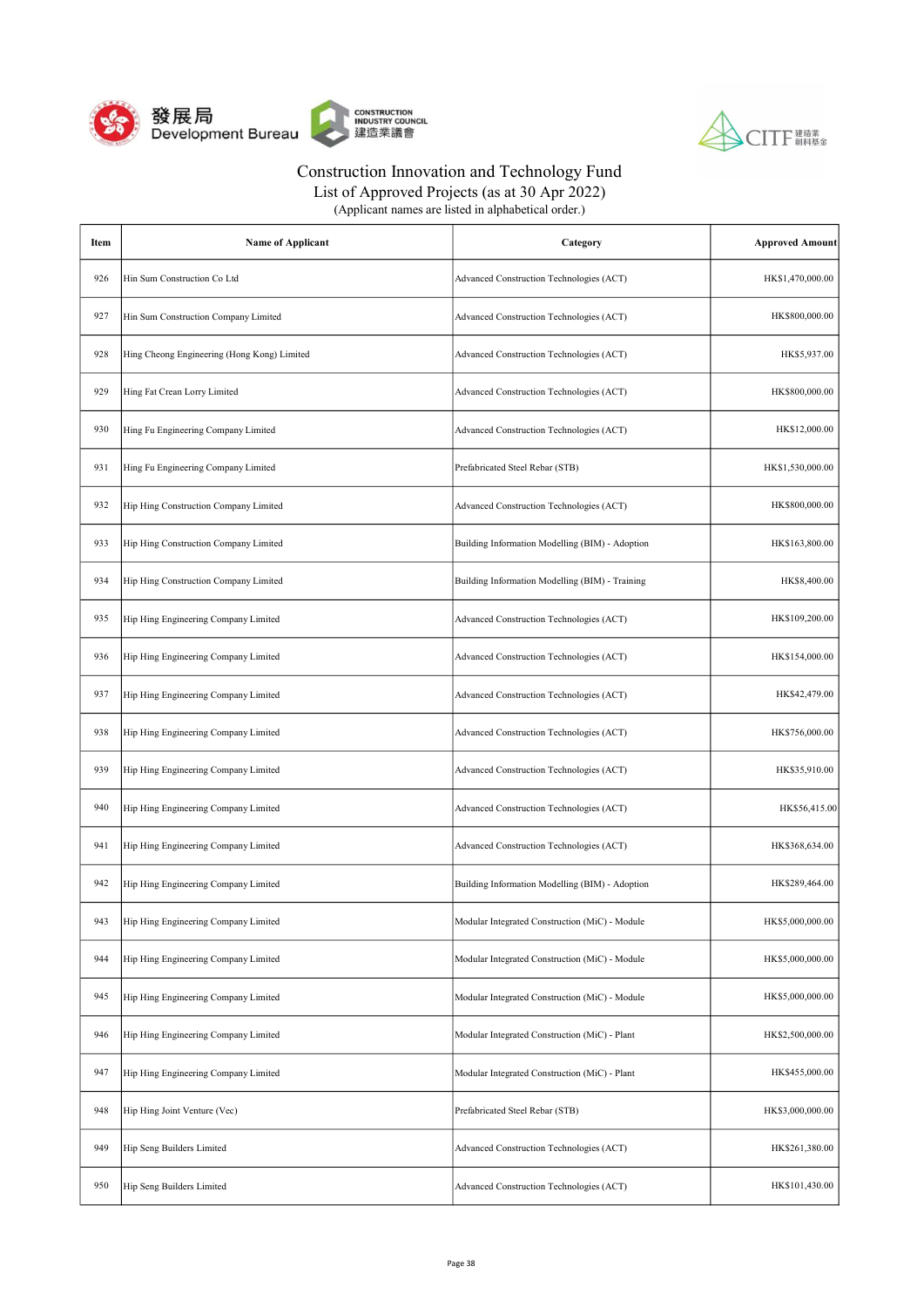



| (Applicant names are listed in alphabetical order.) |  |
|-----------------------------------------------------|--|
|-----------------------------------------------------|--|

| Item | <b>Name of Applicant</b>                    | Category                                        | <b>Approved Amount</b> |
|------|---------------------------------------------|-------------------------------------------------|------------------------|
| 926  | Hin Sum Construction Co Ltd                 | Advanced Construction Technologies (ACT)        | HK\$1,470,000.00       |
| 927  | Hin Sum Construction Company Limited        | Advanced Construction Technologies (ACT)        | HK\$800,000.00         |
| 928  | Hing Cheong Engineering (Hong Kong) Limited | Advanced Construction Technologies (ACT)        | HK\$5,937.00           |
| 929  | Hing Fat Crean Lorry Limited                | Advanced Construction Technologies (ACT)        | HK\$800,000.00         |
| 930  | Hing Fu Engineering Company Limited         | Advanced Construction Technologies (ACT)        | HK\$12,000.00          |
| 931  | Hing Fu Engineering Company Limited         | Prefabricated Steel Rebar (STB)                 | HK\$1,530,000.00       |
| 932  | Hip Hing Construction Company Limited       | Advanced Construction Technologies (ACT)        | HK\$800,000.00         |
| 933  | Hip Hing Construction Company Limited       | Building Information Modelling (BIM) - Adoption | HK\$163,800.00         |
| 934  | Hip Hing Construction Company Limited       | Building Information Modelling (BIM) - Training | HK\$8,400.00           |
| 935  | Hip Hing Engineering Company Limited        | Advanced Construction Technologies (ACT)        | HK\$109,200.00         |
| 936  | Hip Hing Engineering Company Limited        | Advanced Construction Technologies (ACT)        | HK\$154,000.00         |
| 937  | Hip Hing Engineering Company Limited        | Advanced Construction Technologies (ACT)        | HK\$42,479.00          |
| 938  | Hip Hing Engineering Company Limited        | Advanced Construction Technologies (ACT)        | HK\$756,000.00         |
| 939  | Hip Hing Engineering Company Limited        | Advanced Construction Technologies (ACT)        | HK\$35,910.00          |
| 940  | Hip Hing Engineering Company Limited        | Advanced Construction Technologies (ACT)        | HK\$56,415.00          |
| 941  | Hip Hing Engineering Company Limited        | Advanced Construction Technologies (ACT)        | HK\$368,634.00         |
| 942  | Hip Hing Engineering Company Limited        | Building Information Modelling (BIM) - Adoption | HK\$289,464.00         |
| 943  | Hip Hing Engineering Company Limited        | Modular Integrated Construction (MiC) - Module  | HK\$5,000,000.00       |
| 944  | Hip Hing Engineering Company Limited        | Modular Integrated Construction (MiC) - Module  | HK\$5,000,000.00       |
| 945  | Hip Hing Engineering Company Limited        | Modular Integrated Construction (MiC) - Module  | HK\$5,000,000.00       |
| 946  | Hip Hing Engineering Company Limited        | Modular Integrated Construction (MiC) - Plant   | HK\$2,500,000.00       |
| 947  | Hip Hing Engineering Company Limited        | Modular Integrated Construction (MiC) - Plant   | HK\$455,000.00         |
| 948  | Hip Hing Joint Venture (Vec)                | Prefabricated Steel Rebar (STB)                 | HK\$3,000,000.00       |
| 949  | Hip Seng Builders Limited                   | Advanced Construction Technologies (ACT)        | HK\$261,380.00         |
| 950  | Hip Seng Builders Limited                   | Advanced Construction Technologies (ACT)        | HK\$101,430.00         |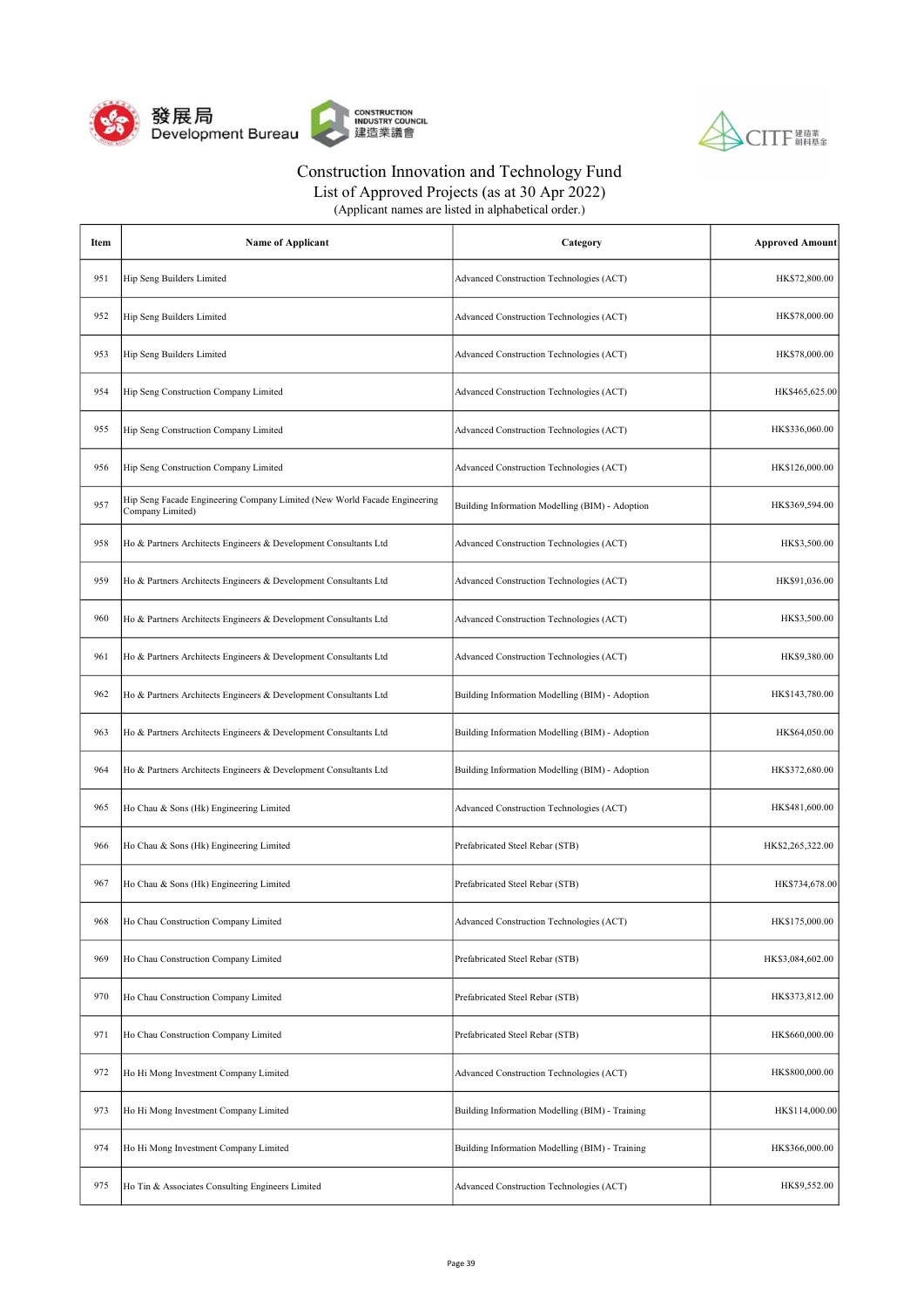



List of Approved Projects (as at 30 Apr 2022)

| Item | <b>Name of Applicant</b>                                                                      | Category                                        | <b>Approved Amount</b> |
|------|-----------------------------------------------------------------------------------------------|-------------------------------------------------|------------------------|
| 951  | Hip Seng Builders Limited                                                                     | Advanced Construction Technologies (ACT)        | HK\$72,800.00          |
| 952  | Hip Seng Builders Limited                                                                     | Advanced Construction Technologies (ACT)        | HK\$78,000.00          |
| 953  | Hip Seng Builders Limited                                                                     | Advanced Construction Technologies (ACT)        | HK\$78,000.00          |
| 954  | Hip Seng Construction Company Limited                                                         | Advanced Construction Technologies (ACT)        | HK\$465,625.00         |
| 955  | Hip Seng Construction Company Limited                                                         | Advanced Construction Technologies (ACT)        | HK\$336,060.00         |
| 956  | Hip Seng Construction Company Limited                                                         | Advanced Construction Technologies (ACT)        | HK\$126,000.00         |
| 957  | Hip Seng Facade Engineering Company Limited (New World Facade Engineering<br>Company Limited) | Building Information Modelling (BIM) - Adoption | HK\$369,594.00         |
| 958  | Ho & Partners Architects Engineers & Development Consultants Ltd                              | Advanced Construction Technologies (ACT)        | HK\$3,500.00           |
| 959  | Ho & Partners Architects Engineers & Development Consultants Ltd                              | Advanced Construction Technologies (ACT)        | HK\$91,036.00          |
| 960  | Ho & Partners Architects Engineers & Development Consultants Ltd                              | Advanced Construction Technologies (ACT)        | HK\$3,500.00           |
| 961  | Ho & Partners Architects Engineers & Development Consultants Ltd                              | Advanced Construction Technologies (ACT)        | HK\$9,380.00           |
| 962  | Ho & Partners Architects Engineers & Development Consultants Ltd                              | Building Information Modelling (BIM) - Adoption | HK\$143,780.00         |
| 963  | Ho & Partners Architects Engineers & Development Consultants Ltd                              | Building Information Modelling (BIM) - Adoption | HK\$64,050.00          |
| 964  | Ho & Partners Architects Engineers & Development Consultants Ltd                              | Building Information Modelling (BIM) - Adoption | HK\$372,680.00         |
| 965  | Ho Chau & Sons (Hk) Engineering Limited                                                       | Advanced Construction Technologies (ACT)        | HK\$481,600.00         |
| 966  | Ho Chau & Sons (Hk) Engineering Limited                                                       | Prefabricated Steel Rebar (STB)                 | HK\$2,265,322.00       |
| 967  | Ho Chau & Sons (Hk) Engineering Limited                                                       | Prefabricated Steel Rebar (STB)                 | HK\$734,678.00         |
| 968  | Ho Chau Construction Company Limited                                                          | Advanced Construction Technologies (ACT)        | HK\$175,000.00         |
| 969  | Ho Chau Construction Company Limited                                                          | Prefabricated Steel Rebar (STB)                 | HK\$3,084,602.00       |
| 970  | Ho Chau Construction Company Limited                                                          | Prefabricated Steel Rebar (STB)                 | HK\$373,812.00         |
| 971  | Ho Chau Construction Company Limited                                                          | Prefabricated Steel Rebar (STB)                 | HK\$660,000.00         |
| 972  | Ho Hi Mong Investment Company Limited                                                         | Advanced Construction Technologies (ACT)        | HK\$800,000.00         |
| 973  | Ho Hi Mong Investment Company Limited                                                         | Building Information Modelling (BIM) - Training | HK\$114,000.00         |
| 974  | Ho Hi Mong Investment Company Limited                                                         | Building Information Modelling (BIM) - Training | HK\$366,000.00         |
| 975  | Ho Tin & Associates Consulting Engineers Limited                                              | Advanced Construction Technologies (ACT)        | HK\$9,552.00           |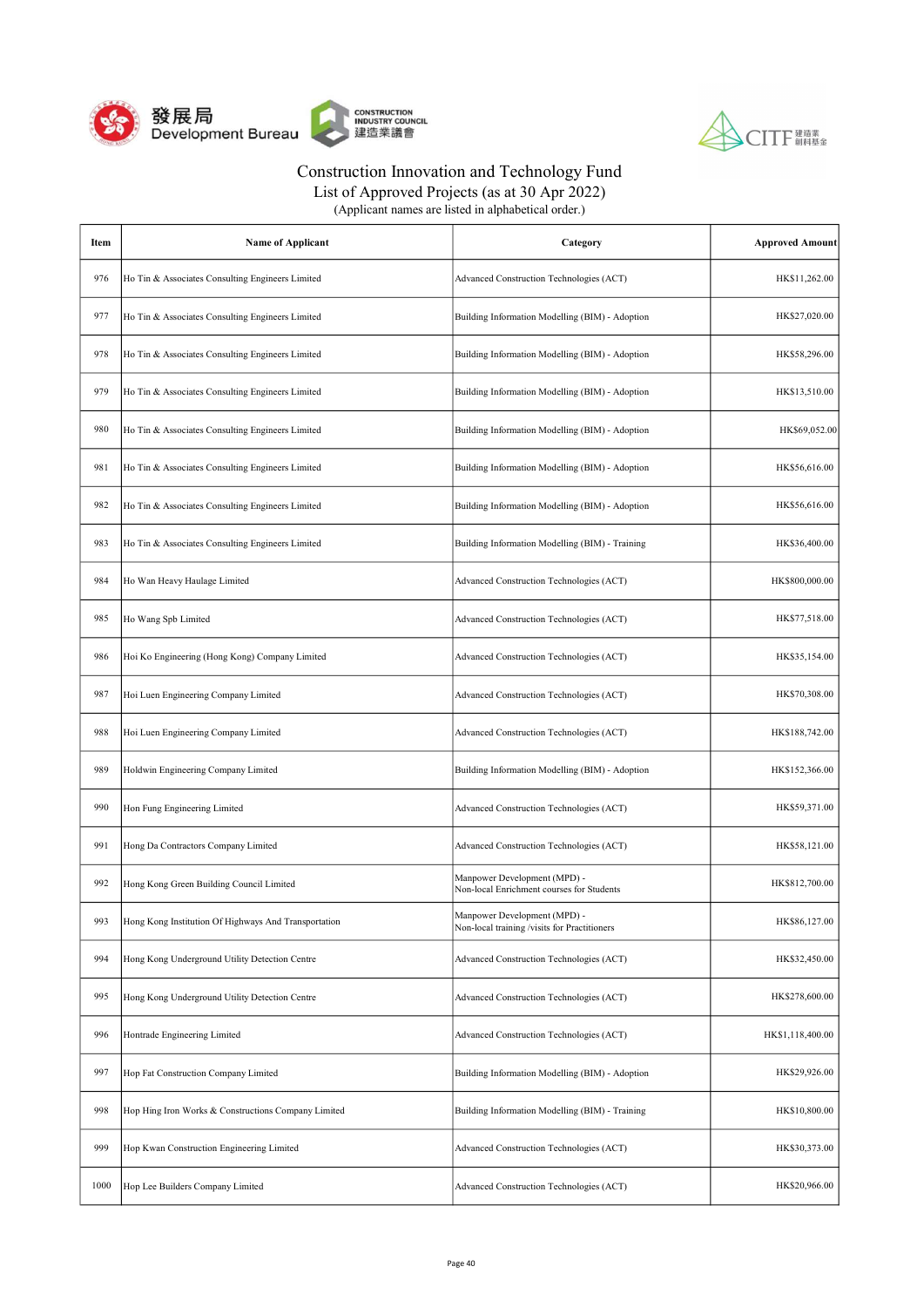



List of Approved Projects (as at 30 Apr 2022) (Applicant names are listed in alphabetical order.)

| Item | <b>Name of Applicant</b>                             | Category                                                                     | <b>Approved Amount</b> |
|------|------------------------------------------------------|------------------------------------------------------------------------------|------------------------|
| 976  | Ho Tin & Associates Consulting Engineers Limited     | Advanced Construction Technologies (ACT)                                     | HK\$11,262.00          |
| 977  | Ho Tin & Associates Consulting Engineers Limited     | Building Information Modelling (BIM) - Adoption                              | HK\$27,020.00          |
| 978  | Ho Tin & Associates Consulting Engineers Limited     | Building Information Modelling (BIM) - Adoption                              | HK\$58,296.00          |
| 979  | Ho Tin & Associates Consulting Engineers Limited     | Building Information Modelling (BIM) - Adoption                              | HK\$13,510.00          |
| 980  | Ho Tin & Associates Consulting Engineers Limited     | Building Information Modelling (BIM) - Adoption                              | HK\$69,052.00          |
| 981  | Ho Tin & Associates Consulting Engineers Limited     | Building Information Modelling (BIM) - Adoption                              | HK\$56,616.00          |
| 982  | Ho Tin & Associates Consulting Engineers Limited     | Building Information Modelling (BIM) - Adoption                              | HK\$56,616.00          |
| 983  | Ho Tin & Associates Consulting Engineers Limited     | Building Information Modelling (BIM) - Training                              | HK\$36,400.00          |
| 984  | Ho Wan Heavy Haulage Limited                         | Advanced Construction Technologies (ACT)                                     | HK\$800,000.00         |
| 985  | Ho Wang Spb Limited                                  | Advanced Construction Technologies (ACT)                                     | HK\$77,518.00          |
| 986  | Hoi Ko Engineering (Hong Kong) Company Limited       | Advanced Construction Technologies (ACT)                                     | HK\$35,154.00          |
| 987  | Hoi Luen Engineering Company Limited                 | Advanced Construction Technologies (ACT)                                     | HK\$70,308.00          |
| 988  | Hoi Luen Engineering Company Limited                 | Advanced Construction Technologies (ACT)                                     | HK\$188,742.00         |
| 989  | Holdwin Engineering Company Limited                  | Building Information Modelling (BIM) - Adoption                              | HK\$152,366.00         |
| 990  | Hon Fung Engineering Limited                         | Advanced Construction Technologies (ACT)                                     | HK\$59,371.00          |
| 991  | Hong Da Contractors Company Limited                  | Advanced Construction Technologies (ACT)                                     | HK\$58,121.00          |
| 992  | Hong Kong Green Building Council Limited             | Manpower Development (MPD) -<br>Non-local Enrichment courses for Students    | HK\$812,700.00         |
| 993  | Hong Kong Institution Of Highways And Transportation | Manpower Development (MPD) -<br>Non-local training /visits for Practitioners | HK\$86,127.00          |
| 994  | Hong Kong Underground Utility Detection Centre       | Advanced Construction Technologies (ACT)                                     | HK\$32,450.00          |
| 995  | Hong Kong Underground Utility Detection Centre       | Advanced Construction Technologies (ACT)                                     | HK\$278,600.00         |
| 996  | Hontrade Engineering Limited                         | Advanced Construction Technologies (ACT)                                     | HK\$1,118,400.00       |
| 997  | Hop Fat Construction Company Limited                 | Building Information Modelling (BIM) - Adoption                              | HK\$29,926.00          |
| 998  | Hop Hing Iron Works & Constructions Company Limited  | Building Information Modelling (BIM) - Training                              | HK\$10,800.00          |
| 999  | Hop Kwan Construction Engineering Limited            | Advanced Construction Technologies (ACT)                                     | HK\$30,373.00          |
| 1000 | Hop Lee Builders Company Limited                     | Advanced Construction Technologies (ACT)                                     | HK\$20,966.00          |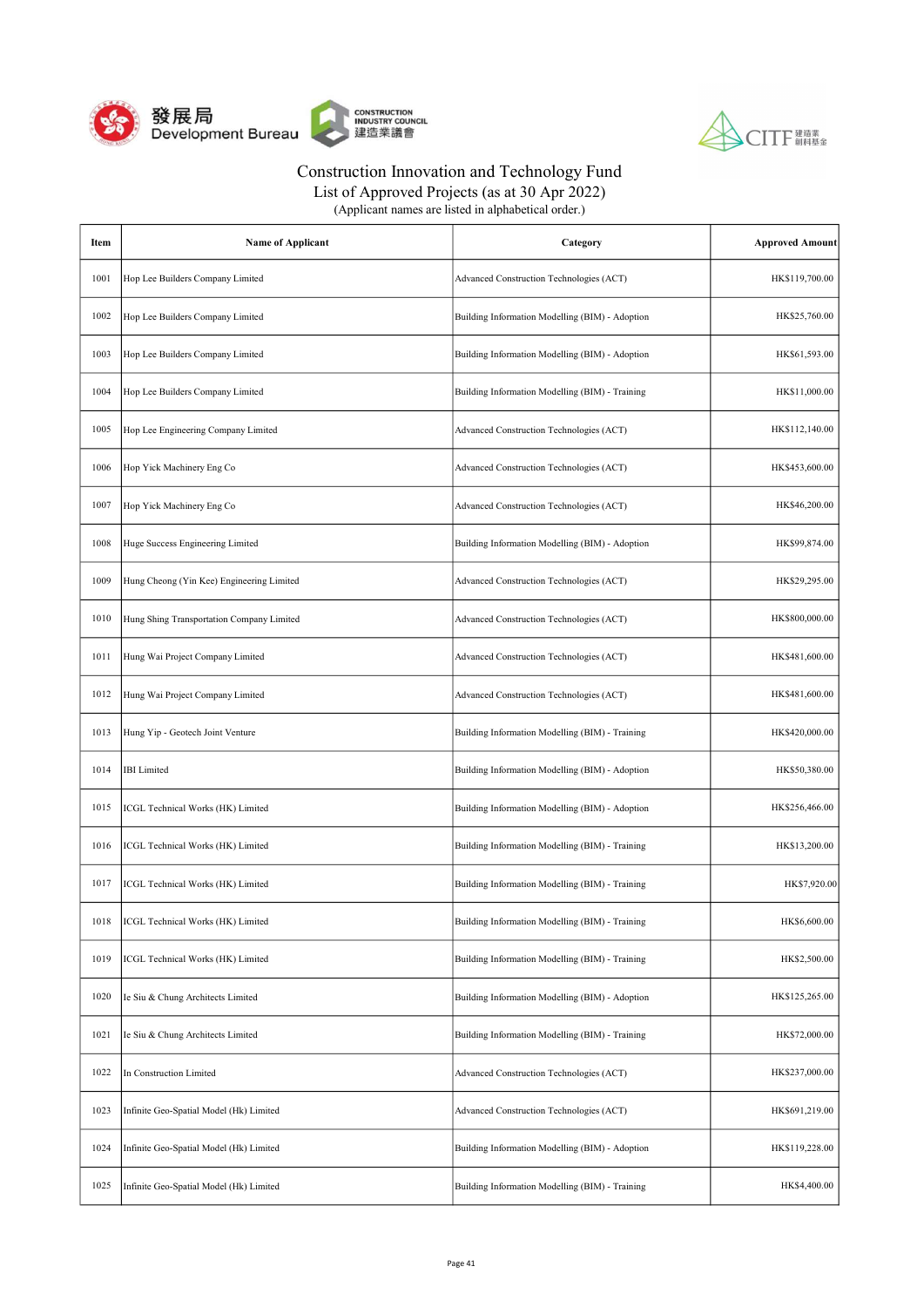



| Item | <b>Name of Applicant</b>                  | Category                                        | <b>Approved Amount</b> |
|------|-------------------------------------------|-------------------------------------------------|------------------------|
| 1001 | Hop Lee Builders Company Limited          | Advanced Construction Technologies (ACT)        | HK\$119,700.00         |
| 1002 | Hop Lee Builders Company Limited          | Building Information Modelling (BIM) - Adoption | HK\$25,760.00          |
| 1003 | Hop Lee Builders Company Limited          | Building Information Modelling (BIM) - Adoption | HK\$61,593.00          |
| 1004 | Hop Lee Builders Company Limited          | Building Information Modelling (BIM) - Training | HK\$11,000.00          |
| 1005 | Hop Lee Engineering Company Limited       | Advanced Construction Technologies (ACT)        | HK\$112,140.00         |
| 1006 | Hop Yick Machinery Eng Co                 | Advanced Construction Technologies (ACT)        | HK\$453,600.00         |
| 1007 | Hop Yick Machinery Eng Co                 | Advanced Construction Technologies (ACT)        | HK\$46,200.00          |
| 1008 | Huge Success Engineering Limited          | Building Information Modelling (BIM) - Adoption | HK\$99,874.00          |
| 1009 | Hung Cheong (Yin Kee) Engineering Limited | Advanced Construction Technologies (ACT)        | HK\$29,295.00          |
| 1010 | Hung Shing Transportation Company Limited | Advanced Construction Technologies (ACT)        | HK\$800,000.00         |
| 1011 | Hung Wai Project Company Limited          | Advanced Construction Technologies (ACT)        | HK\$481,600.00         |
| 1012 | Hung Wai Project Company Limited          | Advanced Construction Technologies (ACT)        | HK\$481,600.00         |
| 1013 | Hung Yip - Geotech Joint Venture          | Building Information Modelling (BIM) - Training | HK\$420,000.00         |
| 1014 | <b>IBI</b> Limited                        | Building Information Modelling (BIM) - Adoption | HK\$50,380.00          |
| 1015 | ICGL Technical Works (HK) Limited         | Building Information Modelling (BIM) - Adoption | HK\$256,466.00         |
| 1016 | ICGL Technical Works (HK) Limited         | Building Information Modelling (BIM) - Training | HK\$13,200.00          |
| 1017 | ICGL Technical Works (HK) Limited         | Building Information Modelling (BIM) - Training | HK\$7,920.00           |
| 1018 | ICGL Technical Works (HK) Limited         | Building Information Modelling (BIM) - Training | HK\$6,600.00           |
| 1019 | ICGL Technical Works (HK) Limited         | Building Information Modelling (BIM) - Training | HK\$2,500.00           |
| 1020 | Ie Siu & Chung Architects Limited         | Building Information Modelling (BIM) - Adoption | HK\$125,265.00         |
| 1021 | Ie Siu & Chung Architects Limited         | Building Information Modelling (BIM) - Training | HK\$72,000.00          |
| 1022 | In Construction Limited                   | Advanced Construction Technologies (ACT)        | HK\$237,000.00         |
| 1023 | Infinite Geo-Spatial Model (Hk) Limited   | Advanced Construction Technologies (ACT)        | HK\$691,219.00         |
| 1024 | Infinite Geo-Spatial Model (Hk) Limited   | Building Information Modelling (BIM) - Adoption | HK\$119,228.00         |
| 1025 | Infinite Geo-Spatial Model (Hk) Limited   | Building Information Modelling (BIM) - Training | HK\$4,400.00           |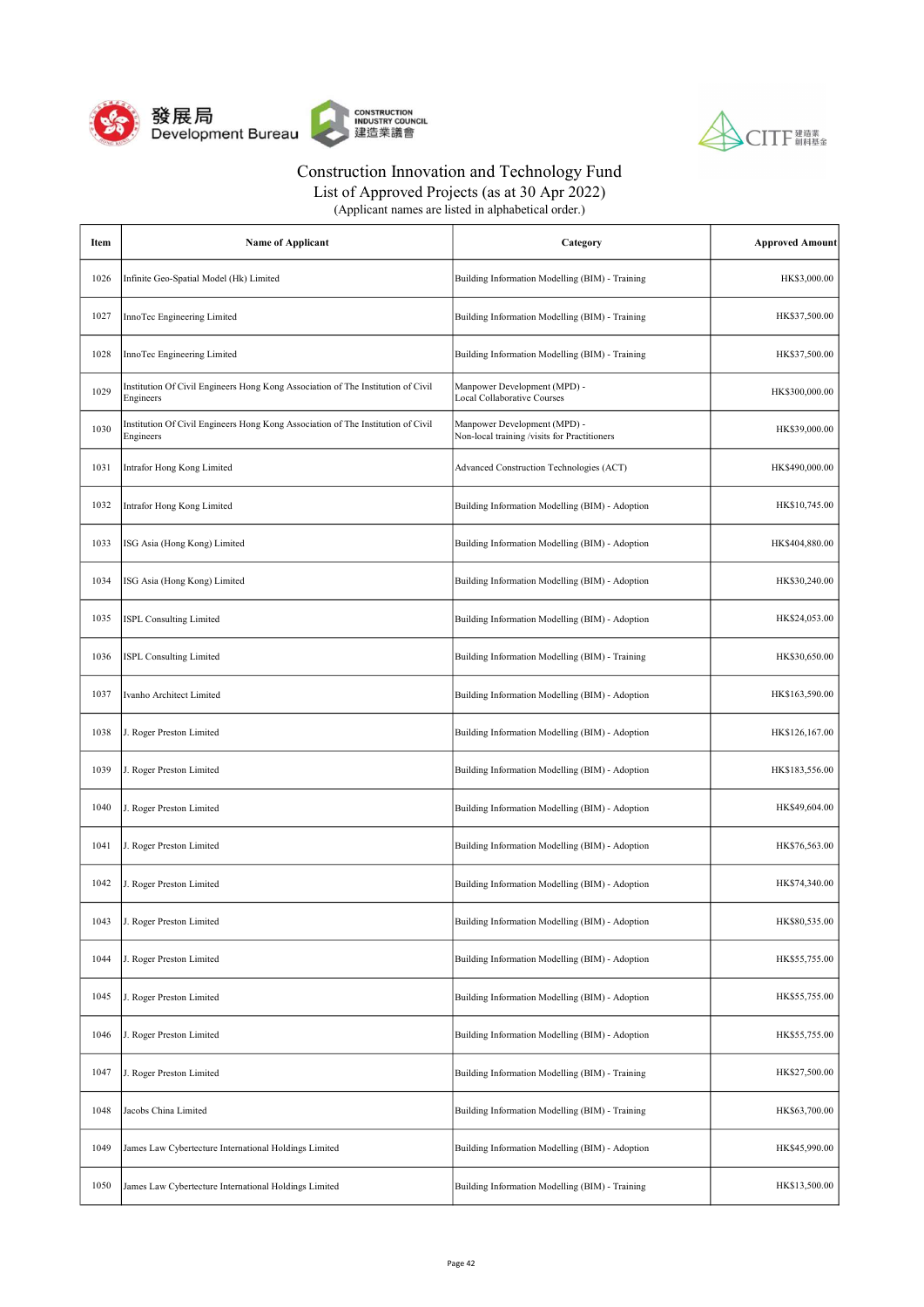



List of Approved Projects (as at 30 Apr 2022)

| Item | <b>Name of Applicant</b>                                                                      | Category                                                                     | <b>Approved Amount</b> |
|------|-----------------------------------------------------------------------------------------------|------------------------------------------------------------------------------|------------------------|
| 1026 | Infinite Geo-Spatial Model (Hk) Limited                                                       | Building Information Modelling (BIM) - Training                              | HK\$3,000.00           |
| 1027 | InnoTec Engineering Limited                                                                   | Building Information Modelling (BIM) - Training                              | HK\$37,500.00          |
| 1028 | InnoTec Engineering Limited                                                                   | Building Information Modelling (BIM) - Training                              | HK\$37,500.00          |
| 1029 | Institution Of Civil Engineers Hong Kong Association of The Institution of Civil<br>Engineers | Manpower Development (MPD) -<br><b>Local Collaborative Courses</b>           | HK\$300,000.00         |
| 1030 | Institution Of Civil Engineers Hong Kong Association of The Institution of Civil<br>Engineers | Manpower Development (MPD) -<br>Non-local training /visits for Practitioners | HK\$39,000.00          |
| 1031 | Intrafor Hong Kong Limited                                                                    | Advanced Construction Technologies (ACT)                                     | HK\$490,000.00         |
| 1032 | Intrafor Hong Kong Limited                                                                    | Building Information Modelling (BIM) - Adoption                              | HK\$10,745.00          |
| 1033 | ISG Asia (Hong Kong) Limited                                                                  | Building Information Modelling (BIM) - Adoption                              | HK\$404,880.00         |
| 1034 | ISG Asia (Hong Kong) Limited                                                                  | Building Information Modelling (BIM) - Adoption                              | HK\$30,240.00          |
| 1035 | <b>ISPL Consulting Limited</b>                                                                | Building Information Modelling (BIM) - Adoption                              | HK\$24,053.00          |
| 1036 | <b>ISPL Consulting Limited</b>                                                                | Building Information Modelling (BIM) - Training                              | HK\$30,650.00          |
| 1037 | Ivanho Architect Limited                                                                      | Building Information Modelling (BIM) - Adoption                              | HK\$163,590.00         |
| 1038 | J. Roger Preston Limited                                                                      | Building Information Modelling (BIM) - Adoption                              | HK\$126,167.00         |
| 1039 | J. Roger Preston Limited                                                                      | Building Information Modelling (BIM) - Adoption                              | HK\$183,556.00         |
| 1040 | J. Roger Preston Limited                                                                      | Building Information Modelling (BIM) - Adoption                              | HK\$49,604.00          |
| 1041 | J. Roger Preston Limited                                                                      | Building Information Modelling (BIM) - Adoption                              | HK\$76,563.00          |
| 1042 | J. Roger Preston Limited                                                                      | Building Information Modelling (BIM) - Adoption                              | HK\$74,340.00          |
| 1043 | J. Roger Preston Limited                                                                      | Building Information Modelling (BIM) - Adoption                              | HK\$80,535.00          |
| 1044 | J. Roger Preston Limited                                                                      | Building Information Modelling (BIM) - Adoption                              | HK\$55,755.00          |
| 1045 | J. Roger Preston Limited                                                                      | Building Information Modelling (BIM) - Adoption                              | HK\$55,755.00          |
| 1046 | J. Roger Preston Limited                                                                      | Building Information Modelling (BIM) - Adoption                              | HK\$55,755.00          |
| 1047 | J. Roger Preston Limited                                                                      | Building Information Modelling (BIM) - Training                              | HK\$27,500.00          |
| 1048 | Jacobs China Limited                                                                          | Building Information Modelling (BIM) - Training                              | HK\$63,700.00          |
| 1049 | James Law Cybertecture International Holdings Limited                                         | Building Information Modelling (BIM) - Adoption                              | HK\$45,990.00          |
| 1050 | James Law Cybertecture International Holdings Limited                                         | Building Information Modelling (BIM) - Training                              | HK\$13,500.00          |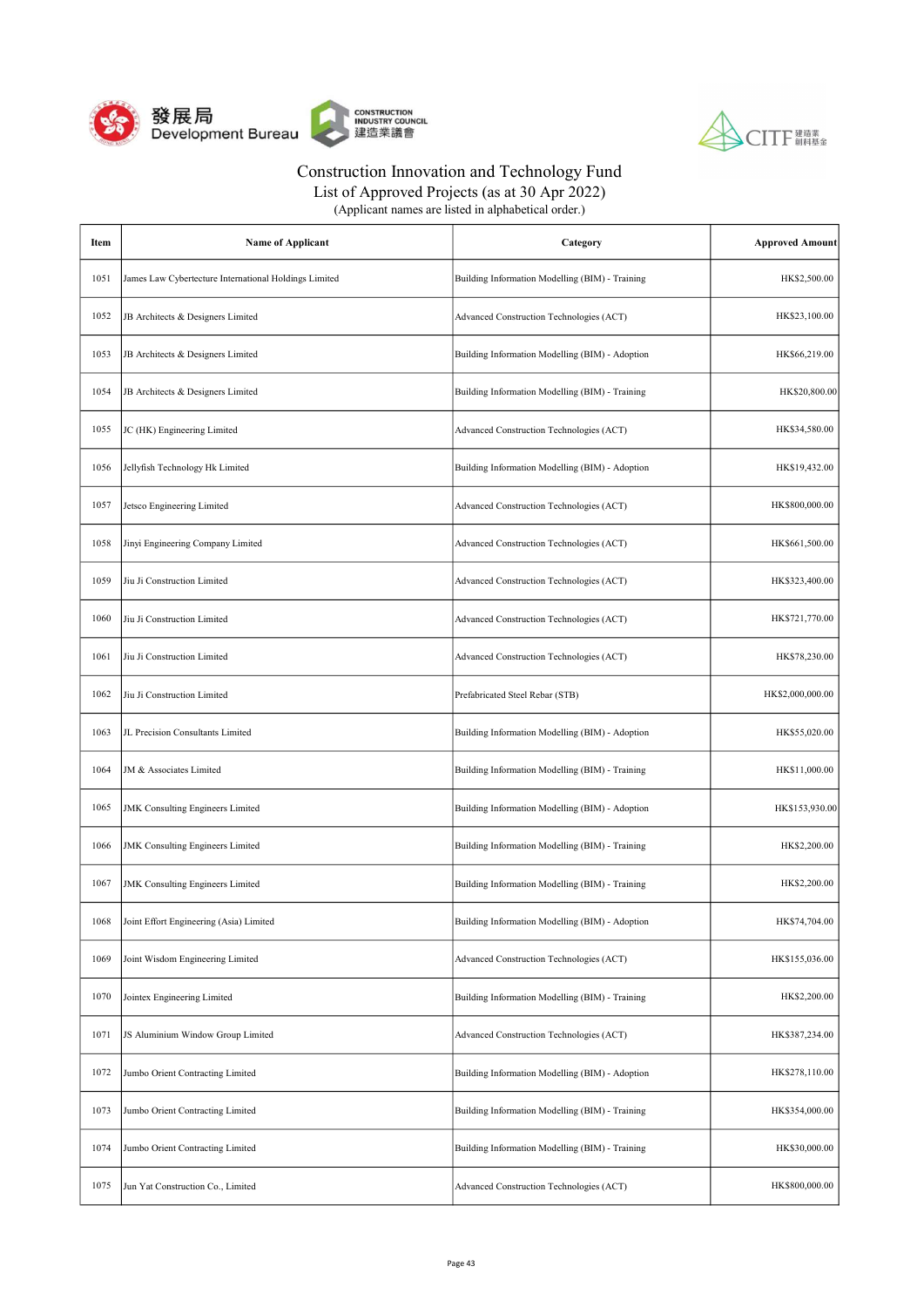



List of Approved Projects (as at 30 Apr 2022)

| Item | <b>Name of Applicant</b>                              | Category                                        | <b>Approved Amount</b> |
|------|-------------------------------------------------------|-------------------------------------------------|------------------------|
| 1051 | James Law Cybertecture International Holdings Limited | Building Information Modelling (BIM) - Training | HK\$2,500.00           |
| 1052 | JB Architects & Designers Limited                     | Advanced Construction Technologies (ACT)        | HK\$23,100.00          |
| 1053 | JB Architects & Designers Limited                     | Building Information Modelling (BIM) - Adoption | HK\$66,219.00          |
| 1054 | JB Architects & Designers Limited                     | Building Information Modelling (BIM) - Training | HK\$20,800.00          |
| 1055 | JC (HK) Engineering Limited                           | Advanced Construction Technologies (ACT)        | HK\$34,580.00          |
| 1056 | Jellyfish Technology Hk Limited                       | Building Information Modelling (BIM) - Adoption | HK\$19,432.00          |
| 1057 | Jetsco Engineering Limited                            | Advanced Construction Technologies (ACT)        | HK\$800,000.00         |
| 1058 | Jinyi Engineering Company Limited                     | Advanced Construction Technologies (ACT)        | HK\$661,500.00         |
| 1059 | Jiu Ji Construction Limited                           | Advanced Construction Technologies (ACT)        | HK\$323,400.00         |
| 1060 | Jiu Ji Construction Limited                           | Advanced Construction Technologies (ACT)        | HK\$721,770.00         |
| 1061 | Jiu Ji Construction Limited                           | Advanced Construction Technologies (ACT)        | HK\$78,230.00          |
| 1062 | Jiu Ji Construction Limited                           | Prefabricated Steel Rebar (STB)                 | HK\$2,000,000.00       |
| 1063 | JL Precision Consultants Limited                      | Building Information Modelling (BIM) - Adoption | HK\$55,020.00          |
| 1064 | JM & Associates Limited                               | Building Information Modelling (BIM) - Training | HK\$11,000.00          |
| 1065 | <b>JMK</b> Consulting Engineers Limited               | Building Information Modelling (BIM) - Adoption | HK\$153,930.00         |
| 1066 | <b>JMK</b> Consulting Engineers Limited               | Building Information Modelling (BIM) - Training | HK\$2,200.00           |
| 1067 | <b>JMK</b> Consulting Engineers Limited               | Building Information Modelling (BIM) - Training | HK\$2,200.00           |
| 1068 | Joint Effort Engineering (Asia) Limited               | Building Information Modelling (BIM) - Adoption | HK\$74,704.00          |
| 1069 | Joint Wisdom Engineering Limited                      | Advanced Construction Technologies (ACT)        | HK\$155,036.00         |
| 1070 | Jointex Engineering Limited                           | Building Information Modelling (BIM) - Training | HK\$2,200.00           |
| 1071 | JS Aluminium Window Group Limited                     | Advanced Construction Technologies (ACT)        | HK\$387,234.00         |
| 1072 | Jumbo Orient Contracting Limited                      | Building Information Modelling (BIM) - Adoption | HK\$278,110.00         |
| 1073 | Jumbo Orient Contracting Limited                      | Building Information Modelling (BIM) - Training | HK\$354,000.00         |
| 1074 | Jumbo Orient Contracting Limited                      | Building Information Modelling (BIM) - Training | HK\$30,000.00          |
| 1075 | Jun Yat Construction Co., Limited                     | Advanced Construction Technologies (ACT)        | HK\$800,000.00         |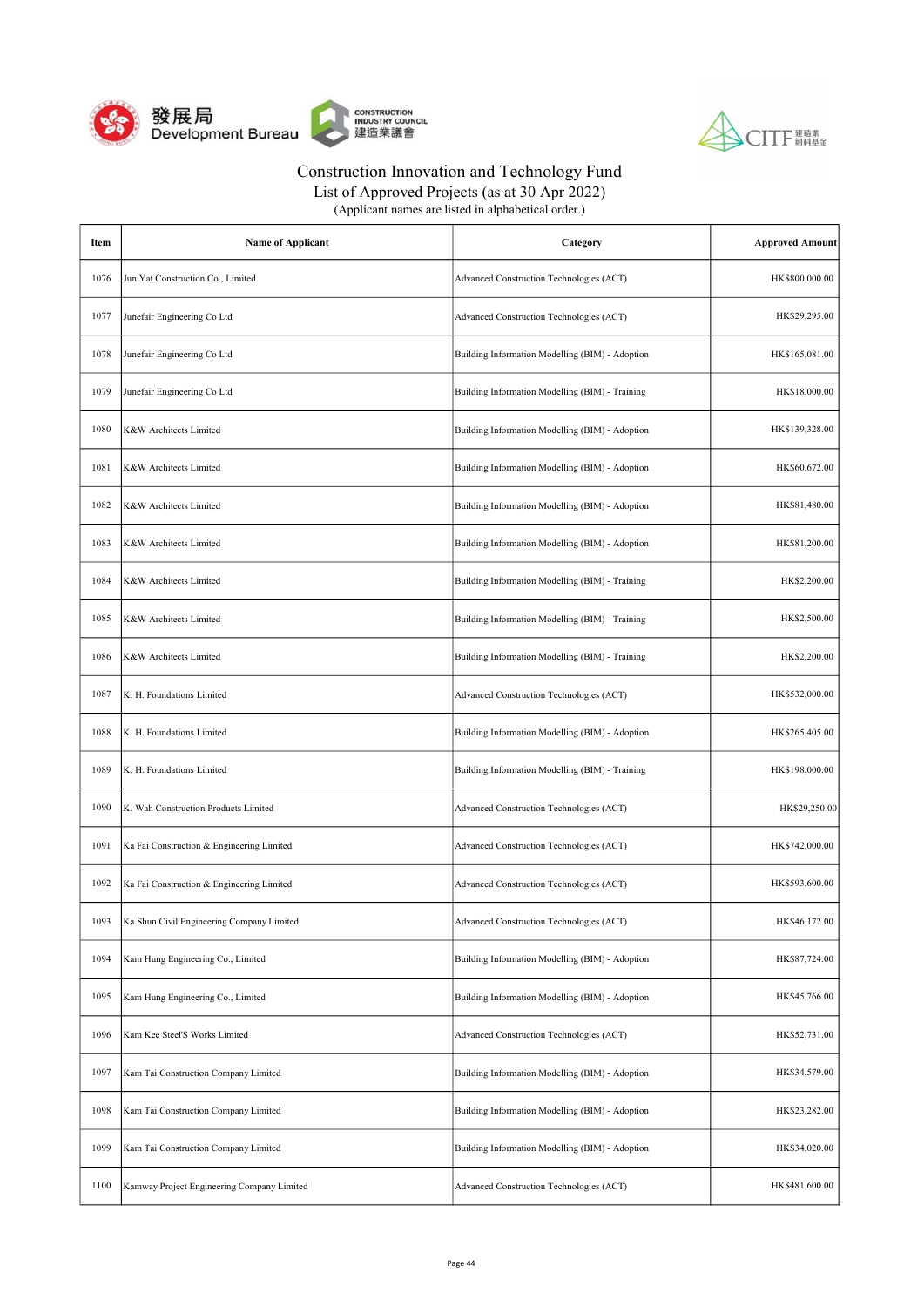



List of Approved Projects (as at 30 Apr 2022)

| Item | <b>Name of Applicant</b>                   | Category                                        | <b>Approved Amount</b> |
|------|--------------------------------------------|-------------------------------------------------|------------------------|
| 1076 | Jun Yat Construction Co., Limited          | Advanced Construction Technologies (ACT)        | HK\$800,000.00         |
| 1077 | Junefair Engineering Co Ltd                | Advanced Construction Technologies (ACT)        | HK\$29,295.00          |
| 1078 | Junefair Engineering Co Ltd                | Building Information Modelling (BIM) - Adoption | HK\$165,081.00         |
| 1079 | Junefair Engineering Co Ltd                | Building Information Modelling (BIM) - Training | HK\$18,000.00          |
| 1080 | K&W Architects Limited                     | Building Information Modelling (BIM) - Adoption | HK\$139,328.00         |
| 1081 | K&W Architects Limited                     | Building Information Modelling (BIM) - Adoption | HK\$60,672.00          |
| 1082 | K&W Architects Limited                     | Building Information Modelling (BIM) - Adoption | HK\$81,480.00          |
| 1083 | K&W Architects Limited                     | Building Information Modelling (BIM) - Adoption | HK\$81,200.00          |
| 1084 | K&W Architects Limited                     | Building Information Modelling (BIM) - Training | HK\$2,200.00           |
| 1085 | K&W Architects Limited                     | Building Information Modelling (BIM) - Training | HK\$2,500.00           |
| 1086 | K&W Architects Limited                     | Building Information Modelling (BIM) - Training | HK\$2,200.00           |
| 1087 | K. H. Foundations Limited                  | Advanced Construction Technologies (ACT)        | HK\$532,000.00         |
| 1088 | K. H. Foundations Limited                  | Building Information Modelling (BIM) - Adoption | HK\$265,405.00         |
| 1089 | K. H. Foundations Limited                  | Building Information Modelling (BIM) - Training | HK\$198,000.00         |
| 1090 | K. Wah Construction Products Limited       | Advanced Construction Technologies (ACT)        | HK\$29,250.00          |
| 1091 | Ka Fai Construction & Engineering Limited  | Advanced Construction Technologies (ACT)        | HK\$742,000.00         |
| 1092 | Ka Fai Construction & Engineering Limited  | Advanced Construction Technologies (ACT)        | HK\$593,600.00         |
| 1093 | Ka Shun Civil Engineering Company Limited  | Advanced Construction Technologies (ACT)        | HK\$46,172.00          |
| 1094 | Kam Hung Engineering Co., Limited          | Building Information Modelling (BIM) - Adoption | HK\$87,724.00          |
| 1095 | Kam Hung Engineering Co., Limited          | Building Information Modelling (BIM) - Adoption | HK\$45,766.00          |
| 1096 | Kam Kee Steel'S Works Limited              | Advanced Construction Technologies (ACT)        | HK\$52,731.00          |
| 1097 | Kam Tai Construction Company Limited       | Building Information Modelling (BIM) - Adoption | HK\$34,579.00          |
| 1098 | Kam Tai Construction Company Limited       | Building Information Modelling (BIM) - Adoption | HK\$23,282.00          |
| 1099 | Kam Tai Construction Company Limited       | Building Information Modelling (BIM) - Adoption | HK\$34,020.00          |
| 1100 | Kamway Project Engineering Company Limited | Advanced Construction Technologies (ACT)        | HK\$481,600.00         |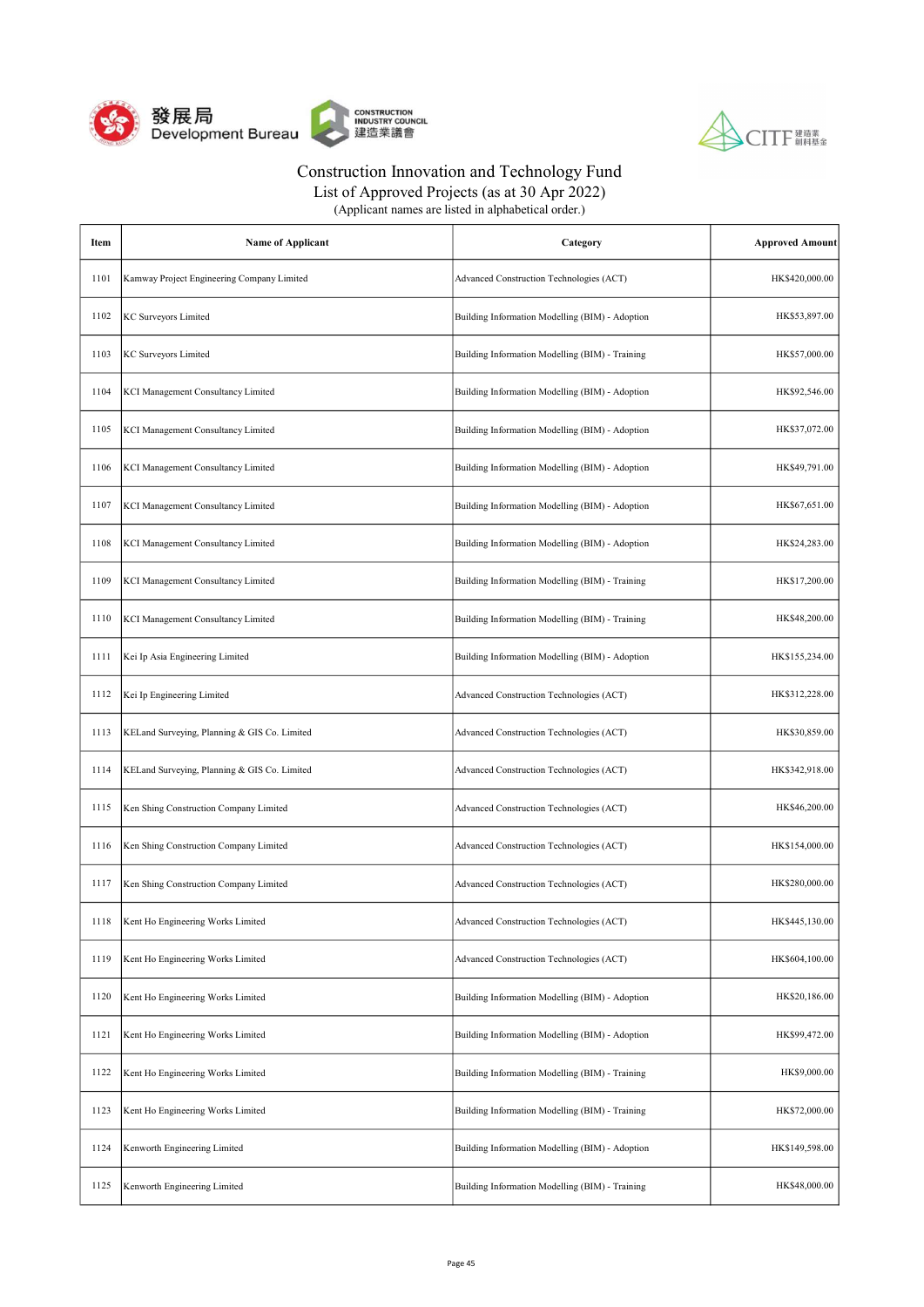



List of Approved Projects (as at 30 Apr 2022)

| Item | <b>Name of Applicant</b>                     | Category                                        | <b>Approved Amount</b> |
|------|----------------------------------------------|-------------------------------------------------|------------------------|
| 1101 | Kamway Project Engineering Company Limited   | Advanced Construction Technologies (ACT)        | HK\$420,000.00         |
| 1102 | KC Surveyors Limited                         | Building Information Modelling (BIM) - Adoption | HK\$53,897.00          |
| 1103 | <b>KC Surveyors Limited</b>                  | Building Information Modelling (BIM) - Training | HK\$57,000.00          |
| 1104 | KCI Management Consultancy Limited           | Building Information Modelling (BIM) - Adoption | HK\$92,546.00          |
| 1105 | KCI Management Consultancy Limited           | Building Information Modelling (BIM) - Adoption | HK\$37,072.00          |
| 1106 | KCI Management Consultancy Limited           | Building Information Modelling (BIM) - Adoption | HK\$49,791.00          |
| 1107 | KCI Management Consultancy Limited           | Building Information Modelling (BIM) - Adoption | HK\$67,651.00          |
| 1108 | KCI Management Consultancy Limited           | Building Information Modelling (BIM) - Adoption | HK\$24,283.00          |
| 1109 | KCI Management Consultancy Limited           | Building Information Modelling (BIM) - Training | HK\$17,200.00          |
| 1110 | KCI Management Consultancy Limited           | Building Information Modelling (BIM) - Training | HK\$48,200.00          |
| 1111 | Kei Ip Asia Engineering Limited              | Building Information Modelling (BIM) - Adoption | HK\$155,234.00         |
| 1112 | Kei Ip Engineering Limited                   | Advanced Construction Technologies (ACT)        | HK\$312,228.00         |
| 1113 | KELand Surveying, Planning & GIS Co. Limited | Advanced Construction Technologies (ACT)        | HK\$30,859.00          |
| 1114 | KELand Surveying, Planning & GIS Co. Limited | Advanced Construction Technologies (ACT)        | HK\$342,918.00         |
| 1115 | Ken Shing Construction Company Limited       | Advanced Construction Technologies (ACT)        | HK\$46,200.00          |
| 1116 | Ken Shing Construction Company Limited       | Advanced Construction Technologies (ACT)        | HK\$154,000.00         |
| 1117 | Ken Shing Construction Company Limited       | Advanced Construction Technologies (ACT)        | HK\$280,000.00         |
| 1118 | Kent Ho Engineering Works Limited            | Advanced Construction Technologies (ACT)        | HK\$445,130.00         |
| 1119 | Kent Ho Engineering Works Limited            | Advanced Construction Technologies (ACT)        | HK\$604,100.00         |
| 1120 | Kent Ho Engineering Works Limited            | Building Information Modelling (BIM) - Adoption | HK\$20,186.00          |
| 1121 | Kent Ho Engineering Works Limited            | Building Information Modelling (BIM) - Adoption | HK\$99,472.00          |
| 1122 | Kent Ho Engineering Works Limited            | Building Information Modelling (BIM) - Training | HK\$9,000.00           |
| 1123 | Kent Ho Engineering Works Limited            | Building Information Modelling (BIM) - Training | HK\$72,000.00          |
| 1124 | Kenworth Engineering Limited                 | Building Information Modelling (BIM) - Adoption | HK\$149,598.00         |
| 1125 | Kenworth Engineering Limited                 | Building Information Modelling (BIM) - Training | HK\$48,000.00          |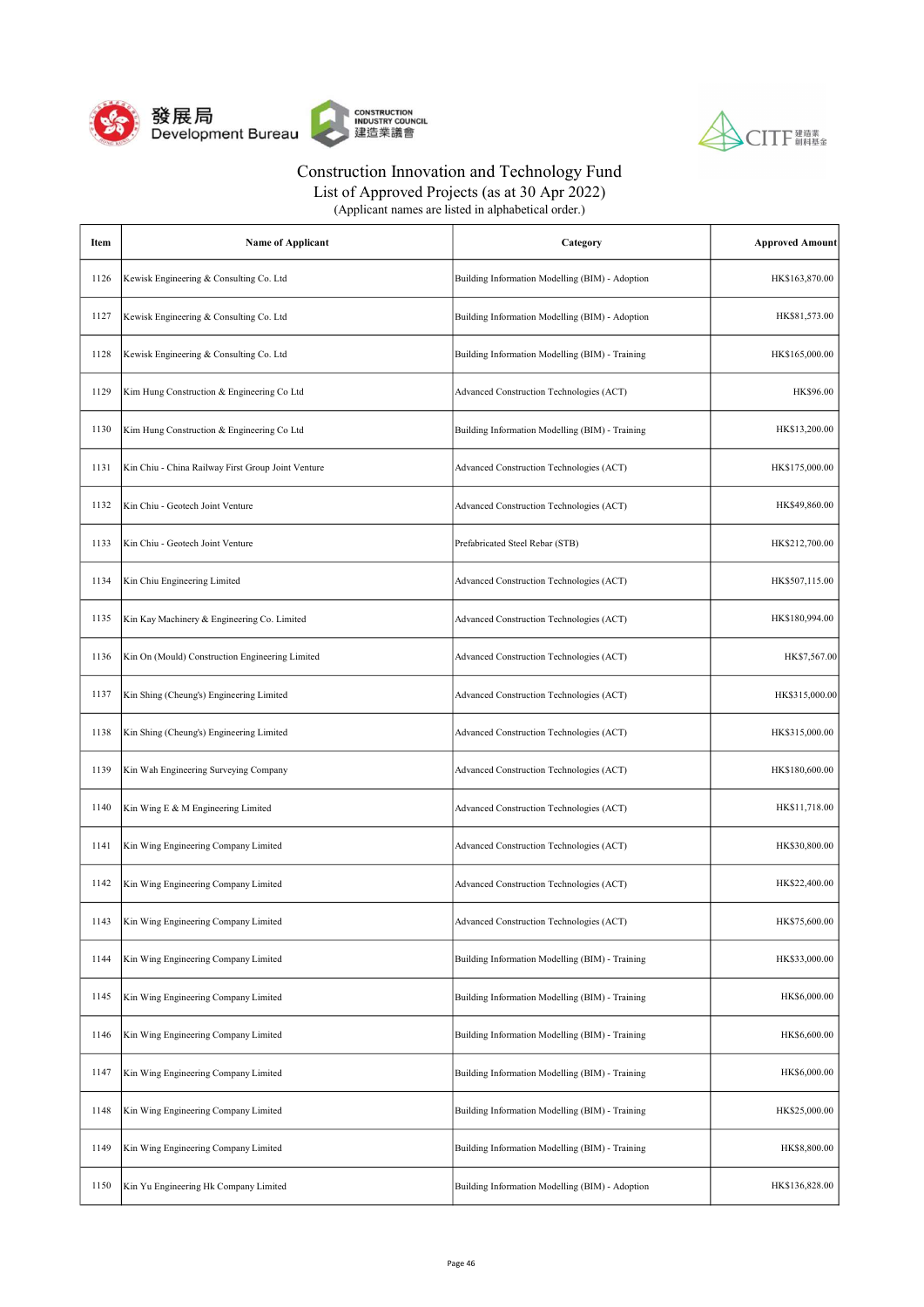



List of Approved Projects (as at 30 Apr 2022) (Applicant names are listed in alphabetical order.)

| Item | <b>Name of Applicant</b>                           | Category                                        | <b>Approved Amount</b> |
|------|----------------------------------------------------|-------------------------------------------------|------------------------|
| 1126 | Kewisk Engineering & Consulting Co. Ltd            | Building Information Modelling (BIM) - Adoption | HK\$163,870.00         |
| 1127 | Kewisk Engineering & Consulting Co. Ltd            | Building Information Modelling (BIM) - Adoption | HK\$81,573.00          |
| 1128 | Kewisk Engineering & Consulting Co. Ltd            | Building Information Modelling (BIM) - Training | HK\$165,000.00         |
| 1129 | Kim Hung Construction & Engineering Co Ltd         | Advanced Construction Technologies (ACT)        | HK\$96.00              |
| 1130 | Kim Hung Construction & Engineering Co Ltd         | Building Information Modelling (BIM) - Training | HK\$13,200.00          |
| 1131 | Kin Chiu - China Railway First Group Joint Venture | Advanced Construction Technologies (ACT)        | HK\$175,000.00         |
| 1132 | Kin Chiu - Geotech Joint Venture                   | Advanced Construction Technologies (ACT)        | HK\$49,860.00          |
| 1133 | Kin Chiu - Geotech Joint Venture                   | Prefabricated Steel Rebar (STB)                 | HK\$212,700.00         |
| 1134 | Kin Chiu Engineering Limited                       | Advanced Construction Technologies (ACT)        | HK\$507,115.00         |
| 1135 | Kin Kay Machinery & Engineering Co. Limited        | Advanced Construction Technologies (ACT)        | HK\$180,994.00         |
| 1136 | Kin On (Mould) Construction Engineering Limited    | Advanced Construction Technologies (ACT)        | HK\$7,567.00           |
| 1137 | Kin Shing (Cheung's) Engineering Limited           | Advanced Construction Technologies (ACT)        | HK\$315,000.00         |
| 1138 | Kin Shing (Cheung's) Engineering Limited           | Advanced Construction Technologies (ACT)        | HK\$315,000.00         |
| 1139 | Kin Wah Engineering Surveying Company              | Advanced Construction Technologies (ACT)        | HK\$180,600.00         |
| 1140 | Kin Wing E & M Engineering Limited                 | Advanced Construction Technologies (ACT)        | HK\$11,718.00          |
| 1141 | Kin Wing Engineering Company Limited               | Advanced Construction Technologies (ACT)        | HK\$30,800.00          |
| 1142 | Kin Wing Engineering Company Limited               | Advanced Construction Technologies (ACT)        | HK\$22,400.00          |
| 1143 | Kin Wing Engineering Company Limited               | Advanced Construction Technologies (ACT)        | HK\$75,600.00          |
| 1144 | Kin Wing Engineering Company Limited               | Building Information Modelling (BIM) - Training | HK\$33,000.00          |
| 1145 | Kin Wing Engineering Company Limited               | Building Information Modelling (BIM) - Training | HK\$6,000.00           |
| 1146 | Kin Wing Engineering Company Limited               | Building Information Modelling (BIM) - Training | HK\$6,600.00           |
| 1147 | Kin Wing Engineering Company Limited               | Building Information Modelling (BIM) - Training | HK\$6,000.00           |
| 1148 | Kin Wing Engineering Company Limited               | Building Information Modelling (BIM) - Training | HK\$25,000.00          |
| 1149 | Kin Wing Engineering Company Limited               | Building Information Modelling (BIM) - Training | HK\$8,800.00           |
| 1150 | Kin Yu Engineering Hk Company Limited              | Building Information Modelling (BIM) - Adoption | HK\$136,828.00         |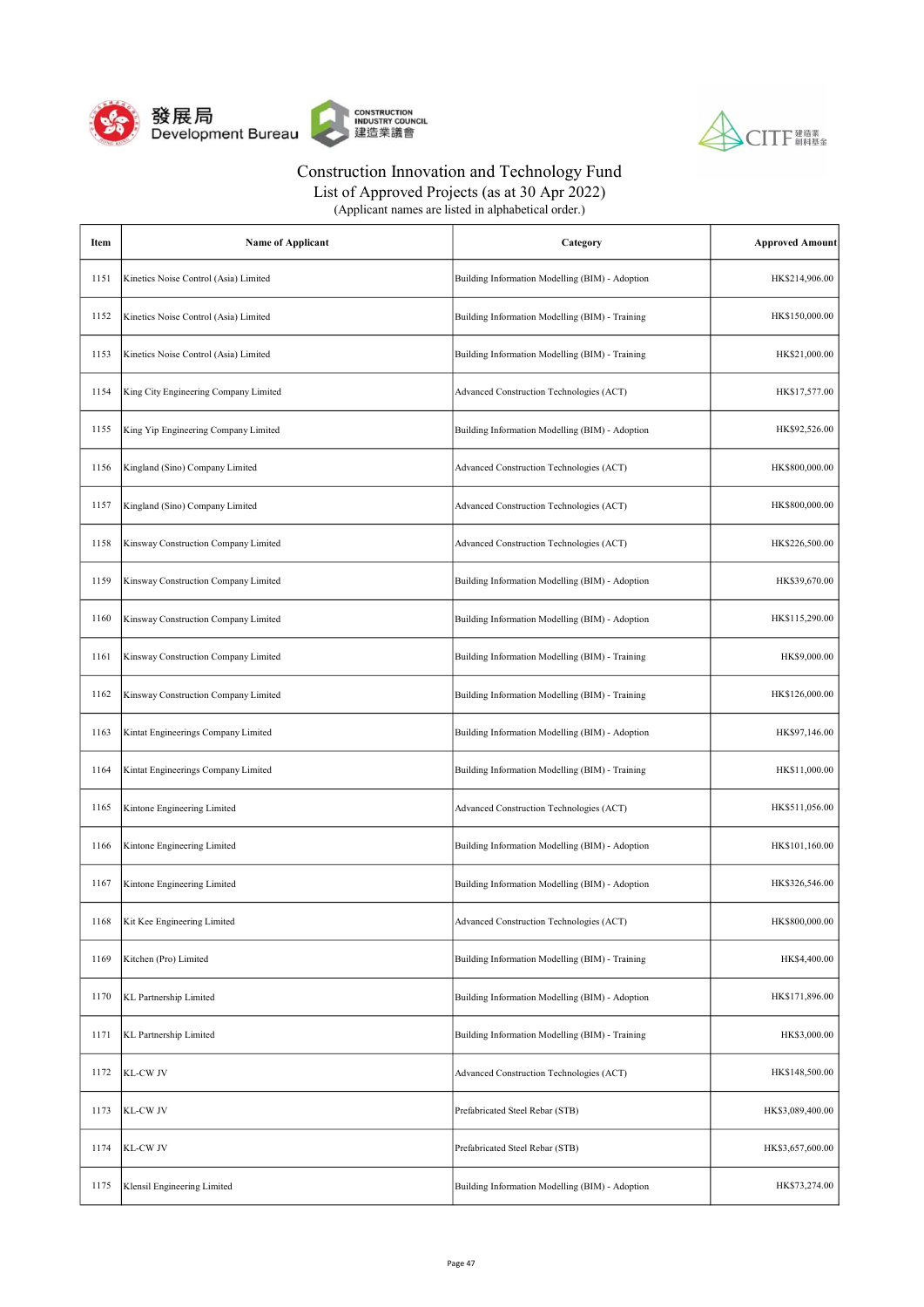



List of Approved Projects (as at 30 Apr 2022)

| Item | Name of Applicant                     | Category                                        | <b>Approved Amount</b> |
|------|---------------------------------------|-------------------------------------------------|------------------------|
| 1151 | Kinetics Noise Control (Asia) Limited | Building Information Modelling (BIM) - Adoption | HK\$214,906.00         |
| 1152 | Kinetics Noise Control (Asia) Limited | Building Information Modelling (BIM) - Training | HK\$150,000.00         |
| 1153 | Kinetics Noise Control (Asia) Limited | Building Information Modelling (BIM) - Training | HK\$21,000.00          |
| 1154 | King City Engineering Company Limited | Advanced Construction Technologies (ACT)        | HK\$17,577.00          |
| 1155 | King Yip Engineering Company Limited  | Building Information Modelling (BIM) - Adoption | HK\$92,526.00          |
| 1156 | Kingland (Sino) Company Limited       | Advanced Construction Technologies (ACT)        | HK\$800,000.00         |
| 1157 | Kingland (Sino) Company Limited       | Advanced Construction Technologies (ACT)        | HK\$800,000.00         |
| 1158 | Kinsway Construction Company Limited  | Advanced Construction Technologies (ACT)        | HK\$226,500.00         |
| 1159 | Kinsway Construction Company Limited  | Building Information Modelling (BIM) - Adoption | HK\$39,670.00          |
| 1160 | Kinsway Construction Company Limited  | Building Information Modelling (BIM) - Adoption | HK\$115,290.00         |
| 1161 | Kinsway Construction Company Limited  | Building Information Modelling (BIM) - Training | HK\$9,000.00           |
| 1162 | Kinsway Construction Company Limited  | Building Information Modelling (BIM) - Training | HK\$126,000.00         |
| 1163 | Kintat Engineerings Company Limited   | Building Information Modelling (BIM) - Adoption | HK\$97,146.00          |
| 1164 | Kintat Engineerings Company Limited   | Building Information Modelling (BIM) - Training | HK\$11,000.00          |
| 1165 | Kintone Engineering Limited           | Advanced Construction Technologies (ACT)        | HK\$511,056.00         |
| 1166 | Kintone Engineering Limited           | Building Information Modelling (BIM) - Adoption | HK\$101,160.00         |
| 1167 | Kintone Engineering Limited           | Building Information Modelling (BIM) - Adoption | HK\$326,546.00         |
| 1168 | Kit Kee Engineering Limited           | Advanced Construction Technologies (ACT)        | HK\$800,000.00         |
| 1169 | Kitchen (Pro) Limited                 | Building Information Modelling (BIM) - Training | HK\$4,400.00           |
| 1170 | KL Partnership Limited                | Building Information Modelling (BIM) - Adoption | HK\$171,896.00         |
| 1171 | KL Partnership Limited                | Building Information Modelling (BIM) - Training | HK\$3,000.00           |
| 1172 | KL-CW JV                              | Advanced Construction Technologies (ACT)        | HK\$148,500.00         |
| 1173 | KL-CW JV                              | Prefabricated Steel Rebar (STB)                 | HK\$3,089,400.00       |
| 1174 | KL-CW JV                              | Prefabricated Steel Rebar (STB)                 | HK\$3,657,600.00       |
| 1175 | Klensil Engineering Limited           | Building Information Modelling (BIM) - Adoption | HK\$73,274.00          |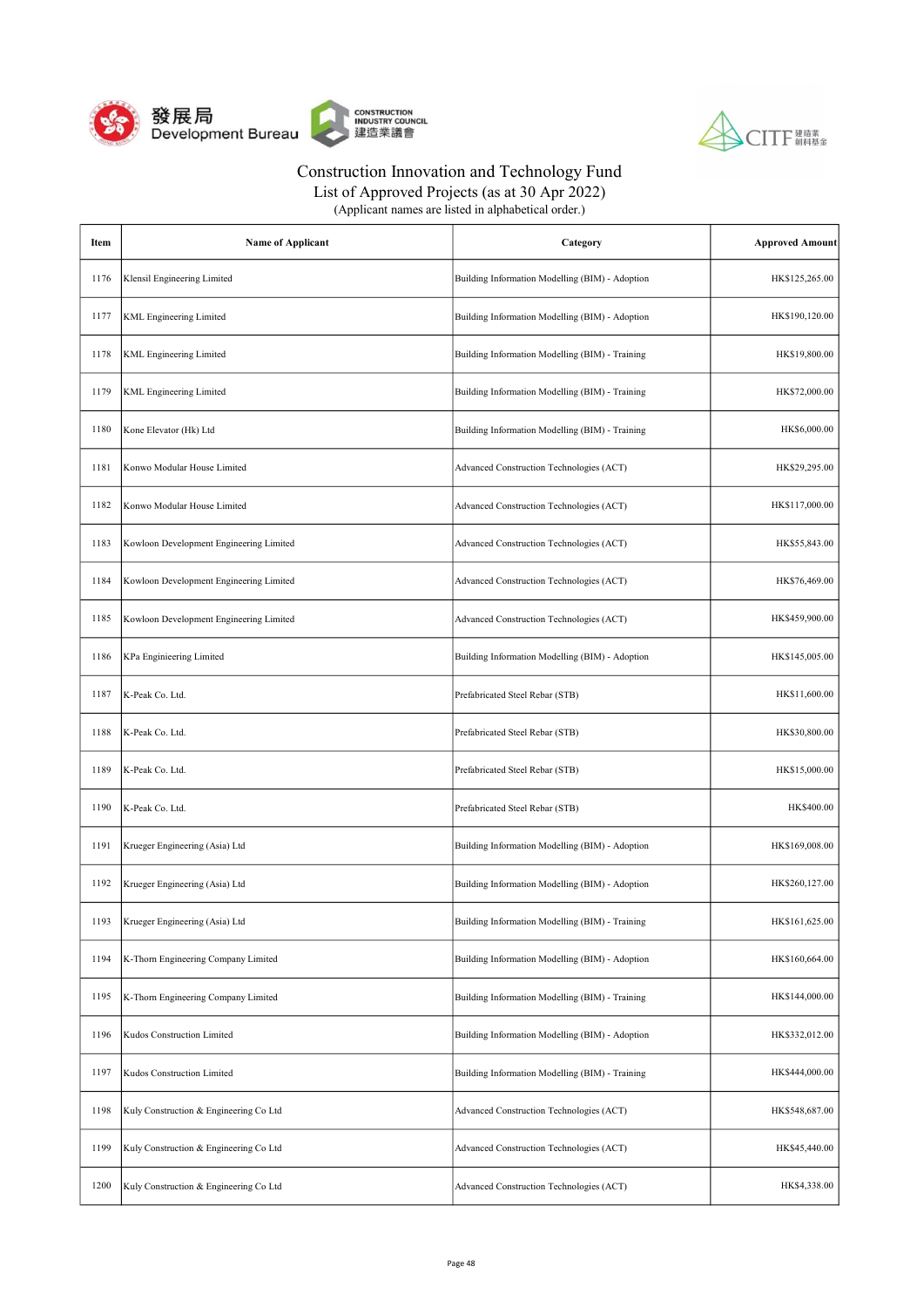



List of Approved Projects (as at 30 Apr 2022)

| Item | <b>Name of Applicant</b>                | Category                                        | <b>Approved Amount</b> |
|------|-----------------------------------------|-------------------------------------------------|------------------------|
| 1176 | Klensil Engineering Limited             | Building Information Modelling (BIM) - Adoption | HK\$125,265.00         |
| 1177 | <b>KML</b> Engineering Limited          | Building Information Modelling (BIM) - Adoption | HK\$190,120.00         |
| 1178 | <b>KML</b> Engineering Limited          | Building Information Modelling (BIM) - Training | HK\$19,800.00          |
| 1179 | KML Engineering Limited                 | Building Information Modelling (BIM) - Training | HK\$72,000.00          |
| 1180 | Kone Elevator (Hk) Ltd                  | Building Information Modelling (BIM) - Training | HK\$6,000.00           |
| 1181 | Konwo Modular House Limited             | Advanced Construction Technologies (ACT)        | HK\$29,295.00          |
| 1182 | Konwo Modular House Limited             | Advanced Construction Technologies (ACT)        | HK\$117,000.00         |
| 1183 | Kowloon Development Engineering Limited | Advanced Construction Technologies (ACT)        | HK\$55,843.00          |
| 1184 | Kowloon Development Engineering Limited | Advanced Construction Technologies (ACT)        | HK\$76,469.00          |
| 1185 | Kowloon Development Engineering Limited | Advanced Construction Technologies (ACT)        | HK\$459,900.00         |
| 1186 | KPa Enginieering Limited                | Building Information Modelling (BIM) - Adoption | HK\$145,005.00         |
| 1187 | K-Peak Co. Ltd.                         | Prefabricated Steel Rebar (STB)                 | HK\$11,600.00          |
| 1188 | K-Peak Co. Ltd.                         | Prefabricated Steel Rebar (STB)                 | HK\$30,800.00          |
| 1189 | K-Peak Co. Ltd.                         | Prefabricated Steel Rebar (STB)                 | HK\$15,000.00          |
| 1190 | K-Peak Co. Ltd.                         | Prefabricated Steel Rebar (STB)                 | HK\$400.00             |
| 1191 | Krueger Engineering (Asia) Ltd          | Building Information Modelling (BIM) - Adoption | HK\$169,008.00         |
| 1192 | Krueger Engineering (Asia) Ltd          | Building Information Modelling (BIM) - Adoption | HK\$260,127.00         |
| 1193 | Krueger Engineering (Asia) Ltd          | Building Information Modelling (BIM) - Training | HK\$161,625.00         |
| 1194 | K-Thorn Engineering Company Limited     | Building Information Modelling (BIM) - Adoption | HK\$160,664.00         |
| 1195 | K-Thorn Engineering Company Limited     | Building Information Modelling (BIM) - Training | HK\$144,000.00         |
| 1196 | Kudos Construction Limited              | Building Information Modelling (BIM) - Adoption | HK\$332,012.00         |
| 1197 | Kudos Construction Limited              | Building Information Modelling (BIM) - Training | HK\$444,000.00         |
| 1198 | Kuly Construction & Engineering Co Ltd  | Advanced Construction Technologies (ACT)        | HK\$548,687.00         |
| 1199 | Kuly Construction & Engineering Co Ltd  | Advanced Construction Technologies (ACT)        | HK\$45,440.00          |
| 1200 | Kuly Construction & Engineering Co Ltd  | Advanced Construction Technologies (ACT)        | HK\$4,338.00           |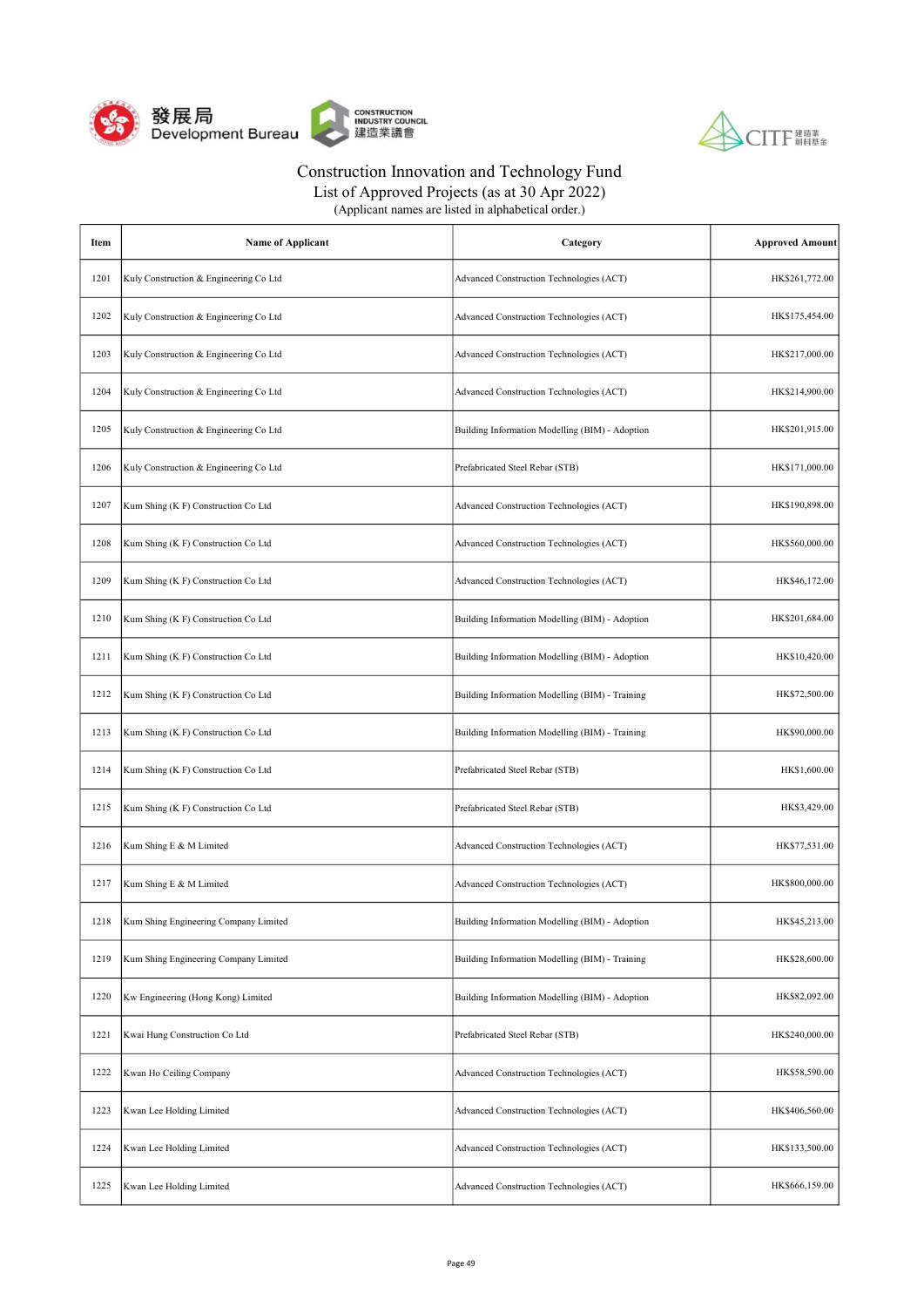



List of Approved Projects (as at 30 Apr 2022) (Applicant names are listed in alphabetical order.)

| Item | <b>Name of Applicant</b>               | Category                                        | <b>Approved Amount</b> |
|------|----------------------------------------|-------------------------------------------------|------------------------|
| 1201 | Kuly Construction & Engineering Co Ltd | Advanced Construction Technologies (ACT)        | HK\$261,772.00         |
| 1202 | Kuly Construction & Engineering Co Ltd | Advanced Construction Technologies (ACT)        | HK\$175,454.00         |
| 1203 | Kuly Construction & Engineering Co Ltd | Advanced Construction Technologies (ACT)        | HK\$217,000.00         |
| 1204 | Kuly Construction & Engineering Co Ltd | Advanced Construction Technologies (ACT)        | HK\$214,900.00         |
| 1205 | Kuly Construction & Engineering Co Ltd | Building Information Modelling (BIM) - Adoption | HK\$201,915.00         |
| 1206 | Kuly Construction & Engineering Co Ltd | Prefabricated Steel Rebar (STB)                 | HK\$171,000.00         |
| 1207 | Kum Shing (K F) Construction Co Ltd    | Advanced Construction Technologies (ACT)        | HK\$190,898.00         |
| 1208 | Kum Shing (K F) Construction Co Ltd    | Advanced Construction Technologies (ACT)        | HK\$560,000.00         |
| 1209 | Kum Shing (K F) Construction Co Ltd    | Advanced Construction Technologies (ACT)        | HK\$46,172.00          |
| 1210 | Kum Shing (K F) Construction Co Ltd    | Building Information Modelling (BIM) - Adoption | HK\$201,684.00         |
| 1211 | Kum Shing (K F) Construction Co Ltd    | Building Information Modelling (BIM) - Adoption | HK\$10,420.00          |
| 1212 | Kum Shing (K F) Construction Co Ltd    | Building Information Modelling (BIM) - Training | HK\$72,500.00          |
| 1213 | Kum Shing (K F) Construction Co Ltd    | Building Information Modelling (BIM) - Training | HK\$90,000.00          |
| 1214 | Kum Shing (K F) Construction Co Ltd    | Prefabricated Steel Rebar (STB)                 | HK\$1,600.00           |
| 1215 | Kum Shing (K F) Construction Co Ltd    | Prefabricated Steel Rebar (STB)                 | HK\$3,429.00           |
| 1216 | Kum Shing E & M Limited                | Advanced Construction Technologies (ACT)        | HK\$77,531.00          |
| 1217 | Kum Shing E & M Limited                | Advanced Construction Technologies (ACT)        | HK\$800,000.00         |
| 1218 | Kum Shing Engineering Company Limited  | Building Information Modelling (BIM) - Adoption | HK\$45,213.00          |
| 1219 | Kum Shing Engineering Company Limited  | Building Information Modelling (BIM) - Training | HK\$28,600.00          |
| 1220 | Kw Engineering (Hong Kong) Limited     | Building Information Modelling (BIM) - Adoption | HK\$82,092.00          |
| 1221 | Kwai Hung Construction Co Ltd          | Prefabricated Steel Rebar (STB)                 | HK\$240,000.00         |
| 1222 | Kwan Ho Ceiling Company                | Advanced Construction Technologies (ACT)        | HK\$58,590.00          |
| 1223 | Kwan Lee Holding Limited               | Advanced Construction Technologies (ACT)        | HK\$406,560.00         |
| 1224 | Kwan Lee Holding Limited               | Advanced Construction Technologies (ACT)        | HK\$133,500.00         |
| 1225 | Kwan Lee Holding Limited               | Advanced Construction Technologies (ACT)        | HK\$666,159.00         |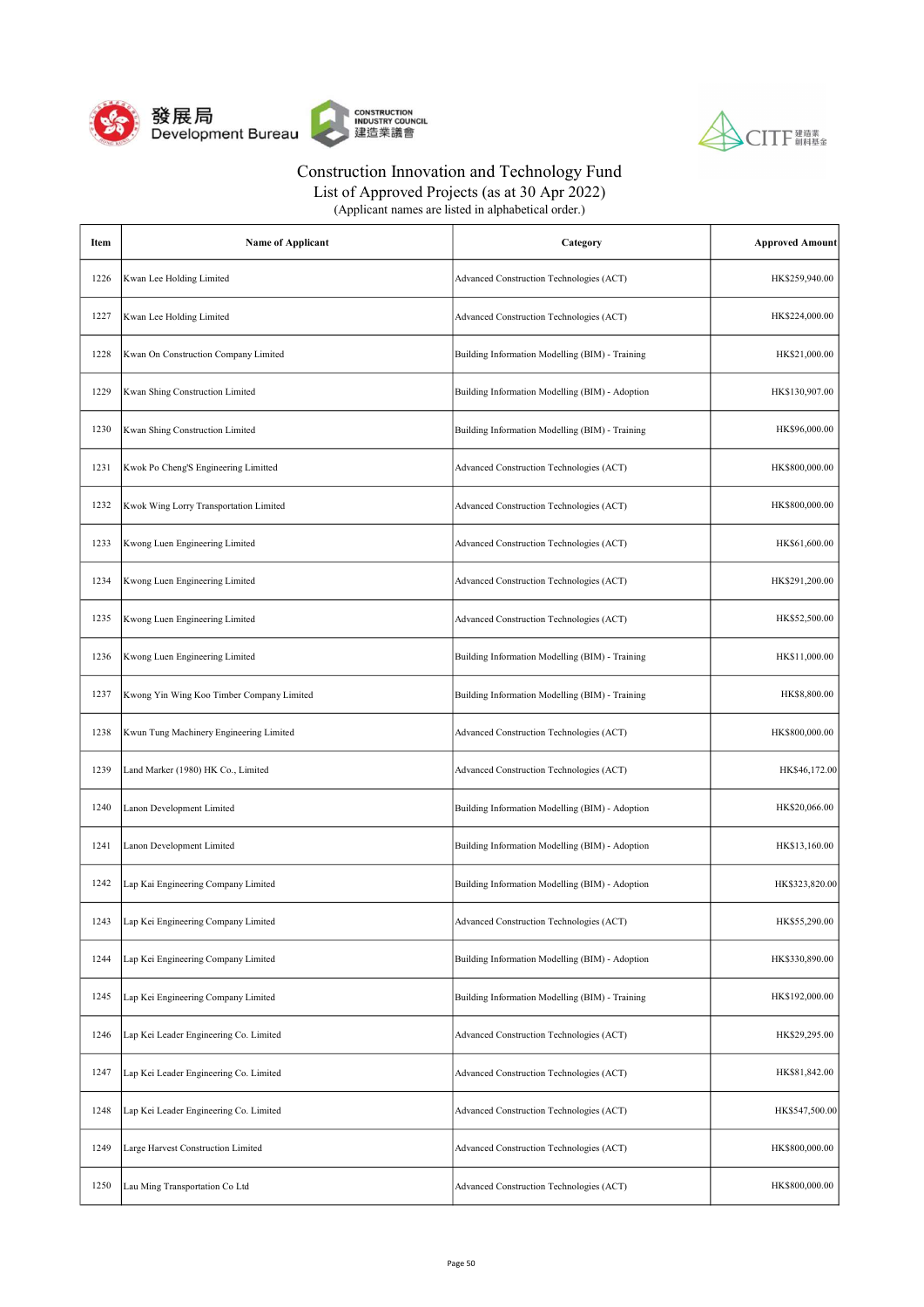



List of Approved Projects (as at 30 Apr 2022)

| Item | <b>Name of Applicant</b>                  | Category                                        | <b>Approved Amount</b> |
|------|-------------------------------------------|-------------------------------------------------|------------------------|
| 1226 | Kwan Lee Holding Limited                  | Advanced Construction Technologies (ACT)        | HK\$259,940.00         |
| 1227 | Kwan Lee Holding Limited                  | Advanced Construction Technologies (ACT)        | HK\$224,000.00         |
| 1228 | Kwan On Construction Company Limited      | Building Information Modelling (BIM) - Training | HK\$21,000.00          |
| 1229 | Kwan Shing Construction Limited           | Building Information Modelling (BIM) - Adoption | HK\$130,907.00         |
| 1230 | Kwan Shing Construction Limited           | Building Information Modelling (BIM) - Training | HK\$96,000.00          |
| 1231 | Kwok Po Cheng'S Engineering Limitted      | Advanced Construction Technologies (ACT)        | HK\$800,000.00         |
| 1232 | Kwok Wing Lorry Transportation Limited    | Advanced Construction Technologies (ACT)        | HK\$800,000.00         |
| 1233 | Kwong Luen Engineering Limited            | Advanced Construction Technologies (ACT)        | HK\$61,600.00          |
| 1234 | Kwong Luen Engineering Limited            | Advanced Construction Technologies (ACT)        | HK\$291,200.00         |
| 1235 | Kwong Luen Engineering Limited            | Advanced Construction Technologies (ACT)        | HK\$52,500.00          |
| 1236 | Kwong Luen Engineering Limited            | Building Information Modelling (BIM) - Training | HK\$11,000.00          |
| 1237 | Kwong Yin Wing Koo Timber Company Limited | Building Information Modelling (BIM) - Training | HK\$8,800.00           |
| 1238 | Kwun Tung Machinery Engineering Limited   | Advanced Construction Technologies (ACT)        | HK\$800,000.00         |
| 1239 | Land Marker (1980) HK Co., Limited        | Advanced Construction Technologies (ACT)        | HK\$46,172.00          |
| 1240 | Lanon Development Limited                 | Building Information Modelling (BIM) - Adoption | HK\$20,066.00          |
| 1241 | Lanon Development Limited                 | Building Information Modelling (BIM) - Adoption | HK\$13,160.00          |
| 1242 | Lap Kai Engineering Company Limited       | Building Information Modelling (BIM) - Adoption | HK\$323,820.00         |
| 1243 | Lap Kei Engineering Company Limited       | Advanced Construction Technologies (ACT)        | HK\$55,290.00          |
| 1244 | Lap Kei Engineering Company Limited       | Building Information Modelling (BIM) - Adoption | HK\$330,890.00         |
| 1245 | Lap Kei Engineering Company Limited       | Building Information Modelling (BIM) - Training | HK\$192,000.00         |
| 1246 | Lap Kei Leader Engineering Co. Limited    | Advanced Construction Technologies (ACT)        | HK\$29,295.00          |
| 1247 | Lap Kei Leader Engineering Co. Limited    | Advanced Construction Technologies (ACT)        | HK\$81,842.00          |
| 1248 | Lap Kei Leader Engineering Co. Limited    | Advanced Construction Technologies (ACT)        | HK\$547,500.00         |
| 1249 | Large Harvest Construction Limited        | Advanced Construction Technologies (ACT)        | HK\$800,000.00         |
| 1250 | Lau Ming Transportation Co Ltd            | Advanced Construction Technologies (ACT)        | HK\$800,000.00         |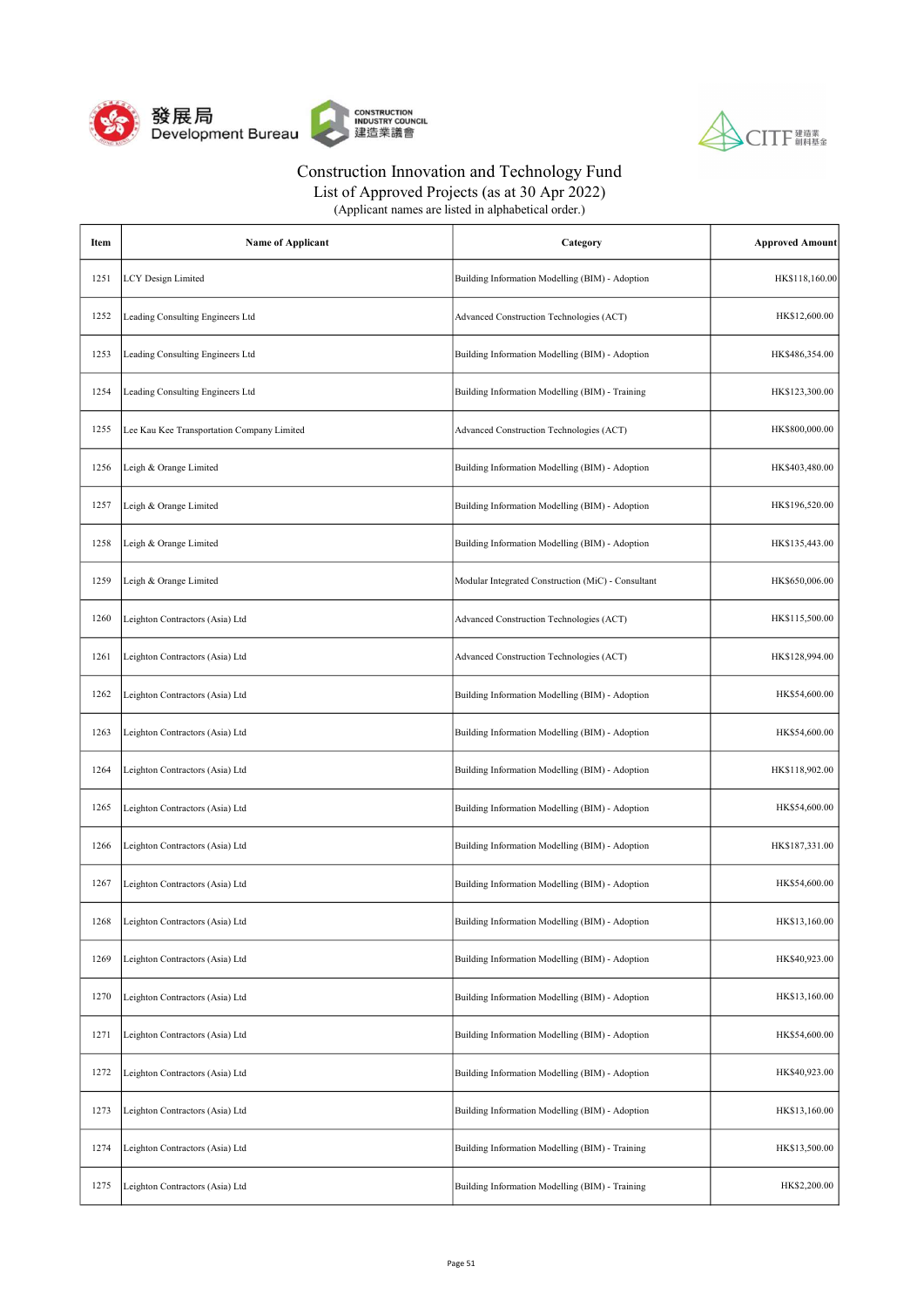



List of Approved Projects (as at 30 Apr 2022)

| Item | <b>Name of Applicant</b>                   | Category                                           | <b>Approved Amount</b> |
|------|--------------------------------------------|----------------------------------------------------|------------------------|
| 1251 | <b>LCY Design Limited</b>                  | Building Information Modelling (BIM) - Adoption    | HK\$118,160.00         |
| 1252 | Leading Consulting Engineers Ltd           | Advanced Construction Technologies (ACT)           | HK\$12,600.00          |
| 1253 | Leading Consulting Engineers Ltd           | Building Information Modelling (BIM) - Adoption    | HK\$486,354.00         |
| 1254 | Leading Consulting Engineers Ltd           | Building Information Modelling (BIM) - Training    | HK\$123,300.00         |
| 1255 | Lee Kau Kee Transportation Company Limited | Advanced Construction Technologies (ACT)           | HK\$800,000.00         |
| 1256 | Leigh & Orange Limited                     | Building Information Modelling (BIM) - Adoption    | HK\$403,480.00         |
| 1257 | Leigh & Orange Limited                     | Building Information Modelling (BIM) - Adoption    | HK\$196,520.00         |
| 1258 | Leigh & Orange Limited                     | Building Information Modelling (BIM) - Adoption    | HK\$135,443.00         |
| 1259 | Leigh & Orange Limited                     | Modular Integrated Construction (MiC) - Consultant | HK\$650,006.00         |
| 1260 | Leighton Contractors (Asia) Ltd            | Advanced Construction Technologies (ACT)           | HK\$115,500.00         |
| 1261 | Leighton Contractors (Asia) Ltd            | Advanced Construction Technologies (ACT)           | HK\$128,994.00         |
| 1262 | Leighton Contractors (Asia) Ltd            | Building Information Modelling (BIM) - Adoption    | HK\$54,600.00          |
| 1263 | Leighton Contractors (Asia) Ltd            | Building Information Modelling (BIM) - Adoption    | HK\$54,600.00          |
| 1264 | Leighton Contractors (Asia) Ltd            | Building Information Modelling (BIM) - Adoption    | HK\$118,902.00         |
| 1265 | Leighton Contractors (Asia) Ltd            | Building Information Modelling (BIM) - Adoption    | HK\$54,600.00          |
| 1266 | Leighton Contractors (Asia) Ltd            | Building Information Modelling (BIM) - Adoption    | HK\$187,331.00         |
| 1267 | Leighton Contractors (Asia) Ltd            | Building Information Modelling (BIM) - Adoption    | HK\$54,600.00          |
| 1268 | Leighton Contractors (Asia) Ltd            | Building Information Modelling (BIM) - Adoption    | HK\$13,160.00          |
| 1269 | Leighton Contractors (Asia) Ltd            | Building Information Modelling (BIM) - Adoption    | HK\$40,923.00          |
| 1270 | Leighton Contractors (Asia) Ltd            | Building Information Modelling (BIM) - Adoption    | HK\$13,160.00          |
| 1271 | Leighton Contractors (Asia) Ltd            | Building Information Modelling (BIM) - Adoption    | HK\$54,600.00          |
| 1272 | Leighton Contractors (Asia) Ltd            | Building Information Modelling (BIM) - Adoption    | HK\$40,923.00          |
| 1273 | Leighton Contractors (Asia) Ltd            | Building Information Modelling (BIM) - Adoption    | HK\$13,160.00          |
| 1274 | Leighton Contractors (Asia) Ltd            | Building Information Modelling (BIM) - Training    | HK\$13,500.00          |
| 1275 | Leighton Contractors (Asia) Ltd            | Building Information Modelling (BIM) - Training    | HK\$2,200.00           |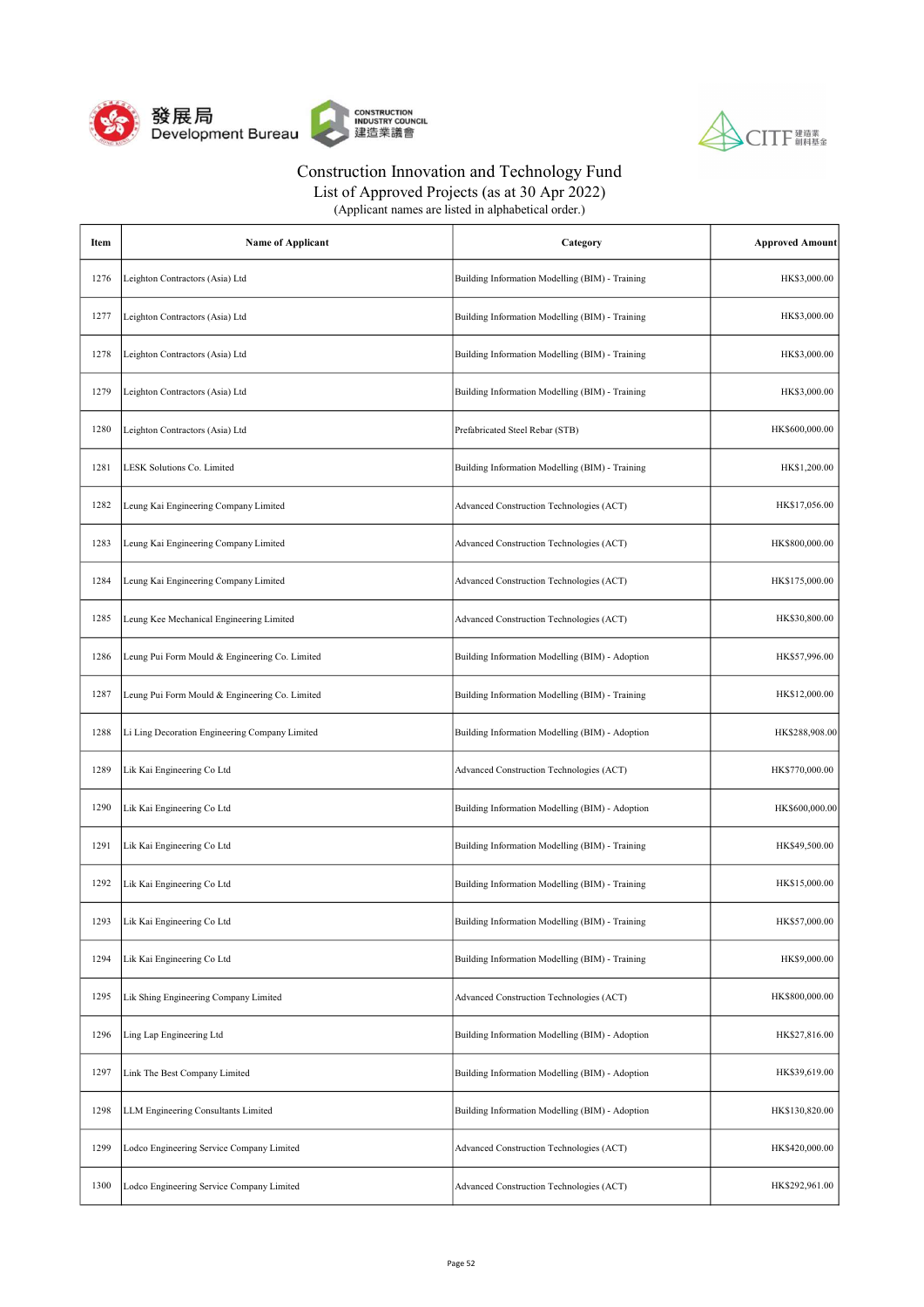



List of Approved Projects (as at 30 Apr 2022)

| Item | <b>Name of Applicant</b>                       | Category                                        | <b>Approved Amount</b> |
|------|------------------------------------------------|-------------------------------------------------|------------------------|
| 1276 | Leighton Contractors (Asia) Ltd                | Building Information Modelling (BIM) - Training | HK\$3,000.00           |
| 1277 | Leighton Contractors (Asia) Ltd                | Building Information Modelling (BIM) - Training | HK\$3,000.00           |
| 1278 | Leighton Contractors (Asia) Ltd                | Building Information Modelling (BIM) - Training | HK\$3,000.00           |
| 1279 | Leighton Contractors (Asia) Ltd                | Building Information Modelling (BIM) - Training | HK\$3,000.00           |
| 1280 | Leighton Contractors (Asia) Ltd                | Prefabricated Steel Rebar (STB)                 | HK\$600,000.00         |
| 1281 | LESK Solutions Co. Limited                     | Building Information Modelling (BIM) - Training | HK\$1,200.00           |
| 1282 | Leung Kai Engineering Company Limited          | Advanced Construction Technologies (ACT)        | HK\$17,056.00          |
| 1283 | Leung Kai Engineering Company Limited          | Advanced Construction Technologies (ACT)        | HK\$800,000.00         |
| 1284 | Leung Kai Engineering Company Limited          | Advanced Construction Technologies (ACT)        | HK\$175,000.00         |
| 1285 | Leung Kee Mechanical Engineering Limited       | Advanced Construction Technologies (ACT)        | HK\$30,800.00          |
| 1286 | Leung Pui Form Mould & Engineering Co. Limited | Building Information Modelling (BIM) - Adoption | HK\$57,996.00          |
| 1287 | Leung Pui Form Mould & Engineering Co. Limited | Building Information Modelling (BIM) - Training | HK\$12,000.00          |
| 1288 | Li Ling Decoration Engineering Company Limited | Building Information Modelling (BIM) - Adoption | HK\$288,908.00         |
| 1289 | Lik Kai Engineering Co Ltd                     | Advanced Construction Technologies (ACT)        | HK\$770,000.00         |
| 1290 | Lik Kai Engineering Co Ltd                     | Building Information Modelling (BIM) - Adoption | HK\$600,000.00         |
| 1291 | Lik Kai Engineering Co Ltd                     | Building Information Modelling (BIM) - Training | HK\$49,500.00          |
| 1292 | Lik Kai Engineering Co Ltd                     | Building Information Modelling (BIM) - Training | HK\$15,000.00          |
| 1293 | Lik Kai Engineering Co Ltd                     | Building Information Modelling (BIM) - Training | HK\$57,000.00          |
| 1294 | Lik Kai Engineering Co Ltd                     | Building Information Modelling (BIM) - Training | HK\$9,000.00           |
| 1295 | Lik Shing Engineering Company Limited          | Advanced Construction Technologies (ACT)        | HK\$800,000.00         |
| 1296 | Ling Lap Engineering Ltd                       | Building Information Modelling (BIM) - Adoption | HK\$27,816.00          |
| 1297 | Link The Best Company Limited                  | Building Information Modelling (BIM) - Adoption | HK\$39,619.00          |
| 1298 | LLM Engineering Consultants Limited            | Building Information Modelling (BIM) - Adoption | HK\$130,820.00         |
| 1299 | Lodco Engineering Service Company Limited      | Advanced Construction Technologies (ACT)        | HK\$420,000.00         |
| 1300 | Lodco Engineering Service Company Limited      | Advanced Construction Technologies (ACT)        | HK\$292,961.00         |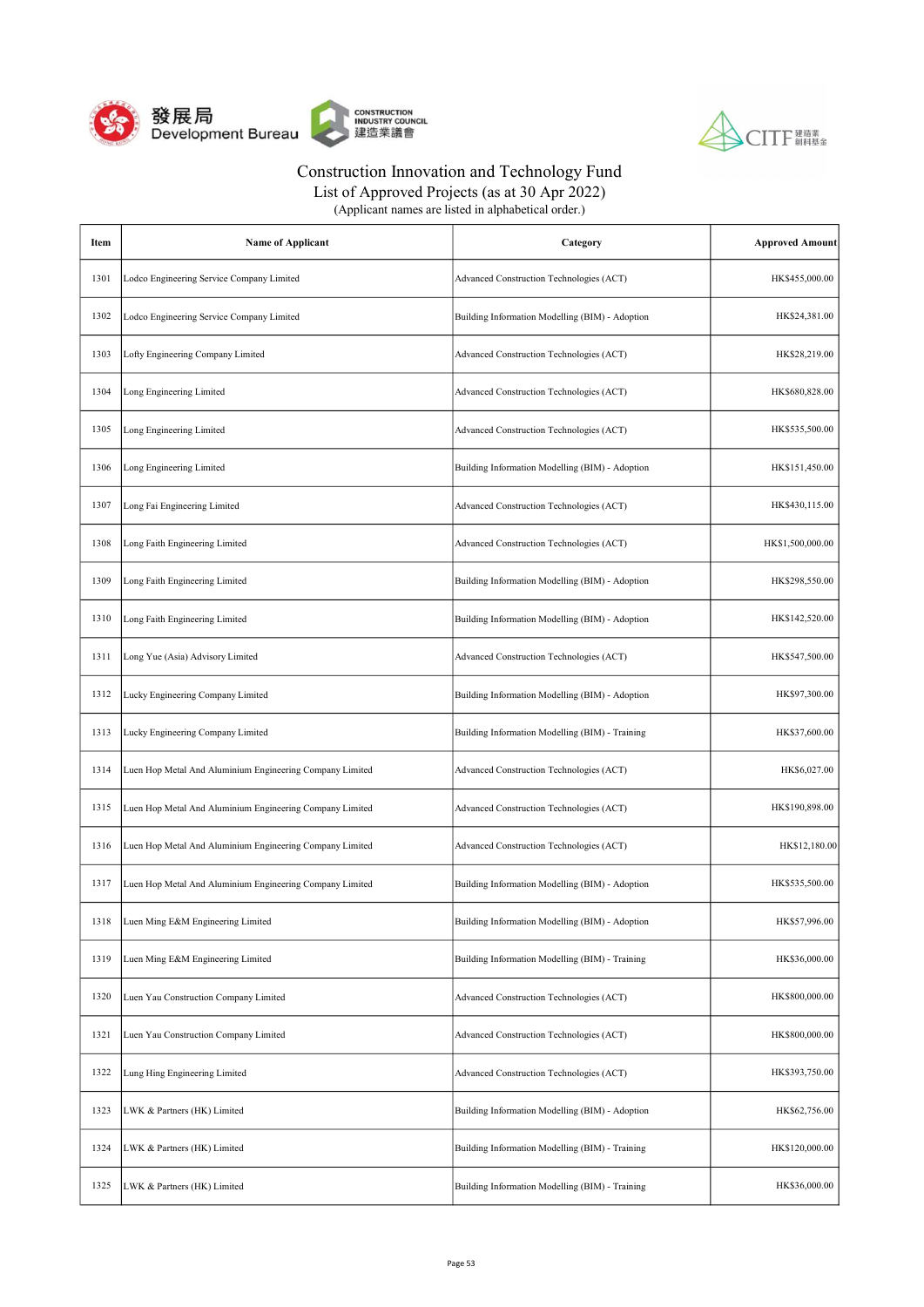



| (Applicant names are listed in alphabetical order.) |  |
|-----------------------------------------------------|--|
|-----------------------------------------------------|--|

| Item | <b>Name of Applicant</b>                                 | Category                                        | <b>Approved Amount</b> |
|------|----------------------------------------------------------|-------------------------------------------------|------------------------|
| 1301 | Lodco Engineering Service Company Limited                | Advanced Construction Technologies (ACT)        | HK\$455,000.00         |
| 1302 | Lodco Engineering Service Company Limited                | Building Information Modelling (BIM) - Adoption | HK\$24,381.00          |
| 1303 | Lofty Engineering Company Limited                        | Advanced Construction Technologies (ACT)        | HK\$28,219.00          |
| 1304 | Long Engineering Limited                                 | Advanced Construction Technologies (ACT)        | HK\$680,828.00         |
| 1305 | Long Engineering Limited                                 | Advanced Construction Technologies (ACT)        | HK\$535,500.00         |
| 1306 | Long Engineering Limited                                 | Building Information Modelling (BIM) - Adoption | HK\$151,450.00         |
| 1307 | Long Fai Engineering Limited                             | Advanced Construction Technologies (ACT)        | HK\$430,115.00         |
| 1308 | Long Faith Engineering Limited                           | Advanced Construction Technologies (ACT)        | HK\$1,500,000.00       |
| 1309 | Long Faith Engineering Limited                           | Building Information Modelling (BIM) - Adoption | HK\$298,550.00         |
| 1310 | Long Faith Engineering Limited                           | Building Information Modelling (BIM) - Adoption | HK\$142,520.00         |
| 1311 | Long Yue (Asia) Advisory Limited                         | Advanced Construction Technologies (ACT)        | HK\$547,500.00         |
| 1312 | Lucky Engineering Company Limited                        | Building Information Modelling (BIM) - Adoption | HK\$97,300.00          |
| 1313 | Lucky Engineering Company Limited                        | Building Information Modelling (BIM) - Training | HK\$37,600.00          |
| 1314 | Luen Hop Metal And Aluminium Engineering Company Limited | Advanced Construction Technologies (ACT)        | HK\$6,027.00           |
| 1315 | Luen Hop Metal And Aluminium Engineering Company Limited | Advanced Construction Technologies (ACT)        | HK\$190,898.00         |
| 1316 | Luen Hop Metal And Aluminium Engineering Company Limited | Advanced Construction Technologies (ACT)        | HK\$12,180.00          |
| 1317 | Luen Hop Metal And Aluminium Engineering Company Limited | Building Information Modelling (BIM) - Adoption | HK\$535,500.00         |
| 1318 | Luen Ming E&M Engineering Limited                        | Building Information Modelling (BIM) - Adoption | HK\$57,996.00          |
| 1319 | Luen Ming E&M Engineering Limited                        | Building Information Modelling (BIM) - Training | HK\$36,000.00          |
| 1320 | Luen Yau Construction Company Limited                    | Advanced Construction Technologies (ACT)        | HK\$800,000.00         |
| 1321 | Luen Yau Construction Company Limited                    | Advanced Construction Technologies (ACT)        | HK\$800,000.00         |
| 1322 | Lung Hing Engineering Limited                            | Advanced Construction Technologies (ACT)        | HK\$393,750.00         |
| 1323 | LWK & Partners (HK) Limited                              | Building Information Modelling (BIM) - Adoption | HK\$62,756.00          |
| 1324 | LWK & Partners (HK) Limited                              | Building Information Modelling (BIM) - Training | HK\$120,000.00         |
| 1325 | LWK & Partners (HK) Limited                              | Building Information Modelling (BIM) - Training | HK\$36,000.00          |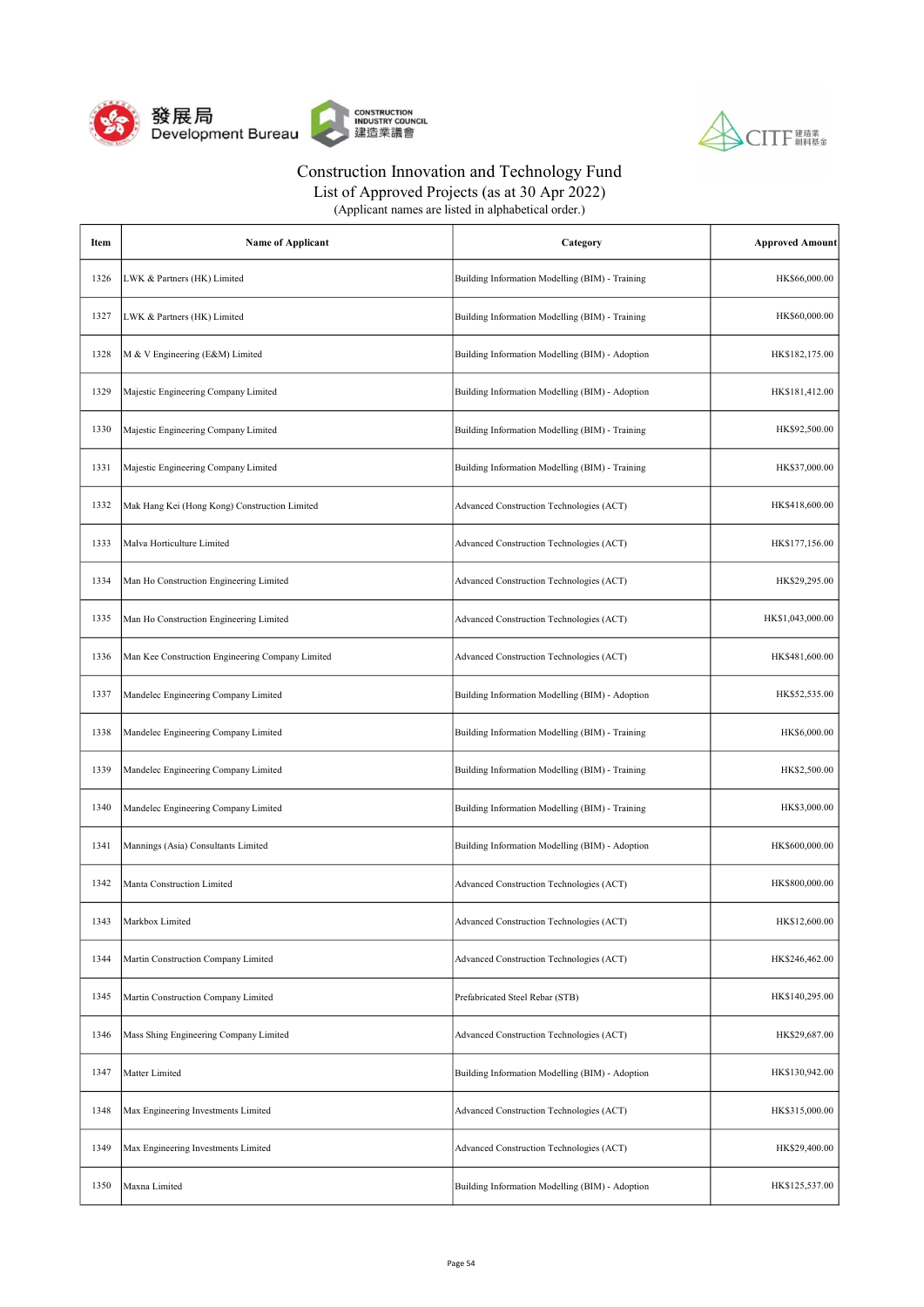



List of Approved Projects (as at 30 Apr 2022)

| Item | <b>Name of Applicant</b>                         | Category                                        | <b>Approved Amount</b> |
|------|--------------------------------------------------|-------------------------------------------------|------------------------|
| 1326 | LWK & Partners (HK) Limited                      | Building Information Modelling (BIM) - Training | HK\$66,000.00          |
| 1327 | LWK & Partners (HK) Limited                      | Building Information Modelling (BIM) - Training | HK\$60,000.00          |
| 1328 | M & V Engineering (E&M) Limited                  | Building Information Modelling (BIM) - Adoption | HK\$182,175.00         |
| 1329 | Majestic Engineering Company Limited             | Building Information Modelling (BIM) - Adoption | HK\$181,412.00         |
| 1330 | Majestic Engineering Company Limited             | Building Information Modelling (BIM) - Training | HK\$92,500.00          |
| 1331 | Majestic Engineering Company Limited             | Building Information Modelling (BIM) - Training | HK\$37,000.00          |
| 1332 | Mak Hang Kei (Hong Kong) Construction Limited    | Advanced Construction Technologies (ACT)        | HK\$418,600.00         |
| 1333 | Malva Horticulture Limited                       | Advanced Construction Technologies (ACT)        | HK\$177,156.00         |
| 1334 | Man Ho Construction Engineering Limited          | Advanced Construction Technologies (ACT)        | HK\$29,295.00          |
| 1335 | Man Ho Construction Engineering Limited          | Advanced Construction Technologies (ACT)        | HK\$1,043,000.00       |
| 1336 | Man Kee Construction Engineering Company Limited | Advanced Construction Technologies (ACT)        | HK\$481,600.00         |
| 1337 | Mandelec Engineering Company Limited             | Building Information Modelling (BIM) - Adoption | HK\$52,535.00          |
| 1338 | Mandelec Engineering Company Limited             | Building Information Modelling (BIM) - Training | HK\$6,000.00           |
| 1339 | Mandelec Engineering Company Limited             | Building Information Modelling (BIM) - Training | HK\$2,500.00           |
| 1340 | Mandelec Engineering Company Limited             | Building Information Modelling (BIM) - Training | HK\$3,000.00           |
| 1341 | Mannings (Asia) Consultants Limited              | Building Information Modelling (BIM) - Adoption | HK\$600,000.00         |
| 1342 | Manta Construction Limited                       | Advanced Construction Technologies (ACT)        | HK\$800,000.00         |
| 1343 | Markbox Limited                                  | Advanced Construction Technologies (ACT)        | HK\$12,600.00          |
| 1344 | Martin Construction Company Limited              | Advanced Construction Technologies (ACT)        | HK\$246,462.00         |
| 1345 | Martin Construction Company Limited              | Prefabricated Steel Rebar (STB)                 | HK\$140,295.00         |
| 1346 | Mass Shing Engineering Company Limited           | Advanced Construction Technologies (ACT)        | HK\$29,687.00          |
| 1347 | Matter Limited                                   | Building Information Modelling (BIM) - Adoption | HK\$130,942.00         |
| 1348 | Max Engineering Investments Limited              | Advanced Construction Technologies (ACT)        | HK\$315,000.00         |
| 1349 | Max Engineering Investments Limited              | Advanced Construction Technologies (ACT)        | HK\$29,400.00          |
| 1350 | Maxna Limited                                    | Building Information Modelling (BIM) - Adoption | HK\$125,537.00         |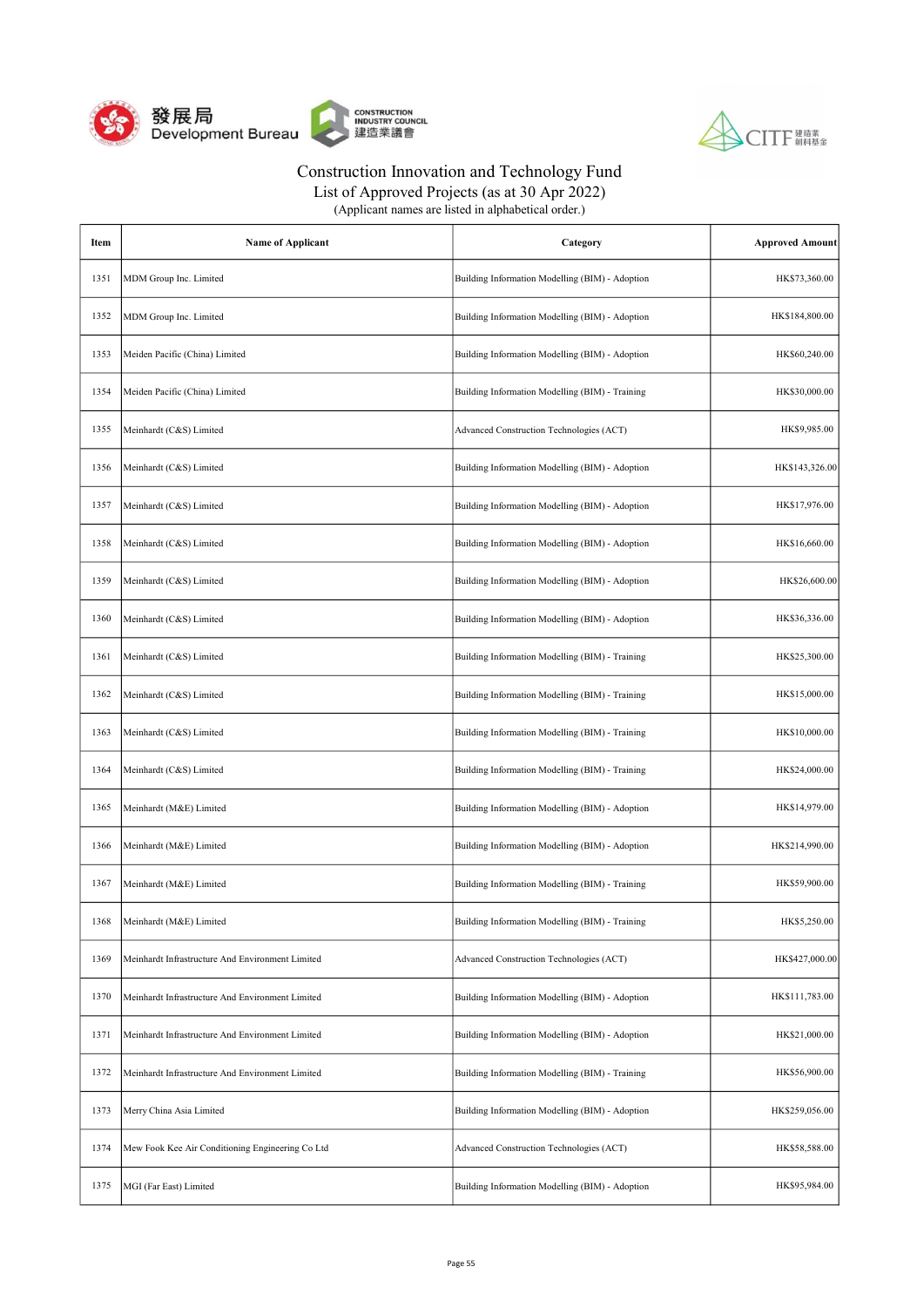



List of Approved Projects (as at 30 Apr 2022)

| Item | <b>Name of Applicant</b>                         | Category                                        | <b>Approved Amount</b> |
|------|--------------------------------------------------|-------------------------------------------------|------------------------|
| 1351 | MDM Group Inc. Limited                           | Building Information Modelling (BIM) - Adoption | HK\$73,360.00          |
| 1352 | MDM Group Inc. Limited                           | Building Information Modelling (BIM) - Adoption | HK\$184,800.00         |
| 1353 | Meiden Pacific (China) Limited                   | Building Information Modelling (BIM) - Adoption | HK\$60,240.00          |
| 1354 | Meiden Pacific (China) Limited                   | Building Information Modelling (BIM) - Training | HK\$30,000.00          |
| 1355 | Meinhardt (C&S) Limited                          | Advanced Construction Technologies (ACT)        | HK\$9,985.00           |
| 1356 | Meinhardt (C&S) Limited                          | Building Information Modelling (BIM) - Adoption | HK\$143,326.00         |
| 1357 | Meinhardt (C&S) Limited                          | Building Information Modelling (BIM) - Adoption | HK\$17,976.00          |
| 1358 | Meinhardt (C&S) Limited                          | Building Information Modelling (BIM) - Adoption | HK\$16,660.00          |
| 1359 | Meinhardt (C&S) Limited                          | Building Information Modelling (BIM) - Adoption | HK\$26,600.00          |
| 1360 | Meinhardt (C&S) Limited                          | Building Information Modelling (BIM) - Adoption | HK\$36,336.00          |
| 1361 | Meinhardt (C&S) Limited                          | Building Information Modelling (BIM) - Training | HK\$25,300.00          |
| 1362 | Meinhardt (C&S) Limited                          | Building Information Modelling (BIM) - Training | HK\$15,000.00          |
| 1363 | Meinhardt (C&S) Limited                          | Building Information Modelling (BIM) - Training | HK\$10,000.00          |
| 1364 | Meinhardt (C&S) Limited                          | Building Information Modelling (BIM) - Training | HK\$24,000.00          |
| 1365 | Meinhardt (M&E) Limited                          | Building Information Modelling (BIM) - Adoption | HK\$14,979.00          |
| 1366 | Meinhardt (M&E) Limited                          | Building Information Modelling (BIM) - Adoption | HK\$214,990.00         |
| 1367 | Meinhardt (M&E) Limited                          | Building Information Modelling (BIM) - Training | HK\$59,900.00          |
| 1368 | Meinhardt (M&E) Limited                          | Building Information Modelling (BIM) - Training | HK\$5,250.00           |
| 1369 | Meinhardt Infrastructure And Environment Limited | Advanced Construction Technologies (ACT)        | HK\$427,000.00         |
| 1370 | Meinhardt Infrastructure And Environment Limited | Building Information Modelling (BIM) - Adoption | HK\$111,783.00         |
| 1371 | Meinhardt Infrastructure And Environment Limited | Building Information Modelling (BIM) - Adoption | HK\$21,000.00          |
| 1372 | Meinhardt Infrastructure And Environment Limited | Building Information Modelling (BIM) - Training | HK\$56,900.00          |
| 1373 | Merry China Asia Limited                         | Building Information Modelling (BIM) - Adoption | HK\$259,056.00         |
| 1374 | Mew Fook Kee Air Conditioning Engineering Co Ltd | Advanced Construction Technologies (ACT)        | HK\$58,588.00          |
| 1375 | MGI (Far East) Limited                           | Building Information Modelling (BIM) - Adoption | HK\$95,984.00          |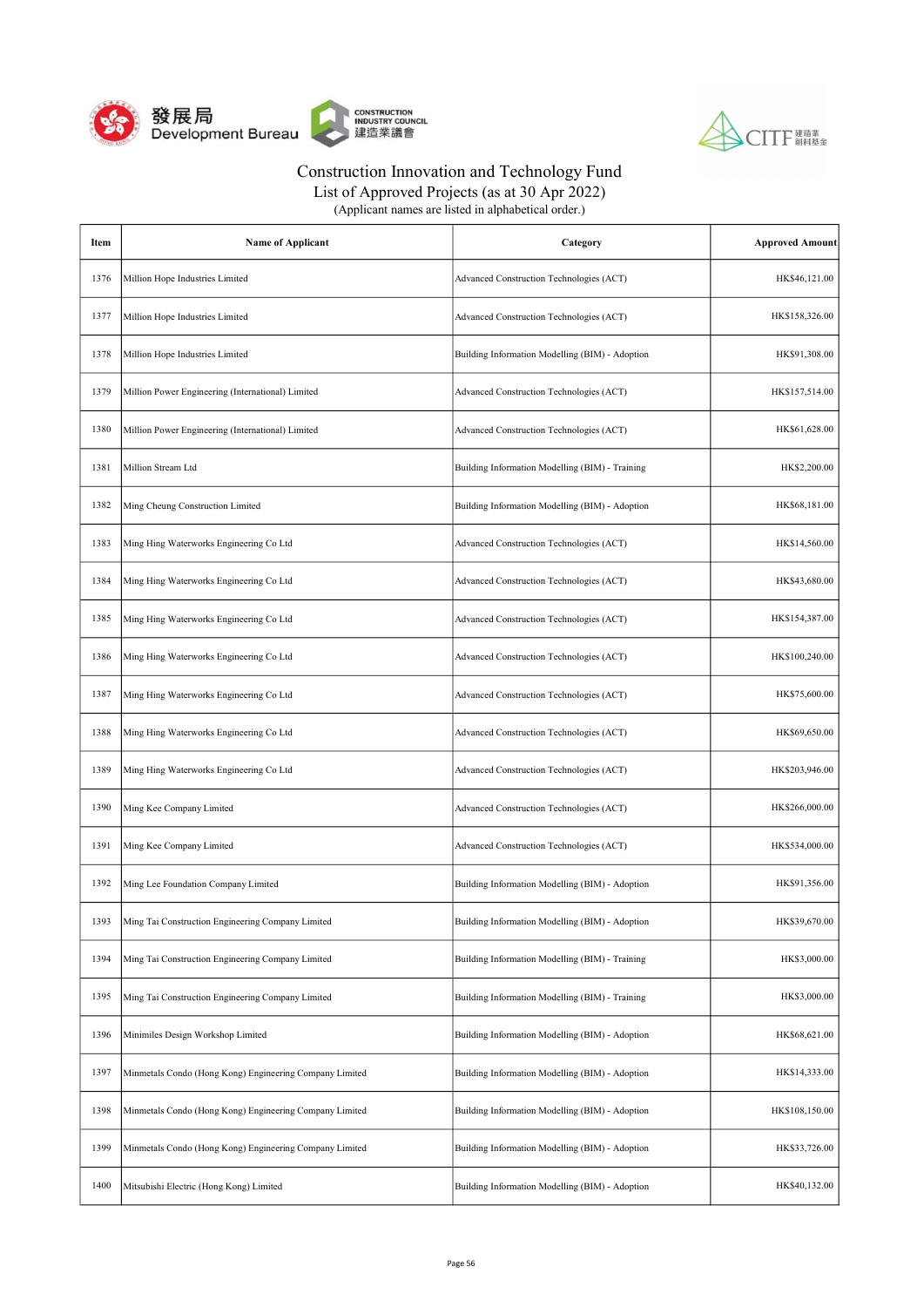



List of Approved Projects (as at 30 Apr 2022)

| Item | <b>Name of Applicant</b>                                | Category                                        | <b>Approved Amount</b> |
|------|---------------------------------------------------------|-------------------------------------------------|------------------------|
| 1376 | Million Hope Industries Limited                         | Advanced Construction Technologies (ACT)        | HK\$46,121.00          |
| 1377 | Million Hope Industries Limited                         | Advanced Construction Technologies (ACT)        | HK\$158,326.00         |
| 1378 | Million Hope Industries Limited                         | Building Information Modelling (BIM) - Adoption | HK\$91,308.00          |
| 1379 | Million Power Engineering (International) Limited       | Advanced Construction Technologies (ACT)        | HK\$157,514.00         |
| 1380 | Million Power Engineering (International) Limited       | Advanced Construction Technologies (ACT)        | HK\$61,628.00          |
| 1381 | Million Stream Ltd                                      | Building Information Modelling (BIM) - Training | HK\$2,200.00           |
| 1382 | Ming Cheung Construction Limited                        | Building Information Modelling (BIM) - Adoption | HK\$68,181.00          |
| 1383 | Ming Hing Waterworks Engineering Co Ltd                 | Advanced Construction Technologies (ACT)        | HK\$14,560.00          |
| 1384 | Ming Hing Waterworks Engineering Co Ltd                 | Advanced Construction Technologies (ACT)        | HK\$43,680.00          |
| 1385 | Ming Hing Waterworks Engineering Co Ltd                 | Advanced Construction Technologies (ACT)        | HK\$154,387.00         |
| 1386 | Ming Hing Waterworks Engineering Co Ltd                 | Advanced Construction Technologies (ACT)        | HK\$100,240.00         |
| 1387 | Ming Hing Waterworks Engineering Co Ltd                 | Advanced Construction Technologies (ACT)        | HK\$75,600.00          |
| 1388 | Ming Hing Waterworks Engineering Co Ltd                 | Advanced Construction Technologies (ACT)        | HK\$69,650.00          |
| 1389 | Ming Hing Waterworks Engineering Co Ltd                 | Advanced Construction Technologies (ACT)        | HK\$203,946.00         |
| 1390 | Ming Kee Company Limited                                | Advanced Construction Technologies (ACT)        | HK\$266,000.00         |
| 1391 | Ming Kee Company Limited                                | Advanced Construction Technologies (ACT)        | HK\$534,000.00         |
| 1392 | Ming Lee Foundation Company Limited                     | Building Information Modelling (BIM) - Adoption | HK\$91,356.00          |
| 1393 | Ming Tai Construction Engineering Company Limited       | Building Information Modelling (BIM) - Adoption | HK\$39,670.00          |
| 1394 | Ming Tai Construction Engineering Company Limited       | Building Information Modelling (BIM) - Training | HK\$3,000.00           |
| 1395 | Ming Tai Construction Engineering Company Limited       | Building Information Modelling (BIM) - Training | HK\$3,000.00           |
| 1396 | Minimiles Design Workshop Limited                       | Building Information Modelling (BIM) - Adoption | HK\$68,621.00          |
| 1397 | Minmetals Condo (Hong Kong) Engineering Company Limited | Building Information Modelling (BIM) - Adoption | HK\$14,333.00          |
| 1398 | Minmetals Condo (Hong Kong) Engineering Company Limited | Building Information Modelling (BIM) - Adoption | HK\$108,150.00         |
| 1399 | Minmetals Condo (Hong Kong) Engineering Company Limited | Building Information Modelling (BIM) - Adoption | HK\$33,726.00          |
| 1400 | Mitsubishi Electric (Hong Kong) Limited                 | Building Information Modelling (BIM) - Adoption | HK\$40,132.00          |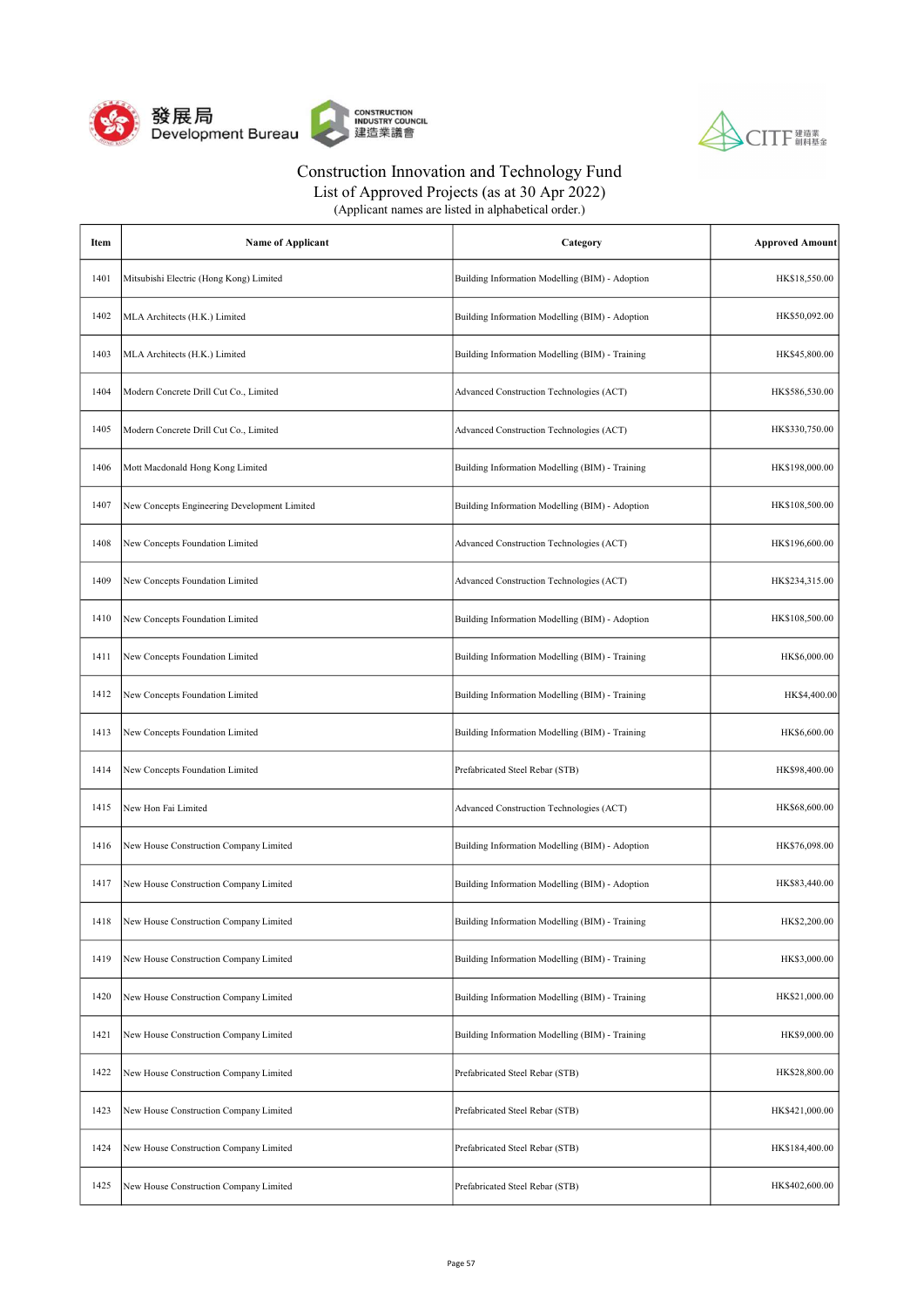



List of Approved Projects (as at 30 Apr 2022)

| Item | <b>Name of Applicant</b>                     | Category                                        | <b>Approved Amount</b> |
|------|----------------------------------------------|-------------------------------------------------|------------------------|
| 1401 | Mitsubishi Electric (Hong Kong) Limited      | Building Information Modelling (BIM) - Adoption | HK\$18,550.00          |
| 1402 | MLA Architects (H.K.) Limited                | Building Information Modelling (BIM) - Adoption | HK\$50,092.00          |
| 1403 | MLA Architects (H.K.) Limited                | Building Information Modelling (BIM) - Training | HK\$45,800.00          |
| 1404 | Modern Concrete Drill Cut Co., Limited       | Advanced Construction Technologies (ACT)        | HK\$586,530.00         |
| 1405 | Modern Concrete Drill Cut Co., Limited       | Advanced Construction Technologies (ACT)        | HK\$330,750.00         |
| 1406 | Mott Macdonald Hong Kong Limited             | Building Information Modelling (BIM) - Training | HK\$198,000.00         |
| 1407 | New Concepts Engineering Development Limited | Building Information Modelling (BIM) - Adoption | HK\$108,500.00         |
| 1408 | New Concepts Foundation Limited              | Advanced Construction Technologies (ACT)        | HK\$196,600.00         |
| 1409 | New Concepts Foundation Limited              | Advanced Construction Technologies (ACT)        | HK\$234,315.00         |
| 1410 | New Concepts Foundation Limited              | Building Information Modelling (BIM) - Adoption | HK\$108,500.00         |
| 1411 | New Concepts Foundation Limited              | Building Information Modelling (BIM) - Training | HK\$6,000.00           |
| 1412 | New Concepts Foundation Limited              | Building Information Modelling (BIM) - Training | HK\$4,400.00           |
| 1413 | New Concepts Foundation Limited              | Building Information Modelling (BIM) - Training | HK\$6,600.00           |
| 1414 | New Concepts Foundation Limited              | Prefabricated Steel Rebar (STB)                 | HK\$98,400.00          |
| 1415 | New Hon Fai Limited                          | Advanced Construction Technologies (ACT)        | HK\$68,600.00          |
| 1416 | New House Construction Company Limited       | Building Information Modelling (BIM) - Adoption | HK\$76,098.00          |
| 1417 | New House Construction Company Limited       | Building Information Modelling (BIM) - Adoption | HK\$83,440.00          |
| 1418 | New House Construction Company Limited       | Building Information Modelling (BIM) - Training | HK\$2,200.00           |
| 1419 | New House Construction Company Limited       | Building Information Modelling (BIM) - Training | HK\$3,000.00           |
| 1420 | New House Construction Company Limited       | Building Information Modelling (BIM) - Training | HK\$21,000.00          |
| 1421 | New House Construction Company Limited       | Building Information Modelling (BIM) - Training | HK\$9,000.00           |
| 1422 | New House Construction Company Limited       | Prefabricated Steel Rebar (STB)                 | HK\$28,800.00          |
| 1423 | New House Construction Company Limited       | Prefabricated Steel Rebar (STB)                 | HK\$421,000.00         |
| 1424 | New House Construction Company Limited       | Prefabricated Steel Rebar (STB)                 | HK\$184,400.00         |
| 1425 | New House Construction Company Limited       | Prefabricated Steel Rebar (STB)                 | HK\$402,600.00         |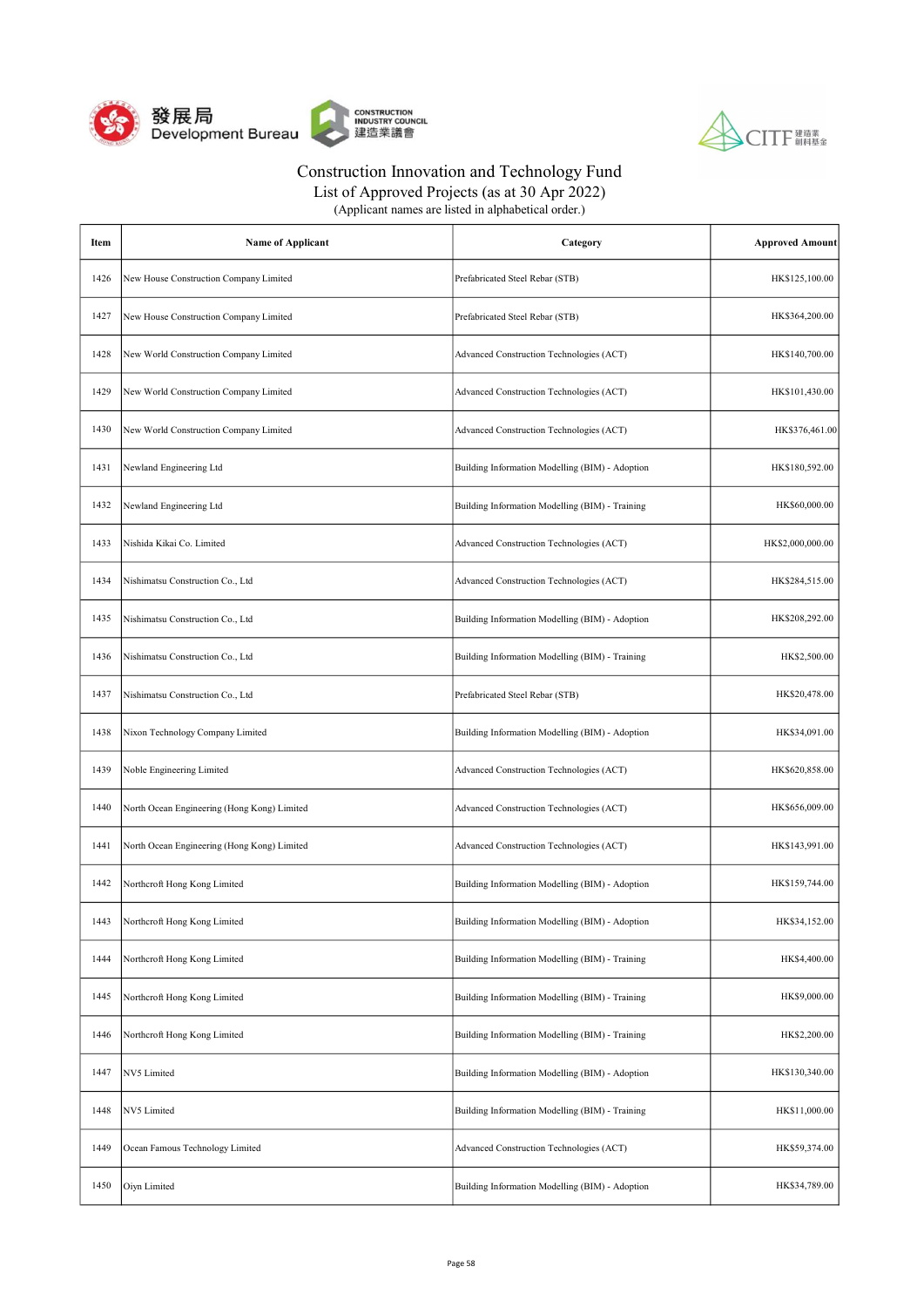



| (Applicant names are listed in alphabetical order.) |  |
|-----------------------------------------------------|--|
|-----------------------------------------------------|--|

| Item | <b>Name of Applicant</b>                    | Category                                        | <b>Approved Amount</b> |
|------|---------------------------------------------|-------------------------------------------------|------------------------|
| 1426 | New House Construction Company Limited      | Prefabricated Steel Rebar (STB)                 | HK\$125,100.00         |
| 1427 | New House Construction Company Limited      | Prefabricated Steel Rebar (STB)                 | HK\$364,200.00         |
| 1428 | New World Construction Company Limited      | Advanced Construction Technologies (ACT)        | HK\$140,700.00         |
| 1429 | New World Construction Company Limited      | Advanced Construction Technologies (ACT)        | HK\$101,430.00         |
| 1430 | New World Construction Company Limited      | Advanced Construction Technologies (ACT)        | HK\$376,461.00         |
| 1431 | Newland Engineering Ltd                     | Building Information Modelling (BIM) - Adoption | HK\$180,592.00         |
| 1432 | Newland Engineering Ltd                     | Building Information Modelling (BIM) - Training | HK\$60,000.00          |
| 1433 | Nishida Kikai Co. Limited                   | Advanced Construction Technologies (ACT)        | HK\$2,000,000.00       |
| 1434 | Nishimatsu Construction Co., Ltd            | Advanced Construction Technologies (ACT)        | HK\$284,515.00         |
| 1435 | Nishimatsu Construction Co., Ltd            | Building Information Modelling (BIM) - Adoption | HK\$208,292.00         |
| 1436 | Nishimatsu Construction Co., Ltd            | Building Information Modelling (BIM) - Training | HK\$2,500.00           |
| 1437 | Nishimatsu Construction Co., Ltd            | Prefabricated Steel Rebar (STB)                 | HK\$20,478.00          |
| 1438 | Nixon Technology Company Limited            | Building Information Modelling (BIM) - Adoption | HK\$34,091.00          |
| 1439 | Noble Engineering Limited                   | Advanced Construction Technologies (ACT)        | HK\$620,858.00         |
| 1440 | North Ocean Engineering (Hong Kong) Limited | Advanced Construction Technologies (ACT)        | HK\$656,009.00         |
| 1441 | North Ocean Engineering (Hong Kong) Limited | Advanced Construction Technologies (ACT)        | HK\$143,991.00         |
| 1442 | Northcroft Hong Kong Limited                | Building Information Modelling (BIM) - Adoption | HK\$159,744.00         |
| 1443 | Northcroft Hong Kong Limited                | Building Information Modelling (BIM) - Adoption | HK\$34,152.00          |
| 1444 | Northcroft Hong Kong Limited                | Building Information Modelling (BIM) - Training | HK\$4,400.00           |
| 1445 | Northcroft Hong Kong Limited                | Building Information Modelling (BIM) - Training | HK\$9,000.00           |
| 1446 | Northcroft Hong Kong Limited                | Building Information Modelling (BIM) - Training | HK\$2,200.00           |
| 1447 | NV5 Limited                                 | Building Information Modelling (BIM) - Adoption | HK\$130,340.00         |
| 1448 | NV5 Limited                                 | Building Information Modelling (BIM) - Training | HK\$11,000.00          |
| 1449 | Ocean Famous Technology Limited             | Advanced Construction Technologies (ACT)        | HK\$59,374.00          |
| 1450 | Oiyn Limited                                | Building Information Modelling (BIM) - Adoption | HK\$34,789.00          |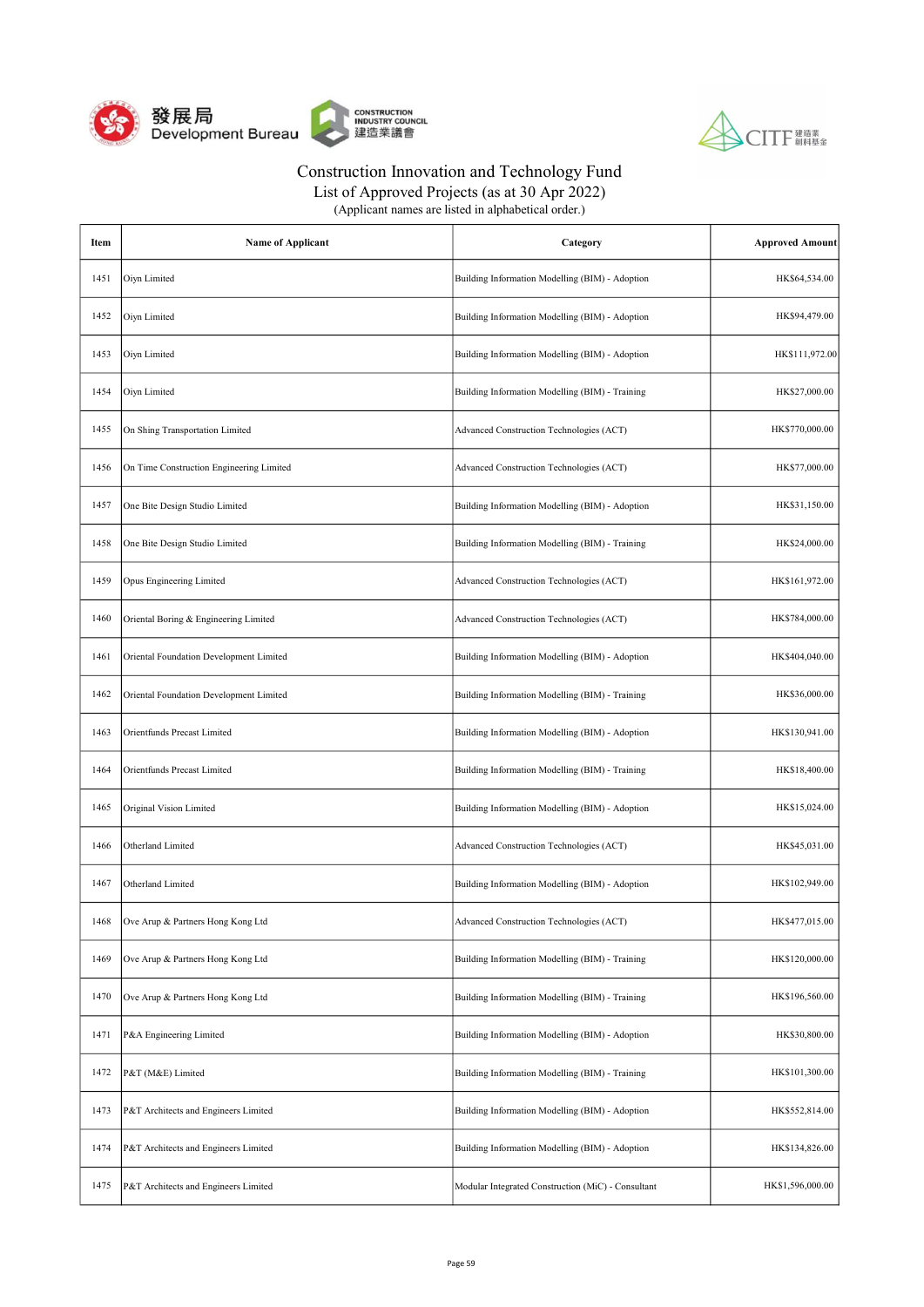



List of Approved Projects (as at 30 Apr 2022)

| Item | <b>Name of Applicant</b>                 | Category                                           | <b>Approved Amount</b> |
|------|------------------------------------------|----------------------------------------------------|------------------------|
| 1451 | Oiyn Limited                             | Building Information Modelling (BIM) - Adoption    | HK\$64,534.00          |
| 1452 | Oiyn Limited                             | Building Information Modelling (BIM) - Adoption    | HK\$94,479.00          |
| 1453 | Oiyn Limited                             | Building Information Modelling (BIM) - Adoption    | HK\$111,972.00         |
| 1454 | Oiyn Limited                             | Building Information Modelling (BIM) - Training    | HK\$27,000.00          |
| 1455 | On Shing Transportation Limited          | Advanced Construction Technologies (ACT)           | HK\$770,000.00         |
| 1456 | On Time Construction Engineering Limited | Advanced Construction Technologies (ACT)           | HK\$77,000.00          |
| 1457 | One Bite Design Studio Limited           | Building Information Modelling (BIM) - Adoption    | HK\$31,150.00          |
| 1458 | One Bite Design Studio Limited           | Building Information Modelling (BIM) - Training    | HK\$24,000.00          |
| 1459 | Opus Engineering Limited                 | Advanced Construction Technologies (ACT)           | HK\$161,972.00         |
| 1460 | Oriental Boring & Engineering Limited    | Advanced Construction Technologies (ACT)           | HK\$784,000.00         |
| 1461 | Oriental Foundation Development Limited  | Building Information Modelling (BIM) - Adoption    | HK\$404,040.00         |
| 1462 | Oriental Foundation Development Limited  | Building Information Modelling (BIM) - Training    | HK\$36,000.00          |
| 1463 | Orientfunds Precast Limited              | Building Information Modelling (BIM) - Adoption    | HK\$130,941.00         |
| 1464 | Orientfunds Precast Limited              | Building Information Modelling (BIM) - Training    | HK\$18,400.00          |
| 1465 | Original Vision Limited                  | Building Information Modelling (BIM) - Adoption    | HK\$15,024.00          |
| 1466 | Otherland Limited                        | Advanced Construction Technologies (ACT)           | HK\$45,031.00          |
| 1467 | Otherland Limited                        | Building Information Modelling (BIM) - Adoption    | HK\$102,949.00         |
| 1468 | Ove Arup & Partners Hong Kong Ltd        | Advanced Construction Technologies (ACT)           | HK\$477,015.00         |
| 1469 | Ove Arup & Partners Hong Kong Ltd        | Building Information Modelling (BIM) - Training    | HK\$120,000.00         |
| 1470 | Ove Arup & Partners Hong Kong Ltd        | Building Information Modelling (BIM) - Training    | HK\$196,560.00         |
| 1471 | P&A Engineering Limited                  | Building Information Modelling (BIM) - Adoption    | HK\$30,800.00          |
| 1472 | P&T (M&E) Limited                        | Building Information Modelling (BIM) - Training    | HK\$101,300.00         |
| 1473 | P&T Architects and Engineers Limited     | Building Information Modelling (BIM) - Adoption    | HK\$552,814.00         |
| 1474 | P&T Architects and Engineers Limited     | Building Information Modelling (BIM) - Adoption    | HK\$134,826.00         |
| 1475 | P&T Architects and Engineers Limited     | Modular Integrated Construction (MiC) - Consultant | HK\$1,596,000.00       |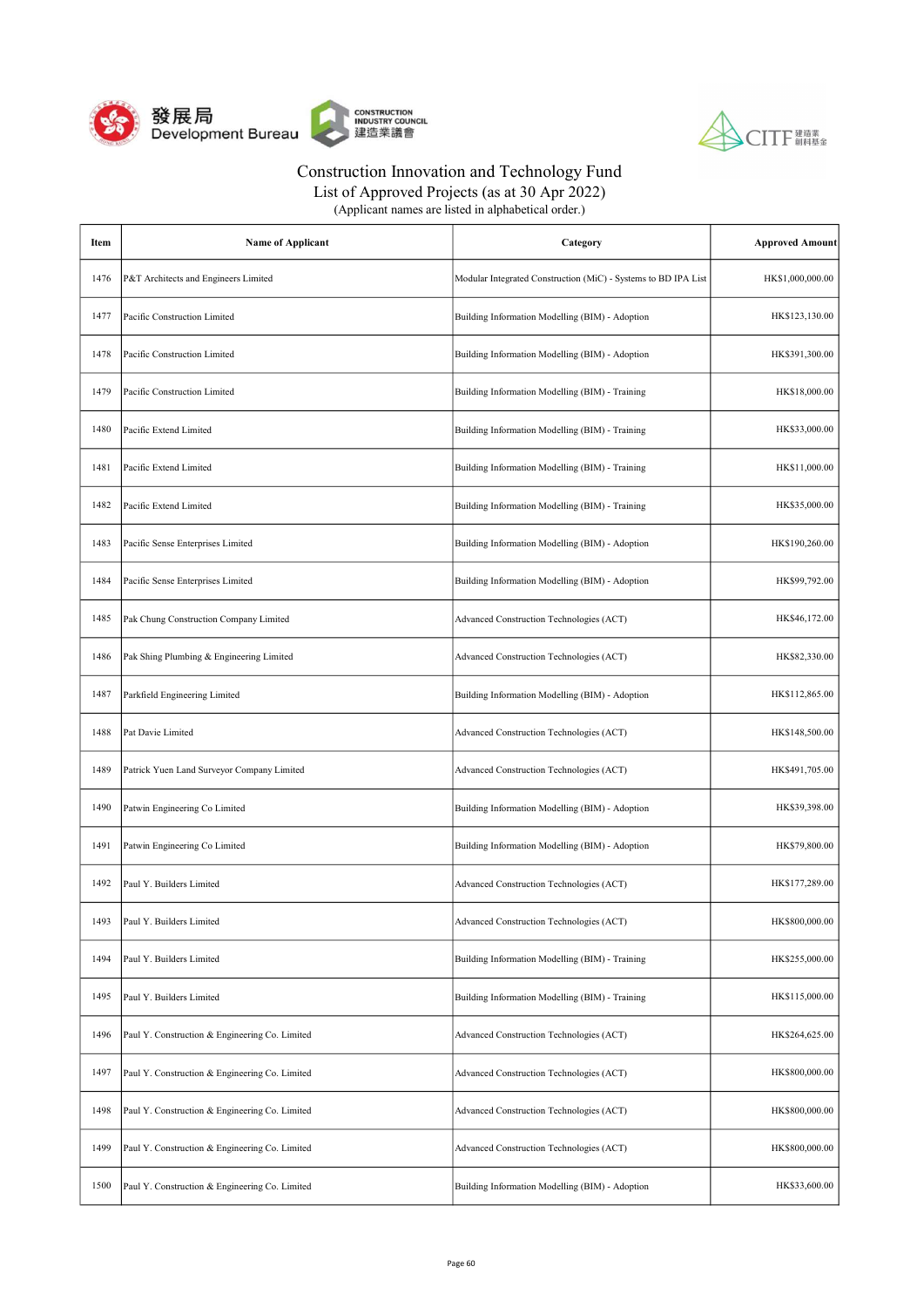



List of Approved Projects (as at 30 Apr 2022)

| Item | <b>Name of Applicant</b>                       | Category                                                       | <b>Approved Amount</b> |
|------|------------------------------------------------|----------------------------------------------------------------|------------------------|
| 1476 | P&T Architects and Engineers Limited           | Modular Integrated Construction (MiC) - Systems to BD IPA List | HK\$1,000,000.00       |
| 1477 | Pacific Construction Limited                   | Building Information Modelling (BIM) - Adoption                | HK\$123,130.00         |
| 1478 | Pacific Construction Limited                   | Building Information Modelling (BIM) - Adoption                | HK\$391,300.00         |
| 1479 | Pacific Construction Limited                   | Building Information Modelling (BIM) - Training                | HK\$18,000.00          |
| 1480 | Pacific Extend Limited                         | Building Information Modelling (BIM) - Training                | HK\$33,000.00          |
| 1481 | Pacific Extend Limited                         | Building Information Modelling (BIM) - Training                | HK\$11,000.00          |
| 1482 | Pacific Extend Limited                         | Building Information Modelling (BIM) - Training                | HK\$35,000.00          |
| 1483 | Pacific Sense Enterprises Limited              | Building Information Modelling (BIM) - Adoption                | HK\$190,260.00         |
| 1484 | Pacific Sense Enterprises Limited              | Building Information Modelling (BIM) - Adoption                | HK\$99,792.00          |
| 1485 | Pak Chung Construction Company Limited         | Advanced Construction Technologies (ACT)                       | HK\$46,172.00          |
| 1486 | Pak Shing Plumbing & Engineering Limited       | Advanced Construction Technologies (ACT)                       | HK\$82,330.00          |
| 1487 | Parkfield Engineering Limited                  | Building Information Modelling (BIM) - Adoption                | HK\$112,865.00         |
| 1488 | Pat Davie Limited                              | Advanced Construction Technologies (ACT)                       | HK\$148,500.00         |
| 1489 | Patrick Yuen Land Surveyor Company Limited     | Advanced Construction Technologies (ACT)                       | HK\$491,705.00         |
| 1490 | Patwin Engineering Co Limited                  | Building Information Modelling (BIM) - Adoption                | HK\$39,398.00          |
| 1491 | Patwin Engineering Co Limited                  | Building Information Modelling (BIM) - Adoption                | HK\$79,800.00          |
| 1492 | Paul Y. Builders Limited                       | Advanced Construction Technologies (ACT)                       | HK\$177,289.00         |
| 1493 | Paul Y. Builders Limited                       | Advanced Construction Technologies (ACT)                       | HK\$800,000.00         |
| 1494 | Paul Y. Builders Limited                       | Building Information Modelling (BIM) - Training                | HK\$255,000.00         |
| 1495 | Paul Y. Builders Limited                       | Building Information Modelling (BIM) - Training                | HK\$115,000.00         |
| 1496 | Paul Y. Construction & Engineering Co. Limited | Advanced Construction Technologies (ACT)                       | HK\$264,625.00         |
| 1497 | Paul Y. Construction & Engineering Co. Limited | Advanced Construction Technologies (ACT)                       | HK\$800,000.00         |
| 1498 | Paul Y. Construction & Engineering Co. Limited | Advanced Construction Technologies (ACT)                       | HK\$800,000.00         |
| 1499 | Paul Y. Construction & Engineering Co. Limited | Advanced Construction Technologies (ACT)                       | HK\$800,000.00         |
| 1500 | Paul Y. Construction & Engineering Co. Limited | Building Information Modelling (BIM) - Adoption                | HK\$33,600.00          |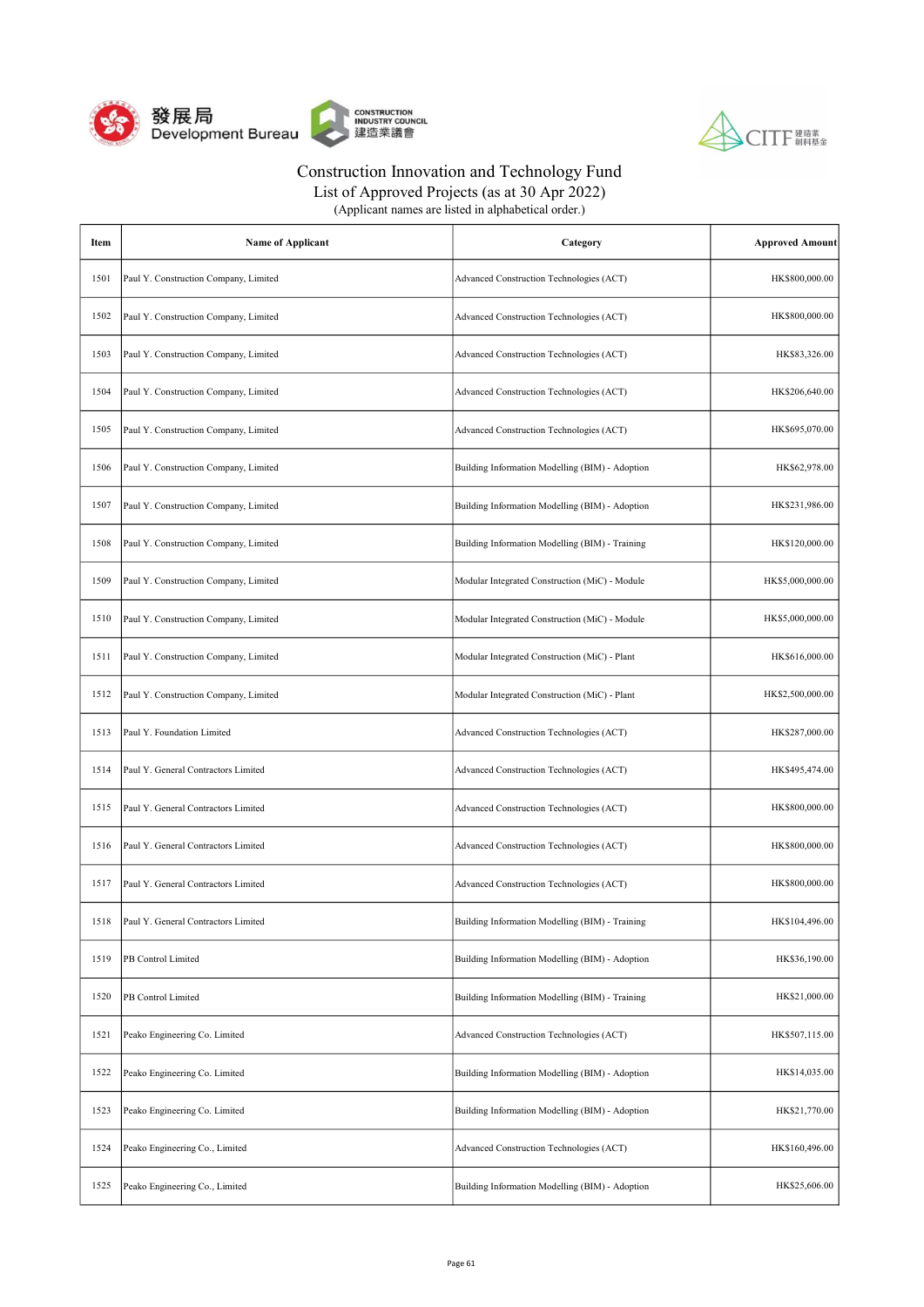



List of Approved Projects (as at 30 Apr 2022) (Applicant names are listed in alphabetical order.)

| Item | <b>Name of Applicant</b>              | Category                                        | <b>Approved Amount</b> |
|------|---------------------------------------|-------------------------------------------------|------------------------|
| 1501 | Paul Y. Construction Company, Limited | Advanced Construction Technologies (ACT)        | HK\$800,000.00         |
| 1502 | Paul Y. Construction Company, Limited | Advanced Construction Technologies (ACT)        | HK\$800,000.00         |
| 1503 | Paul Y. Construction Company, Limited | Advanced Construction Technologies (ACT)        | HK\$83,326.00          |
| 1504 | Paul Y. Construction Company, Limited | Advanced Construction Technologies (ACT)        | HK\$206,640.00         |
| 1505 | Paul Y. Construction Company, Limited | Advanced Construction Technologies (ACT)        | HK\$695,070.00         |
| 1506 | Paul Y. Construction Company, Limited | Building Information Modelling (BIM) - Adoption | HK\$62,978.00          |
| 1507 | Paul Y. Construction Company, Limited | Building Information Modelling (BIM) - Adoption | HK\$231,986.00         |
| 1508 | Paul Y. Construction Company, Limited | Building Information Modelling (BIM) - Training | HK\$120,000.00         |
| 1509 | Paul Y. Construction Company, Limited | Modular Integrated Construction (MiC) - Module  | HK\$5,000,000.00       |
| 1510 | Paul Y. Construction Company, Limited | Modular Integrated Construction (MiC) - Module  | HK\$5,000,000.00       |
| 1511 | Paul Y. Construction Company, Limited | Modular Integrated Construction (MiC) - Plant   | HK\$616,000.00         |
| 1512 | Paul Y. Construction Company, Limited | Modular Integrated Construction (MiC) - Plant   | HK\$2,500,000.00       |
| 1513 | Paul Y. Foundation Limited            | Advanced Construction Technologies (ACT)        | HK\$287,000.00         |
| 1514 | Paul Y. General Contractors Limited   | Advanced Construction Technologies (ACT)        | HK\$495,474.00         |
| 1515 | Paul Y. General Contractors Limited   | Advanced Construction Technologies (ACT)        | HK\$800,000.00         |
| 1516 | Paul Y. General Contractors Limited   | Advanced Construction Technologies (ACT)        | HK\$800,000.00         |
| 1517 | Paul Y. General Contractors Limited   | Advanced Construction Technologies (ACT)        | HK\$800,000.00         |
| 1518 | Paul Y. General Contractors Limited   | Building Information Modelling (BIM) - Training | HK\$104,496.00         |
| 1519 | PB Control Limited                    | Building Information Modelling (BIM) - Adoption | HK\$36,190.00          |
| 1520 | PB Control Limited                    | Building Information Modelling (BIM) - Training | HK\$21,000.00          |
| 1521 | Peako Engineering Co. Limited         | Advanced Construction Technologies (ACT)        | HK\$507,115.00         |
| 1522 | Peako Engineering Co. Limited         | Building Information Modelling (BIM) - Adoption | HK\$14,035.00          |
| 1523 | Peako Engineering Co. Limited         | Building Information Modelling (BIM) - Adoption | HK\$21,770.00          |
| 1524 | Peako Engineering Co., Limited        | Advanced Construction Technologies (ACT)        | HK\$160,496.00         |
| 1525 | Peako Engineering Co., Limited        | Building Information Modelling (BIM) - Adoption | HK\$25,606.00          |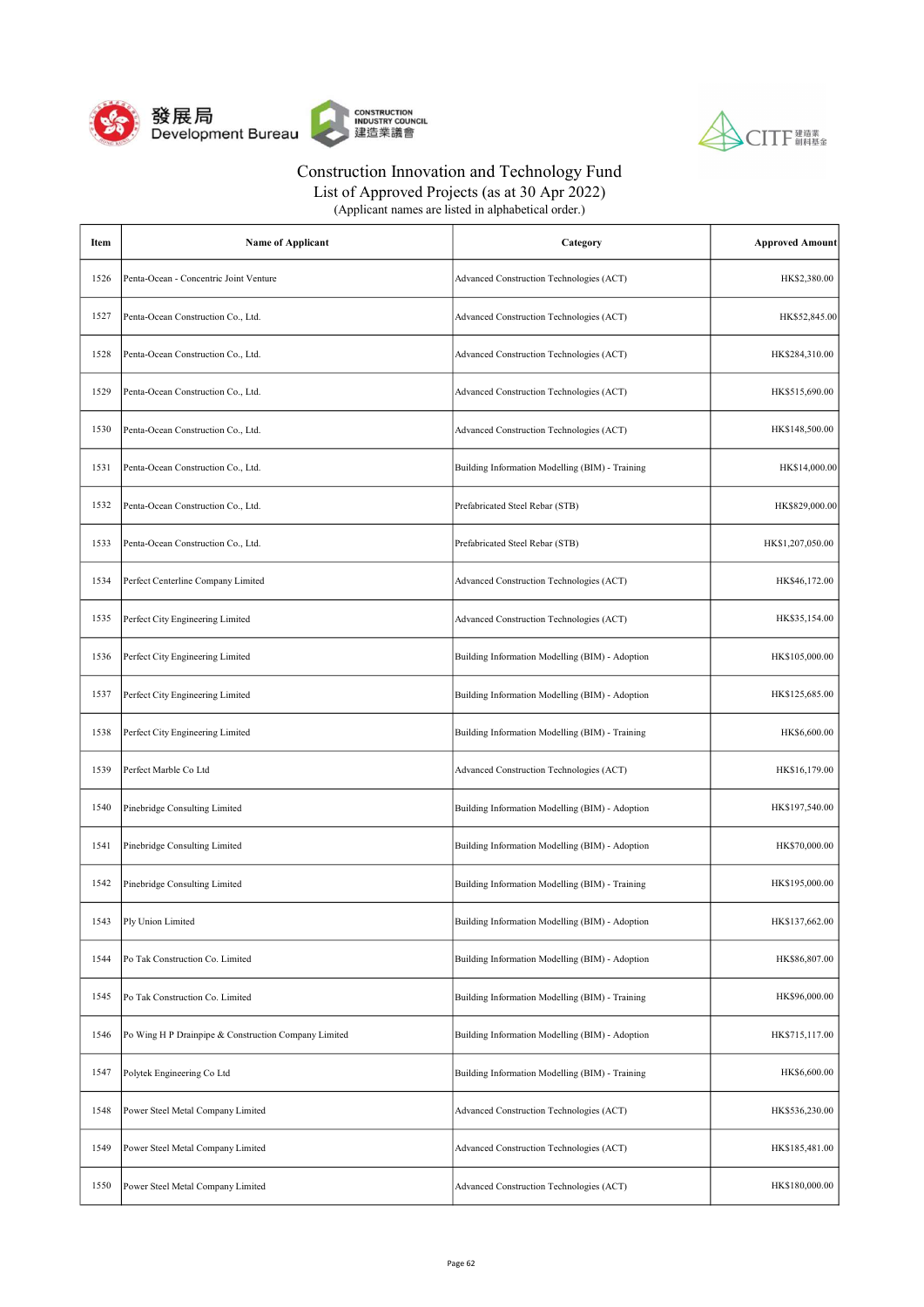



List of Approved Projects (as at 30 Apr 2022) (Applicant names are listed in alphabetical order.)

| Item | <b>Name of Applicant</b>                             | Category                                        | <b>Approved Amount</b> |
|------|------------------------------------------------------|-------------------------------------------------|------------------------|
| 1526 | Penta-Ocean - Concentric Joint Venture               | Advanced Construction Technologies (ACT)        | HK\$2,380.00           |
| 1527 | Penta-Ocean Construction Co., Ltd.                   | Advanced Construction Technologies (ACT)        | HK\$52,845.00          |
| 1528 | Penta-Ocean Construction Co., Ltd.                   | Advanced Construction Technologies (ACT)        | HK\$284,310.00         |
| 1529 | Penta-Ocean Construction Co., Ltd.                   | Advanced Construction Technologies (ACT)        | HK\$515,690.00         |
| 1530 | Penta-Ocean Construction Co., Ltd.                   | Advanced Construction Technologies (ACT)        | HK\$148,500.00         |
| 1531 | Penta-Ocean Construction Co., Ltd.                   | Building Information Modelling (BIM) - Training | HK\$14,000.00          |
| 1532 | Penta-Ocean Construction Co., Ltd.                   | Prefabricated Steel Rebar (STB)                 | HK\$829,000.00         |
| 1533 | Penta-Ocean Construction Co., Ltd.                   | Prefabricated Steel Rebar (STB)                 | HK\$1,207,050.00       |
| 1534 | Perfect Centerline Company Limited                   | Advanced Construction Technologies (ACT)        | HK\$46,172.00          |
| 1535 | Perfect City Engineering Limited                     | Advanced Construction Technologies (ACT)        | HK\$35,154.00          |
| 1536 | Perfect City Engineering Limited                     | Building Information Modelling (BIM) - Adoption | HK\$105,000.00         |
| 1537 | Perfect City Engineering Limited                     | Building Information Modelling (BIM) - Adoption | HK\$125,685.00         |
| 1538 | Perfect City Engineering Limited                     | Building Information Modelling (BIM) - Training | HK\$6,600.00           |
| 1539 | Perfect Marble Co Ltd                                | Advanced Construction Technologies (ACT)        | HK\$16,179.00          |
| 1540 | Pinebridge Consulting Limited                        | Building Information Modelling (BIM) - Adoption | HK\$197,540.00         |
| 1541 | Pinebridge Consulting Limited                        | Building Information Modelling (BIM) - Adoption | HK\$70,000.00          |
| 1542 | Pinebridge Consulting Limited                        | Building Information Modelling (BIM) - Training | HK\$195,000.00         |
| 1543 | Ply Union Limited                                    | Building Information Modelling (BIM) - Adoption | HK\$137,662.00         |
| 1544 | Po Tak Construction Co. Limited                      | Building Information Modelling (BIM) - Adoption | HK\$86,807.00          |
| 1545 | Po Tak Construction Co. Limited                      | Building Information Modelling (BIM) - Training | HK\$96,000.00          |
| 1546 | Po Wing H P Drainpipe & Construction Company Limited | Building Information Modelling (BIM) - Adoption | HK\$715,117.00         |
| 1547 | Polytek Engineering Co Ltd                           | Building Information Modelling (BIM) - Training | HK\$6,600.00           |
| 1548 | Power Steel Metal Company Limited                    | Advanced Construction Technologies (ACT)        | HK\$536,230.00         |
| 1549 | Power Steel Metal Company Limited                    | Advanced Construction Technologies (ACT)        | HK\$185,481.00         |
| 1550 | Power Steel Metal Company Limited                    | Advanced Construction Technologies (ACT)        | HK\$180,000.00         |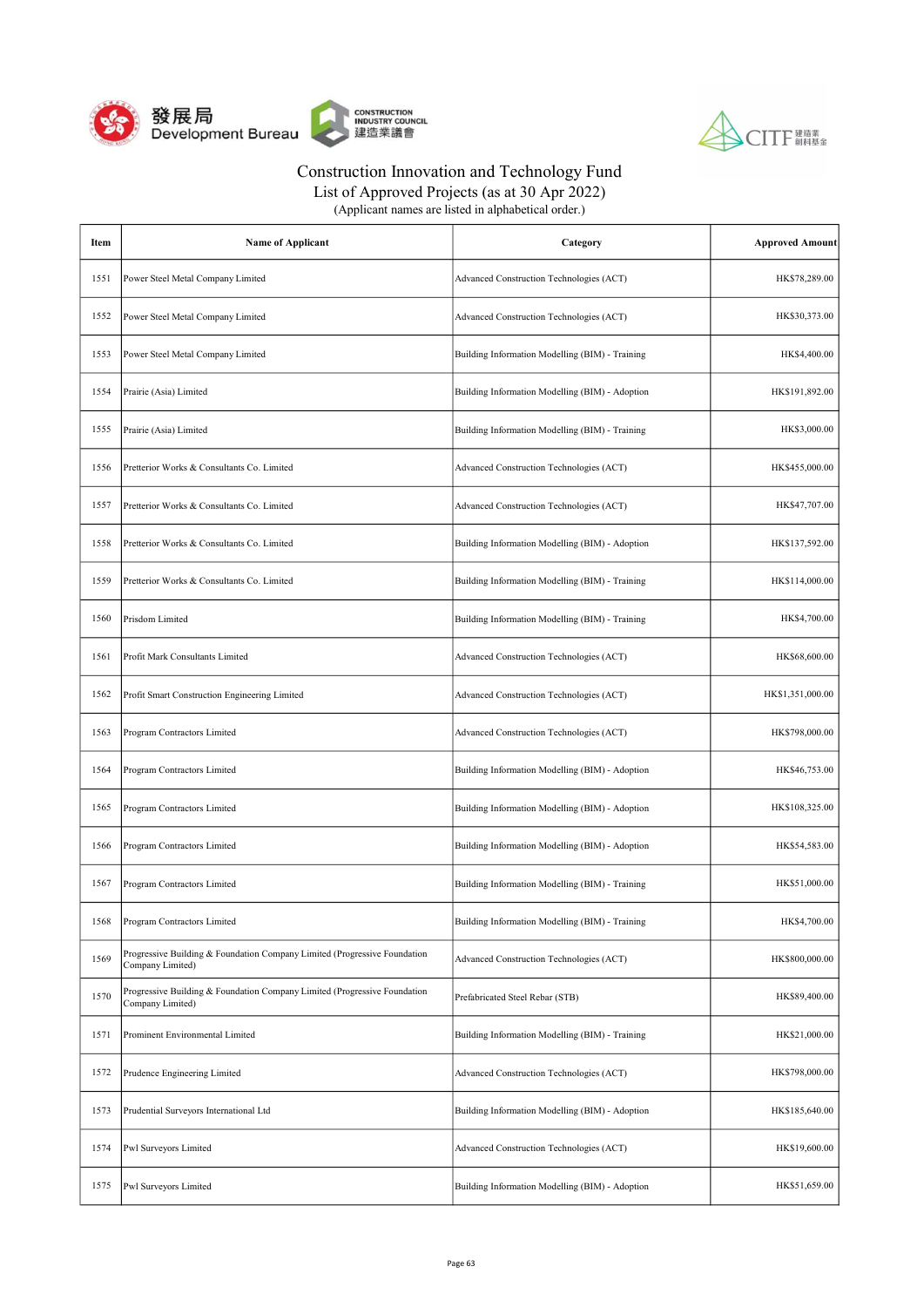



| (Applicant names are listed in alphabetical order.) |  |
|-----------------------------------------------------|--|
|-----------------------------------------------------|--|

| Item | <b>Name of Applicant</b>                                                                      | Category                                        | <b>Approved Amount</b> |
|------|-----------------------------------------------------------------------------------------------|-------------------------------------------------|------------------------|
| 1551 | Power Steel Metal Company Limited                                                             | Advanced Construction Technologies (ACT)        | HK\$78,289.00          |
| 1552 | Power Steel Metal Company Limited                                                             | Advanced Construction Technologies (ACT)        | HK\$30,373.00          |
| 1553 | Power Steel Metal Company Limited                                                             | Building Information Modelling (BIM) - Training | HK\$4,400.00           |
| 1554 | Prairie (Asia) Limited                                                                        | Building Information Modelling (BIM) - Adoption | HK\$191,892.00         |
| 1555 | Prairie (Asia) Limited                                                                        | Building Information Modelling (BIM) - Training | HK\$3,000.00           |
| 1556 | Pretterior Works & Consultants Co. Limited                                                    | Advanced Construction Technologies (ACT)        | HK\$455,000.00         |
| 1557 | Pretterior Works & Consultants Co. Limited                                                    | Advanced Construction Technologies (ACT)        | HK\$47,707.00          |
| 1558 | Pretterior Works & Consultants Co. Limited                                                    | Building Information Modelling (BIM) - Adoption | HK\$137,592.00         |
| 1559 | Pretterior Works & Consultants Co. Limited                                                    | Building Information Modelling (BIM) - Training | HK\$114,000.00         |
| 1560 | Prisdom Limited                                                                               | Building Information Modelling (BIM) - Training | HK\$4,700.00           |
| 1561 | Profit Mark Consultants Limited                                                               | Advanced Construction Technologies (ACT)        | HK\$68,600.00          |
| 1562 | Profit Smart Construction Engineering Limited                                                 | Advanced Construction Technologies (ACT)        | HK\$1,351,000.00       |
| 1563 | Program Contractors Limited                                                                   | Advanced Construction Technologies (ACT)        | HK\$798,000.00         |
| 1564 | Program Contractors Limited                                                                   | Building Information Modelling (BIM) - Adoption | HK\$46,753.00          |
| 1565 | Program Contractors Limited                                                                   | Building Information Modelling (BIM) - Adoption | HK\$108,325.00         |
| 1566 | Program Contractors Limited                                                                   | Building Information Modelling (BIM) - Adoption | HK\$54,583.00          |
| 1567 | Program Contractors Limited                                                                   | Building Information Modelling (BIM) - Training | HK\$51,000.00          |
| 1568 | Program Contractors Limited                                                                   | Building Information Modelling (BIM) - Training | HK\$4,700.00           |
| 1569 | Progressive Building & Foundation Company Limited (Progressive Foundation<br>Company Limited) | Advanced Construction Technologies (ACT)        | HK\$800,000.00         |
| 1570 | Progressive Building & Foundation Company Limited (Progressive Foundation<br>Company Limited) | Prefabricated Steel Rebar (STB)                 | HK\$89,400.00          |
| 1571 | Prominent Environmental Limited                                                               | Building Information Modelling (BIM) - Training | HK\$21,000.00          |
| 1572 | Prudence Engineering Limited                                                                  | Advanced Construction Technologies (ACT)        | HK\$798,000.00         |
| 1573 | Prudential Surveyors International Ltd                                                        | Building Information Modelling (BIM) - Adoption | HK\$185,640.00         |
| 1574 | Pwl Surveyors Limited                                                                         | Advanced Construction Technologies (ACT)        | HK\$19,600.00          |
| 1575 | Pwl Surveyors Limited                                                                         | Building Information Modelling (BIM) - Adoption | HK\$51,659.00          |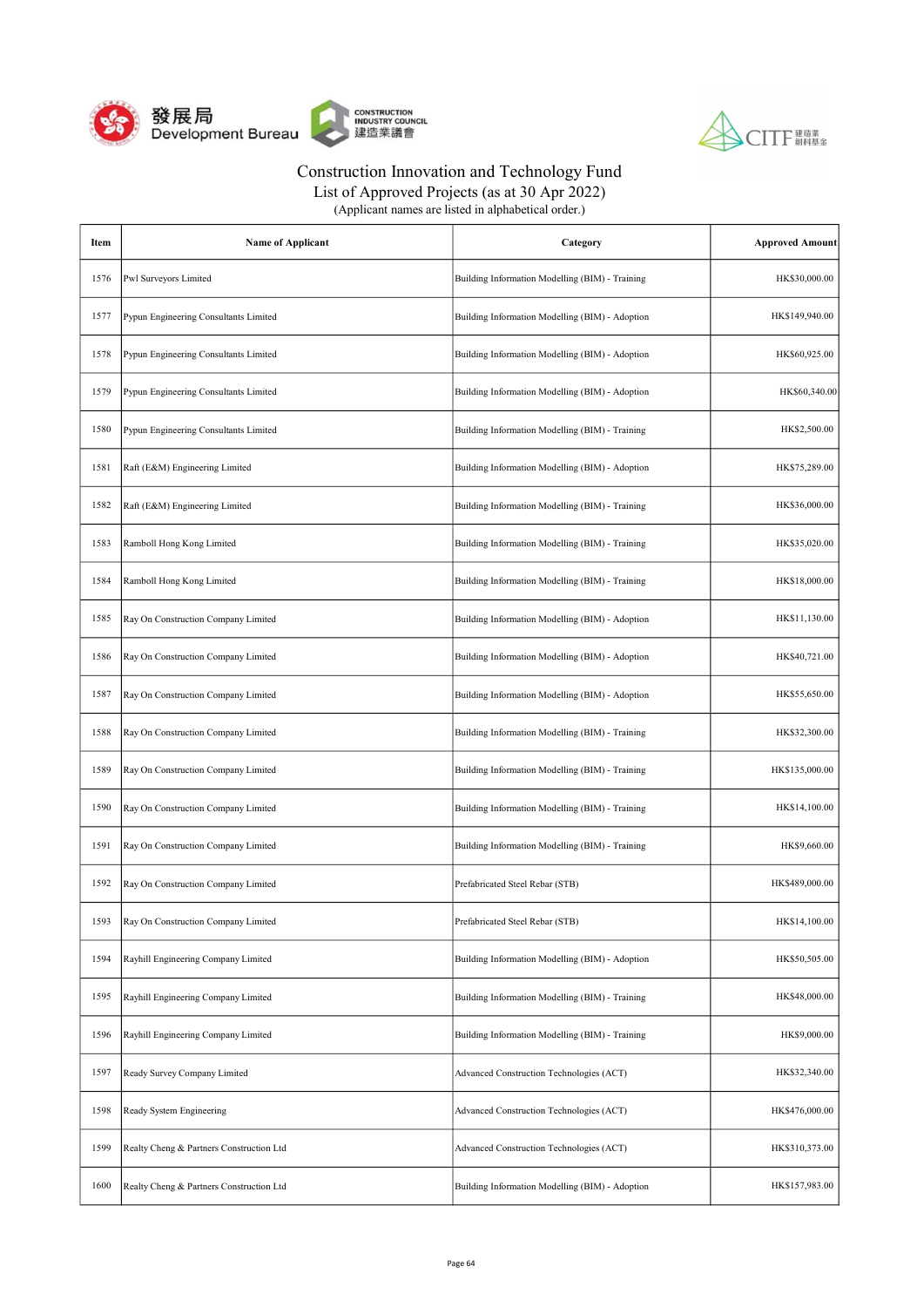



List of Approved Projects (as at 30 Apr 2022)

| Item | <b>Name of Applicant</b>                 | Category                                        | <b>Approved Amount</b> |
|------|------------------------------------------|-------------------------------------------------|------------------------|
| 1576 | Pwl Surveyors Limited                    | Building Information Modelling (BIM) - Training | HK\$30,000.00          |
| 1577 | Pypun Engineering Consultants Limited    | Building Information Modelling (BIM) - Adoption | HK\$149,940.00         |
| 1578 | Pypun Engineering Consultants Limited    | Building Information Modelling (BIM) - Adoption | HK\$60,925.00          |
| 1579 | Pypun Engineering Consultants Limited    | Building Information Modelling (BIM) - Adoption | HK\$60,340.00          |
| 1580 | Pypun Engineering Consultants Limited    | Building Information Modelling (BIM) - Training | HK\$2,500.00           |
| 1581 | Raft (E&M) Engineering Limited           | Building Information Modelling (BIM) - Adoption | HK\$75,289.00          |
| 1582 | Raft (E&M) Engineering Limited           | Building Information Modelling (BIM) - Training | HK\$36,000.00          |
| 1583 | Ramboll Hong Kong Limited                | Building Information Modelling (BIM) - Training | HK\$35,020.00          |
| 1584 | Ramboll Hong Kong Limited                | Building Information Modelling (BIM) - Training | HK\$18,000.00          |
| 1585 | Ray On Construction Company Limited      | Building Information Modelling (BIM) - Adoption | HK\$11,130.00          |
| 1586 | Ray On Construction Company Limited      | Building Information Modelling (BIM) - Adoption | HK\$40,721.00          |
| 1587 | Ray On Construction Company Limited      | Building Information Modelling (BIM) - Adoption | HK\$55,650.00          |
| 1588 | Ray On Construction Company Limited      | Building Information Modelling (BIM) - Training | HK\$32,300.00          |
| 1589 | Ray On Construction Company Limited      | Building Information Modelling (BIM) - Training | HK\$135,000.00         |
| 1590 | Ray On Construction Company Limited      | Building Information Modelling (BIM) - Training | HK\$14,100.00          |
| 1591 | Ray On Construction Company Limited      | Building Information Modelling (BIM) - Training | HK\$9,660.00           |
| 1592 | Ray On Construction Company Limited      | Prefabricated Steel Rebar (STB)                 | HK\$489,000.00         |
| 1593 | Ray On Construction Company Limited      | Prefabricated Steel Rebar (STB)                 | HK\$14,100.00          |
| 1594 | Rayhill Engineering Company Limited      | Building Information Modelling (BIM) - Adoption | HK\$50,505.00          |
| 1595 | Rayhill Engineering Company Limited      | Building Information Modelling (BIM) - Training | HK\$48,000.00          |
| 1596 | Rayhill Engineering Company Limited      | Building Information Modelling (BIM) - Training | HK\$9,000.00           |
| 1597 | Ready Survey Company Limited             | Advanced Construction Technologies (ACT)        | HK\$32,340.00          |
| 1598 | Ready System Engineering                 | Advanced Construction Technologies (ACT)        | HK\$476,000.00         |
| 1599 | Realty Cheng & Partners Construction Ltd | Advanced Construction Technologies (ACT)        | HK\$310,373.00         |
| 1600 | Realty Cheng & Partners Construction Ltd | Building Information Modelling (BIM) - Adoption | HK\$157,983.00         |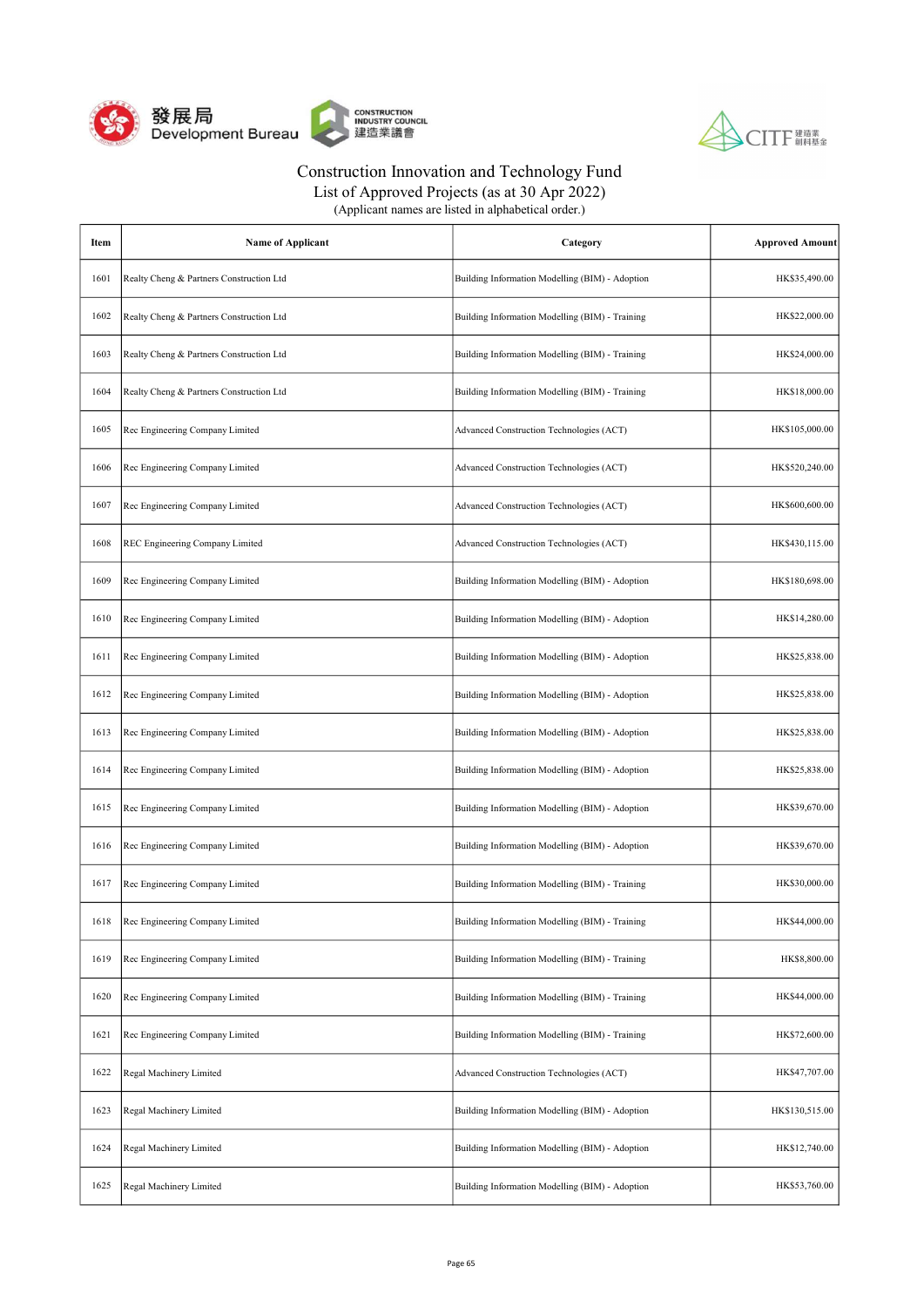



List of Approved Projects (as at 30 Apr 2022)

| Item | <b>Name of Applicant</b>                 | Category                                        | <b>Approved Amount</b> |
|------|------------------------------------------|-------------------------------------------------|------------------------|
| 1601 | Realty Cheng & Partners Construction Ltd | Building Information Modelling (BIM) - Adoption | HK\$35,490.00          |
| 1602 | Realty Cheng & Partners Construction Ltd | Building Information Modelling (BIM) - Training | HK\$22,000.00          |
| 1603 | Realty Cheng & Partners Construction Ltd | Building Information Modelling (BIM) - Training | HK\$24,000.00          |
| 1604 | Realty Cheng & Partners Construction Ltd | Building Information Modelling (BIM) - Training | HK\$18,000.00          |
| 1605 | Rec Engineering Company Limited          | Advanced Construction Technologies (ACT)        | HK\$105,000.00         |
| 1606 | Rec Engineering Company Limited          | Advanced Construction Technologies (ACT)        | HK\$520,240.00         |
| 1607 | Rec Engineering Company Limited          | Advanced Construction Technologies (ACT)        | HK\$600,600.00         |
| 1608 | REC Engineering Company Limited          | Advanced Construction Technologies (ACT)        | HK\$430,115.00         |
| 1609 | Rec Engineering Company Limited          | Building Information Modelling (BIM) - Adoption | HK\$180,698.00         |
| 1610 | Rec Engineering Company Limited          | Building Information Modelling (BIM) - Adoption | HK\$14,280.00          |
| 1611 | Rec Engineering Company Limited          | Building Information Modelling (BIM) - Adoption | HK\$25,838.00          |
| 1612 | Rec Engineering Company Limited          | Building Information Modelling (BIM) - Adoption | HK\$25,838.00          |
| 1613 | Rec Engineering Company Limited          | Building Information Modelling (BIM) - Adoption | HK\$25,838.00          |
| 1614 | Rec Engineering Company Limited          | Building Information Modelling (BIM) - Adoption | HK\$25,838.00          |
| 1615 | Rec Engineering Company Limited          | Building Information Modelling (BIM) - Adoption | HK\$39,670.00          |
| 1616 | Rec Engineering Company Limited          | Building Information Modelling (BIM) - Adoption | HK\$39,670.00          |
| 1617 | Rec Engineering Company Limited          | Building Information Modelling (BIM) - Training | HK\$30,000.00          |
| 1618 | Rec Engineering Company Limited          | Building Information Modelling (BIM) - Training | HK\$44,000.00          |
| 1619 | Rec Engineering Company Limited          | Building Information Modelling (BIM) - Training | HK\$8,800.00           |
| 1620 | Rec Engineering Company Limited          | Building Information Modelling (BIM) - Training | HK\$44,000.00          |
| 1621 | Rec Engineering Company Limited          | Building Information Modelling (BIM) - Training | HK\$72,600.00          |
| 1622 | Regal Machinery Limited                  | Advanced Construction Technologies (ACT)        | HK\$47,707.00          |
| 1623 | Regal Machinery Limited                  | Building Information Modelling (BIM) - Adoption | HK\$130,515.00         |
| 1624 | Regal Machinery Limited                  | Building Information Modelling (BIM) - Adoption | HK\$12,740.00          |
| 1625 | Regal Machinery Limited                  | Building Information Modelling (BIM) - Adoption | HK\$53,760.00          |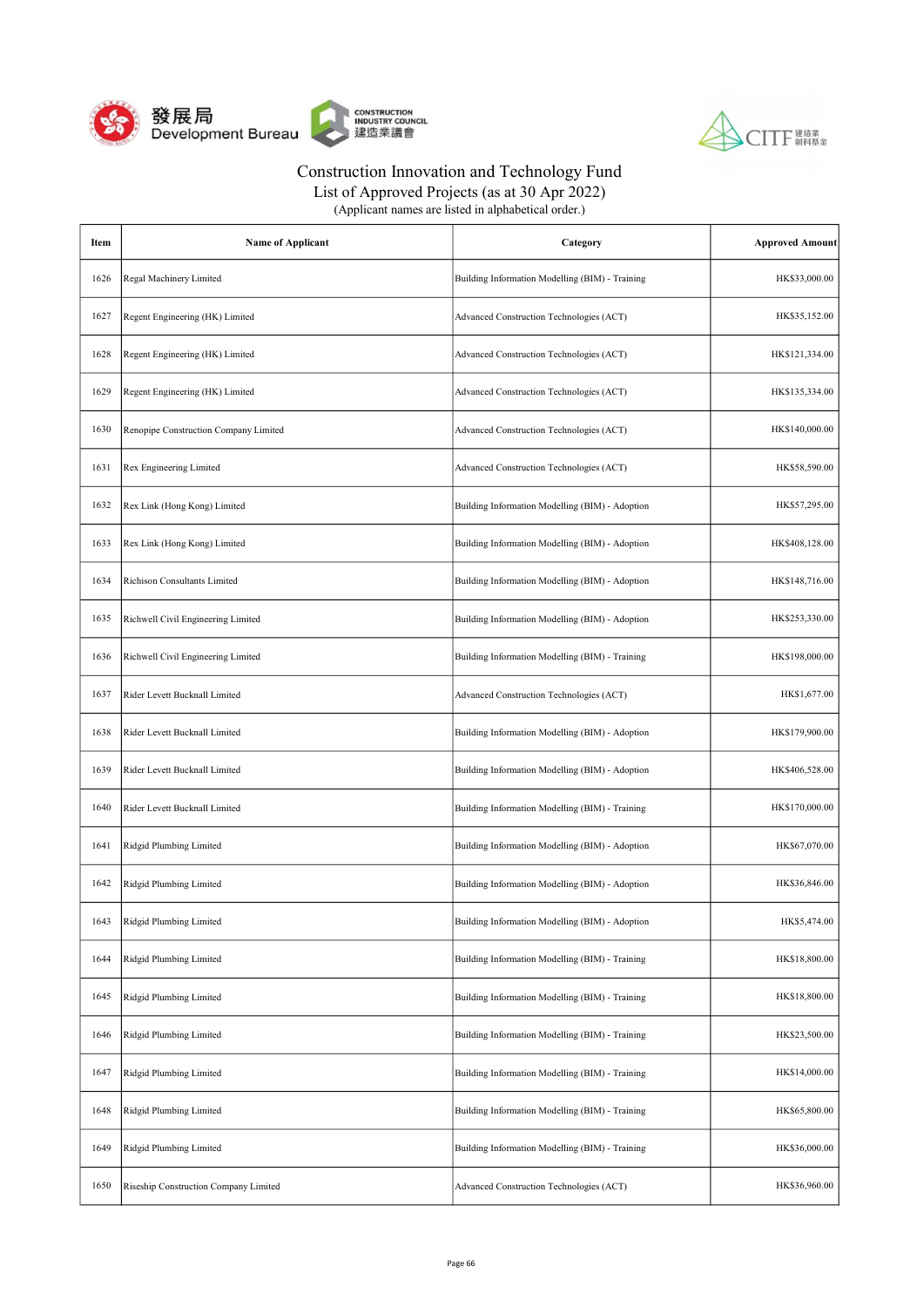



List of Approved Projects (as at 30 Apr 2022)

| Item | <b>Name of Applicant</b>              | Category                                        | <b>Approved Amount</b> |
|------|---------------------------------------|-------------------------------------------------|------------------------|
| 1626 | Regal Machinery Limited               | Building Information Modelling (BIM) - Training | HK\$33,000.00          |
| 1627 | Regent Engineering (HK) Limited       | Advanced Construction Technologies (ACT)        | HK\$35,152.00          |
| 1628 | Regent Engineering (HK) Limited       | Advanced Construction Technologies (ACT)        | HK\$121,334.00         |
| 1629 | Regent Engineering (HK) Limited       | Advanced Construction Technologies (ACT)        | HK\$135,334.00         |
| 1630 | Renopipe Construction Company Limited | Advanced Construction Technologies (ACT)        | HK\$140,000.00         |
| 1631 | Rex Engineering Limited               | Advanced Construction Technologies (ACT)        | HK\$58,590.00          |
| 1632 | Rex Link (Hong Kong) Limited          | Building Information Modelling (BIM) - Adoption | HK\$57,295.00          |
| 1633 | Rex Link (Hong Kong) Limited          | Building Information Modelling (BIM) - Adoption | HK\$408,128.00         |
| 1634 | Richison Consultants Limited          | Building Information Modelling (BIM) - Adoption | HK\$148,716.00         |
| 1635 | Richwell Civil Engineering Limited    | Building Information Modelling (BIM) - Adoption | HK\$253,330.00         |
| 1636 | Richwell Civil Engineering Limited    | Building Information Modelling (BIM) - Training | HK\$198,000.00         |
| 1637 | Rider Levett Bucknall Limited         | Advanced Construction Technologies (ACT)        | HK\$1,677.00           |
| 1638 | Rider Levett Bucknall Limited         | Building Information Modelling (BIM) - Adoption | HK\$179,900.00         |
| 1639 | Rider Levett Bucknall Limited         | Building Information Modelling (BIM) - Adoption | HK\$406,528.00         |
| 1640 | Rider Levett Bucknall Limited         | Building Information Modelling (BIM) - Training | HK\$170,000.00         |
| 1641 | Ridgid Plumbing Limited               | Building Information Modelling (BIM) - Adoption | HK\$67,070.00          |
| 1642 | Ridgid Plumbing Limited               | Building Information Modelling (BIM) - Adoption | HK\$36,846.00          |
| 1643 | Ridgid Plumbing Limited               | Building Information Modelling (BIM) - Adoption | HK\$5,474.00           |
| 1644 | Ridgid Plumbing Limited               | Building Information Modelling (BIM) - Training | HK\$18,800.00          |
| 1645 | Ridgid Plumbing Limited               | Building Information Modelling (BIM) - Training | HK\$18,800.00          |
| 1646 | Ridgid Plumbing Limited               | Building Information Modelling (BIM) - Training | HK\$23,500.00          |
| 1647 | Ridgid Plumbing Limited               | Building Information Modelling (BIM) - Training | HK\$14,000.00          |
| 1648 | Ridgid Plumbing Limited               | Building Information Modelling (BIM) - Training | HK\$65,800.00          |
| 1649 | Ridgid Plumbing Limited               | Building Information Modelling (BIM) - Training | HK\$36,000.00          |
| 1650 | Riseship Construction Company Limited | Advanced Construction Technologies (ACT)        | HK\$36,960.00          |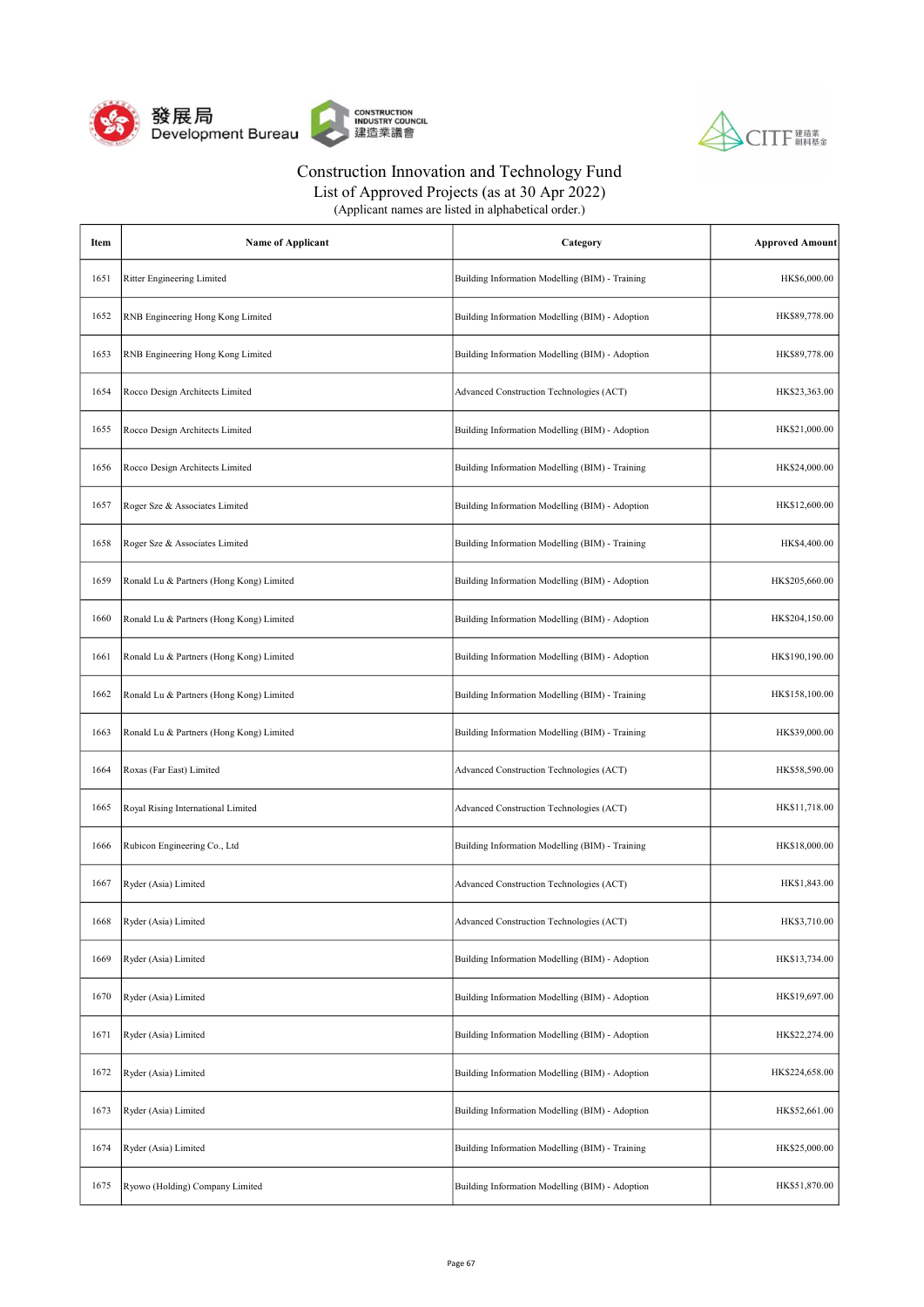



List of Approved Projects (as at 30 Apr 2022)

| Item | <b>Name of Applicant</b>                 | Category                                        | <b>Approved Amount</b> |
|------|------------------------------------------|-------------------------------------------------|------------------------|
| 1651 | Ritter Engineering Limited               | Building Information Modelling (BIM) - Training | HK\$6,000.00           |
| 1652 | RNB Engineering Hong Kong Limited        | Building Information Modelling (BIM) - Adoption | HK\$89,778.00          |
| 1653 | RNB Engineering Hong Kong Limited        | Building Information Modelling (BIM) - Adoption | HK\$89,778.00          |
| 1654 | Rocco Design Architects Limited          | Advanced Construction Technologies (ACT)        | HK\$23,363.00          |
| 1655 | Rocco Design Architects Limited          | Building Information Modelling (BIM) - Adoption | HK\$21,000.00          |
| 1656 | Rocco Design Architects Limited          | Building Information Modelling (BIM) - Training | HK\$24,000.00          |
| 1657 | Roger Sze & Associates Limited           | Building Information Modelling (BIM) - Adoption | HK\$12,600.00          |
| 1658 | Roger Sze & Associates Limited           | Building Information Modelling (BIM) - Training | HK\$4,400.00           |
| 1659 | Ronald Lu & Partners (Hong Kong) Limited | Building Information Modelling (BIM) - Adoption | HK\$205,660.00         |
| 1660 | Ronald Lu & Partners (Hong Kong) Limited | Building Information Modelling (BIM) - Adoption | HK\$204,150.00         |
| 1661 | Ronald Lu & Partners (Hong Kong) Limited | Building Information Modelling (BIM) - Adoption | HK\$190,190.00         |
| 1662 | Ronald Lu & Partners (Hong Kong) Limited | Building Information Modelling (BIM) - Training | HK\$158,100.00         |
| 1663 | Ronald Lu & Partners (Hong Kong) Limited | Building Information Modelling (BIM) - Training | HK\$39,000.00          |
| 1664 | Roxas (Far East) Limited                 | Advanced Construction Technologies (ACT)        | HK\$58,590.00          |
| 1665 | Royal Rising International Limited       | Advanced Construction Technologies (ACT)        | HK\$11,718.00          |
| 1666 | Rubicon Engineering Co., Ltd             | Building Information Modelling (BIM) - Training | HK\$18,000.00          |
| 1667 | Ryder (Asia) Limited                     | Advanced Construction Technologies (ACT)        | HK\$1,843.00           |
| 1668 | Ryder (Asia) Limited                     | Advanced Construction Technologies (ACT)        | HK\$3,710.00           |
| 1669 | Ryder (Asia) Limited                     | Building Information Modelling (BIM) - Adoption | HK\$13,734.00          |
| 1670 | Ryder (Asia) Limited                     | Building Information Modelling (BIM) - Adoption | HK\$19,697.00          |
| 1671 | Ryder (Asia) Limited                     | Building Information Modelling (BIM) - Adoption | HK\$22,274.00          |
| 1672 | Ryder (Asia) Limited                     | Building Information Modelling (BIM) - Adoption | HK\$224,658.00         |
| 1673 | Ryder (Asia) Limited                     | Building Information Modelling (BIM) - Adoption | HK\$52,661.00          |
| 1674 | Ryder (Asia) Limited                     | Building Information Modelling (BIM) - Training | HK\$25,000.00          |
| 1675 | Ryowo (Holding) Company Limited          | Building Information Modelling (BIM) - Adoption | HK\$51,870.00          |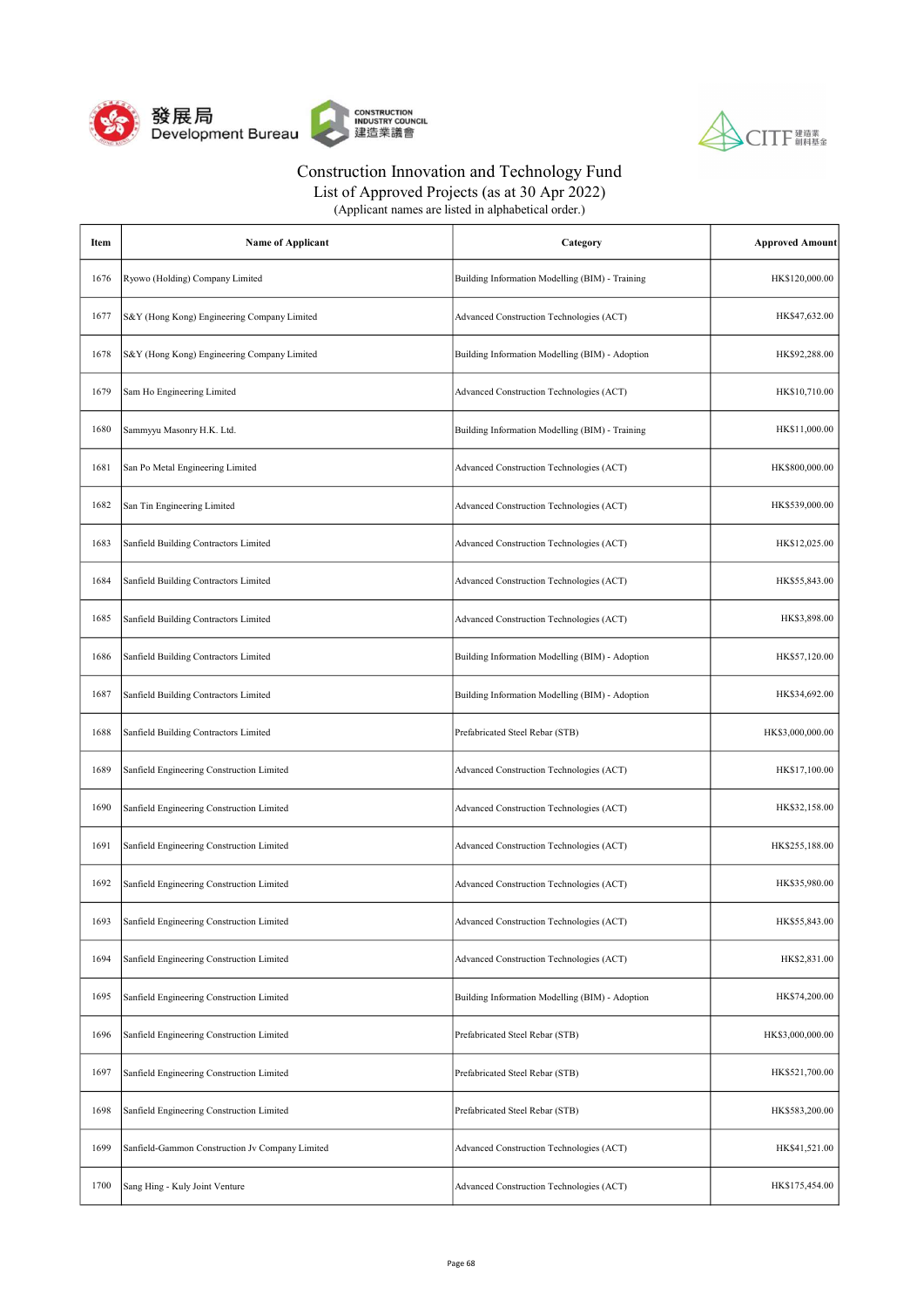



List of Approved Projects (as at 30 Apr 2022)

| Item | <b>Name of Applicant</b>                        | Category                                        | <b>Approved Amount</b> |
|------|-------------------------------------------------|-------------------------------------------------|------------------------|
| 1676 | Ryowo (Holding) Company Limited                 | Building Information Modelling (BIM) - Training | HK\$120,000.00         |
| 1677 | S&Y (Hong Kong) Engineering Company Limited     | Advanced Construction Technologies (ACT)        | HK\$47,632.00          |
| 1678 | S&Y (Hong Kong) Engineering Company Limited     | Building Information Modelling (BIM) - Adoption | HK\$92,288.00          |
| 1679 | Sam Ho Engineering Limited                      | Advanced Construction Technologies (ACT)        | HK\$10,710.00          |
| 1680 | Sammyyu Masonry H.K. Ltd.                       | Building Information Modelling (BIM) - Training | HK\$11,000.00          |
| 1681 | San Po Metal Engineering Limited                | Advanced Construction Technologies (ACT)        | HK\$800,000.00         |
| 1682 | San Tin Engineering Limited                     | Advanced Construction Technologies (ACT)        | HK\$539,000.00         |
| 1683 | Sanfield Building Contractors Limited           | Advanced Construction Technologies (ACT)        | HK\$12,025.00          |
| 1684 | Sanfield Building Contractors Limited           | Advanced Construction Technologies (ACT)        | HK\$55,843.00          |
| 1685 | Sanfield Building Contractors Limited           | Advanced Construction Technologies (ACT)        | HK\$3,898.00           |
| 1686 | Sanfield Building Contractors Limited           | Building Information Modelling (BIM) - Adoption | HK\$57,120.00          |
| 1687 | Sanfield Building Contractors Limited           | Building Information Modelling (BIM) - Adoption | HK\$34,692.00          |
| 1688 | Sanfield Building Contractors Limited           | Prefabricated Steel Rebar (STB)                 | HK\$3,000,000.00       |
| 1689 | Sanfield Engineering Construction Limited       | Advanced Construction Technologies (ACT)        | HK\$17,100.00          |
| 1690 | Sanfield Engineering Construction Limited       | Advanced Construction Technologies (ACT)        | HK\$32,158.00          |
| 1691 | Sanfield Engineering Construction Limited       | Advanced Construction Technologies (ACT)        | HK\$255,188.00         |
| 1692 | Sanfield Engineering Construction Limited       | Advanced Construction Technologies (ACT)        | HK\$35,980.00          |
| 1693 | Sanfield Engineering Construction Limited       | Advanced Construction Technologies (ACT)        | HK\$55,843.00          |
| 1694 | Sanfield Engineering Construction Limited       | Advanced Construction Technologies (ACT)        | HK\$2,831.00           |
| 1695 | Sanfield Engineering Construction Limited       | Building Information Modelling (BIM) - Adoption | HK\$74,200.00          |
| 1696 | Sanfield Engineering Construction Limited       | Prefabricated Steel Rebar (STB)                 | HK\$3,000,000.00       |
| 1697 | Sanfield Engineering Construction Limited       | Prefabricated Steel Rebar (STB)                 | HK\$521,700.00         |
| 1698 | Sanfield Engineering Construction Limited       | Prefabricated Steel Rebar (STB)                 | HK\$583,200.00         |
| 1699 | Sanfield-Gammon Construction Jv Company Limited | Advanced Construction Technologies (ACT)        | HK\$41,521.00          |
| 1700 | Sang Hing - Kuly Joint Venture                  | Advanced Construction Technologies (ACT)        | HK\$175,454.00         |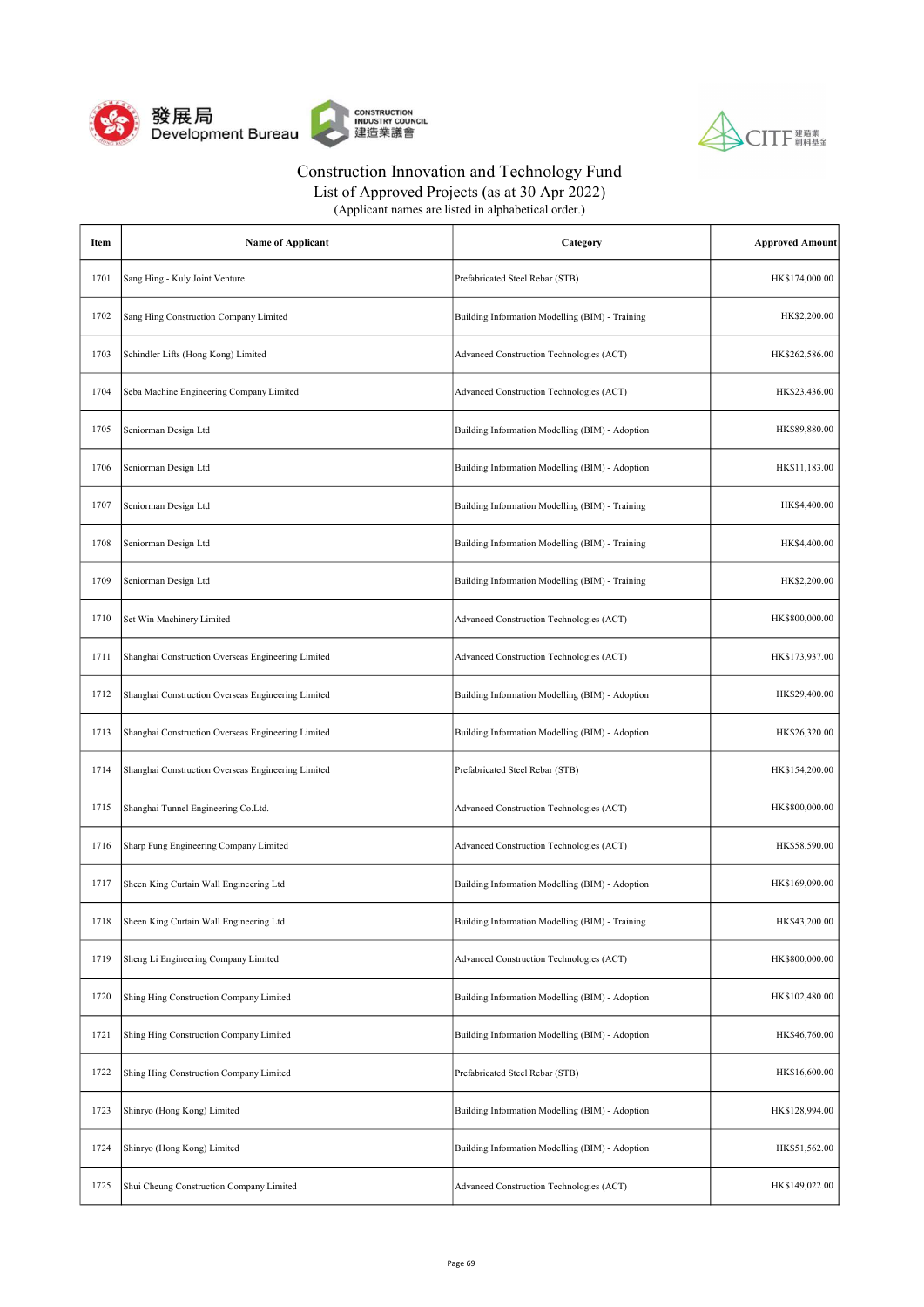



| (Applicant names are listed in alphabetical order.) |  |
|-----------------------------------------------------|--|
|-----------------------------------------------------|--|

| Item | <b>Name of Applicant</b>                           | Category                                        | <b>Approved Amount</b> |
|------|----------------------------------------------------|-------------------------------------------------|------------------------|
| 1701 | Sang Hing - Kuly Joint Venture                     | Prefabricated Steel Rebar (STB)                 | HK\$174,000.00         |
| 1702 | Sang Hing Construction Company Limited             | Building Information Modelling (BIM) - Training | HK\$2,200.00           |
| 1703 | Schindler Lifts (Hong Kong) Limited                | Advanced Construction Technologies (ACT)        | HK\$262,586.00         |
| 1704 | Seba Machine Engineering Company Limited           | Advanced Construction Technologies (ACT)        | HK\$23,436.00          |
| 1705 | Seniorman Design Ltd                               | Building Information Modelling (BIM) - Adoption | HK\$89,880.00          |
| 1706 | Seniorman Design Ltd                               | Building Information Modelling (BIM) - Adoption | HK\$11,183.00          |
| 1707 | Seniorman Design Ltd                               | Building Information Modelling (BIM) - Training | HK\$4,400.00           |
| 1708 | Seniorman Design Ltd                               | Building Information Modelling (BIM) - Training | HK\$4,400.00           |
| 1709 | Seniorman Design Ltd                               | Building Information Modelling (BIM) - Training | HK\$2,200.00           |
| 1710 | Set Win Machinery Limited                          | Advanced Construction Technologies (ACT)        | HK\$800,000.00         |
| 1711 | Shanghai Construction Overseas Engineering Limited | Advanced Construction Technologies (ACT)        | HK\$173,937.00         |
| 1712 | Shanghai Construction Overseas Engineering Limited | Building Information Modelling (BIM) - Adoption | HK\$29,400.00          |
| 1713 | Shanghai Construction Overseas Engineering Limited | Building Information Modelling (BIM) - Adoption | HK\$26,320.00          |
| 1714 | Shanghai Construction Overseas Engineering Limited | Prefabricated Steel Rebar (STB)                 | HK\$154,200.00         |
| 1715 | Shanghai Tunnel Engineering Co.Ltd.                | Advanced Construction Technologies (ACT)        | HK\$800,000.00         |
| 1716 | Sharp Fung Engineering Company Limited             | Advanced Construction Technologies (ACT)        | HK\$58,590.00          |
| 1717 | Sheen King Curtain Wall Engineering Ltd            | Building Information Modelling (BIM) - Adoption | HK\$169,090.00         |
| 1718 | Sheen King Curtain Wall Engineering Ltd            | Building Information Modelling (BIM) - Training | HK\$43,200.00          |
| 1719 | Sheng Li Engineering Company Limited               | Advanced Construction Technologies (ACT)        | HK\$800,000.00         |
| 1720 | Shing Hing Construction Company Limited            | Building Information Modelling (BIM) - Adoption | HK\$102,480.00         |
| 1721 | Shing Hing Construction Company Limited            | Building Information Modelling (BIM) - Adoption | HK\$46,760.00          |
| 1722 | Shing Hing Construction Company Limited            | Prefabricated Steel Rebar (STB)                 | HK\$16,600.00          |
| 1723 | Shinryo (Hong Kong) Limited                        | Building Information Modelling (BIM) - Adoption | HK\$128,994.00         |
| 1724 | Shinryo (Hong Kong) Limited                        | Building Information Modelling (BIM) - Adoption | HK\$51,562.00          |
| 1725 | Shui Cheung Construction Company Limited           | Advanced Construction Technologies (ACT)        | HK\$149,022.00         |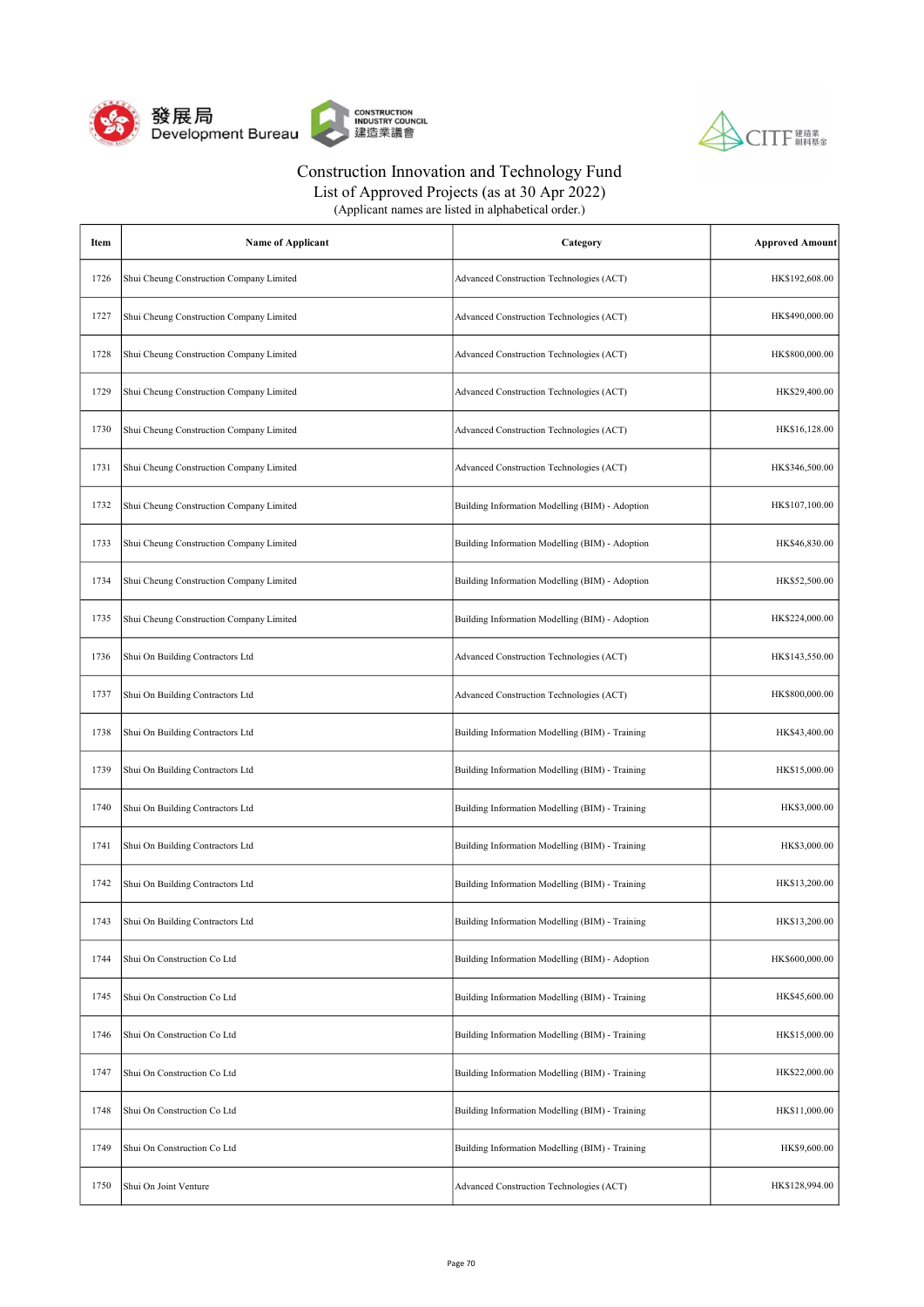



| (Applicant names are listed in alphabetical order.) |  |
|-----------------------------------------------------|--|
|-----------------------------------------------------|--|

| Item | Name of Applicant                        | Category                                        | <b>Approved Amount</b> |
|------|------------------------------------------|-------------------------------------------------|------------------------|
| 1726 | Shui Cheung Construction Company Limited | Advanced Construction Technologies (ACT)        | HK\$192,608.00         |
| 1727 | Shui Cheung Construction Company Limited | Advanced Construction Technologies (ACT)        | HK\$490,000.00         |
| 1728 | Shui Cheung Construction Company Limited | Advanced Construction Technologies (ACT)        | HK\$800,000.00         |
| 1729 | Shui Cheung Construction Company Limited | Advanced Construction Technologies (ACT)        | HK\$29,400.00          |
| 1730 | Shui Cheung Construction Company Limited | Advanced Construction Technologies (ACT)        | HK\$16,128.00          |
| 1731 | Shui Cheung Construction Company Limited | Advanced Construction Technologies (ACT)        | HK\$346,500.00         |
| 1732 | Shui Cheung Construction Company Limited | Building Information Modelling (BIM) - Adoption | HK\$107,100.00         |
| 1733 | Shui Cheung Construction Company Limited | Building Information Modelling (BIM) - Adoption | HK\$46,830.00          |
| 1734 | Shui Cheung Construction Company Limited | Building Information Modelling (BIM) - Adoption | HK\$52,500.00          |
| 1735 | Shui Cheung Construction Company Limited | Building Information Modelling (BIM) - Adoption | HK\$224,000.00         |
| 1736 | Shui On Building Contractors Ltd         | Advanced Construction Technologies (ACT)        | HK\$143,550.00         |
| 1737 | Shui On Building Contractors Ltd         | Advanced Construction Technologies (ACT)        | HK\$800,000.00         |
| 1738 | Shui On Building Contractors Ltd         | Building Information Modelling (BIM) - Training | HK\$43,400.00          |
| 1739 | Shui On Building Contractors Ltd         | Building Information Modelling (BIM) - Training | HK\$15,000.00          |
| 1740 | Shui On Building Contractors Ltd         | Building Information Modelling (BIM) - Training | HK\$3,000.00           |
| 1741 | Shui On Building Contractors Ltd         | Building Information Modelling (BIM) - Training | HK\$3,000.00           |
| 1742 | Shui On Building Contractors Ltd         | Building Information Modelling (BIM) - Training | HK\$13,200.00          |
| 1743 | Shui On Building Contractors Ltd         | Building Information Modelling (BIM) - Training | HK\$13,200.00          |
| 1744 | Shui On Construction Co Ltd              | Building Information Modelling (BIM) - Adoption | HK\$600,000.00         |
| 1745 | Shui On Construction Co Ltd              | Building Information Modelling (BIM) - Training | HK\$45,600.00          |
| 1746 | Shui On Construction Co Ltd              | Building Information Modelling (BIM) - Training | HK\$15,000.00          |
| 1747 | Shui On Construction Co Ltd              | Building Information Modelling (BIM) - Training | HK\$22,000.00          |
| 1748 | Shui On Construction Co Ltd              | Building Information Modelling (BIM) - Training | HK\$11,000.00          |
| 1749 | Shui On Construction Co Ltd              | Building Information Modelling (BIM) - Training | HK\$9,600.00           |
| 1750 | Shui On Joint Venture                    | Advanced Construction Technologies (ACT)        | HK\$128,994.00         |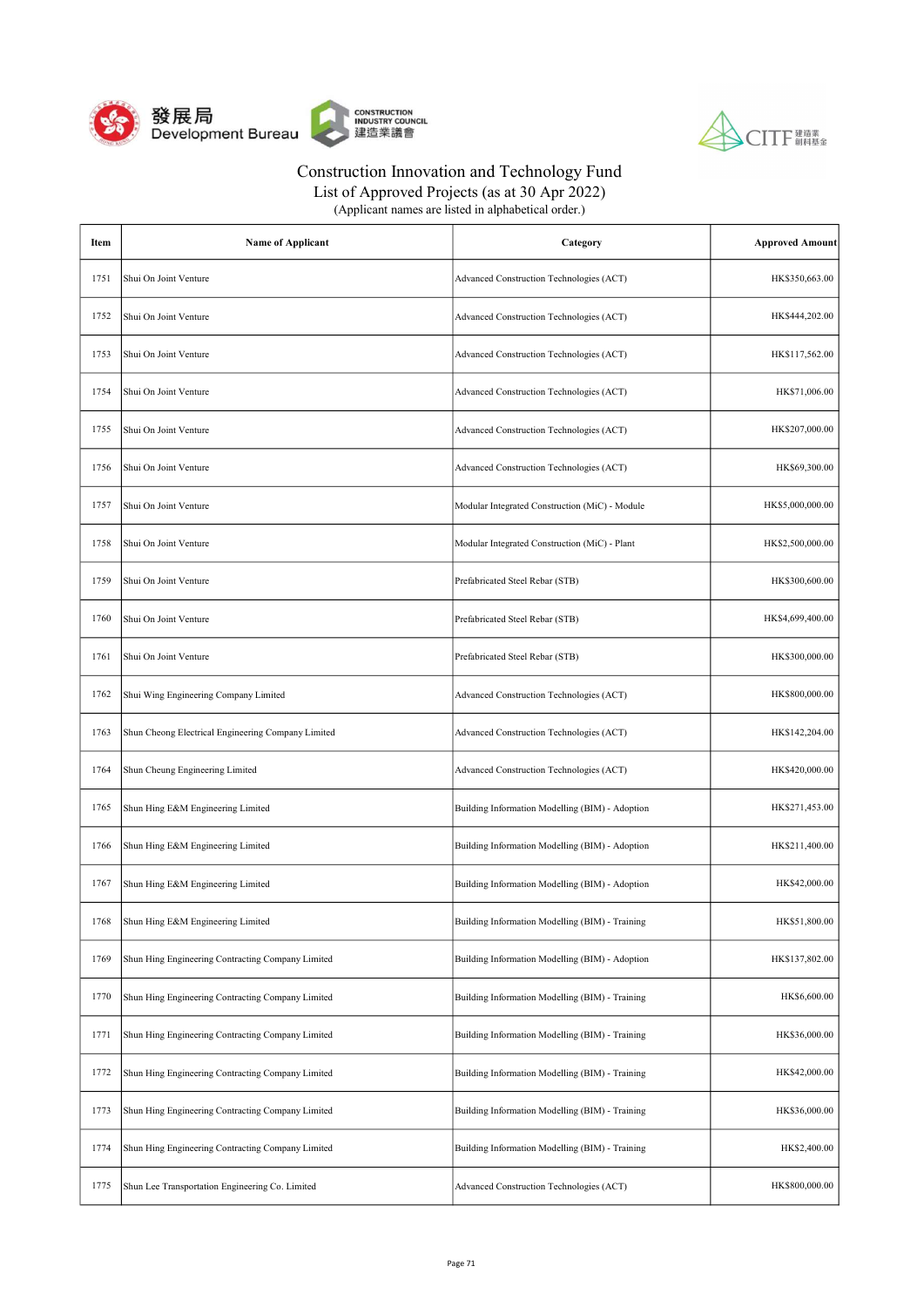



List of Approved Projects (as at 30 Apr 2022) (Applicant names are listed in alphabetical order.)

| Item | <b>Name of Applicant</b>                           | Category                                        | <b>Approved Amount</b> |
|------|----------------------------------------------------|-------------------------------------------------|------------------------|
| 1751 | Shui On Joint Venture                              | Advanced Construction Technologies (ACT)        | HK\$350,663.00         |
| 1752 | Shui On Joint Venture                              | Advanced Construction Technologies (ACT)        | HK\$444,202.00         |
| 1753 | Shui On Joint Venture                              | Advanced Construction Technologies (ACT)        | HK\$117,562.00         |
| 1754 | Shui On Joint Venture                              | Advanced Construction Technologies (ACT)        | HK\$71,006.00          |
| 1755 | Shui On Joint Venture                              | Advanced Construction Technologies (ACT)        | HK\$207,000.00         |
| 1756 | Shui On Joint Venture                              | Advanced Construction Technologies (ACT)        | HK\$69,300.00          |
| 1757 | Shui On Joint Venture                              | Modular Integrated Construction (MiC) - Module  | HK\$5,000,000.00       |
| 1758 | Shui On Joint Venture                              | Modular Integrated Construction (MiC) - Plant   | HK\$2,500,000.00       |
| 1759 | Shui On Joint Venture                              | Prefabricated Steel Rebar (STB)                 | HK\$300,600.00         |
| 1760 | Shui On Joint Venture                              | Prefabricated Steel Rebar (STB)                 | HK\$4,699,400.00       |
| 1761 | Shui On Joint Venture                              | Prefabricated Steel Rebar (STB)                 | HK\$300,000.00         |
| 1762 | Shui Wing Engineering Company Limited              | Advanced Construction Technologies (ACT)        | HK\$800,000.00         |
| 1763 | Shun Cheong Electrical Engineering Company Limited | Advanced Construction Technologies (ACT)        | HK\$142,204.00         |
| 1764 | Shun Cheung Engineering Limited                    | Advanced Construction Technologies (ACT)        | HK\$420,000.00         |
| 1765 | Shun Hing E&M Engineering Limited                  | Building Information Modelling (BIM) - Adoption | HK\$271,453.00         |
| 1766 | Shun Hing E&M Engineering Limited                  | Building Information Modelling (BIM) - Adoption | HK\$211,400.00         |
| 1767 | Shun Hing E&M Engineering Limited                  | Building Information Modelling (BIM) - Adoption | HK\$42,000.00          |
| 1768 | Shun Hing E&M Engineering Limited                  | Building Information Modelling (BIM) - Training | HK\$51,800.00          |
| 1769 | Shun Hing Engineering Contracting Company Limited  | Building Information Modelling (BIM) - Adoption | HK\$137,802.00         |
| 1770 | Shun Hing Engineering Contracting Company Limited  | Building Information Modelling (BIM) - Training | HK\$6,600.00           |
| 1771 | Shun Hing Engineering Contracting Company Limited  | Building Information Modelling (BIM) - Training | HK\$36,000.00          |
| 1772 | Shun Hing Engineering Contracting Company Limited  | Building Information Modelling (BIM) - Training | HK\$42,000.00          |
| 1773 | Shun Hing Engineering Contracting Company Limited  | Building Information Modelling (BIM) - Training | HK\$36,000.00          |
| 1774 | Shun Hing Engineering Contracting Company Limited  | Building Information Modelling (BIM) - Training | HK\$2,400.00           |
| 1775 | Shun Lee Transportation Engineering Co. Limited    | Advanced Construction Technologies (ACT)        | HK\$800,000.00         |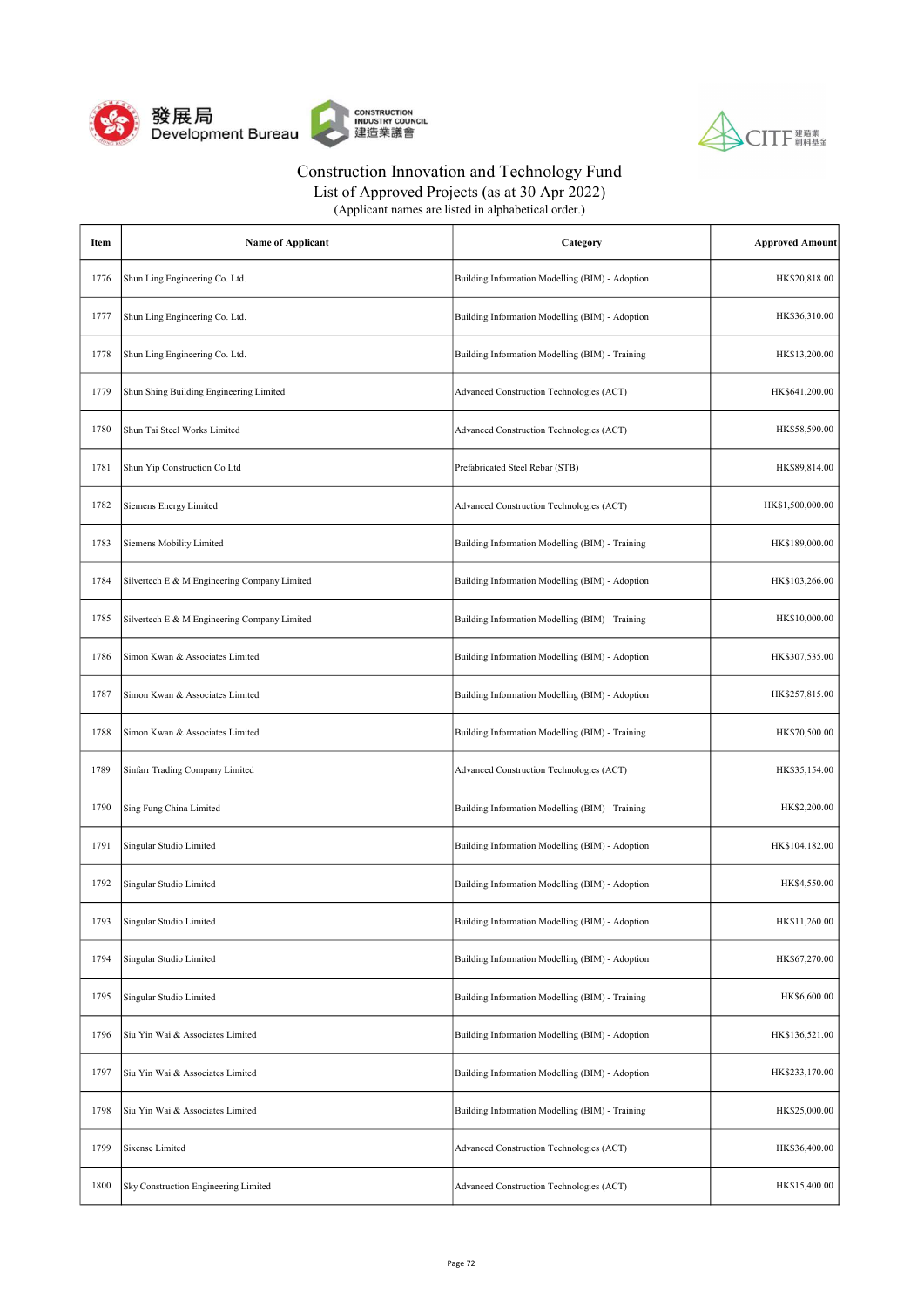



List of Approved Projects (as at 30 Apr 2022)

| Item | <b>Name of Applicant</b>                     | Category                                        | <b>Approved Amount</b> |
|------|----------------------------------------------|-------------------------------------------------|------------------------|
| 1776 | Shun Ling Engineering Co. Ltd.               | Building Information Modelling (BIM) - Adoption | HK\$20,818.00          |
| 1777 | Shun Ling Engineering Co. Ltd.               | Building Information Modelling (BIM) - Adoption | HK\$36,310.00          |
| 1778 | Shun Ling Engineering Co. Ltd.               | Building Information Modelling (BIM) - Training | HK\$13,200.00          |
| 1779 | Shun Shing Building Engineering Limited      | Advanced Construction Technologies (ACT)        | HK\$641,200.00         |
| 1780 | Shun Tai Steel Works Limited                 | Advanced Construction Technologies (ACT)        | HK\$58,590.00          |
| 1781 | Shun Yip Construction Co Ltd                 | Prefabricated Steel Rebar (STB)                 | HK\$89,814.00          |
| 1782 | Siemens Energy Limited                       | Advanced Construction Technologies (ACT)        | HK\$1,500,000.00       |
| 1783 | Siemens Mobility Limited                     | Building Information Modelling (BIM) - Training | HK\$189,000.00         |
| 1784 | Silvertech E & M Engineering Company Limited | Building Information Modelling (BIM) - Adoption | HK\$103,266.00         |
| 1785 | Silvertech E & M Engineering Company Limited | Building Information Modelling (BIM) - Training | HK\$10,000.00          |
| 1786 | Simon Kwan & Associates Limited              | Building Information Modelling (BIM) - Adoption | HK\$307,535.00         |
| 1787 | Simon Kwan & Associates Limited              | Building Information Modelling (BIM) - Adoption | HK\$257,815.00         |
| 1788 | Simon Kwan & Associates Limited              | Building Information Modelling (BIM) - Training | HK\$70,500.00          |
| 1789 | Sinfarr Trading Company Limited              | Advanced Construction Technologies (ACT)        | HK\$35,154.00          |
| 1790 | Sing Fung China Limited                      | Building Information Modelling (BIM) - Training | HK\$2,200.00           |
| 1791 | Singular Studio Limited                      | Building Information Modelling (BIM) - Adoption | HK\$104,182.00         |
| 1792 | Singular Studio Limited                      | Building Information Modelling (BIM) - Adoption | HK\$4,550.00           |
| 1793 | Singular Studio Limited                      | Building Information Modelling (BIM) - Adoption | HK\$11,260.00          |
| 1794 | Singular Studio Limited                      | Building Information Modelling (BIM) - Adoption | HK\$67,270.00          |
| 1795 | Singular Studio Limited                      | Building Information Modelling (BIM) - Training | HK\$6,600.00           |
| 1796 | Siu Yin Wai & Associates Limited             | Building Information Modelling (BIM) - Adoption | HK\$136,521.00         |
| 1797 | Siu Yin Wai & Associates Limited             | Building Information Modelling (BIM) - Adoption | HK\$233,170.00         |
| 1798 | Siu Yin Wai & Associates Limited             | Building Information Modelling (BIM) - Training | HK\$25,000.00          |
| 1799 | Sixense Limited                              | Advanced Construction Technologies (ACT)        | HK\$36,400.00          |
| 1800 | Sky Construction Engineering Limited         | Advanced Construction Technologies (ACT)        | HK\$15,400.00          |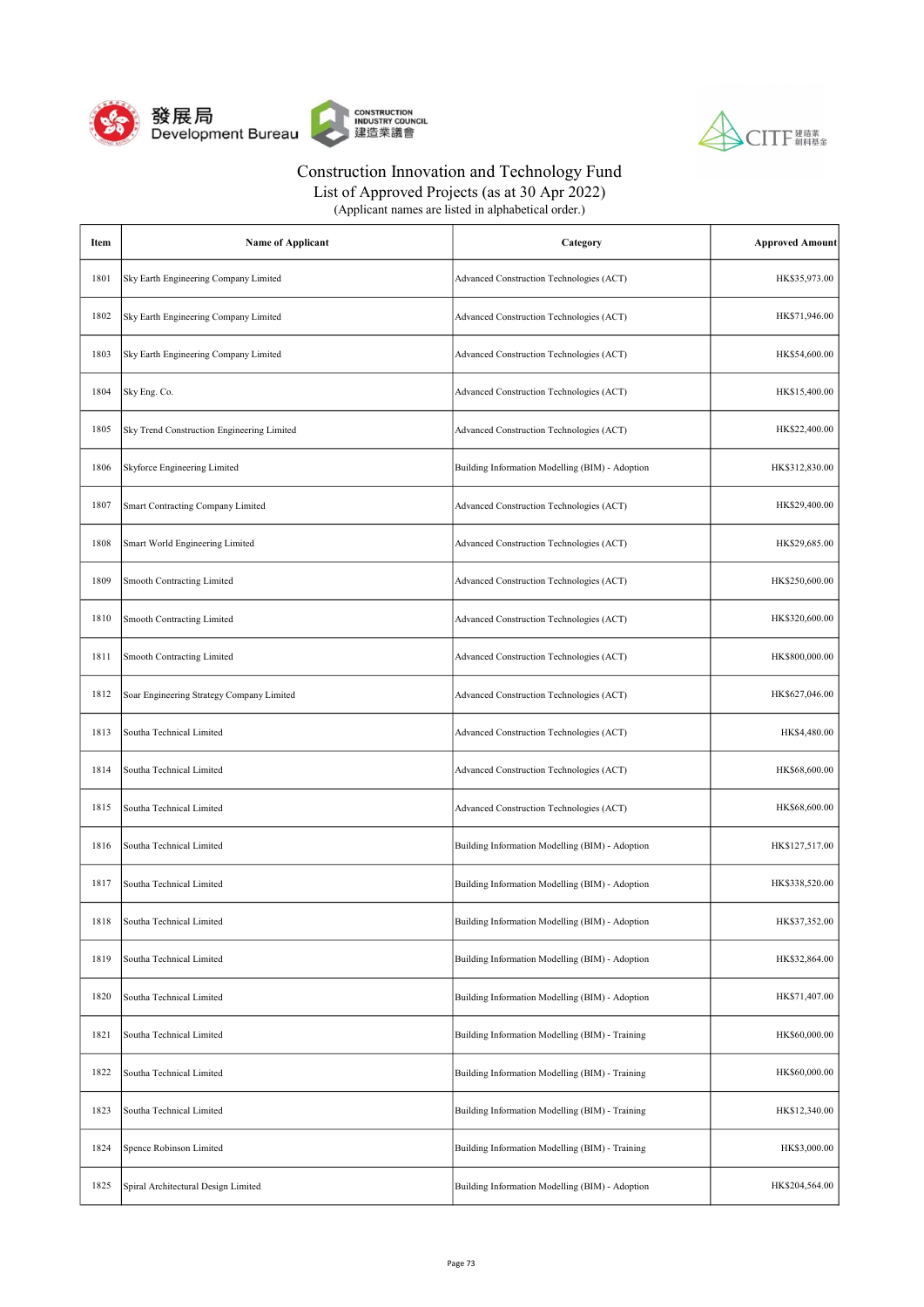



| (Applicant names are listed in alphabetical order.) |  |
|-----------------------------------------------------|--|
|-----------------------------------------------------|--|

| Item | <b>Name of Applicant</b>                   | Category                                        | <b>Approved Amount</b> |
|------|--------------------------------------------|-------------------------------------------------|------------------------|
| 1801 | Sky Earth Engineering Company Limited      | Advanced Construction Technologies (ACT)        | HK\$35,973.00          |
| 1802 | Sky Earth Engineering Company Limited      | Advanced Construction Technologies (ACT)        | HK\$71,946.00          |
| 1803 | Sky Earth Engineering Company Limited      | Advanced Construction Technologies (ACT)        | HK\$54,600.00          |
| 1804 | Sky Eng. Co.                               | Advanced Construction Technologies (ACT)        | HK\$15,400.00          |
| 1805 | Sky Trend Construction Engineering Limited | Advanced Construction Technologies (ACT)        | HK\$22,400.00          |
| 1806 | Skyforce Engineering Limited               | Building Information Modelling (BIM) - Adoption | HK\$312,830.00         |
| 1807 | Smart Contracting Company Limited          | Advanced Construction Technologies (ACT)        | HK\$29,400.00          |
| 1808 | Smart World Engineering Limited            | Advanced Construction Technologies (ACT)        | HK\$29,685.00          |
| 1809 | <b>Smooth Contracting Limited</b>          | Advanced Construction Technologies (ACT)        | HK\$250,600.00         |
| 1810 | Smooth Contracting Limited                 | Advanced Construction Technologies (ACT)        | HK\$320,600.00         |
| 1811 | Smooth Contracting Limited                 | Advanced Construction Technologies (ACT)        | HK\$800,000.00         |
| 1812 | Soar Engineering Strategy Company Limited  | Advanced Construction Technologies (ACT)        | HK\$627,046.00         |
| 1813 | Southa Technical Limited                   | Advanced Construction Technologies (ACT)        | HK\$4,480.00           |
| 1814 | Southa Technical Limited                   | Advanced Construction Technologies (ACT)        | HK\$68,600.00          |
| 1815 | Southa Technical Limited                   | Advanced Construction Technologies (ACT)        | HK\$68,600.00          |
| 1816 | Southa Technical Limited                   | Building Information Modelling (BIM) - Adoption | HK\$127,517.00         |
| 1817 | Southa Technical Limited                   | Building Information Modelling (BIM) - Adoption | HK\$338,520.00         |
| 1818 | Southa Technical Limited                   | Building Information Modelling (BIM) - Adoption | HK\$37,352.00          |
| 1819 | Southa Technical Limited                   | Building Information Modelling (BIM) - Adoption | HK\$32,864.00          |
| 1820 | Southa Technical Limited                   | Building Information Modelling (BIM) - Adoption | HK\$71,407.00          |
| 1821 | Southa Technical Limited                   | Building Information Modelling (BIM) - Training | HK\$60,000.00          |
| 1822 | Southa Technical Limited                   | Building Information Modelling (BIM) - Training | HK\$60,000.00          |
| 1823 | Southa Technical Limited                   | Building Information Modelling (BIM) - Training | HK\$12,340.00          |
| 1824 | Spence Robinson Limited                    | Building Information Modelling (BIM) - Training | HK\$3,000.00           |
| 1825 | Spiral Architectural Design Limited        | Building Information Modelling (BIM) - Adoption | HK\$204,564.00         |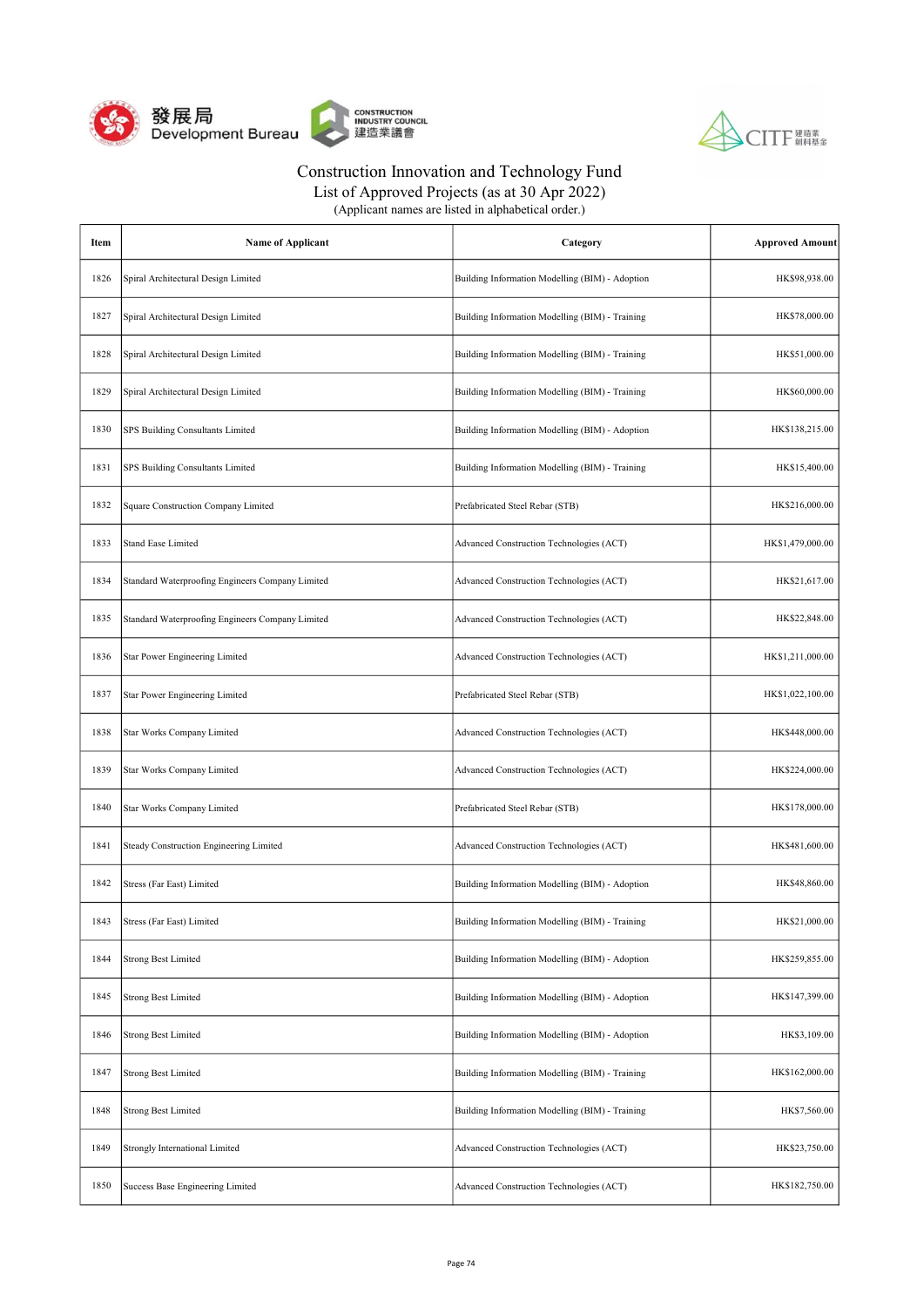



List of Approved Projects (as at 30 Apr 2022)

| Item | <b>Name of Applicant</b>                         | Category                                        | <b>Approved Amount</b> |
|------|--------------------------------------------------|-------------------------------------------------|------------------------|
| 1826 | Spiral Architectural Design Limited              | Building Information Modelling (BIM) - Adoption | HK\$98,938.00          |
| 1827 | Spiral Architectural Design Limited              | Building Information Modelling (BIM) - Training | HK\$78,000.00          |
| 1828 | Spiral Architectural Design Limited              | Building Information Modelling (BIM) - Training | HK\$51,000.00          |
| 1829 | Spiral Architectural Design Limited              | Building Information Modelling (BIM) - Training | HK\$60,000.00          |
| 1830 | SPS Building Consultants Limited                 | Building Information Modelling (BIM) - Adoption | HK\$138,215.00         |
| 1831 | SPS Building Consultants Limited                 | Building Information Modelling (BIM) - Training | HK\$15,400.00          |
| 1832 | Square Construction Company Limited              | Prefabricated Steel Rebar (STB)                 | HK\$216,000.00         |
| 1833 | <b>Stand Ease Limited</b>                        | Advanced Construction Technologies (ACT)        | HK\$1,479,000.00       |
| 1834 | Standard Waterproofing Engineers Company Limited | Advanced Construction Technologies (ACT)        | HK\$21,617.00          |
| 1835 | Standard Waterproofing Engineers Company Limited | Advanced Construction Technologies (ACT)        | HK\$22,848.00          |
| 1836 | <b>Star Power Engineering Limited</b>            | Advanced Construction Technologies (ACT)        | HK\$1,211,000.00       |
| 1837 | Star Power Engineering Limited                   | Prefabricated Steel Rebar (STB)                 | HK\$1,022,100.00       |
| 1838 | Star Works Company Limited                       | Advanced Construction Technologies (ACT)        | HK\$448,000.00         |
| 1839 | Star Works Company Limited                       | Advanced Construction Technologies (ACT)        | HK\$224,000.00         |
| 1840 | Star Works Company Limited                       | Prefabricated Steel Rebar (STB)                 | HK\$178,000.00         |
| 1841 | Steady Construction Engineering Limited          | Advanced Construction Technologies (ACT)        | HK\$481,600.00         |
| 1842 | Stress (Far East) Limited                        | Building Information Modelling (BIM) - Adoption | HK\$48,860.00          |
| 1843 | Stress (Far East) Limited                        | Building Information Modelling (BIM) - Training | HK\$21,000.00          |
| 1844 | <b>Strong Best Limited</b>                       | Building Information Modelling (BIM) - Adoption | HK\$259,855.00         |
| 1845 | <b>Strong Best Limited</b>                       | Building Information Modelling (BIM) - Adoption | HK\$147,399.00         |
| 1846 | <b>Strong Best Limited</b>                       | Building Information Modelling (BIM) - Adoption | HK\$3,109.00           |
| 1847 | <b>Strong Best Limited</b>                       | Building Information Modelling (BIM) - Training | HK\$162,000.00         |
| 1848 | <b>Strong Best Limited</b>                       | Building Information Modelling (BIM) - Training | HK\$7,560.00           |
| 1849 | Strongly International Limited                   | Advanced Construction Technologies (ACT)        | HK\$23,750.00          |
| 1850 | Success Base Engineering Limited                 | Advanced Construction Technologies (ACT)        | HK\$182,750.00         |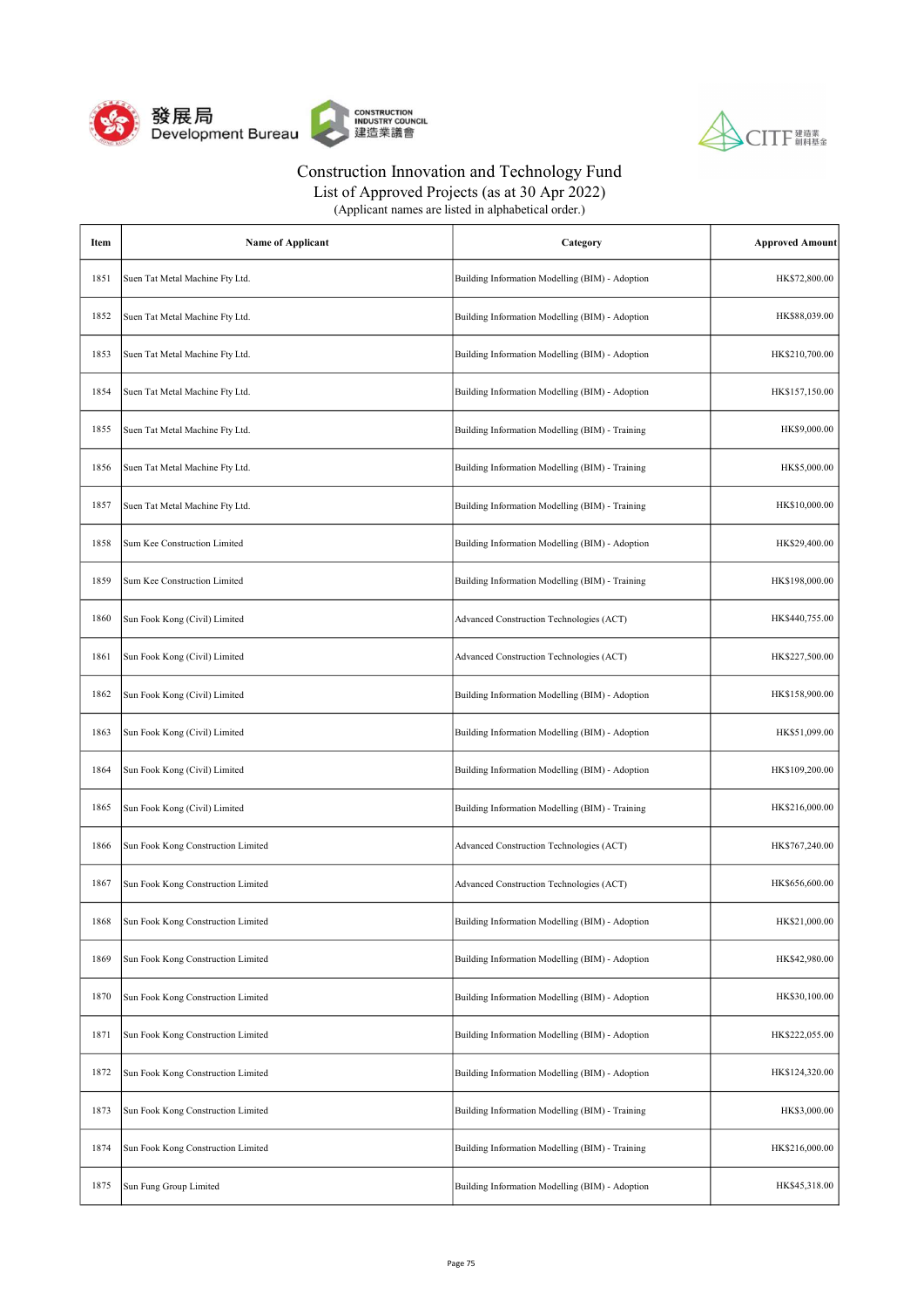



List of Approved Projects (as at 30 Apr 2022)

| Item | <b>Name of Applicant</b>           | Category                                        | <b>Approved Amount</b> |
|------|------------------------------------|-------------------------------------------------|------------------------|
| 1851 | Suen Tat Metal Machine Fty Ltd.    | Building Information Modelling (BIM) - Adoption | HK\$72,800.00          |
| 1852 | Suen Tat Metal Machine Fty Ltd.    | Building Information Modelling (BIM) - Adoption | HK\$88,039.00          |
| 1853 | Suen Tat Metal Machine Fty Ltd.    | Building Information Modelling (BIM) - Adoption | HK\$210,700.00         |
| 1854 | Suen Tat Metal Machine Fty Ltd.    | Building Information Modelling (BIM) - Adoption | HK\$157,150.00         |
| 1855 | Suen Tat Metal Machine Fty Ltd.    | Building Information Modelling (BIM) - Training | HK\$9,000.00           |
| 1856 | Suen Tat Metal Machine Fty Ltd.    | Building Information Modelling (BIM) - Training | HK\$5,000.00           |
| 1857 | Suen Tat Metal Machine Fty Ltd.    | Building Information Modelling (BIM) - Training | HK\$10,000.00          |
| 1858 | Sum Kee Construction Limited       | Building Information Modelling (BIM) - Adoption | HK\$29,400.00          |
| 1859 | Sum Kee Construction Limited       | Building Information Modelling (BIM) - Training | HK\$198,000.00         |
| 1860 | Sun Fook Kong (Civil) Limited      | Advanced Construction Technologies (ACT)        | HK\$440,755.00         |
| 1861 | Sun Fook Kong (Civil) Limited      | Advanced Construction Technologies (ACT)        | HK\$227,500.00         |
| 1862 | Sun Fook Kong (Civil) Limited      | Building Information Modelling (BIM) - Adoption | HK\$158,900.00         |
| 1863 | Sun Fook Kong (Civil) Limited      | Building Information Modelling (BIM) - Adoption | HK\$51,099.00          |
| 1864 | Sun Fook Kong (Civil) Limited      | Building Information Modelling (BIM) - Adoption | HK\$109,200.00         |
| 1865 | Sun Fook Kong (Civil) Limited      | Building Information Modelling (BIM) - Training | HK\$216,000.00         |
| 1866 | Sun Fook Kong Construction Limited | Advanced Construction Technologies (ACT)        | HK\$767,240.00         |
| 1867 | Sun Fook Kong Construction Limited | Advanced Construction Technologies (ACT)        | HK\$656,600.00         |
| 1868 | Sun Fook Kong Construction Limited | Building Information Modelling (BIM) - Adoption | HK\$21,000.00          |
| 1869 | Sun Fook Kong Construction Limited | Building Information Modelling (BIM) - Adoption | HK\$42,980.00          |
| 1870 | Sun Fook Kong Construction Limited | Building Information Modelling (BIM) - Adoption | HK\$30,100.00          |
| 1871 | Sun Fook Kong Construction Limited | Building Information Modelling (BIM) - Adoption | HK\$222,055.00         |
| 1872 | Sun Fook Kong Construction Limited | Building Information Modelling (BIM) - Adoption | HK\$124,320.00         |
| 1873 | Sun Fook Kong Construction Limited | Building Information Modelling (BIM) - Training | HK\$3,000.00           |
| 1874 | Sun Fook Kong Construction Limited | Building Information Modelling (BIM) - Training | HK\$216,000.00         |
| 1875 | Sun Fung Group Limited             | Building Information Modelling (BIM) - Adoption | HK\$45,318.00          |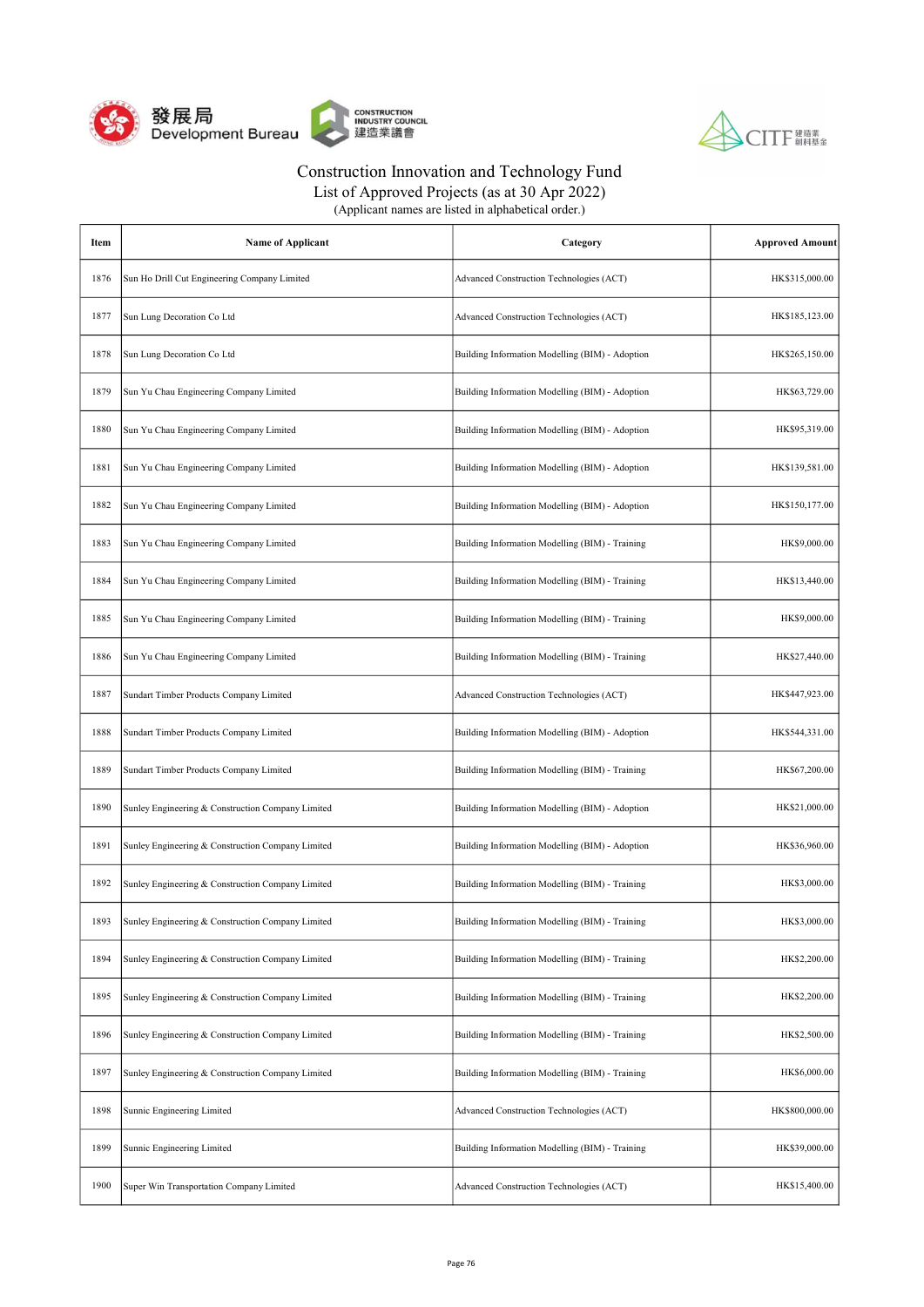



| (Applicant names are listed in alphabetical order.) |  |
|-----------------------------------------------------|--|
|-----------------------------------------------------|--|

| Item | <b>Name of Applicant</b>                          | Category                                        | <b>Approved Amount</b> |
|------|---------------------------------------------------|-------------------------------------------------|------------------------|
| 1876 | Sun Ho Drill Cut Engineering Company Limited      | Advanced Construction Technologies (ACT)        | HK\$315,000.00         |
| 1877 | Sun Lung Decoration Co Ltd                        | Advanced Construction Technologies (ACT)        | HK\$185,123.00         |
| 1878 | Sun Lung Decoration Co Ltd                        | Building Information Modelling (BIM) - Adoption | HK\$265,150.00         |
| 1879 | Sun Yu Chau Engineering Company Limited           | Building Information Modelling (BIM) - Adoption | HK\$63,729.00          |
| 1880 | Sun Yu Chau Engineering Company Limited           | Building Information Modelling (BIM) - Adoption | HK\$95,319.00          |
| 1881 | Sun Yu Chau Engineering Company Limited           | Building Information Modelling (BIM) - Adoption | HK\$139,581.00         |
| 1882 | Sun Yu Chau Engineering Company Limited           | Building Information Modelling (BIM) - Adoption | HK\$150,177.00         |
| 1883 | Sun Yu Chau Engineering Company Limited           | Building Information Modelling (BIM) - Training | HK\$9,000.00           |
| 1884 | Sun Yu Chau Engineering Company Limited           | Building Information Modelling (BIM) - Training | HK\$13,440.00          |
| 1885 | Sun Yu Chau Engineering Company Limited           | Building Information Modelling (BIM) - Training | HK\$9,000.00           |
| 1886 | Sun Yu Chau Engineering Company Limited           | Building Information Modelling (BIM) - Training | HK\$27,440.00          |
| 1887 | Sundart Timber Products Company Limited           | Advanced Construction Technologies (ACT)        | HK\$447,923.00         |
| 1888 | Sundart Timber Products Company Limited           | Building Information Modelling (BIM) - Adoption | HK\$544,331.00         |
| 1889 | Sundart Timber Products Company Limited           | Building Information Modelling (BIM) - Training | HK\$67,200.00          |
| 1890 | Sunley Engineering & Construction Company Limited | Building Information Modelling (BIM) - Adoption | HK\$21,000.00          |
| 1891 | Sunley Engineering & Construction Company Limited | Building Information Modelling (BIM) - Adoption | HK\$36,960.00          |
| 1892 | Sunley Engineering & Construction Company Limited | Building Information Modelling (BIM) - Training | HK\$3,000.00           |
| 1893 | Sunley Engineering & Construction Company Limited | Building Information Modelling (BIM) - Training | HK\$3,000.00           |
| 1894 | Sunley Engineering & Construction Company Limited | Building Information Modelling (BIM) - Training | HK\$2,200.00           |
| 1895 | Sunley Engineering & Construction Company Limited | Building Information Modelling (BIM) - Training | HK\$2,200.00           |
| 1896 | Sunley Engineering & Construction Company Limited | Building Information Modelling (BIM) - Training | HK\$2,500.00           |
| 1897 | Sunley Engineering & Construction Company Limited | Building Information Modelling (BIM) - Training | HK\$6,000.00           |
| 1898 | Sunnic Engineering Limited                        | Advanced Construction Technologies (ACT)        | HK\$800,000.00         |
| 1899 | Sunnic Engineering Limited                        | Building Information Modelling (BIM) - Training | HK\$39,000.00          |
| 1900 | Super Win Transportation Company Limited          | Advanced Construction Technologies (ACT)        | HK\$15,400.00          |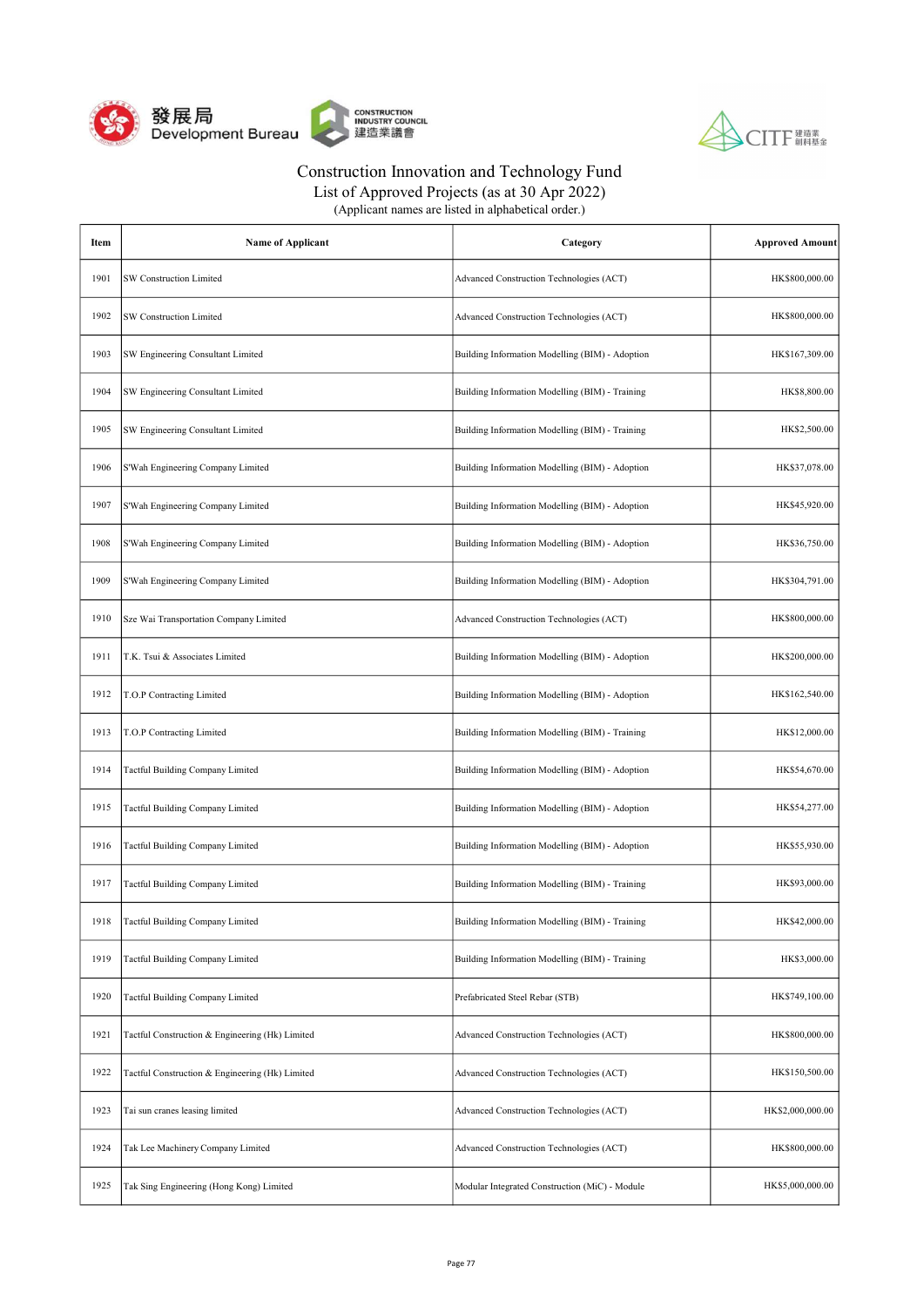



List of Approved Projects (as at 30 Apr 2022)

| Item | <b>Name of Applicant</b>                        | Category                                        | <b>Approved Amount</b> |
|------|-------------------------------------------------|-------------------------------------------------|------------------------|
| 1901 | <b>SW Construction Limited</b>                  | Advanced Construction Technologies (ACT)        | HK\$800,000.00         |
| 1902 | SW Construction Limited                         | Advanced Construction Technologies (ACT)        | HK\$800,000.00         |
| 1903 | SW Engineering Consultant Limited               | Building Information Modelling (BIM) - Adoption | HK\$167,309.00         |
| 1904 | SW Engineering Consultant Limited               | Building Information Modelling (BIM) - Training | HK\$8,800.00           |
| 1905 | SW Engineering Consultant Limited               | Building Information Modelling (BIM) - Training | HK\$2,500.00           |
| 1906 | S'Wah Engineering Company Limited               | Building Information Modelling (BIM) - Adoption | HK\$37,078.00          |
| 1907 | S'Wah Engineering Company Limited               | Building Information Modelling (BIM) - Adoption | HK\$45,920.00          |
| 1908 | S'Wah Engineering Company Limited               | Building Information Modelling (BIM) - Adoption | HK\$36,750.00          |
| 1909 | S'Wah Engineering Company Limited               | Building Information Modelling (BIM) - Adoption | HK\$304,791.00         |
| 1910 | Sze Wai Transportation Company Limited          | Advanced Construction Technologies (ACT)        | HK\$800,000.00         |
| 1911 | T.K. Tsui & Associates Limited                  | Building Information Modelling (BIM) - Adoption | HK\$200,000.00         |
| 1912 | T.O.P Contracting Limited                       | Building Information Modelling (BIM) - Adoption | HK\$162,540.00         |
| 1913 | T.O.P Contracting Limited                       | Building Information Modelling (BIM) - Training | HK\$12,000.00          |
| 1914 | Tactful Building Company Limited                | Building Information Modelling (BIM) - Adoption | HK\$54,670.00          |
| 1915 | Tactful Building Company Limited                | Building Information Modelling (BIM) - Adoption | HK\$54,277.00          |
| 1916 | Tactful Building Company Limited                | Building Information Modelling (BIM) - Adoption | HK\$55,930.00          |
| 1917 | Tactful Building Company Limited                | Building Information Modelling (BIM) - Training | HK\$93,000.00          |
| 1918 | Tactful Building Company Limited                | Building Information Modelling (BIM) - Training | HK\$42,000.00          |
| 1919 | Tactful Building Company Limited                | Building Information Modelling (BIM) - Training | HK\$3,000.00           |
| 1920 | Tactful Building Company Limited                | Prefabricated Steel Rebar (STB)                 | HK\$749,100.00         |
| 1921 | Tactful Construction & Engineering (Hk) Limited | Advanced Construction Technologies (ACT)        | HK\$800,000.00         |
| 1922 | Tactful Construction & Engineering (Hk) Limited | Advanced Construction Technologies (ACT)        | HK\$150,500.00         |
| 1923 | Tai sun cranes leasing limited                  | Advanced Construction Technologies (ACT)        | HK\$2,000,000.00       |
| 1924 | Tak Lee Machinery Company Limited               | Advanced Construction Technologies (ACT)        | HK\$800,000.00         |
| 1925 | Tak Sing Engineering (Hong Kong) Limited        | Modular Integrated Construction (MiC) - Module  | HK\$5,000,000.00       |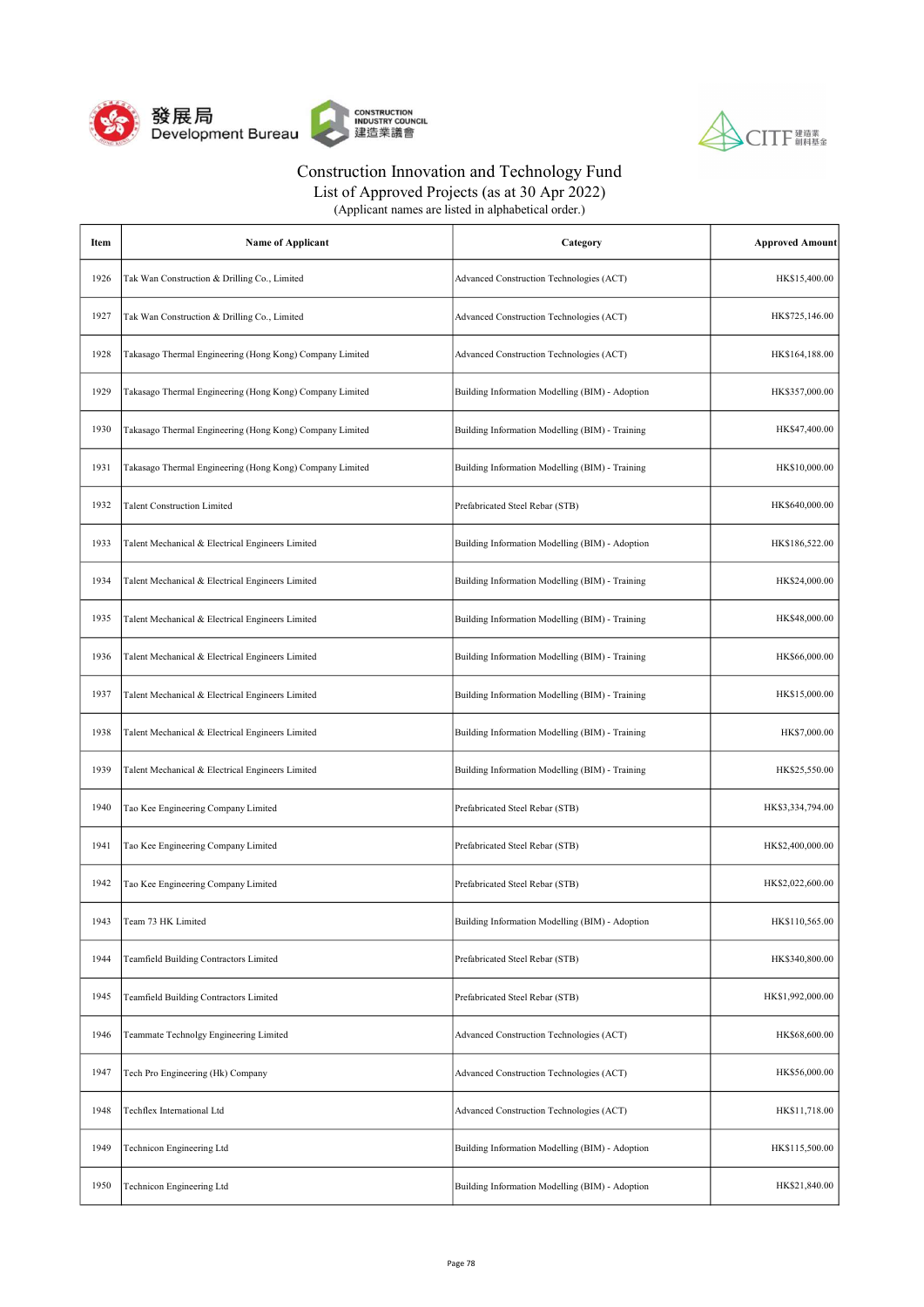



| (Applicant names are listed in alphabetical order.) |
|-----------------------------------------------------|
|-----------------------------------------------------|

| Item | <b>Name of Applicant</b>                                 | Category                                        | <b>Approved Amount</b> |
|------|----------------------------------------------------------|-------------------------------------------------|------------------------|
| 1926 | Tak Wan Construction & Drilling Co., Limited             | Advanced Construction Technologies (ACT)        | HK\$15,400.00          |
| 1927 | Tak Wan Construction & Drilling Co., Limited             | Advanced Construction Technologies (ACT)        | HK\$725,146.00         |
| 1928 | Takasago Thermal Engineering (Hong Kong) Company Limited | Advanced Construction Technologies (ACT)        | HK\$164,188.00         |
| 1929 | Takasago Thermal Engineering (Hong Kong) Company Limited | Building Information Modelling (BIM) - Adoption | HK\$357,000.00         |
| 1930 | Takasago Thermal Engineering (Hong Kong) Company Limited | Building Information Modelling (BIM) - Training | HK\$47,400.00          |
| 1931 | Takasago Thermal Engineering (Hong Kong) Company Limited | Building Information Modelling (BIM) - Training | HK\$10,000.00          |
| 1932 | <b>Talent Construction Limited</b>                       | Prefabricated Steel Rebar (STB)                 | HK\$640,000.00         |
| 1933 | Talent Mechanical & Electrical Engineers Limited         | Building Information Modelling (BIM) - Adoption | HK\$186,522.00         |
| 1934 | Talent Mechanical & Electrical Engineers Limited         | Building Information Modelling (BIM) - Training | HK\$24,000.00          |
| 1935 | Talent Mechanical & Electrical Engineers Limited         | Building Information Modelling (BIM) - Training | HK\$48,000.00          |
| 1936 | Talent Mechanical & Electrical Engineers Limited         | Building Information Modelling (BIM) - Training | HK\$66,000.00          |
| 1937 | Talent Mechanical & Electrical Engineers Limited         | Building Information Modelling (BIM) - Training | HK\$15,000.00          |
| 1938 | Talent Mechanical & Electrical Engineers Limited         | Building Information Modelling (BIM) - Training | HK\$7,000.00           |
| 1939 | Talent Mechanical & Electrical Engineers Limited         | Building Information Modelling (BIM) - Training | HK\$25,550.00          |
| 1940 | Tao Kee Engineering Company Limited                      | Prefabricated Steel Rebar (STB)                 | HK\$3,334,794.00       |
| 1941 | Tao Kee Engineering Company Limited                      | Prefabricated Steel Rebar (STB)                 | HK\$2,400,000.00       |
| 1942 | Tao Kee Engineering Company Limited                      | Prefabricated Steel Rebar (STB)                 | HK\$2,022,600.00       |
| 1943 | Team 73 HK Limited                                       | Building Information Modelling (BIM) - Adoption | HK\$110,565.00         |
| 1944 | Teamfield Building Contractors Limited                   | Prefabricated Steel Rebar (STB)                 | HK\$340,800.00         |
| 1945 | Teamfield Building Contractors Limited                   | Prefabricated Steel Rebar (STB)                 | HK\$1,992,000.00       |
| 1946 | Teammate Technolgy Engineering Limited                   | Advanced Construction Technologies (ACT)        | HK\$68,600.00          |
| 1947 | Tech Pro Engineering (Hk) Company                        | Advanced Construction Technologies (ACT)        | HK\$56,000.00          |
| 1948 | Techflex International Ltd                               | Advanced Construction Technologies (ACT)        | HK\$11,718.00          |
| 1949 | Technicon Engineering Ltd                                | Building Information Modelling (BIM) - Adoption | HK\$115,500.00         |
| 1950 | Technicon Engineering Ltd                                | Building Information Modelling (BIM) - Adoption | HK\$21,840.00          |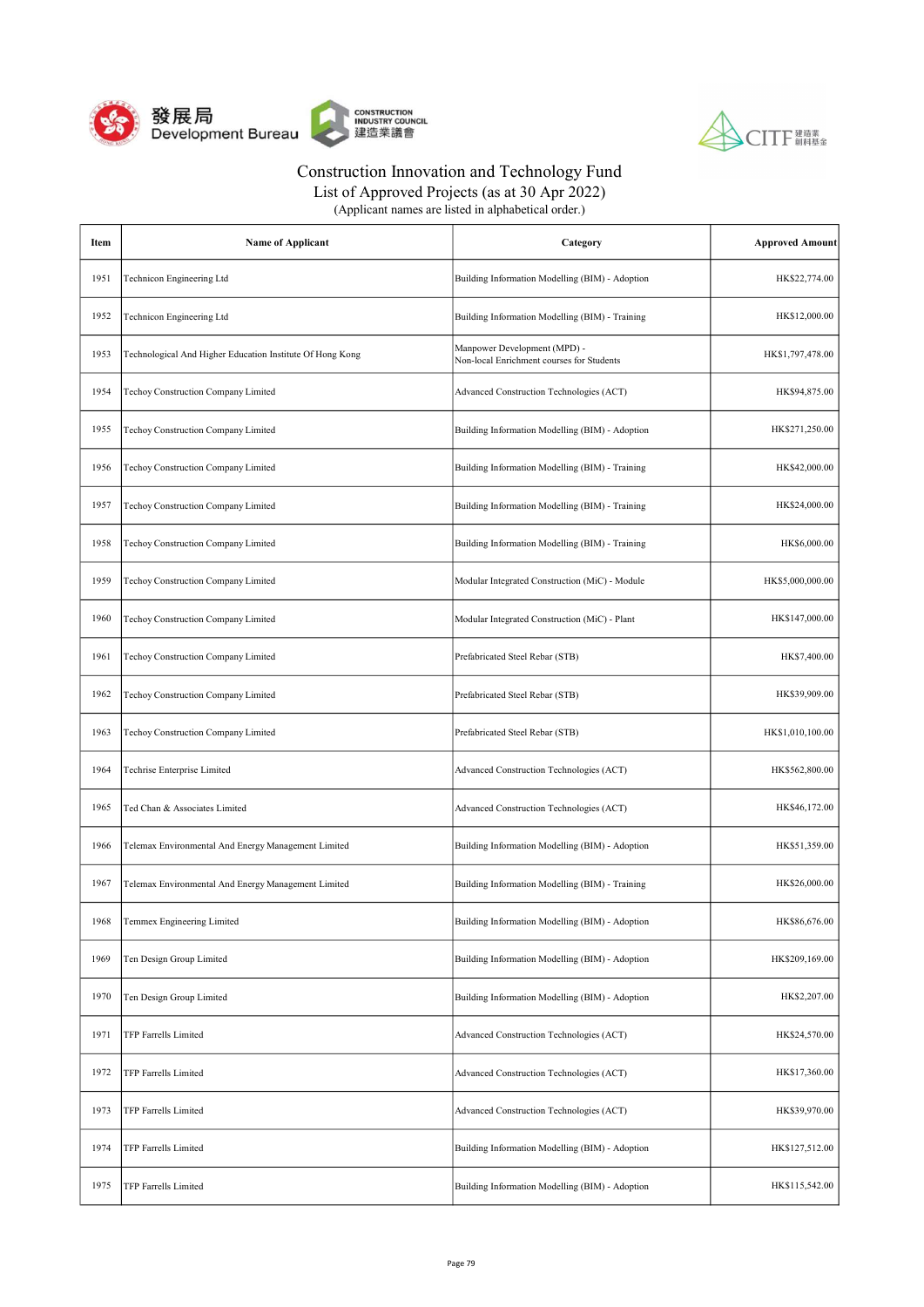



List of Approved Projects (as at 30 Apr 2022)

| Item | <b>Name of Applicant</b>                                  | Category                                                                  | <b>Approved Amount</b> |
|------|-----------------------------------------------------------|---------------------------------------------------------------------------|------------------------|
| 1951 | Technicon Engineering Ltd                                 | Building Information Modelling (BIM) - Adoption                           | HK\$22,774.00          |
| 1952 | Technicon Engineering Ltd                                 | Building Information Modelling (BIM) - Training                           | HK\$12,000.00          |
| 1953 | Technological And Higher Education Institute Of Hong Kong | Manpower Development (MPD) -<br>Non-local Enrichment courses for Students | HK\$1,797,478.00       |
| 1954 | Techoy Construction Company Limited                       | Advanced Construction Technologies (ACT)                                  | HK\$94,875.00          |
| 1955 | Techoy Construction Company Limited                       | Building Information Modelling (BIM) - Adoption                           | HK\$271,250.00         |
| 1956 | Techoy Construction Company Limited                       | Building Information Modelling (BIM) - Training                           | HK\$42,000.00          |
| 1957 | Techoy Construction Company Limited                       | Building Information Modelling (BIM) - Training                           | HK\$24,000.00          |
| 1958 | Techoy Construction Company Limited                       | Building Information Modelling (BIM) - Training                           | HK\$6,000.00           |
| 1959 | Techoy Construction Company Limited                       | Modular Integrated Construction (MiC) - Module                            | HK\$5,000,000.00       |
| 1960 | Techoy Construction Company Limited                       | Modular Integrated Construction (MiC) - Plant                             | HK\$147,000.00         |
| 1961 | Techoy Construction Company Limited                       | Prefabricated Steel Rebar (STB)                                           | HK\$7,400.00           |
| 1962 | Techoy Construction Company Limited                       | Prefabricated Steel Rebar (STB)                                           | HK\$39,909.00          |
| 1963 | Techoy Construction Company Limited                       | Prefabricated Steel Rebar (STB)                                           | HK\$1,010,100.00       |
| 1964 | Techrise Enterprise Limited                               | Advanced Construction Technologies (ACT)                                  | HK\$562,800.00         |
| 1965 | Ted Chan & Associates Limited                             | Advanced Construction Technologies (ACT)                                  | HK\$46,172.00          |
| 1966 | Telemax Environmental And Energy Management Limited       | Building Information Modelling (BIM) - Adoption                           | HK\$51,359.00          |
| 1967 | Telemax Environmental And Energy Management Limited       | Building Information Modelling (BIM) - Training                           | HK\$26,000.00          |
| 1968 | Temmex Engineering Limited                                | Building Information Modelling (BIM) - Adoption                           | HK\$86,676.00          |
| 1969 | Ten Design Group Limited                                  | Building Information Modelling (BIM) - Adoption                           | HK\$209,169.00         |
| 1970 | Ten Design Group Limited                                  | Building Information Modelling (BIM) - Adoption                           | HK\$2,207.00           |
| 1971 | TFP Farrells Limited                                      | Advanced Construction Technologies (ACT)                                  | HK\$24,570.00          |
| 1972 | TFP Farrells Limited                                      | Advanced Construction Technologies (ACT)                                  | HK\$17,360.00          |
| 1973 | TFP Farrells Limited                                      | Advanced Construction Technologies (ACT)                                  | HK\$39,970.00          |
| 1974 | TFP Farrells Limited                                      | Building Information Modelling (BIM) - Adoption                           | HK\$127,512.00         |
| 1975 | TFP Farrells Limited                                      | Building Information Modelling (BIM) - Adoption                           | HK\$115,542.00         |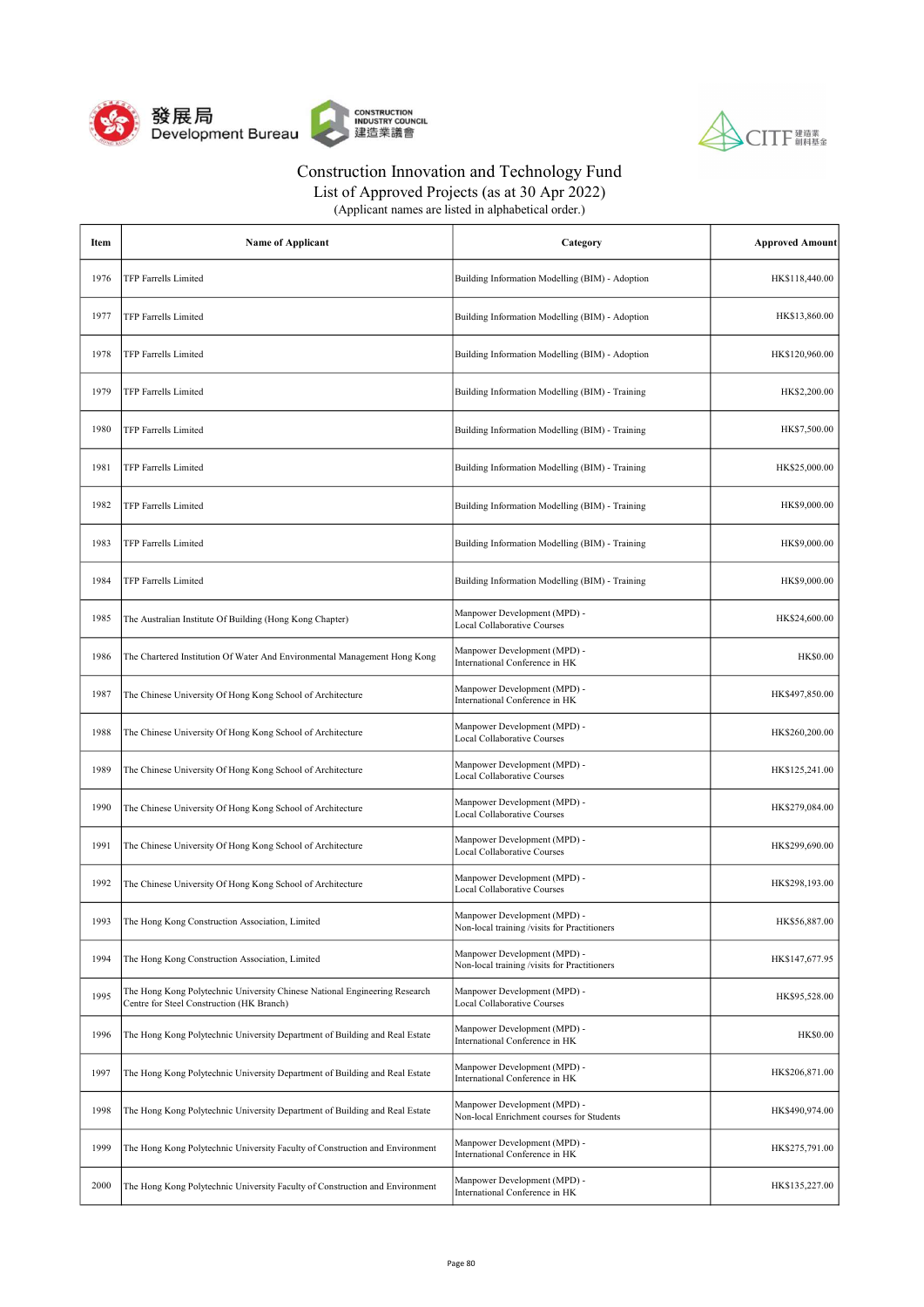



List of Approved Projects (as at 30 Apr 2022)

| Item | <b>Name of Applicant</b>                                                                                                | Category                                                                     | <b>Approved Amount</b> |
|------|-------------------------------------------------------------------------------------------------------------------------|------------------------------------------------------------------------------|------------------------|
| 1976 | TFP Farrells Limited                                                                                                    | Building Information Modelling (BIM) - Adoption                              | HK\$118,440.00         |
| 1977 | TFP Farrells Limited                                                                                                    | Building Information Modelling (BIM) - Adoption                              | HK\$13,860.00          |
| 1978 | TFP Farrells Limited                                                                                                    | Building Information Modelling (BIM) - Adoption                              | HK\$120,960.00         |
| 1979 | <b>TFP Farrells Limited</b>                                                                                             | Building Information Modelling (BIM) - Training                              | HK\$2,200.00           |
| 1980 | TFP Farrells Limited                                                                                                    | Building Information Modelling (BIM) - Training                              | HK\$7,500.00           |
| 1981 | TFP Farrells Limited                                                                                                    | Building Information Modelling (BIM) - Training                              | HK\$25,000.00          |
| 1982 | TFP Farrells Limited                                                                                                    | Building Information Modelling (BIM) - Training                              | HK\$9,000.00           |
| 1983 | TFP Farrells Limited                                                                                                    | Building Information Modelling (BIM) - Training                              | HK\$9,000.00           |
| 1984 | TFP Farrells Limited                                                                                                    | Building Information Modelling (BIM) - Training                              | HK\$9,000.00           |
| 1985 | The Australian Institute Of Building (Hong Kong Chapter)                                                                | Manpower Development (MPD) -<br>Local Collaborative Courses                  | HK\$24,600.00          |
| 1986 | The Chartered Institution Of Water And Environmental Management Hong Kong                                               | Manpower Development (MPD) -<br>International Conference in HK               | <b>HK\$0.00</b>        |
| 1987 | The Chinese University Of Hong Kong School of Architecture                                                              | Manpower Development (MPD) -<br>International Conference in HK               | HK\$497,850.00         |
| 1988 | The Chinese University Of Hong Kong School of Architecture                                                              | Manpower Development (MPD) -<br>Local Collaborative Courses                  | HK\$260,200.00         |
| 1989 | The Chinese University Of Hong Kong School of Architecture                                                              | Manpower Development (MPD) -<br><b>Local Collaborative Courses</b>           | HK\$125,241.00         |
| 1990 | The Chinese University Of Hong Kong School of Architecture                                                              | Manpower Development (MPD) -<br><b>Local Collaborative Courses</b>           | HK\$279,084.00         |
| 1991 | The Chinese University Of Hong Kong School of Architecture                                                              | Manpower Development (MPD) -<br><b>Local Collaborative Courses</b>           | HK\$299,690.00         |
| 1992 | The Chinese University Of Hong Kong School of Architecture                                                              | Manpower Development (MPD) -<br>Local Collaborative Courses                  | HK\$298,193.00         |
| 1993 | The Hong Kong Construction Association, Limited                                                                         | Manpower Development (MPD) -<br>Non-local training /visits for Practitioners | HK\$56,887.00          |
| 1994 | The Hong Kong Construction Association, Limited                                                                         | Manpower Development (MPD) -<br>Non-local training /visits for Practitioners | HK\$147,677.95         |
| 1995 | The Hong Kong Polytechnic University Chinese National Engineering Research<br>Centre for Steel Construction (HK Branch) | Manpower Development (MPD) -<br>Local Collaborative Courses                  | HK\$95,528.00          |
| 1996 | The Hong Kong Polytechnic University Department of Building and Real Estate                                             | Manpower Development (MPD) -<br>International Conference in HK               | <b>HK\$0.00</b>        |
| 1997 | The Hong Kong Polytechnic University Department of Building and Real Estate                                             | Manpower Development (MPD) -<br>International Conference in HK               | HK\$206,871.00         |
| 1998 | The Hong Kong Polytechnic University Department of Building and Real Estate                                             | Manpower Development (MPD) -<br>Non-local Enrichment courses for Students    | HK\$490,974.00         |
| 1999 | The Hong Kong Polytechnic University Faculty of Construction and Environment                                            | Manpower Development (MPD) -<br>International Conference in HK               | HK\$275,791.00         |
| 2000 | The Hong Kong Polytechnic University Faculty of Construction and Environment                                            | Manpower Development (MPD) -<br>International Conference in HK               | HK\$135,227.00         |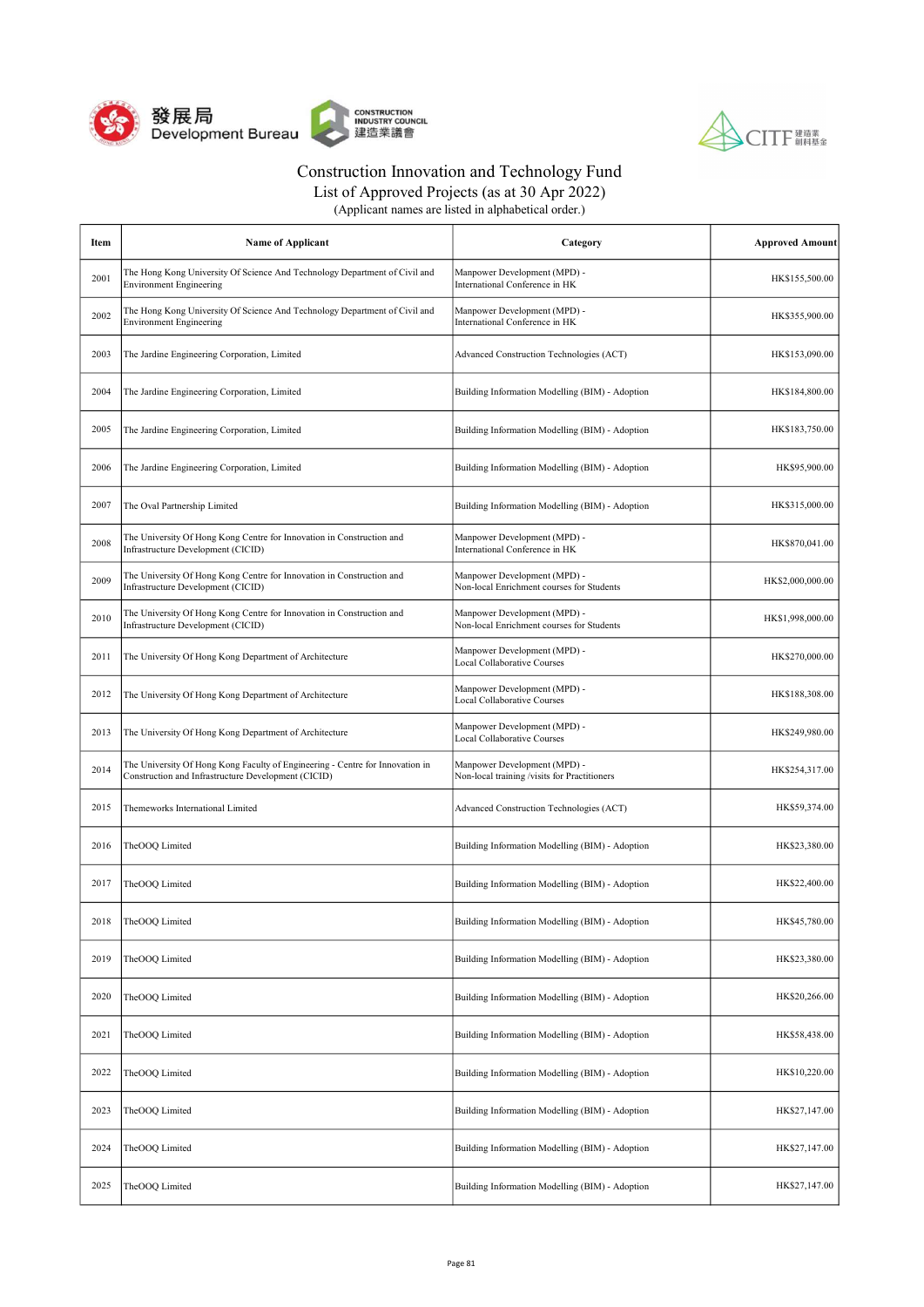



List of Approved Projects (as at 30 Apr 2022)

| Item | <b>Name of Applicant</b>                                                                                                             | Category                                                                     | <b>Approved Amount</b> |
|------|--------------------------------------------------------------------------------------------------------------------------------------|------------------------------------------------------------------------------|------------------------|
| 2001 | The Hong Kong University Of Science And Technology Department of Civil and<br><b>Environment Engineering</b>                         | Manpower Development (MPD) -<br>International Conference in HK               | HK\$155,500.00         |
| 2002 | The Hong Kong University Of Science And Technology Department of Civil and<br><b>Environment Engineering</b>                         | Manpower Development (MPD) -<br>International Conference in HK               | HK\$355,900.00         |
| 2003 | The Jardine Engineering Corporation, Limited                                                                                         | Advanced Construction Technologies (ACT)                                     | HK\$153,090.00         |
| 2004 | The Jardine Engineering Corporation, Limited                                                                                         | Building Information Modelling (BIM) - Adoption                              | HK\$184,800.00         |
| 2005 | The Jardine Engineering Corporation, Limited                                                                                         | Building Information Modelling (BIM) - Adoption                              | HK\$183,750.00         |
| 2006 | The Jardine Engineering Corporation, Limited                                                                                         | Building Information Modelling (BIM) - Adoption                              | HK\$95,900.00          |
| 2007 | The Oval Partnership Limited                                                                                                         | Building Information Modelling (BIM) - Adoption                              | HK\$315,000.00         |
| 2008 | The University Of Hong Kong Centre for Innovation in Construction and<br>Infrastructure Development (CICID)                          | Manpower Development (MPD) -<br>International Conference in HK               | HK\$870,041.00         |
| 2009 | The University Of Hong Kong Centre for Innovation in Construction and<br>Infrastructure Development (CICID)                          | Manpower Development (MPD) -<br>Non-local Enrichment courses for Students    | HK\$2,000,000.00       |
| 2010 | The University Of Hong Kong Centre for Innovation in Construction and<br>Infrastructure Development (CICID)                          | Manpower Development (MPD) -<br>Non-local Enrichment courses for Students    | HK\$1,998,000.00       |
| 2011 | The University Of Hong Kong Department of Architecture                                                                               | Manpower Development (MPD) -<br>Local Collaborative Courses                  | HK\$270,000.00         |
| 2012 | The University Of Hong Kong Department of Architecture                                                                               | Manpower Development (MPD) -<br>Local Collaborative Courses                  | HK\$188,308.00         |
| 2013 | The University Of Hong Kong Department of Architecture                                                                               | Manpower Development (MPD) -<br><b>Local Collaborative Courses</b>           | HK\$249,980.00         |
| 2014 | The University Of Hong Kong Faculty of Engineering - Centre for Innovation in<br>Construction and Infrastructure Development (CICID) | Manpower Development (MPD) -<br>Non-local training /visits for Practitioners | HK\$254,317.00         |
| 2015 | Themeworks International Limited                                                                                                     | Advanced Construction Technologies (ACT)                                     | HK\$59,374.00          |
| 2016 | TheOOQ Limited                                                                                                                       | Building Information Modelling (BIM) - Adoption                              | HK\$23,380.00          |
| 2017 | TheOOQ Limited                                                                                                                       | Building Information Modelling (BIM) - Adoption                              | HK\$22,400.00          |
| 2018 | TheOOQ Limited                                                                                                                       | Building Information Modelling (BIM) - Adoption                              | HK\$45,780.00          |
| 2019 | TheOOQ Limited                                                                                                                       | Building Information Modelling (BIM) - Adoption                              | HK\$23,380.00          |
| 2020 | TheOOQ Limited                                                                                                                       | Building Information Modelling (BIM) - Adoption                              | HK\$20,266.00          |
| 2021 | TheOOQ Limited                                                                                                                       | Building Information Modelling (BIM) - Adoption                              | HK\$58,438.00          |
| 2022 | TheOOQ Limited                                                                                                                       | Building Information Modelling (BIM) - Adoption                              | HK\$10,220.00          |
| 2023 | TheOOQ Limited                                                                                                                       | Building Information Modelling (BIM) - Adoption                              | HK\$27,147.00          |
| 2024 | TheOOQ Limited                                                                                                                       | Building Information Modelling (BIM) - Adoption                              | HK\$27,147.00          |
| 2025 | TheOOQ Limited                                                                                                                       | Building Information Modelling (BIM) - Adoption                              | HK\$27,147.00          |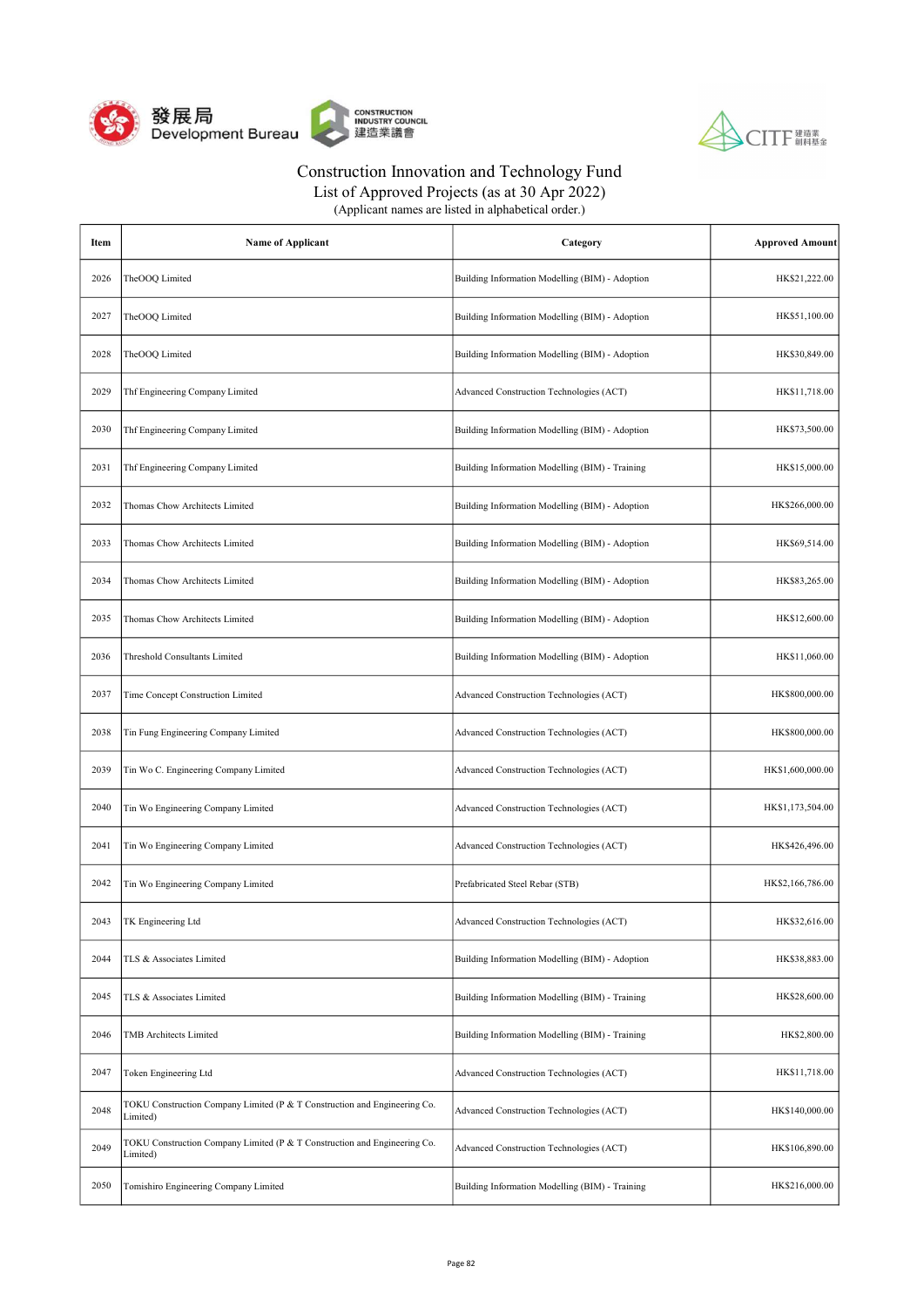



List of Approved Projects (as at 30 Apr 2022)

| Item | <b>Name of Applicant</b>                                                              | Category                                        | <b>Approved Amount</b> |
|------|---------------------------------------------------------------------------------------|-------------------------------------------------|------------------------|
| 2026 | TheOOQ Limited                                                                        | Building Information Modelling (BIM) - Adoption | HK\$21,222.00          |
| 2027 | TheOOQ Limited                                                                        | Building Information Modelling (BIM) - Adoption | HK\$51,100.00          |
| 2028 | TheOOQ Limited                                                                        | Building Information Modelling (BIM) - Adoption | HK\$30,849.00          |
| 2029 | Thf Engineering Company Limited                                                       | Advanced Construction Technologies (ACT)        | HK\$11,718.00          |
| 2030 | Thf Engineering Company Limited                                                       | Building Information Modelling (BIM) - Adoption | HK\$73,500.00          |
| 2031 | Thf Engineering Company Limited                                                       | Building Information Modelling (BIM) - Training | HK\$15,000.00          |
| 2032 | Thomas Chow Architects Limited                                                        | Building Information Modelling (BIM) - Adoption | HK\$266,000.00         |
| 2033 | Thomas Chow Architects Limited                                                        | Building Information Modelling (BIM) - Adoption | HK\$69,514.00          |
| 2034 | Thomas Chow Architects Limited                                                        | Building Information Modelling (BIM) - Adoption | HK\$83,265.00          |
| 2035 | Thomas Chow Architects Limited                                                        | Building Information Modelling (BIM) - Adoption | HK\$12,600.00          |
| 2036 | Threshold Consultants Limited                                                         | Building Information Modelling (BIM) - Adoption | HK\$11,060.00          |
| 2037 | Time Concept Construction Limited                                                     | Advanced Construction Technologies (ACT)        | HK\$800,000.00         |
| 2038 | Tin Fung Engineering Company Limited                                                  | Advanced Construction Technologies (ACT)        | HK\$800,000.00         |
| 2039 | Tin Wo C. Engineering Company Limited                                                 | Advanced Construction Technologies (ACT)        | HK\$1,600,000.00       |
| 2040 | Tin Wo Engineering Company Limited                                                    | Advanced Construction Technologies (ACT)        | HK\$1,173,504.00       |
| 2041 | Tin Wo Engineering Company Limited                                                    | Advanced Construction Technologies (ACT)        | HK\$426,496.00         |
| 2042 | Tin Wo Engineering Company Limited                                                    | Prefabricated Steel Rebar (STB)                 | HK\$2,166,786.00       |
| 2043 | TK Engineering Ltd                                                                    | Advanced Construction Technologies (ACT)        | HK\$32,616.00          |
| 2044 | TLS & Associates Limited                                                              | Building Information Modelling (BIM) - Adoption | HK\$38,883.00          |
| 2045 | TLS & Associates Limited                                                              | Building Information Modelling (BIM) - Training | HK\$28,600.00          |
| 2046 | <b>TMB</b> Architects Limited                                                         | Building Information Modelling (BIM) - Training | HK\$2,800.00           |
| 2047 | Token Engineering Ltd                                                                 | Advanced Construction Technologies (ACT)        | HK\$11,718.00          |
| 2048 | TOKU Construction Company Limited (P & T Construction and Engineering Co.<br>Limited) | Advanced Construction Technologies (ACT)        | HK\$140,000.00         |
| 2049 | TOKU Construction Company Limited (P & T Construction and Engineering Co.<br>Limited) | Advanced Construction Technologies (ACT)        | HK\$106,890.00         |
| 2050 | Tomishiro Engineering Company Limited                                                 | Building Information Modelling (BIM) - Training | HK\$216,000.00         |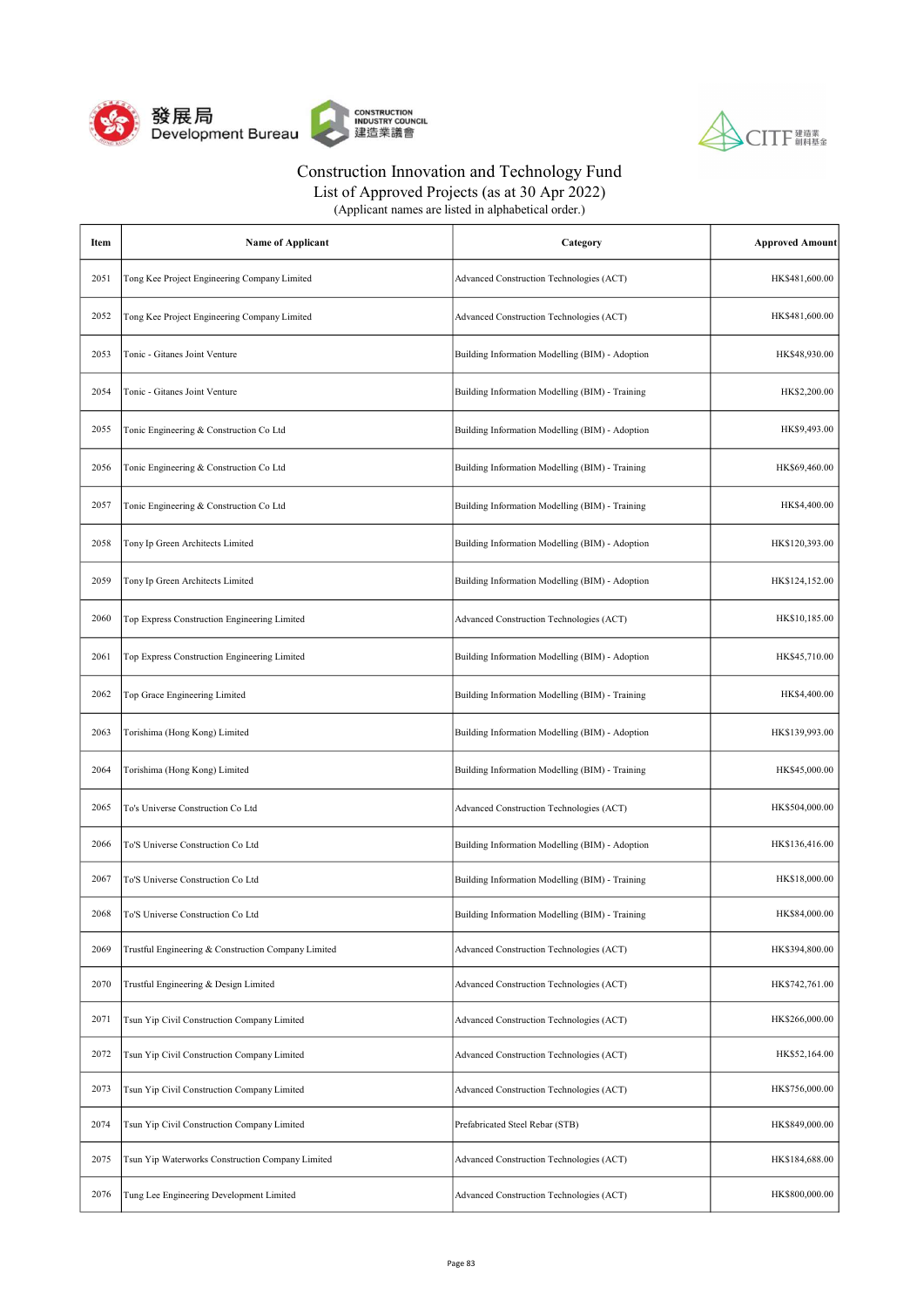



| Item | <b>Name of Applicant</b>                            | Category                                        | <b>Approved Amount</b> |
|------|-----------------------------------------------------|-------------------------------------------------|------------------------|
| 2051 | Tong Kee Project Engineering Company Limited        | Advanced Construction Technologies (ACT)        | HK\$481,600.00         |
| 2052 | Tong Kee Project Engineering Company Limited        | Advanced Construction Technologies (ACT)        | HK\$481,600.00         |
| 2053 | Tonic - Gitanes Joint Venture                       | Building Information Modelling (BIM) - Adoption | HK\$48,930.00          |
| 2054 | Tonic - Gitanes Joint Venture                       | Building Information Modelling (BIM) - Training | HK\$2,200.00           |
| 2055 | Tonic Engineering & Construction Co Ltd             | Building Information Modelling (BIM) - Adoption | HK\$9,493.00           |
| 2056 | Tonic Engineering & Construction Co Ltd             | Building Information Modelling (BIM) - Training | HK\$69,460.00          |
| 2057 | Tonic Engineering & Construction Co Ltd             | Building Information Modelling (BIM) - Training | HK\$4,400.00           |
| 2058 | Tony Ip Green Architects Limited                    | Building Information Modelling (BIM) - Adoption | HK\$120,393.00         |
| 2059 | Tony Ip Green Architects Limited                    | Building Information Modelling (BIM) - Adoption | HK\$124,152.00         |
| 2060 | Top Express Construction Engineering Limited        | Advanced Construction Technologies (ACT)        | HK\$10,185.00          |
| 2061 | Top Express Construction Engineering Limited        | Building Information Modelling (BIM) - Adoption | HK\$45,710.00          |
| 2062 | Top Grace Engineering Limited                       | Building Information Modelling (BIM) - Training | HK\$4,400.00           |
| 2063 | Torishima (Hong Kong) Limited                       | Building Information Modelling (BIM) - Adoption | HK\$139,993.00         |
| 2064 | Torishima (Hong Kong) Limited                       | Building Information Modelling (BIM) - Training | HK\$45,000.00          |
| 2065 | To's Universe Construction Co Ltd                   | Advanced Construction Technologies (ACT)        | HK\$504,000.00         |
| 2066 | To'S Universe Construction Co Ltd                   | Building Information Modelling (BIM) - Adoption | HK\$136,416.00         |
| 2067 | To'S Universe Construction Co Ltd                   | Building Information Modelling (BIM) - Training | HK\$18,000.00          |
| 2068 | To'S Universe Construction Co Ltd                   | Building Information Modelling (BIM) - Training | HK\$84,000.00          |
| 2069 | Trustful Engineering & Construction Company Limited | Advanced Construction Technologies (ACT)        | HK\$394,800.00         |
| 2070 | Trustful Engineering & Design Limited               | Advanced Construction Technologies (ACT)        | HK\$742,761.00         |
| 2071 | Tsun Yip Civil Construction Company Limited         | Advanced Construction Technologies (ACT)        | HK\$266,000.00         |
| 2072 | Tsun Yip Civil Construction Company Limited         | Advanced Construction Technologies (ACT)        | HK\$52,164.00          |
| 2073 | Tsun Yip Civil Construction Company Limited         | Advanced Construction Technologies (ACT)        | HK\$756,000.00         |
| 2074 | Tsun Yip Civil Construction Company Limited         | Prefabricated Steel Rebar (STB)                 | HK\$849,000.00         |
| 2075 | Tsun Yip Waterworks Construction Company Limited    | Advanced Construction Technologies (ACT)        | HK\$184,688.00         |
| 2076 | Tung Lee Engineering Development Limited            | Advanced Construction Technologies (ACT)        | HK\$800,000.00         |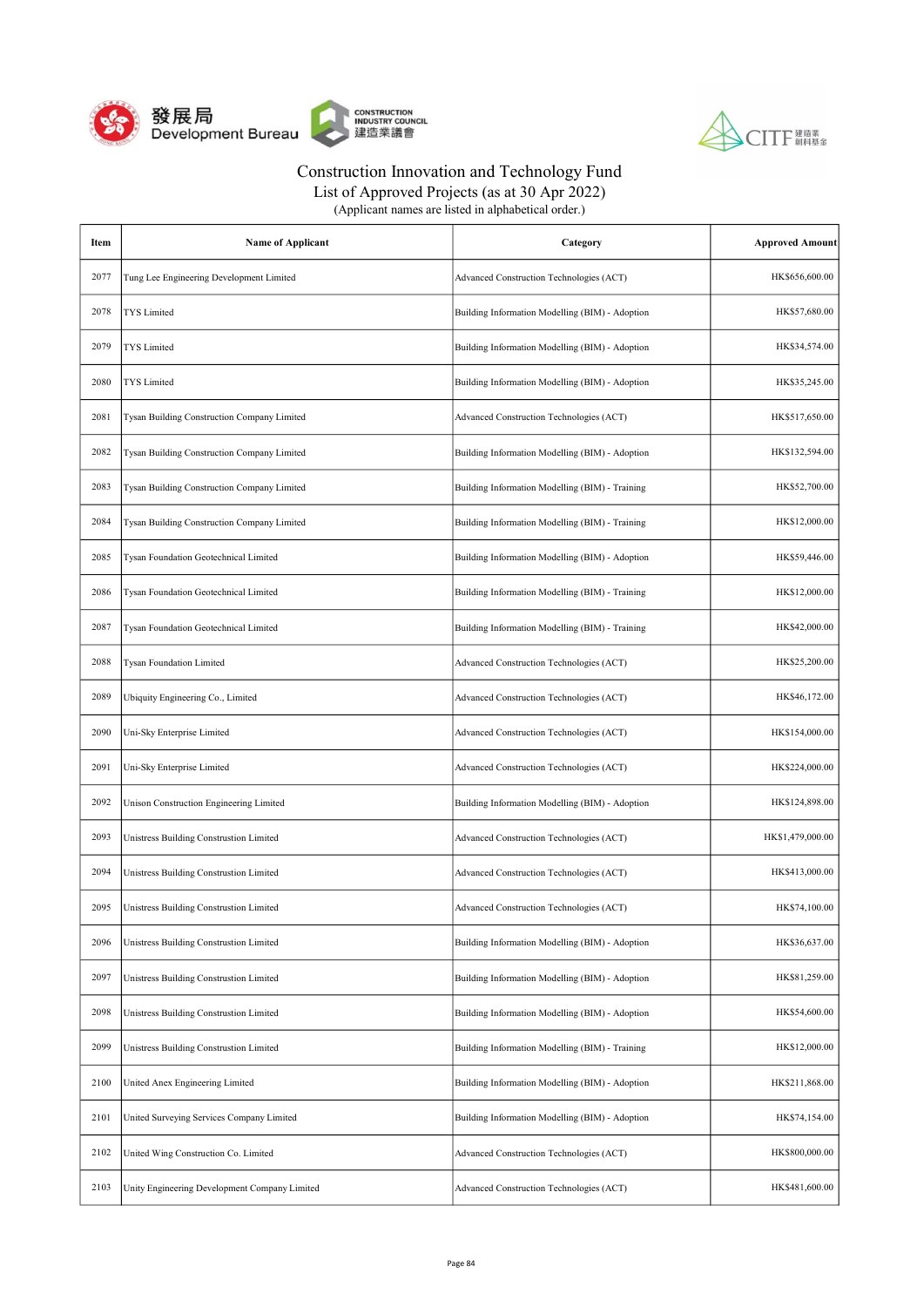



List of Approved Projects (as at 30 Apr 2022)

| Item | <b>Name of Applicant</b>                      | Category                                        | <b>Approved Amount</b> |
|------|-----------------------------------------------|-------------------------------------------------|------------------------|
| 2077 | Tung Lee Engineering Development Limited      | Advanced Construction Technologies (ACT)        | HK\$656,600.00         |
| 2078 | TYS Limited                                   | Building Information Modelling (BIM) - Adoption | HK\$57,680.00          |
| 2079 | TYS Limited                                   | Building Information Modelling (BIM) - Adoption | HK\$34,574.00          |
| 2080 | <b>TYS</b> Limited                            | Building Information Modelling (BIM) - Adoption | HK\$35,245.00          |
| 2081 | Tysan Building Construction Company Limited   | Advanced Construction Technologies (ACT)        | HK\$517,650.00         |
| 2082 | Tysan Building Construction Company Limited   | Building Information Modelling (BIM) - Adoption | HK\$132,594.00         |
| 2083 | Tysan Building Construction Company Limited   | Building Information Modelling (BIM) - Training | HK\$52,700.00          |
| 2084 | Tysan Building Construction Company Limited   | Building Information Modelling (BIM) - Training | HK\$12,000.00          |
| 2085 | Tysan Foundation Geotechnical Limited         | Building Information Modelling (BIM) - Adoption | HK\$59,446.00          |
| 2086 | Tysan Foundation Geotechnical Limited         | Building Information Modelling (BIM) - Training | HK\$12,000.00          |
| 2087 | Tysan Foundation Geotechnical Limited         | Building Information Modelling (BIM) - Training | HK\$42,000.00          |
| 2088 | <b>Tysan Foundation Limited</b>               | Advanced Construction Technologies (ACT)        | HK\$25,200.00          |
| 2089 | Ubiquity Engineering Co., Limited             | Advanced Construction Technologies (ACT)        | HK\$46,172.00          |
| 2090 | Uni-Sky Enterprise Limited                    | Advanced Construction Technologies (ACT)        | HK\$154,000.00         |
| 2091 | Uni-Sky Enterprise Limited                    | Advanced Construction Technologies (ACT)        | HK\$224,000.00         |
| 2092 | Unison Construction Engineering Limited       | Building Information Modelling (BIM) - Adoption | HK\$124,898.00         |
| 2093 | Unistress Building Construstion Limited       | Advanced Construction Technologies (ACT)        | HK\$1,479,000.00       |
| 2094 | Unistress Building Construstion Limited       | Advanced Construction Technologies (ACT)        | HK\$413,000.00         |
| 2095 | Unistress Building Construstion Limited       | Advanced Construction Technologies (ACT)        | HK\$74,100.00          |
| 2096 | Unistress Building Construstion Limited       | Building Information Modelling (BIM) - Adoption | HK\$36,637.00          |
| 2097 | Unistress Building Construstion Limited       | Building Information Modelling (BIM) - Adoption | HK\$81,259.00          |
| 2098 | Unistress Building Construstion Limited       | Building Information Modelling (BIM) - Adoption | HK\$54,600.00          |
| 2099 | Unistress Building Construstion Limited       | Building Information Modelling (BIM) - Training | HK\$12,000.00          |
| 2100 | United Anex Engineering Limited               | Building Information Modelling (BIM) - Adoption | HK\$211,868.00         |
| 2101 | United Surveying Services Company Limited     | Building Information Modelling (BIM) - Adoption | HK\$74,154.00          |
| 2102 | United Wing Construction Co. Limited          | Advanced Construction Technologies (ACT)        | HK\$800,000.00         |
| 2103 | Unity Engineering Development Company Limited | Advanced Construction Technologies (ACT)        | HK\$481,600.00         |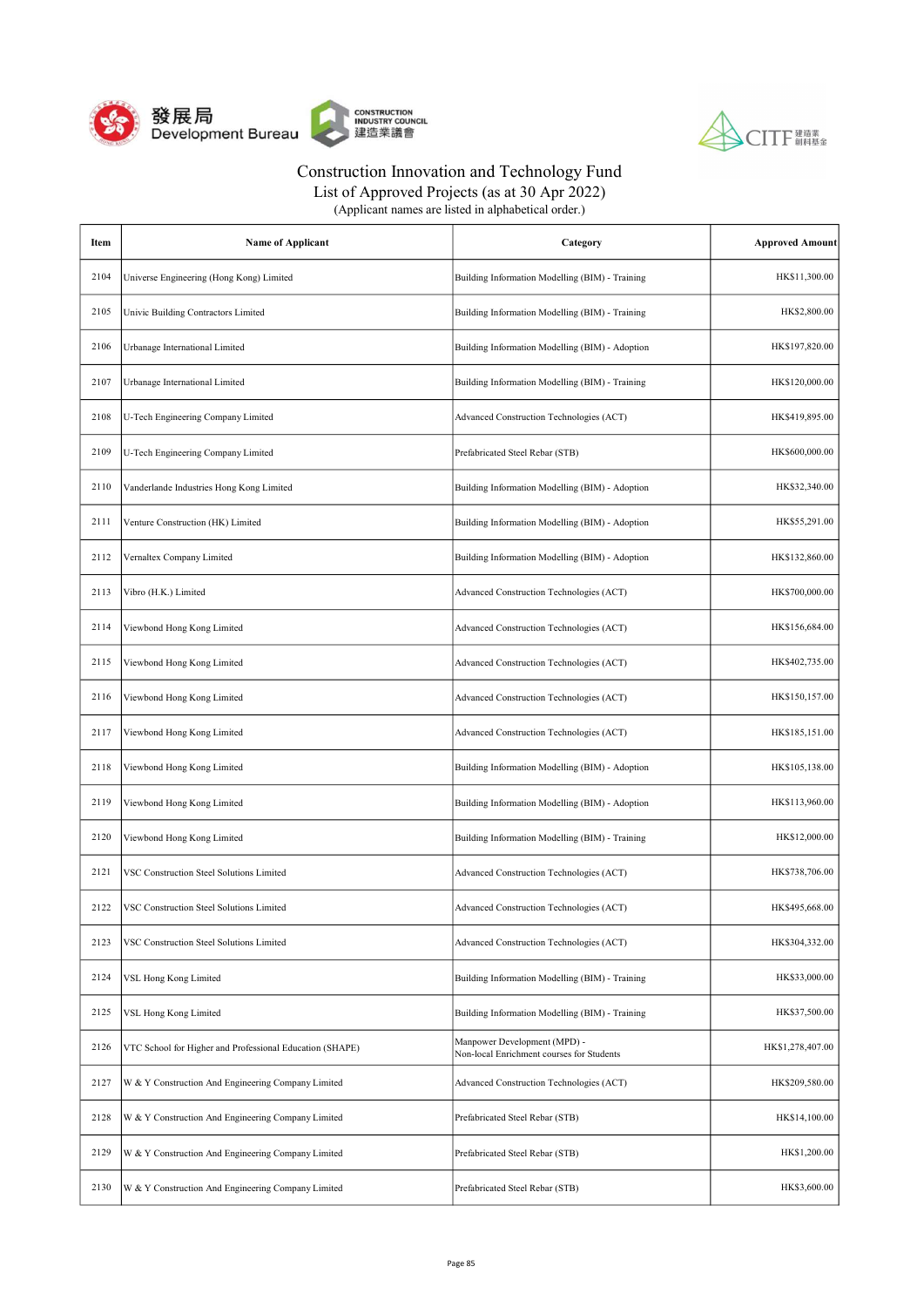



List of Approved Projects (as at 30 Apr 2022)

| Item | <b>Name of Applicant</b>                                 | Category                                                                  | <b>Approved Amount</b> |
|------|----------------------------------------------------------|---------------------------------------------------------------------------|------------------------|
| 2104 | Universe Engineering (Hong Kong) Limited                 | Building Information Modelling (BIM) - Training                           | HK\$11,300.00          |
| 2105 | Univic Building Contractors Limited                      | Building Information Modelling (BIM) - Training                           | HK\$2,800.00           |
| 2106 | Urbanage International Limited                           | Building Information Modelling (BIM) - Adoption                           | HK\$197,820.00         |
| 2107 | Urbanage International Limited                           | Building Information Modelling (BIM) - Training                           | HK\$120,000.00         |
| 2108 | U-Tech Engineering Company Limited                       | Advanced Construction Technologies (ACT)                                  | HK\$419,895.00         |
| 2109 | U-Tech Engineering Company Limited                       | Prefabricated Steel Rebar (STB)                                           | HK\$600,000.00         |
| 2110 | Vanderlande Industries Hong Kong Limited                 | Building Information Modelling (BIM) - Adoption                           | HK\$32,340.00          |
| 2111 | Venture Construction (HK) Limited                        | Building Information Modelling (BIM) - Adoption                           | HK\$55,291.00          |
| 2112 | Vernaltex Company Limited                                | Building Information Modelling (BIM) - Adoption                           | HK\$132,860.00         |
| 2113 | Vibro (H.K.) Limited                                     | Advanced Construction Technologies (ACT)                                  | HK\$700,000.00         |
| 2114 | Viewbond Hong Kong Limited                               | Advanced Construction Technologies (ACT)                                  | HK\$156,684.00         |
| 2115 | Viewbond Hong Kong Limited                               | Advanced Construction Technologies (ACT)                                  | HK\$402,735.00         |
| 2116 | Viewbond Hong Kong Limited                               | Advanced Construction Technologies (ACT)                                  | HK\$150,157.00         |
| 2117 | Viewbond Hong Kong Limited                               | Advanced Construction Technologies (ACT)                                  | HK\$185,151.00         |
| 2118 | Viewbond Hong Kong Limited                               | Building Information Modelling (BIM) - Adoption                           | HK\$105,138.00         |
| 2119 | Viewbond Hong Kong Limited                               | Building Information Modelling (BIM) - Adoption                           | HK\$113,960.00         |
| 2120 | Viewbond Hong Kong Limited                               | Building Information Modelling (BIM) - Training                           | HK\$12,000.00          |
| 2121 | VSC Construction Steel Solutions Limited                 | Advanced Construction Technologies (ACT)                                  | HK\$738,706.00         |
| 2122 | <b>VSC Construction Steel Solutions Limited</b>          | Advanced Construction Technologies (ACT)                                  | HK\$495,668.00         |
| 2123 | VSC Construction Steel Solutions Limited                 | Advanced Construction Technologies (ACT)                                  | HK\$304,332.00         |
| 2124 | VSL Hong Kong Limited                                    | Building Information Modelling (BIM) - Training                           | HK\$33,000.00          |
| 2125 | VSL Hong Kong Limited                                    | Building Information Modelling (BIM) - Training                           | HK\$37,500.00          |
| 2126 | VTC School for Higher and Professional Education (SHAPE) | Manpower Development (MPD) -<br>Non-local Enrichment courses for Students | HK\$1,278,407.00       |
| 2127 | W & Y Construction And Engineering Company Limited       | Advanced Construction Technologies (ACT)                                  | HK\$209,580.00         |
| 2128 | W & Y Construction And Engineering Company Limited       | Prefabricated Steel Rebar (STB)                                           | HK\$14,100.00          |
| 2129 | W & Y Construction And Engineering Company Limited       | Prefabricated Steel Rebar (STB)                                           | HK\$1,200.00           |
| 2130 | W & Y Construction And Engineering Company Limited       | Prefabricated Steel Rebar (STB)                                           | HK\$3,600.00           |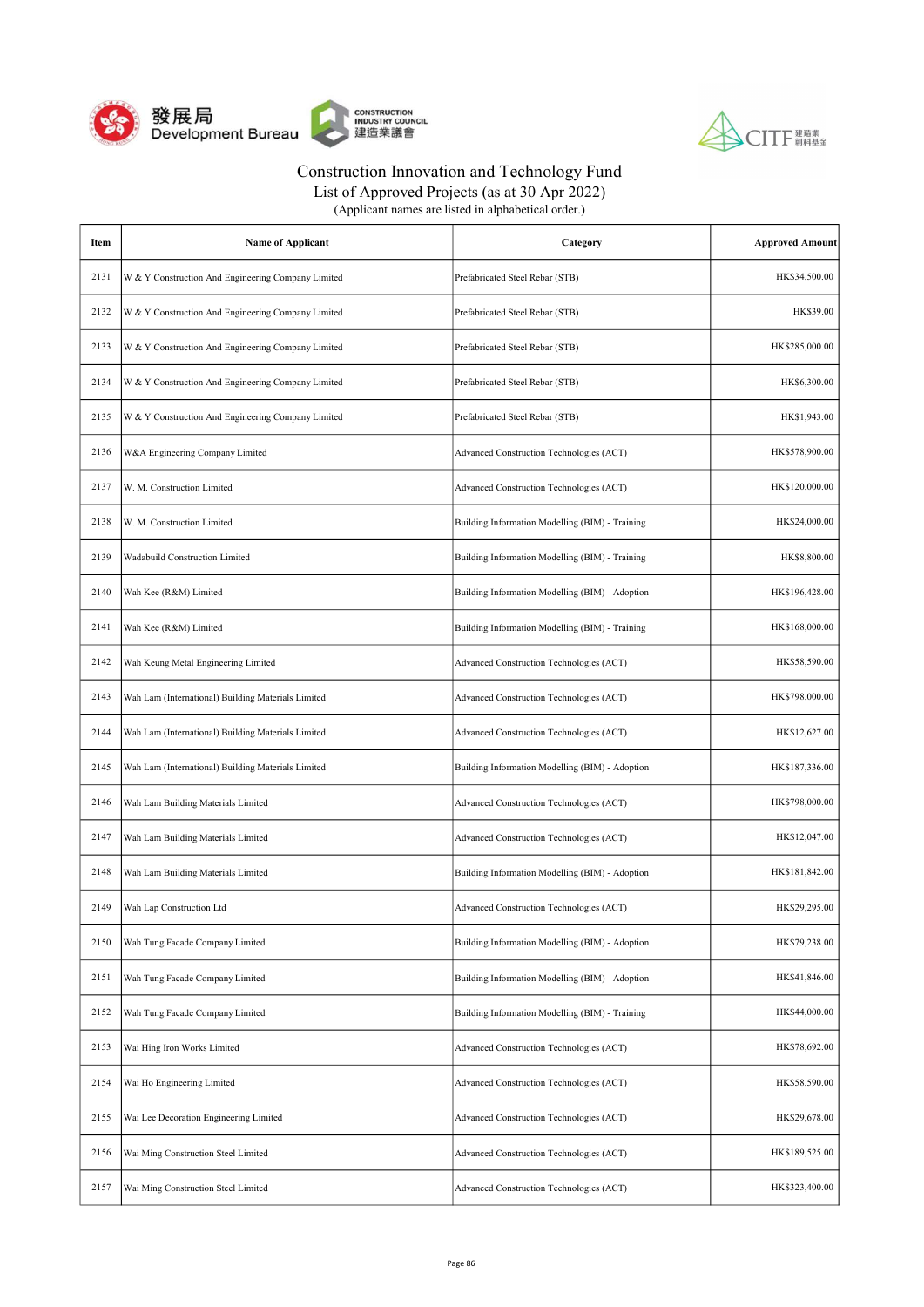



| Item | <b>Name of Applicant</b>                           | Category                                        | <b>Approved Amount</b> |
|------|----------------------------------------------------|-------------------------------------------------|------------------------|
| 2131 | W & Y Construction And Engineering Company Limited | Prefabricated Steel Rebar (STB)                 | HK\$34,500.00          |
| 2132 | W & Y Construction And Engineering Company Limited | Prefabricated Steel Rebar (STB)                 | HK\$39.00              |
| 2133 | W & Y Construction And Engineering Company Limited | Prefabricated Steel Rebar (STB)                 | HK\$285,000.00         |
| 2134 | W & Y Construction And Engineering Company Limited | Prefabricated Steel Rebar (STB)                 | HK\$6,300.00           |
| 2135 | W & Y Construction And Engineering Company Limited | Prefabricated Steel Rebar (STB)                 | HK\$1,943.00           |
| 2136 | W&A Engineering Company Limited                    | Advanced Construction Technologies (ACT)        | HK\$578,900.00         |
| 2137 | W. M. Construction Limited                         | Advanced Construction Technologies (ACT)        | HK\$120,000.00         |
| 2138 | W. M. Construction Limited                         | Building Information Modelling (BIM) - Training | HK\$24,000.00          |
| 2139 | <b>Wadabuild Construction Limited</b>              | Building Information Modelling (BIM) - Training | HK\$8,800.00           |
| 2140 | Wah Kee (R&M) Limited                              | Building Information Modelling (BIM) - Adoption | HK\$196,428.00         |
| 2141 | Wah Kee (R&M) Limited                              | Building Information Modelling (BIM) - Training | HK\$168,000.00         |
| 2142 | Wah Keung Metal Engineering Limited                | Advanced Construction Technologies (ACT)        | HK\$58,590.00          |
| 2143 | Wah Lam (International) Building Materials Limited | Advanced Construction Technologies (ACT)        | HK\$798,000.00         |
| 2144 | Wah Lam (International) Building Materials Limited | Advanced Construction Technologies (ACT)        | HK\$12,627.00          |
| 2145 | Wah Lam (International) Building Materials Limited | Building Information Modelling (BIM) - Adoption | HK\$187,336.00         |
| 2146 | Wah Lam Building Materials Limited                 | Advanced Construction Technologies (ACT)        | HK\$798,000.00         |
| 2147 | Wah Lam Building Materials Limited                 | Advanced Construction Technologies (ACT)        | HK\$12,047.00          |
| 2148 | Wah Lam Building Materials Limited                 | Building Information Modelling (BIM) - Adoption | HK\$181,842.00         |
| 2149 | Wah Lap Construction Ltd                           | Advanced Construction Technologies (ACT)        | HK\$29,295.00          |
| 2150 | Wah Tung Facade Company Limited                    | Building Information Modelling (BIM) - Adoption | HK\$79,238.00          |
| 2151 | Wah Tung Facade Company Limited                    | Building Information Modelling (BIM) - Adoption | HK\$41,846.00          |
| 2152 | Wah Tung Facade Company Limited                    | Building Information Modelling (BIM) - Training | HK\$44,000.00          |
| 2153 | Wai Hing Iron Works Limited                        | Advanced Construction Technologies (ACT)        | HK\$78,692.00          |
| 2154 | Wai Ho Engineering Limited                         | Advanced Construction Technologies (ACT)        | HK\$58,590.00          |
| 2155 | Wai Lee Decoration Engineering Limited             | Advanced Construction Technologies (ACT)        | HK\$29,678.00          |
| 2156 | Wai Ming Construction Steel Limited                | Advanced Construction Technologies (ACT)        | HK\$189,525.00         |
| 2157 | Wai Ming Construction Steel Limited                | Advanced Construction Technologies (ACT)        | HK\$323,400.00         |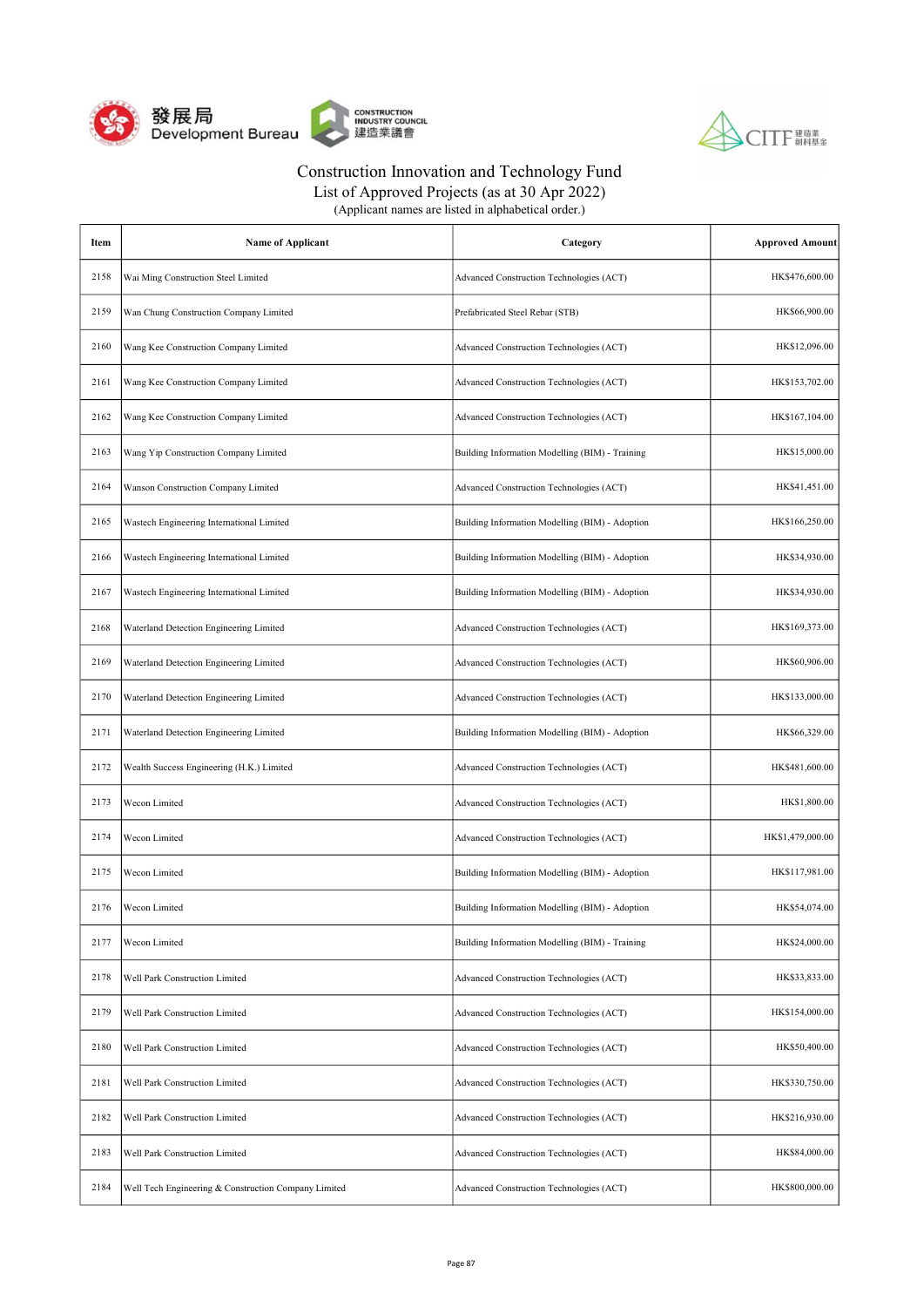



|  | (Applicant names are listed in alphabetical order.) |
|--|-----------------------------------------------------|
|--|-----------------------------------------------------|

| Item | <b>Name of Applicant</b>                             | Category                                        | <b>Approved Amount</b> |
|------|------------------------------------------------------|-------------------------------------------------|------------------------|
| 2158 | Wai Ming Construction Steel Limited                  | Advanced Construction Technologies (ACT)        | HK\$476,600.00         |
| 2159 | Wan Chung Construction Company Limited               | Prefabricated Steel Rebar (STB)                 | HK\$66,900.00          |
| 2160 | Wang Kee Construction Company Limited                | Advanced Construction Technologies (ACT)        | HK\$12,096.00          |
| 2161 | Wang Kee Construction Company Limited                | Advanced Construction Technologies (ACT)        | HK\$153,702.00         |
| 2162 | Wang Kee Construction Company Limited                | Advanced Construction Technologies (ACT)        | HK\$167,104.00         |
| 2163 | Wang Yip Construction Company Limited                | Building Information Modelling (BIM) - Training | HK\$15,000.00          |
| 2164 | Wanson Construction Company Limited                  | Advanced Construction Technologies (ACT)        | HK\$41,451.00          |
| 2165 | Wastech Engineering International Limited            | Building Information Modelling (BIM) - Adoption | HK\$166,250.00         |
| 2166 | Wastech Engineering International Limited            | Building Information Modelling (BIM) - Adoption | HK\$34,930.00          |
| 2167 | Wastech Engineering International Limited            | Building Information Modelling (BIM) - Adoption | HK\$34,930.00          |
| 2168 | Waterland Detection Engineering Limited              | Advanced Construction Technologies (ACT)        | HK\$169,373.00         |
| 2169 | Waterland Detection Engineering Limited              | Advanced Construction Technologies (ACT)        | HK\$60,906.00          |
| 2170 | Waterland Detection Engineering Limited              | Advanced Construction Technologies (ACT)        | HK\$133,000.00         |
| 2171 | Waterland Detection Engineering Limited              | Building Information Modelling (BIM) - Adoption | HK\$66,329.00          |
| 2172 | Wealth Success Engineering (H.K.) Limited            | Advanced Construction Technologies (ACT)        | HK\$481,600.00         |
| 2173 | Wecon Limited                                        | Advanced Construction Technologies (ACT)        | HK\$1,800.00           |
| 2174 | Wecon Limited                                        | Advanced Construction Technologies (ACT)        | HK\$1,479,000.00       |
| 2175 | Wecon Limited                                        | Building Information Modelling (BIM) - Adoption | HK\$117,981.00         |
| 2176 | Wecon Limited                                        | Building Information Modelling (BIM) - Adoption | HK\$54,074.00          |
| 2177 | Wecon Limited                                        | Building Information Modelling (BIM) - Training | HK\$24,000.00          |
| 2178 | Well Park Construction Limited                       | Advanced Construction Technologies (ACT)        | HK\$33,833.00          |
| 2179 | Well Park Construction Limited                       | Advanced Construction Technologies (ACT)        | HK\$154,000.00         |
| 2180 | Well Park Construction Limited                       | Advanced Construction Technologies (ACT)        | HK\$50,400.00          |
| 2181 | Well Park Construction Limited                       | Advanced Construction Technologies (ACT)        | HK\$330,750.00         |
| 2182 | Well Park Construction Limited                       | Advanced Construction Technologies (ACT)        | HK\$216,930.00         |
| 2183 | Well Park Construction Limited                       | Advanced Construction Technologies (ACT)        | HK\$84,000.00          |
| 2184 | Well Tech Engineering & Construction Company Limited | Advanced Construction Technologies (ACT)        | HK\$800,000.00         |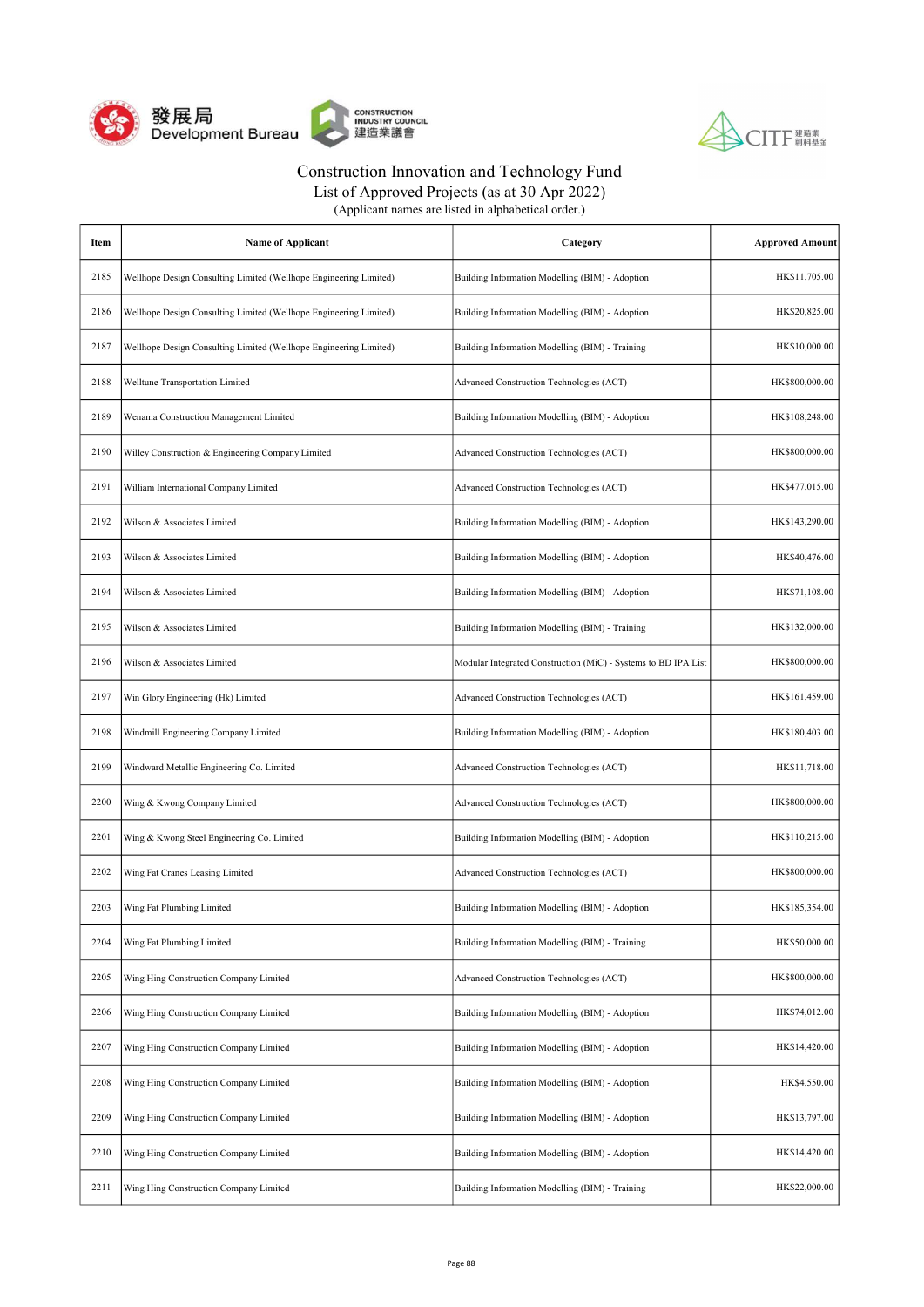



| Item | <b>Name of Applicant</b>                                          | Category                                                       | <b>Approved Amount</b> |
|------|-------------------------------------------------------------------|----------------------------------------------------------------|------------------------|
| 2185 | Wellhope Design Consulting Limited (Wellhope Engineering Limited) | Building Information Modelling (BIM) - Adoption                | HK\$11,705.00          |
| 2186 | Wellhope Design Consulting Limited (Wellhope Engineering Limited) | Building Information Modelling (BIM) - Adoption                | HK\$20,825.00          |
| 2187 | Wellhope Design Consulting Limited (Wellhope Engineering Limited) | Building Information Modelling (BIM) - Training                | HK\$10,000.00          |
| 2188 | Welltune Transportation Limited                                   | Advanced Construction Technologies (ACT)                       | HK\$800,000.00         |
| 2189 | Wenama Construction Management Limited                            | Building Information Modelling (BIM) - Adoption                | HK\$108,248.00         |
| 2190 | Willey Construction & Engineering Company Limited                 | Advanced Construction Technologies (ACT)                       | HK\$800,000.00         |
| 2191 | William International Company Limited                             | Advanced Construction Technologies (ACT)                       | HK\$477,015.00         |
| 2192 | Wilson & Associates Limited                                       | Building Information Modelling (BIM) - Adoption                | HK\$143,290.00         |
| 2193 | Wilson & Associates Limited                                       | Building Information Modelling (BIM) - Adoption                | HK\$40,476.00          |
| 2194 | Wilson & Associates Limited                                       | Building Information Modelling (BIM) - Adoption                | HK\$71,108.00          |
| 2195 | Wilson & Associates Limited                                       | Building Information Modelling (BIM) - Training                | HK\$132,000.00         |
| 2196 | Wilson & Associates Limited                                       | Modular Integrated Construction (MiC) - Systems to BD IPA List | HK\$800,000.00         |
| 2197 | Win Glory Engineering (Hk) Limited                                | Advanced Construction Technologies (ACT)                       | HK\$161,459.00         |
| 2198 | Windmill Engineering Company Limited                              | Building Information Modelling (BIM) - Adoption                | HK\$180,403.00         |
| 2199 | Windward Metallic Engineering Co. Limited                         | Advanced Construction Technologies (ACT)                       | HK\$11,718.00          |
| 2200 | Wing & Kwong Company Limited                                      | Advanced Construction Technologies (ACT)                       | HK\$800,000.00         |
| 2201 | Wing & Kwong Steel Engineering Co. Limited                        | Building Information Modelling (BIM) - Adoption                | HK\$110,215.00         |
| 2202 | Wing Fat Cranes Leasing Limited                                   | Advanced Construction Technologies (ACT)                       | HK\$800,000.00         |
| 2203 | Wing Fat Plumbing Limited                                         | Building Information Modelling (BIM) - Adoption                | HK\$185,354.00         |
| 2204 | Wing Fat Plumbing Limited                                         | Building Information Modelling (BIM) - Training                | HK\$50,000.00          |
| 2205 | Wing Hing Construction Company Limited                            | Advanced Construction Technologies (ACT)                       | HK\$800,000.00         |
| 2206 | Wing Hing Construction Company Limited                            | Building Information Modelling (BIM) - Adoption                | HK\$74,012.00          |
| 2207 | Wing Hing Construction Company Limited                            | Building Information Modelling (BIM) - Adoption                | HK\$14,420.00          |
| 2208 | Wing Hing Construction Company Limited                            | Building Information Modelling (BIM) - Adoption                | HK\$4,550.00           |
| 2209 | Wing Hing Construction Company Limited                            | Building Information Modelling (BIM) - Adoption                | HK\$13,797.00          |
| 2210 | Wing Hing Construction Company Limited                            | Building Information Modelling (BIM) - Adoption                | HK\$14,420.00          |
| 2211 | Wing Hing Construction Company Limited                            | Building Information Modelling (BIM) - Training                | HK\$22,000.00          |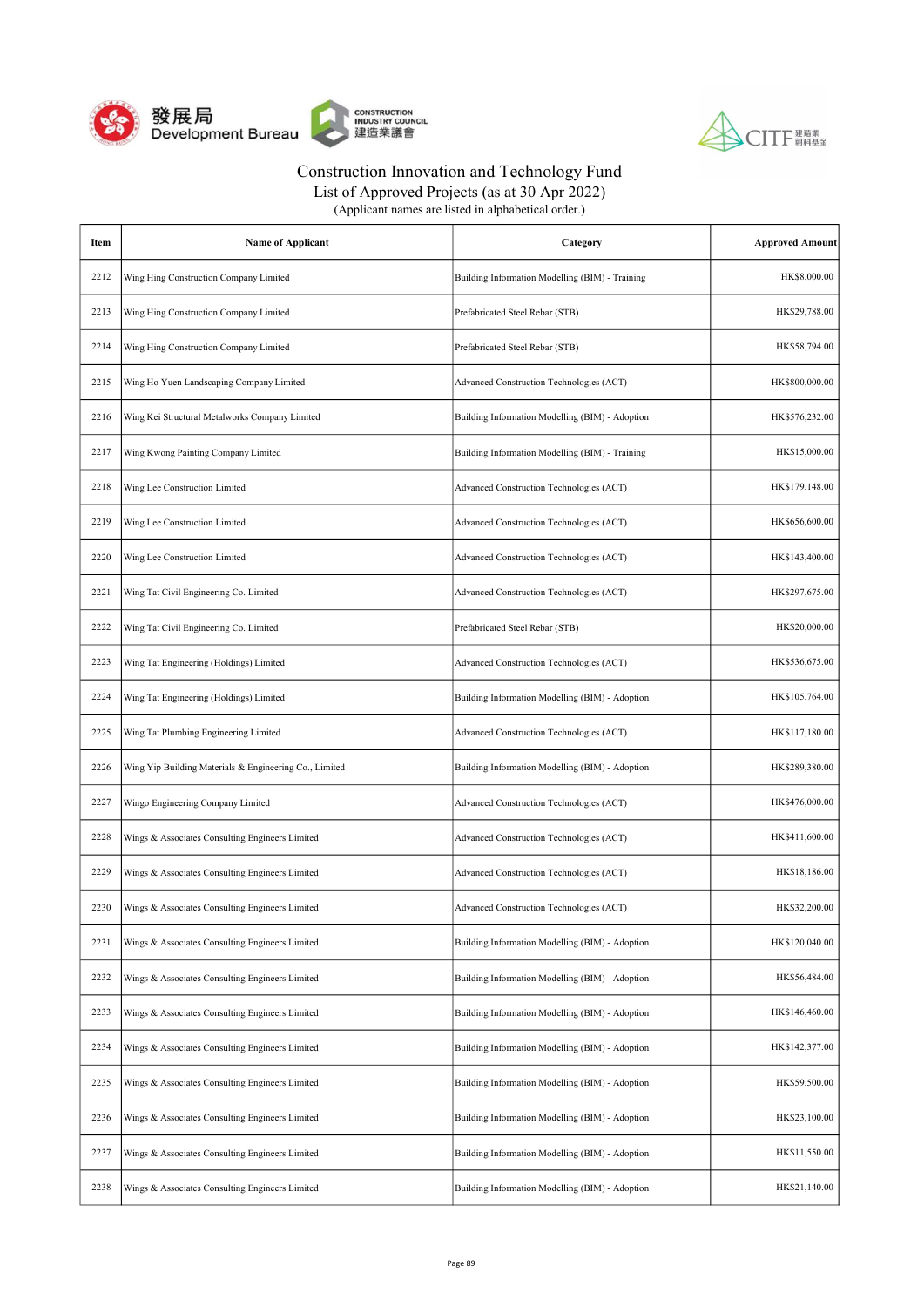



| (Applicant names are listed in alphabetical order.) |  |
|-----------------------------------------------------|--|
|-----------------------------------------------------|--|

| Item | <b>Name of Applicant</b>                               | Category                                        | <b>Approved Amount</b> |
|------|--------------------------------------------------------|-------------------------------------------------|------------------------|
| 2212 | Wing Hing Construction Company Limited                 | Building Information Modelling (BIM) - Training | HK\$8,000.00           |
| 2213 | Wing Hing Construction Company Limited                 | Prefabricated Steel Rebar (STB)                 | HK\$29,788.00          |
| 2214 | Wing Hing Construction Company Limited                 | Prefabricated Steel Rebar (STB)                 | HK\$58,794.00          |
| 2215 | Wing Ho Yuen Landscaping Company Limited               | Advanced Construction Technologies (ACT)        | HK\$800,000.00         |
| 2216 | Wing Kei Structural Metalworks Company Limited         | Building Information Modelling (BIM) - Adoption | HK\$576,232.00         |
| 2217 | Wing Kwong Painting Company Limited                    | Building Information Modelling (BIM) - Training | HK\$15,000.00          |
| 2218 | Wing Lee Construction Limited                          | Advanced Construction Technologies (ACT)        | HK\$179,148.00         |
| 2219 | Wing Lee Construction Limited                          | Advanced Construction Technologies (ACT)        | HK\$656,600.00         |
| 2220 | Wing Lee Construction Limited                          | Advanced Construction Technologies (ACT)        | HK\$143,400.00         |
| 2221 | Wing Tat Civil Engineering Co. Limited                 | Advanced Construction Technologies (ACT)        | HK\$297,675.00         |
| 2222 | Wing Tat Civil Engineering Co. Limited                 | Prefabricated Steel Rebar (STB)                 | HK\$20,000.00          |
| 2223 | Wing Tat Engineering (Holdings) Limited                | Advanced Construction Technologies (ACT)        | HK\$536,675.00         |
| 2224 | Wing Tat Engineering (Holdings) Limited                | Building Information Modelling (BIM) - Adoption | HK\$105,764.00         |
| 2225 | Wing Tat Plumbing Engineering Limited                  | Advanced Construction Technologies (ACT)        | HK\$117,180.00         |
| 2226 | Wing Yip Building Materials & Engineering Co., Limited | Building Information Modelling (BIM) - Adoption | HK\$289,380.00         |
| 2227 | Wingo Engineering Company Limited                      | Advanced Construction Technologies (ACT)        | HK\$476,000.00         |
| 2228 | Wings & Associates Consulting Engineers Limited        | Advanced Construction Technologies (ACT)        | HK\$411,600.00         |
| 2229 | Wings & Associates Consulting Engineers Limited        | Advanced Construction Technologies (ACT)        | HK\$18,186.00          |
| 2230 | Wings & Associates Consulting Engineers Limited        | Advanced Construction Technologies (ACT)        | HK\$32,200.00          |
| 2231 | Wings & Associates Consulting Engineers Limited        | Building Information Modelling (BIM) - Adoption | HK\$120,040.00         |
| 2232 | Wings & Associates Consulting Engineers Limited        | Building Information Modelling (BIM) - Adoption | HK\$56,484.00          |
| 2233 | Wings & Associates Consulting Engineers Limited        | Building Information Modelling (BIM) - Adoption | HK\$146,460.00         |
| 2234 | Wings & Associates Consulting Engineers Limited        | Building Information Modelling (BIM) - Adoption | HK\$142,377.00         |
| 2235 | Wings & Associates Consulting Engineers Limited        | Building Information Modelling (BIM) - Adoption | HK\$59,500.00          |
| 2236 | Wings & Associates Consulting Engineers Limited        | Building Information Modelling (BIM) - Adoption | HK\$23,100.00          |
| 2237 | Wings & Associates Consulting Engineers Limited        | Building Information Modelling (BIM) - Adoption | HK\$11,550.00          |
| 2238 | Wings & Associates Consulting Engineers Limited        | Building Information Modelling (BIM) - Adoption | HK\$21,140.00          |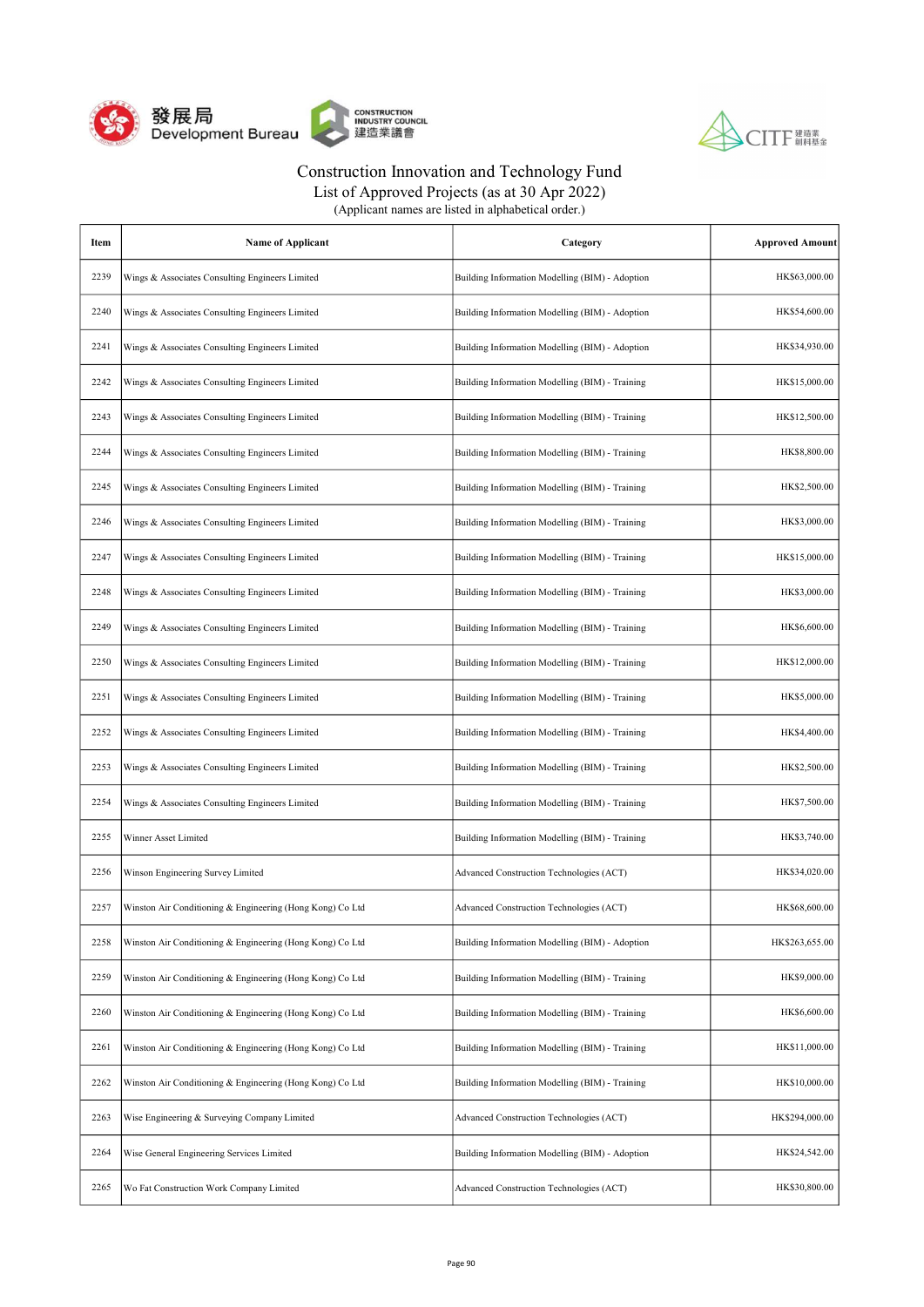



| Item | <b>Name of Applicant</b>                                  | Category                                        | <b>Approved Amount</b> |
|------|-----------------------------------------------------------|-------------------------------------------------|------------------------|
| 2239 | Wings & Associates Consulting Engineers Limited           | Building Information Modelling (BIM) - Adoption | HK\$63,000.00          |
| 2240 | Wings & Associates Consulting Engineers Limited           | Building Information Modelling (BIM) - Adoption | HK\$54,600.00          |
| 2241 | Wings & Associates Consulting Engineers Limited           | Building Information Modelling (BIM) - Adoption | HK\$34,930.00          |
| 2242 | Wings & Associates Consulting Engineers Limited           | Building Information Modelling (BIM) - Training | HK\$15,000.00          |
| 2243 | Wings & Associates Consulting Engineers Limited           | Building Information Modelling (BIM) - Training | HK\$12,500.00          |
| 2244 | Wings & Associates Consulting Engineers Limited           | Building Information Modelling (BIM) - Training | HK\$8,800.00           |
| 2245 | Wings & Associates Consulting Engineers Limited           | Building Information Modelling (BIM) - Training | HK\$2,500.00           |
| 2246 | Wings & Associates Consulting Engineers Limited           | Building Information Modelling (BIM) - Training | HK\$3,000.00           |
| 2247 | Wings & Associates Consulting Engineers Limited           | Building Information Modelling (BIM) - Training | HK\$15,000.00          |
| 2248 | Wings & Associates Consulting Engineers Limited           | Building Information Modelling (BIM) - Training | HK\$3,000.00           |
| 2249 | Wings & Associates Consulting Engineers Limited           | Building Information Modelling (BIM) - Training | HK\$6,600.00           |
| 2250 | Wings & Associates Consulting Engineers Limited           | Building Information Modelling (BIM) - Training | HK\$12,000.00          |
| 2251 | Wings & Associates Consulting Engineers Limited           | Building Information Modelling (BIM) - Training | HK\$5,000.00           |
| 2252 | Wings & Associates Consulting Engineers Limited           | Building Information Modelling (BIM) - Training | HK\$4,400.00           |
| 2253 | Wings & Associates Consulting Engineers Limited           | Building Information Modelling (BIM) - Training | HK\$2,500.00           |
| 2254 | Wings & Associates Consulting Engineers Limited           | Building Information Modelling (BIM) - Training | HK\$7,500.00           |
| 2255 | Winner Asset Limited                                      | Building Information Modelling (BIM) - Training | HK\$3,740.00           |
| 2256 | Winson Engineering Survey Limited                         | Advanced Construction Technologies (ACT)        | HK\$34,020.00          |
| 2257 | Winston Air Conditioning & Engineering (Hong Kong) Co Ltd | Advanced Construction Technologies (ACT)        | HK\$68,600.00          |
| 2258 | Winston Air Conditioning & Engineering (Hong Kong) Co Ltd | Building Information Modelling (BIM) - Adoption | HK\$263,655.00         |
| 2259 | Winston Air Conditioning & Engineering (Hong Kong) Co Ltd | Building Information Modelling (BIM) - Training | HK\$9,000.00           |
| 2260 | Winston Air Conditioning & Engineering (Hong Kong) Co Ltd | Building Information Modelling (BIM) - Training | HK\$6,600.00           |
| 2261 | Winston Air Conditioning & Engineering (Hong Kong) Co Ltd | Building Information Modelling (BIM) - Training | HK\$11,000.00          |
| 2262 | Winston Air Conditioning & Engineering (Hong Kong) Co Ltd | Building Information Modelling (BIM) - Training | HK\$10,000.00          |
| 2263 | Wise Engineering & Surveying Company Limited              | Advanced Construction Technologies (ACT)        | HK\$294,000.00         |
| 2264 | Wise General Engineering Services Limited                 | Building Information Modelling (BIM) - Adoption | HK\$24,542.00          |
| 2265 | Wo Fat Construction Work Company Limited                  | Advanced Construction Technologies (ACT)        | HK\$30,800.00          |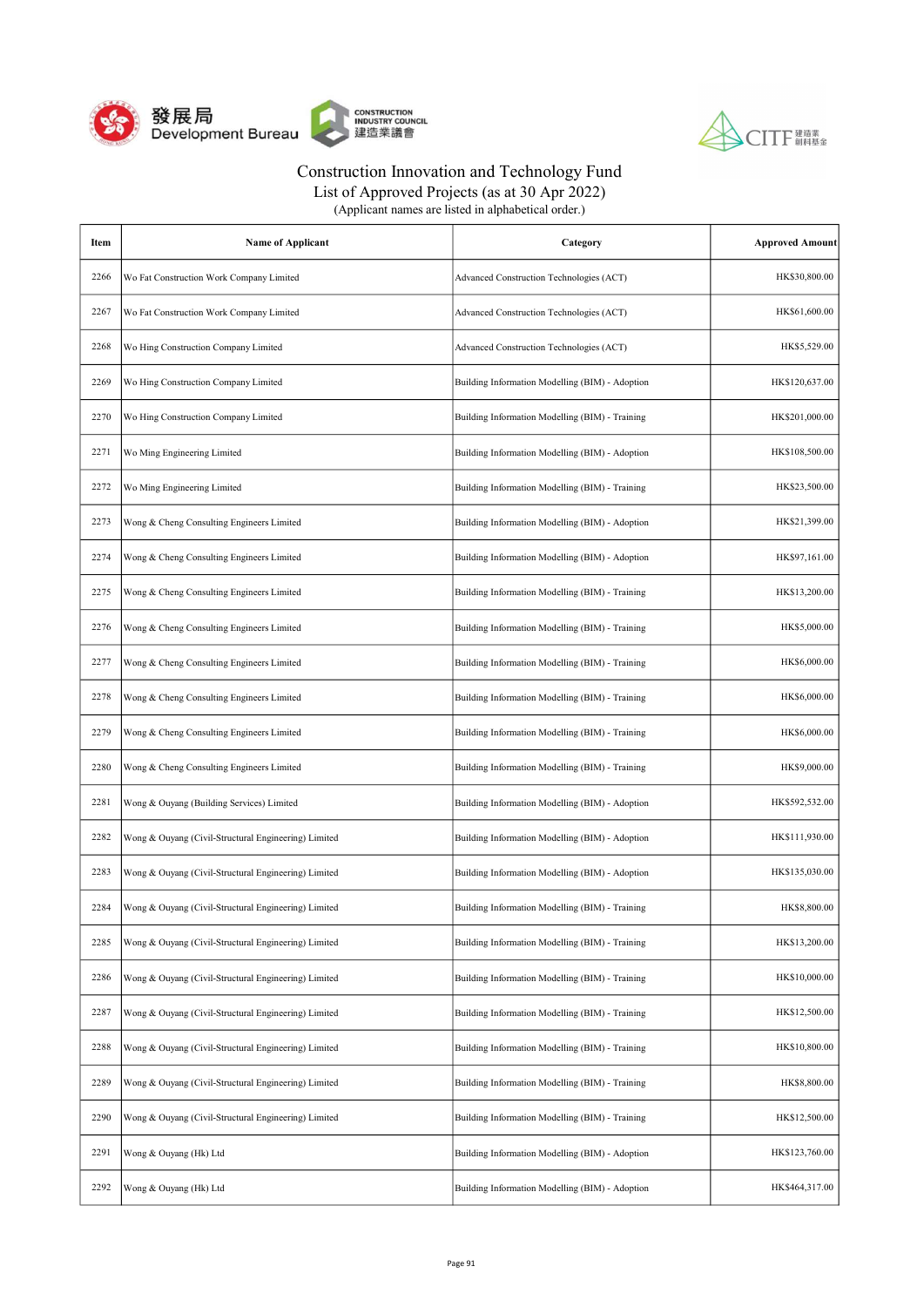



| Item | <b>Name of Applicant</b>                             | Category                                        | <b>Approved Amount</b> |
|------|------------------------------------------------------|-------------------------------------------------|------------------------|
| 2266 | Wo Fat Construction Work Company Limited             | Advanced Construction Technologies (ACT)        | HK\$30,800.00          |
| 2267 | Wo Fat Construction Work Company Limited             | Advanced Construction Technologies (ACT)        | HK\$61,600.00          |
| 2268 | Wo Hing Construction Company Limited                 | Advanced Construction Technologies (ACT)        | HK\$5,529.00           |
| 2269 | Wo Hing Construction Company Limited                 | Building Information Modelling (BIM) - Adoption | HK\$120,637.00         |
| 2270 | Wo Hing Construction Company Limited                 | Building Information Modelling (BIM) - Training | HK\$201,000.00         |
| 2271 | Wo Ming Engineering Limited                          | Building Information Modelling (BIM) - Adoption | HK\$108,500.00         |
| 2272 | Wo Ming Engineering Limited                          | Building Information Modelling (BIM) - Training | HK\$23,500.00          |
| 2273 | Wong & Cheng Consulting Engineers Limited            | Building Information Modelling (BIM) - Adoption | HK\$21,399.00          |
| 2274 | Wong & Cheng Consulting Engineers Limited            | Building Information Modelling (BIM) - Adoption | HK\$97,161.00          |
| 2275 | Wong & Cheng Consulting Engineers Limited            | Building Information Modelling (BIM) - Training | HK\$13,200.00          |
| 2276 | Wong & Cheng Consulting Engineers Limited            | Building Information Modelling (BIM) - Training | HK\$5,000.00           |
| 2277 | Wong & Cheng Consulting Engineers Limited            | Building Information Modelling (BIM) - Training | HK\$6,000.00           |
| 2278 | Wong & Cheng Consulting Engineers Limited            | Building Information Modelling (BIM) - Training | HK\$6,000.00           |
| 2279 | Wong & Cheng Consulting Engineers Limited            | Building Information Modelling (BIM) - Training | HK\$6,000.00           |
| 2280 | Wong & Cheng Consulting Engineers Limited            | Building Information Modelling (BIM) - Training | HK\$9,000.00           |
| 2281 | Wong & Ouyang (Building Services) Limited            | Building Information Modelling (BIM) - Adoption | HK\$592,532.00         |
| 2282 | Wong & Ouyang (Civil-Structural Engineering) Limited | Building Information Modelling (BIM) - Adoption | HK\$111,930.00         |
| 2283 | Wong & Ouyang (Civil-Structural Engineering) Limited | Building Information Modelling (BIM) - Adoption | HK\$135,030.00         |
| 2284 | Wong & Ouyang (Civil-Structural Engineering) Limited | Building Information Modelling (BIM) - Training | HK\$8,800.00           |
| 2285 | Wong & Ouyang (Civil-Structural Engineering) Limited | Building Information Modelling (BIM) - Training | HK\$13,200.00          |
| 2286 | Wong & Ouyang (Civil-Structural Engineering) Limited | Building Information Modelling (BIM) - Training | HK\$10,000.00          |
| 2287 | Wong & Ouyang (Civil-Structural Engineering) Limited | Building Information Modelling (BIM) - Training | HK\$12,500.00          |
| 2288 | Wong & Ouyang (Civil-Structural Engineering) Limited | Building Information Modelling (BIM) - Training | HK\$10,800.00          |
| 2289 | Wong & Ouyang (Civil-Structural Engineering) Limited | Building Information Modelling (BIM) - Training | HK\$8,800.00           |
| 2290 | Wong & Ouyang (Civil-Structural Engineering) Limited | Building Information Modelling (BIM) - Training | HK\$12,500.00          |
| 2291 | Wong & Ouyang (Hk) Ltd                               | Building Information Modelling (BIM) - Adoption | HK\$123,760.00         |
| 2292 | Wong & Ouyang (Hk) Ltd                               | Building Information Modelling (BIM) - Adoption | HK\$464,317.00         |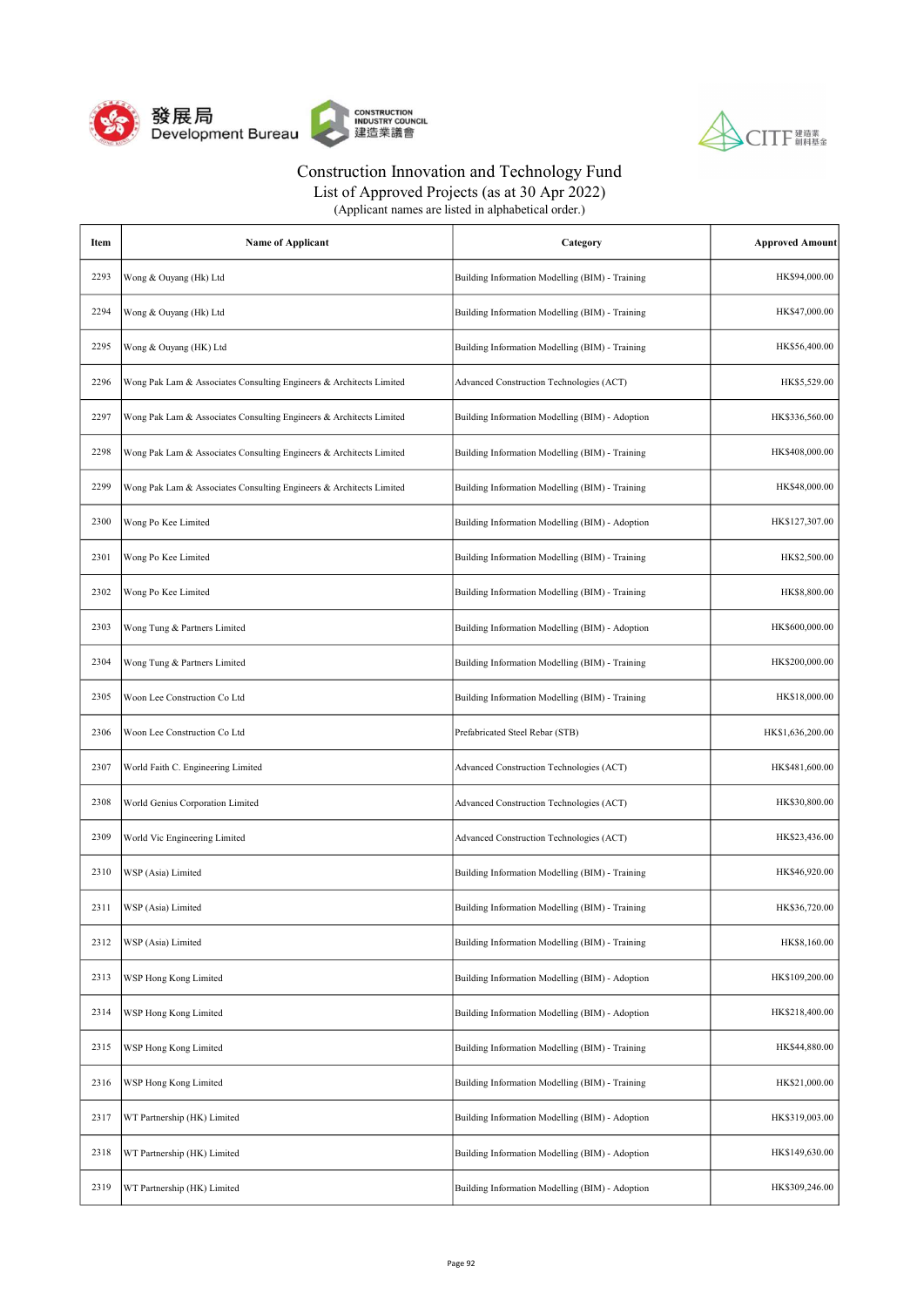



| (Applicant names are listed in alphabetical order.) |  |
|-----------------------------------------------------|--|
|-----------------------------------------------------|--|

| Item | <b>Name of Applicant</b>                                            | Category                                        | <b>Approved Amount</b> |
|------|---------------------------------------------------------------------|-------------------------------------------------|------------------------|
| 2293 | Wong & Ouyang (Hk) Ltd                                              | Building Information Modelling (BIM) - Training | HK\$94,000.00          |
| 2294 | Wong & Ouyang (Hk) Ltd                                              | Building Information Modelling (BIM) - Training | HK\$47,000.00          |
| 2295 | Wong & Ouyang (HK) Ltd                                              | Building Information Modelling (BIM) - Training | HK\$56,400.00          |
| 2296 | Wong Pak Lam & Associates Consulting Engineers & Architects Limited | Advanced Construction Technologies (ACT)        | HK\$5,529.00           |
| 2297 | Wong Pak Lam & Associates Consulting Engineers & Architects Limited | Building Information Modelling (BIM) - Adoption | HK\$336,560.00         |
| 2298 | Wong Pak Lam & Associates Consulting Engineers & Architects Limited | Building Information Modelling (BIM) - Training | HK\$408,000.00         |
| 2299 | Wong Pak Lam & Associates Consulting Engineers & Architects Limited | Building Information Modelling (BIM) - Training | HK\$48,000.00          |
| 2300 | Wong Po Kee Limited                                                 | Building Information Modelling (BIM) - Adoption | HK\$127,307.00         |
| 2301 | Wong Po Kee Limited                                                 | Building Information Modelling (BIM) - Training | HK\$2,500.00           |
| 2302 | Wong Po Kee Limited                                                 | Building Information Modelling (BIM) - Training | HK\$8,800.00           |
| 2303 | Wong Tung & Partners Limited                                        | Building Information Modelling (BIM) - Adoption | HK\$600,000.00         |
| 2304 | Wong Tung & Partners Limited                                        | Building Information Modelling (BIM) - Training | HK\$200,000.00         |
| 2305 | Woon Lee Construction Co Ltd                                        | Building Information Modelling (BIM) - Training | HK\$18,000.00          |
| 2306 | Woon Lee Construction Co Ltd                                        | Prefabricated Steel Rebar (STB)                 | HK\$1,636,200.00       |
| 2307 | World Faith C. Engineering Limited                                  | Advanced Construction Technologies (ACT)        | HK\$481,600.00         |
| 2308 | World Genius Corporation Limited                                    | Advanced Construction Technologies (ACT)        | HK\$30,800.00          |
| 2309 | World Vic Engineering Limited                                       | Advanced Construction Technologies (ACT)        | HK\$23,436.00          |
| 2310 | WSP (Asia) Limited                                                  | Building Information Modelling (BIM) - Training | HK\$46,920.00          |
| 2311 | WSP (Asia) Limited                                                  | Building Information Modelling (BIM) - Training | HK\$36,720.00          |
| 2312 | WSP (Asia) Limited                                                  | Building Information Modelling (BIM) - Training | HK\$8,160.00           |
| 2313 | WSP Hong Kong Limited                                               | Building Information Modelling (BIM) - Adoption | HK\$109,200.00         |
| 2314 | WSP Hong Kong Limited                                               | Building Information Modelling (BIM) - Adoption | HK\$218,400.00         |
| 2315 | WSP Hong Kong Limited                                               | Building Information Modelling (BIM) - Training | HK\$44,880.00          |
| 2316 | WSP Hong Kong Limited                                               | Building Information Modelling (BIM) - Training | HK\$21,000.00          |
| 2317 | WT Partnership (HK) Limited                                         | Building Information Modelling (BIM) - Adoption | HK\$319,003.00         |
| 2318 | WT Partnership (HK) Limited                                         | Building Information Modelling (BIM) - Adoption | HK\$149,630.00         |
| 2319 | WT Partnership (HK) Limited                                         | Building Information Modelling (BIM) - Adoption | HK\$309,246.00         |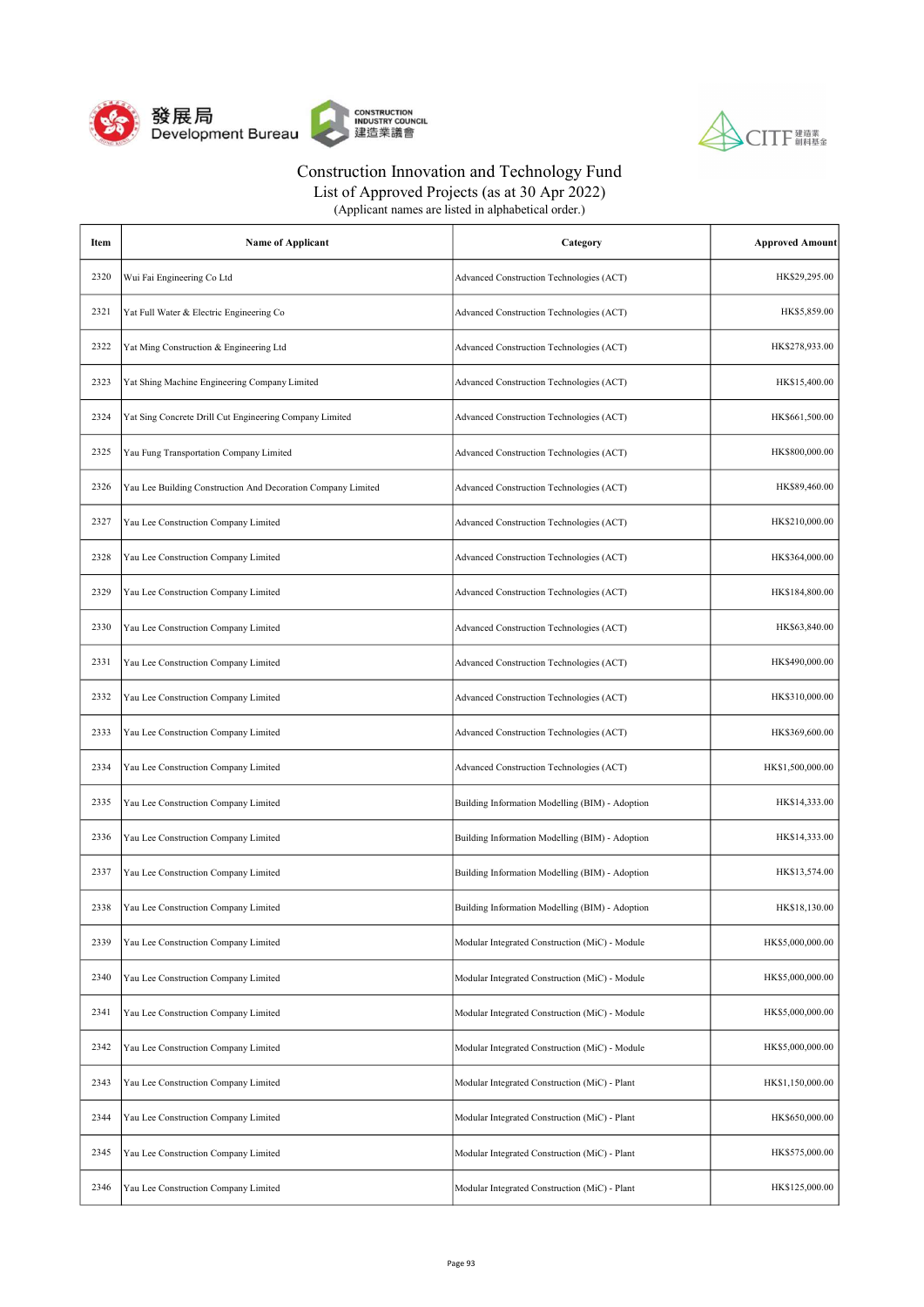



| Item | <b>Name of Applicant</b>                                     | Category                                        | <b>Approved Amount</b> |
|------|--------------------------------------------------------------|-------------------------------------------------|------------------------|
| 2320 | Wui Fai Engineering Co Ltd                                   | Advanced Construction Technologies (ACT)        | HK\$29,295.00          |
| 2321 | Yat Full Water & Electric Engineering Co                     | Advanced Construction Technologies (ACT)        | HK\$5,859.00           |
| 2322 | Yat Ming Construction & Engineering Ltd                      | Advanced Construction Technologies (ACT)        | HK\$278,933.00         |
| 2323 | Yat Shing Machine Engineering Company Limited                | Advanced Construction Technologies (ACT)        | HK\$15,400.00          |
| 2324 | Yat Sing Concrete Drill Cut Engineering Company Limited      | Advanced Construction Technologies (ACT)        | HK\$661,500.00         |
| 2325 | Yau Fung Transportation Company Limited                      | Advanced Construction Technologies (ACT)        | HK\$800,000.00         |
| 2326 | Yau Lee Building Construction And Decoration Company Limited | Advanced Construction Technologies (ACT)        | HK\$89,460.00          |
| 2327 | Yau Lee Construction Company Limited                         | Advanced Construction Technologies (ACT)        | HK\$210,000.00         |
| 2328 | Yau Lee Construction Company Limited                         | Advanced Construction Technologies (ACT)        | HK\$364,000.00         |
| 2329 | Yau Lee Construction Company Limited                         | Advanced Construction Technologies (ACT)        | HK\$184,800.00         |
| 2330 | Yau Lee Construction Company Limited                         | Advanced Construction Technologies (ACT)        | HK\$63,840.00          |
| 2331 | Yau Lee Construction Company Limited                         | Advanced Construction Technologies (ACT)        | HK\$490,000.00         |
| 2332 | Yau Lee Construction Company Limited                         | Advanced Construction Technologies (ACT)        | HK\$310,000.00         |
| 2333 | Yau Lee Construction Company Limited                         | Advanced Construction Technologies (ACT)        | HK\$369,600.00         |
| 2334 | Yau Lee Construction Company Limited                         | Advanced Construction Technologies (ACT)        | HK\$1,500,000.00       |
| 2335 | Yau Lee Construction Company Limited                         | Building Information Modelling (BIM) - Adoption | HK\$14,333.00          |
| 2336 | Yau Lee Construction Company Limited                         | Building Information Modelling (BIM) - Adoption | HK\$14,333.00          |
| 2337 | Yau Lee Construction Company Limited                         | Building Information Modelling (BIM) - Adoption | HK\$13,574.00          |
| 2338 | Yau Lee Construction Company Limited                         | Building Information Modelling (BIM) - Adoption | HK\$18,130.00          |
| 2339 | Yau Lee Construction Company Limited                         | Modular Integrated Construction (MiC) - Module  | HK\$5,000,000.00       |
| 2340 | Yau Lee Construction Company Limited                         | Modular Integrated Construction (MiC) - Module  | HK\$5,000,000.00       |
| 2341 | Yau Lee Construction Company Limited                         | Modular Integrated Construction (MiC) - Module  | HK\$5,000,000.00       |
| 2342 | Yau Lee Construction Company Limited                         | Modular Integrated Construction (MiC) - Module  | HK\$5,000,000.00       |
| 2343 | Yau Lee Construction Company Limited                         | Modular Integrated Construction (MiC) - Plant   | HK\$1,150,000.00       |
| 2344 | Yau Lee Construction Company Limited                         | Modular Integrated Construction (MiC) - Plant   | HK\$650,000.00         |
| 2345 | Yau Lee Construction Company Limited                         | Modular Integrated Construction (MiC) - Plant   | HK\$575,000.00         |
| 2346 | Yau Lee Construction Company Limited                         | Modular Integrated Construction (MiC) - Plant   | HK\$125,000.00         |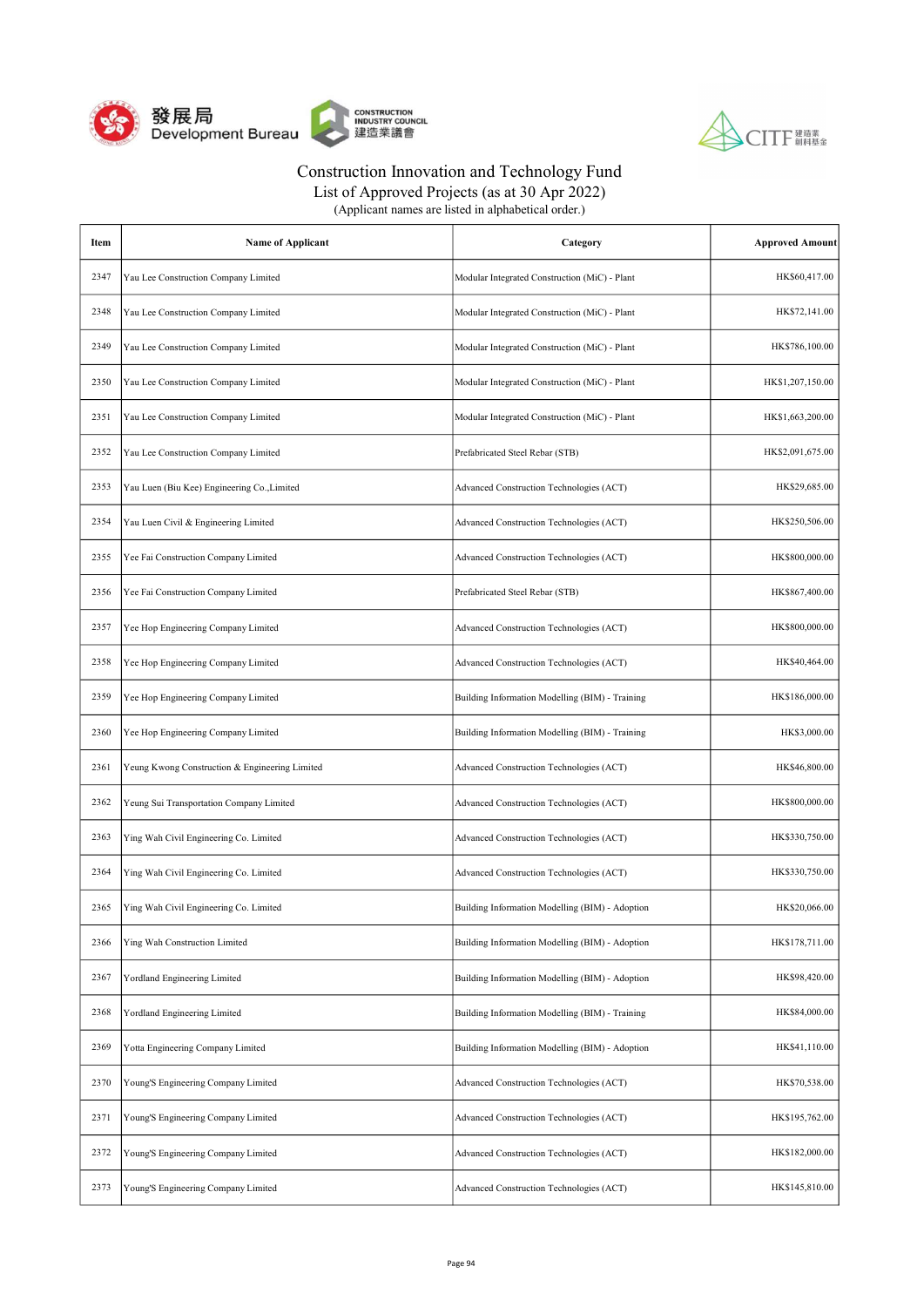



List of Approved Projects (as at 30 Apr 2022)

| Item | <b>Name of Applicant</b>                       | Category                                        | <b>Approved Amount</b> |
|------|------------------------------------------------|-------------------------------------------------|------------------------|
| 2347 | Yau Lee Construction Company Limited           | Modular Integrated Construction (MiC) - Plant   | HK\$60,417.00          |
| 2348 | Yau Lee Construction Company Limited           | Modular Integrated Construction (MiC) - Plant   | HK\$72,141.00          |
| 2349 | Yau Lee Construction Company Limited           | Modular Integrated Construction (MiC) - Plant   | HK\$786,100.00         |
| 2350 | Yau Lee Construction Company Limited           | Modular Integrated Construction (MiC) - Plant   | HK\$1,207,150.00       |
| 2351 | Yau Lee Construction Company Limited           | Modular Integrated Construction (MiC) - Plant   | HK\$1,663,200.00       |
| 2352 | Yau Lee Construction Company Limited           | Prefabricated Steel Rebar (STB)                 | HK\$2,091,675.00       |
| 2353 | Yau Luen (Biu Kee) Engineering Co., Limited    | Advanced Construction Technologies (ACT)        | HK\$29,685.00          |
| 2354 | Yau Luen Civil & Engineering Limited           | Advanced Construction Technologies (ACT)        | HK\$250,506.00         |
| 2355 | Yee Fai Construction Company Limited           | Advanced Construction Technologies (ACT)        | HK\$800,000.00         |
| 2356 | Yee Fai Construction Company Limited           | Prefabricated Steel Rebar (STB)                 | HK\$867,400.00         |
| 2357 | Yee Hop Engineering Company Limited            | Advanced Construction Technologies (ACT)        | HK\$800,000.00         |
| 2358 | Yee Hop Engineering Company Limited            | Advanced Construction Technologies (ACT)        | HK\$40,464.00          |
| 2359 | Yee Hop Engineering Company Limited            | Building Information Modelling (BIM) - Training | HK\$186,000.00         |
| 2360 | Yee Hop Engineering Company Limited            | Building Information Modelling (BIM) - Training | HK\$3,000.00           |
| 2361 | Yeung Kwong Construction & Engineering Limited | Advanced Construction Technologies (ACT)        | HK\$46,800.00          |
| 2362 | Yeung Sui Transportation Company Limited       | Advanced Construction Technologies (ACT)        | HK\$800,000.00         |
| 2363 | Ying Wah Civil Engineering Co. Limited         | Advanced Construction Technologies (ACT)        | HK\$330,750.00         |
| 2364 | Ying Wah Civil Engineering Co. Limited         | Advanced Construction Technologies (ACT)        | HK\$330,750.00         |
| 2365 | Ying Wah Civil Engineering Co. Limited         | Building Information Modelling (BIM) - Adoption | HK\$20,066.00          |
| 2366 | Ying Wah Construction Limited                  | Building Information Modelling (BIM) - Adoption | HK\$178,711.00         |
| 2367 | Yordland Engineering Limited                   | Building Information Modelling (BIM) - Adoption | HK\$98,420.00          |
| 2368 | Yordland Engineering Limited                   | Building Information Modelling (BIM) - Training | HK\$84,000.00          |
| 2369 | Yotta Engineering Company Limited              | Building Information Modelling (BIM) - Adoption | HK\$41,110.00          |
| 2370 | Young'S Engineering Company Limited            | Advanced Construction Technologies (ACT)        | HK\$70,538.00          |
| 2371 | Young'S Engineering Company Limited            | Advanced Construction Technologies (ACT)        | HK\$195,762.00         |
| 2372 | Young'S Engineering Company Limited            | Advanced Construction Technologies (ACT)        | HK\$182,000.00         |
| 2373 | Young'S Engineering Company Limited            | Advanced Construction Technologies (ACT)        | HK\$145,810.00         |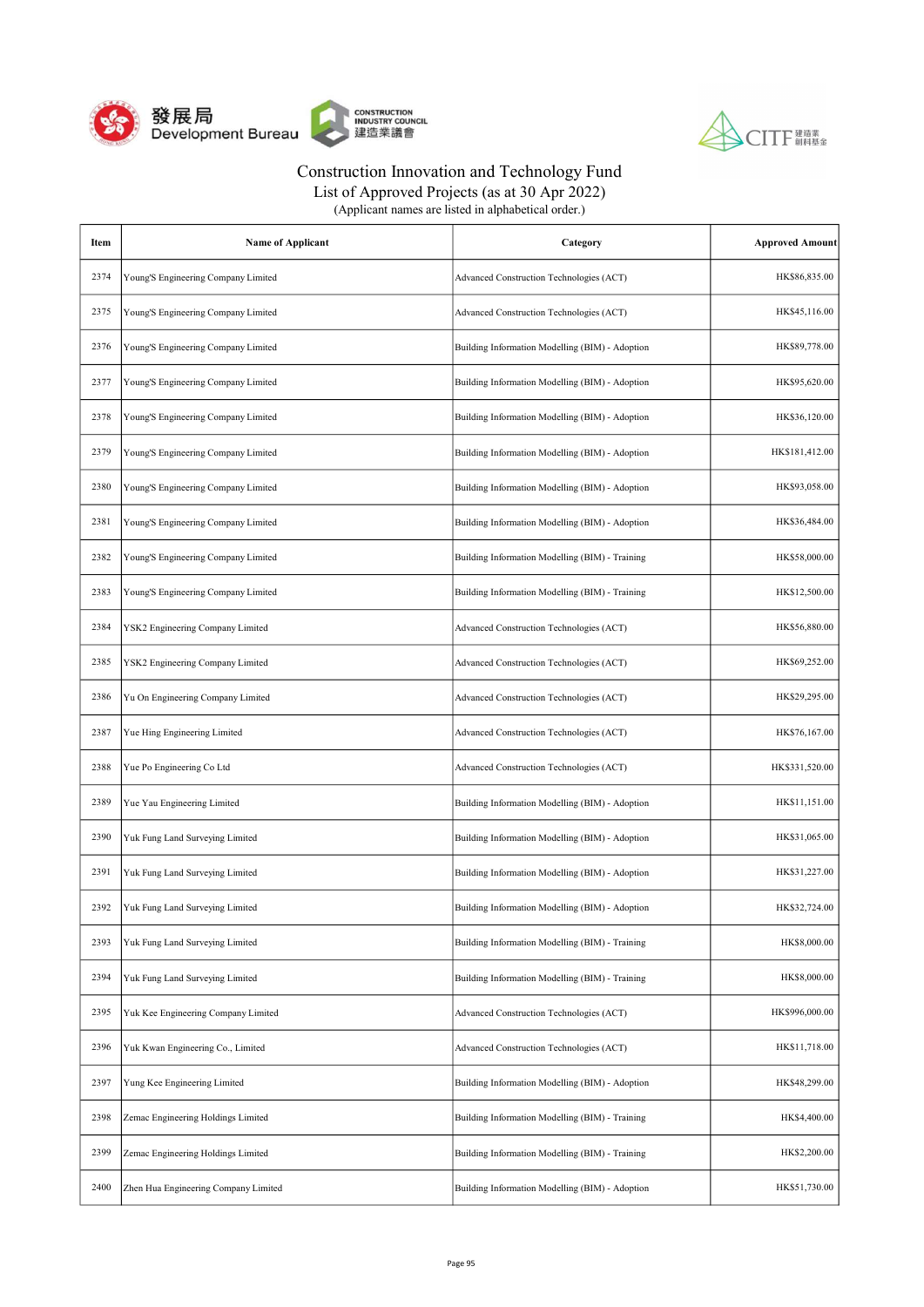



| (Applicant names are listed in alphabetical order.) |  |
|-----------------------------------------------------|--|
|-----------------------------------------------------|--|

| Item | <b>Name of Applicant</b>             | Category                                        | <b>Approved Amount</b> |
|------|--------------------------------------|-------------------------------------------------|------------------------|
| 2374 | Young'S Engineering Company Limited  | Advanced Construction Technologies (ACT)        | HK\$86,835.00          |
| 2375 | Young'S Engineering Company Limited  | Advanced Construction Technologies (ACT)        | HK\$45,116.00          |
| 2376 | Young'S Engineering Company Limited  | Building Information Modelling (BIM) - Adoption | HK\$89,778.00          |
| 2377 | Young'S Engineering Company Limited  | Building Information Modelling (BIM) - Adoption | HK\$95,620.00          |
| 2378 | Young'S Engineering Company Limited  | Building Information Modelling (BIM) - Adoption | HK\$36,120.00          |
| 2379 | Young'S Engineering Company Limited  | Building Information Modelling (BIM) - Adoption | HK\$181,412.00         |
| 2380 | Young'S Engineering Company Limited  | Building Information Modelling (BIM) - Adoption | HK\$93,058.00          |
| 2381 | Young'S Engineering Company Limited  | Building Information Modelling (BIM) - Adoption | HK\$36,484.00          |
| 2382 | Young'S Engineering Company Limited  | Building Information Modelling (BIM) - Training | HK\$58,000.00          |
| 2383 | Young'S Engineering Company Limited  | Building Information Modelling (BIM) - Training | HK\$12,500.00          |
| 2384 | YSK2 Engineering Company Limited     | Advanced Construction Technologies (ACT)        | HK\$56,880.00          |
| 2385 | YSK2 Engineering Company Limited     | Advanced Construction Technologies (ACT)        | HK\$69,252.00          |
| 2386 | Yu On Engineering Company Limited    | Advanced Construction Technologies (ACT)        | HK\$29,295.00          |
| 2387 | Yue Hing Engineering Limited         | Advanced Construction Technologies (ACT)        | HK\$76,167.00          |
| 2388 | Yue Po Engineering Co Ltd            | Advanced Construction Technologies (ACT)        | HK\$331,520.00         |
| 2389 | Yue Yau Engineering Limited          | Building Information Modelling (BIM) - Adoption | HK\$11,151.00          |
| 2390 | Yuk Fung Land Surveying Limited      | Building Information Modelling (BIM) - Adoption | HK\$31,065.00          |
| 2391 | Yuk Fung Land Surveying Limited      | Building Information Modelling (BIM) - Adoption | HK\$31,227.00          |
| 2392 | Yuk Fung Land Surveying Limited      | Building Information Modelling (BIM) - Adoption | HK\$32,724.00          |
| 2393 | Yuk Fung Land Surveying Limited      | Building Information Modelling (BIM) - Training | HK\$8,000.00           |
| 2394 | Yuk Fung Land Surveying Limited      | Building Information Modelling (BIM) - Training | HK\$8,000.00           |
| 2395 | Yuk Kee Engineering Company Limited  | Advanced Construction Technologies (ACT)        | HK\$996,000.00         |
| 2396 | Yuk Kwan Engineering Co., Limited    | Advanced Construction Technologies (ACT)        | HK\$11,718.00          |
| 2397 | Yung Kee Engineering Limited         | Building Information Modelling (BIM) - Adoption | HK\$48,299.00          |
| 2398 | Zemac Engineering Holdings Limited   | Building Information Modelling (BIM) - Training | HK\$4,400.00           |
| 2399 | Zemac Engineering Holdings Limited   | Building Information Modelling (BIM) - Training | HK\$2,200.00           |
| 2400 | Zhen Hua Engineering Company Limited | Building Information Modelling (BIM) - Adoption | HK\$51,730.00          |